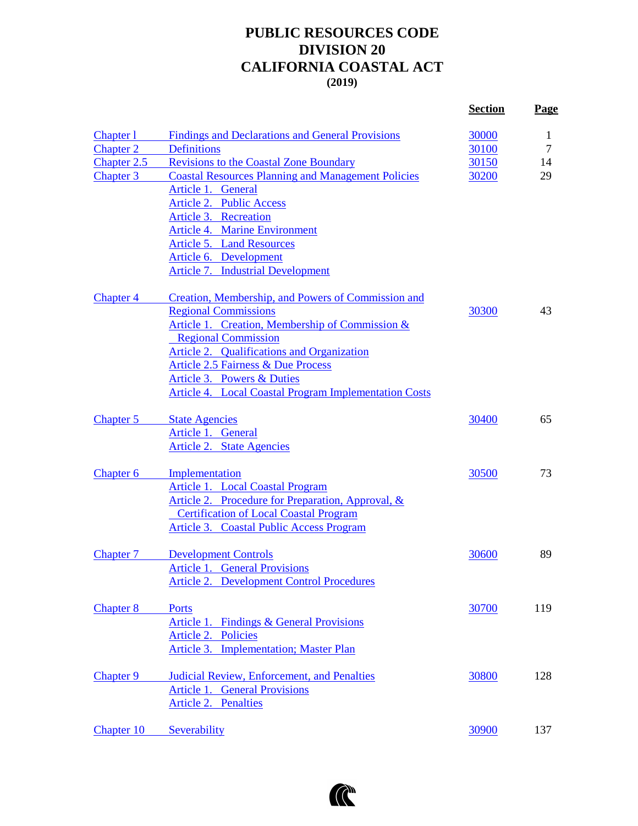## **PUBLIC RESOURCES CODE DIVISION 20 CALIFORNIA COASTAL ACT (2019)**

|                      |                                                              | <b>Section</b> | <b>Page</b>  |
|----------------------|--------------------------------------------------------------|----------------|--------------|
| Chapter 1            | <b>Findings and Declarations and General Provisions</b>      | 30000          | $\mathbf{1}$ |
| <b>Chapter 2</b>     | <b>Definitions</b>                                           | 30100          | 7            |
| Chapter 2.5          | <b>Revisions to the Coastal Zone Boundary</b>                | 30150          | 14           |
| <b>Chapter 3</b>     | <b>Coastal Resources Planning and Management Policies</b>    | 30200          | 29           |
|                      | Article 1. General                                           |                |              |
|                      | <b>Article 2. Public Access</b>                              |                |              |
|                      | Article 3. Recreation                                        |                |              |
|                      | <b>Article 4. Marine Environment</b>                         |                |              |
|                      | <b>Article 5. Land Resources</b>                             |                |              |
|                      | Article 6. Development                                       |                |              |
|                      | <b>Article 7. Industrial Development</b>                     |                |              |
| <b>Chapter 4</b>     | Creation, Membership, and Powers of Commission and           |                |              |
|                      | <b>Regional Commissions</b>                                  | 30300          | 43           |
|                      | Article 1. Creation, Membership of Commission &              |                |              |
|                      | <b>Regional Commission</b>                                   |                |              |
|                      | Article 2. Qualifications and Organization                   |                |              |
|                      | <b>Article 2.5 Fairness &amp; Due Process</b>                |                |              |
|                      | Article 3. Powers & Duties                                   |                |              |
|                      | <b>Article 4. Local Coastal Program Implementation Costs</b> |                |              |
| Chapter 5            | <b>State Agencies</b>                                        | 30400          | 65           |
|                      | Article 1. General                                           |                |              |
|                      | Article 2. State Agencies                                    |                |              |
| Chapter <sub>6</sub> | Implementation                                               | <u>30500</u>   | 73           |
|                      | Article 1. Local Coastal Program                             |                |              |
|                      | Article 2. Procedure for Preparation, Approval, &            |                |              |
|                      | <b>Certification of Local Coastal Program</b>                |                |              |
|                      | <b>Article 3. Coastal Public Access Program</b>              |                |              |
| Chapter 7            | <b>Development Controls</b>                                  | 30600          | 89           |
|                      | Article 1. General Provisions                                |                |              |
|                      | <b>Article 2. Development Control Procedures</b>             |                |              |
| <b>Chapter 8</b>     | Ports                                                        | 30700          | 119          |
|                      | Article 1. Findings & General Provisions                     |                |              |
|                      | Article 2. Policies                                          |                |              |
|                      | <b>Implementation; Master Plan</b><br>Article 3.             |                |              |
| <b>Chapter 9</b>     | Judicial Review, Enforcement, and Penalties                  | 30800          | 128          |
|                      | <b>Article 1. General Provisions</b>                         |                |              |
|                      | <b>Article 2. Penalties</b>                                  |                |              |
| Chapter 10           | Severability                                                 | 30900          | 137          |

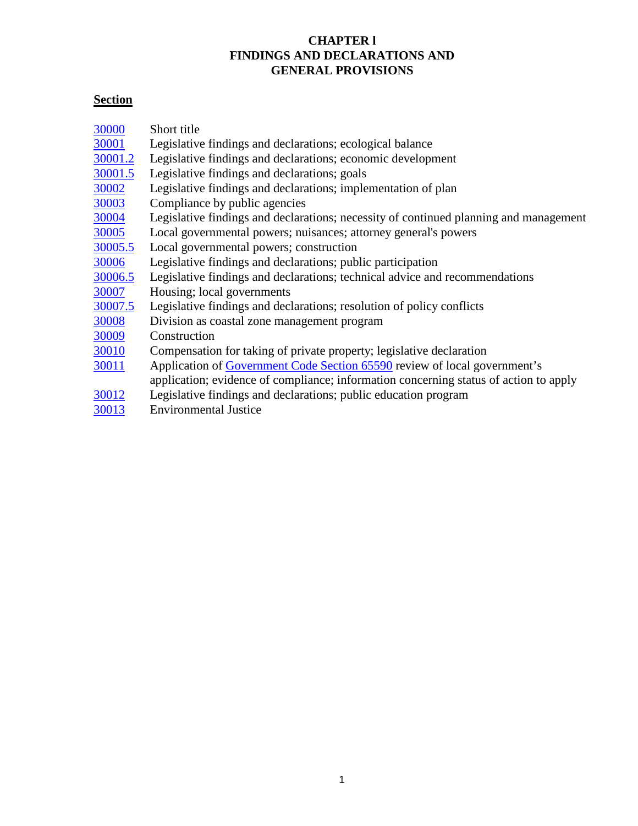## **CHAPTER l FINDINGS AND DECLARATIONS AND GENERAL PROVISIONS**

# <span id="page-1-0"></span>**Section**

| 30000        | Short title                                                                           |
|--------------|---------------------------------------------------------------------------------------|
| 30001        | Legislative findings and declarations; ecological balance                             |
| 30001.2      | Legislative findings and declarations; economic development                           |
| 30001.5      | Legislative findings and declarations; goals                                          |
| 30002        | Legislative findings and declarations; implementation of plan                         |
| 30003        | Compliance by public agencies                                                         |
| 30004        | Legislative findings and declarations; necessity of continued planning and management |
| 30005        | Local governmental powers; nuisances; attorney general's powers                       |
| 30005.5      | Local governmental powers; construction                                               |
| 30006        | Legislative findings and declarations; public participation                           |
| 30006.5      | Legislative findings and declarations; technical advice and recommendations           |
| 30007        | Housing; local governments                                                            |
| 30007.5      | Legislative findings and declarations; resolution of policy conflicts                 |
| 30008        | Division as coastal zone management program                                           |
| 30009        | Construction                                                                          |
| 30010        | Compensation for taking of private property; legislative declaration                  |
| <u>30011</u> | Application of Government Code Section 65590 review of local government's             |
|              | application; evidence of compliance; information concerning status of action to apply |
| 30012        | Legislative findings and declarations; public education program                       |
| 30013        | <b>Environmental Justice</b>                                                          |
|              |                                                                                       |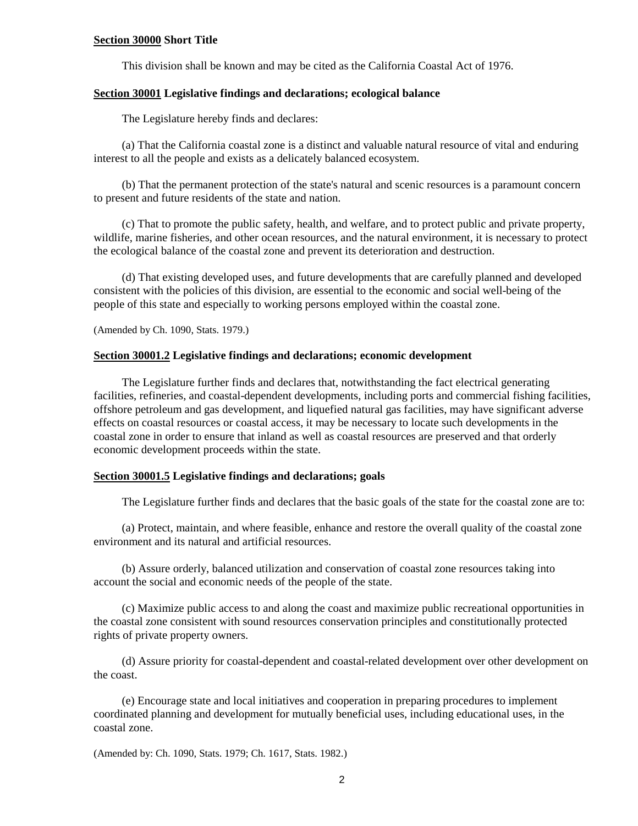## <span id="page-2-0"></span>**Section 30000 Short Title**

This division shall be known and may be cited as the California Coastal Act of 1976.

#### <span id="page-2-1"></span>**Section 30001 Legislative findings and declarations; ecological balance**

The Legislature hereby finds and declares:

(a) That the California coastal zone is a distinct and valuable natural resource of vital and enduring interest to all the people and exists as a delicately balanced ecosystem.

(b) That the permanent protection of the state's natural and scenic resources is a paramount concern to present and future residents of the state and nation.

(c) That to promote the public safety, health, and welfare, and to protect public and private property, wildlife, marine fisheries, and other ocean resources, and the natural environment, it is necessary to protect the ecological balance of the coastal zone and prevent its deterioration and destruction.

(d) That existing developed uses, and future developments that are carefully planned and developed consistent with the policies of this division, are essential to the economic and social well-being of the people of this state and especially to working persons employed within the coastal zone.

(Amended by Ch. 1090, Stats. 1979.)

## <span id="page-2-2"></span>**Section 30001.2 Legislative findings and declarations; economic development**

The Legislature further finds and declares that, notwithstanding the fact electrical generating facilities, refineries, and coastal-dependent developments, including ports and commercial fishing facilities, offshore petroleum and gas development, and liquefied natural gas facilities, may have significant adverse effects on coastal resources or coastal access, it may be necessary to locate such developments in the coastal zone in order to ensure that inland as well as coastal resources are preserved and that orderly economic development proceeds within the state.

#### <span id="page-2-3"></span>**Section 30001.5 Legislative findings and declarations; goals**

The Legislature further finds and declares that the basic goals of the state for the coastal zone are to:

(a) Protect, maintain, and where feasible, enhance and restore the overall quality of the coastal zone environment and its natural and artificial resources.

(b) Assure orderly, balanced utilization and conservation of coastal zone resources taking into account the social and economic needs of the people of the state.

(c) Maximize public access to and along the coast and maximize public recreational opportunities in the coastal zone consistent with sound resources conservation principles and constitutionally protected rights of private property owners.

(d) Assure priority for coastal-dependent and coastal-related development over other development on the coast.

(e) Encourage state and local initiatives and cooperation in preparing procedures to implement coordinated planning and development for mutually beneficial uses, including educational uses, in the coastal zone.

(Amended by: Ch. 1090, Stats. 1979; Ch. 1617, Stats. 1982.)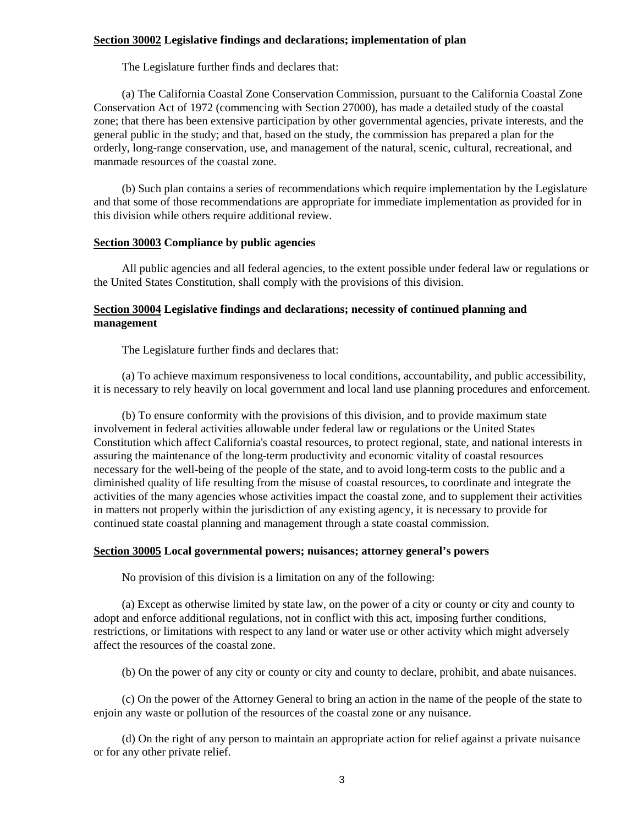## <span id="page-3-0"></span>**Section 30002 Legislative findings and declarations; implementation of plan**

The Legislature further finds and declares that:

(a) The California Coastal Zone Conservation Commission, pursuant to the California Coastal Zone Conservation Act of 1972 (commencing with Section 27000), has made a detailed study of the coastal zone; that there has been extensive participation by other governmental agencies, private interests, and the general public in the study; and that, based on the study, the commission has prepared a plan for the orderly, long-range conservation, use, and management of the natural, scenic, cultural, recreational, and manmade resources of the coastal zone.

(b) Such plan contains a series of recommendations which require implementation by the Legislature and that some of those recommendations are appropriate for immediate implementation as provided for in this division while others require additional review.

## <span id="page-3-1"></span>**Section 30003 Compliance by public agencies**

All public agencies and all federal agencies, to the extent possible under federal law or regulations or the United States Constitution, shall comply with the provisions of this division.

## <span id="page-3-2"></span>**Section 30004 Legislative findings and declarations; necessity of continued planning and management**

The Legislature further finds and declares that:

(a) To achieve maximum responsiveness to local conditions, accountability, and public accessibility, it is necessary to rely heavily on local government and local land use planning procedures and enforcement.

(b) To ensure conformity with the provisions of this division, and to provide maximum state involvement in federal activities allowable under federal law or regulations or the United States Constitution which affect California's coastal resources, to protect regional, state, and national interests in assuring the maintenance of the long-term productivity and economic vitality of coastal resources necessary for the well-being of the people of the state, and to avoid long-term costs to the public and a diminished quality of life resulting from the misuse of coastal resources, to coordinate and integrate the activities of the many agencies whose activities impact the coastal zone, and to supplement their activities in matters not properly within the jurisdiction of any existing agency, it is necessary to provide for continued state coastal planning and management through a state coastal commission.

## <span id="page-3-3"></span>**Section 30005 Local governmental powers; nuisances; attorney general's powers**

No provision of this division is a limitation on any of the following:

(a) Except as otherwise limited by state law, on the power of a city or county or city and county to adopt and enforce additional regulations, not in conflict with this act, imposing further conditions, restrictions, or limitations with respect to any land or water use or other activity which might adversely affect the resources of the coastal zone.

(b) On the power of any city or county or city and county to declare, prohibit, and abate nuisances.

(c) On the power of the Attorney General to bring an action in the name of the people of the state to enjoin any waste or pollution of the resources of the coastal zone or any nuisance.

<span id="page-3-4"></span>(d) On the right of any person to maintain an appropriate action for relief against a private nuisance or for any other private relief.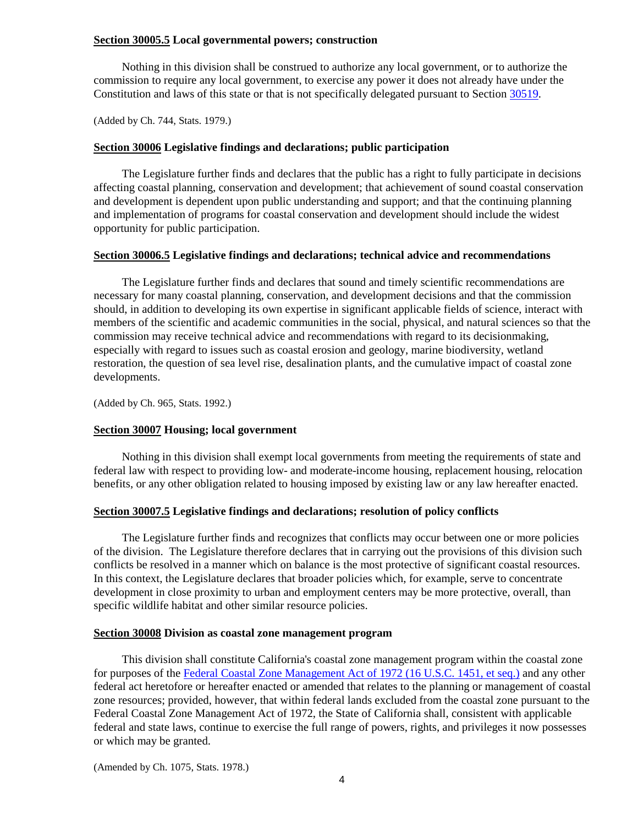## **Section 30005.5 Local governmental powers; construction**

Nothing in this division shall be construed to authorize any local government, or to authorize the commission to require any local government, to exercise any power it does not already have under the Constitution and laws of this state or that is not specifically delegated pursuant to Section [30519.](#page-82-0)

(Added by Ch. 744, Stats. 1979.)

#### <span id="page-4-0"></span>**Section 30006 Legislative findings and declarations; public participation**

The Legislature further finds and declares that the public has a right to fully participate in decisions affecting coastal planning, conservation and development; that achievement of sound coastal conservation and development is dependent upon public understanding and support; and that the continuing planning and implementation of programs for coastal conservation and development should include the widest opportunity for public participation.

#### <span id="page-4-1"></span>**Section 30006.5 Legislative findings and declarations; technical advice and recommendations**

The Legislature further finds and declares that sound and timely scientific recommendations are necessary for many coastal planning, conservation, and development decisions and that the commission should, in addition to developing its own expertise in significant applicable fields of science, interact with members of the scientific and academic communities in the social, physical, and natural sciences so that the commission may receive technical advice and recommendations with regard to its decisionmaking, especially with regard to issues such as coastal erosion and geology, marine biodiversity, wetland restoration, the question of sea level rise, desalination plants, and the cumulative impact of coastal zone developments.

(Added by Ch. 965, Stats. 1992.)

## <span id="page-4-2"></span>**Section 30007 Housing; local government**

Nothing in this division shall exempt local governments from meeting the requirements of state and federal law with respect to providing low- and moderate-income housing, replacement housing, relocation benefits, or any other obligation related to housing imposed by existing law or any law hereafter enacted.

## <span id="page-4-3"></span>**Section 30007.5 Legislative findings and declarations; resolution of policy conflicts**

The Legislature further finds and recognizes that conflicts may occur between one or more policies of the division. The Legislature therefore declares that in carrying out the provisions of this division such conflicts be resolved in a manner which on balance is the most protective of significant coastal resources. In this context, the Legislature declares that broader policies which, for example, serve to concentrate development in close proximity to urban and employment centers may be more protective, overall, than specific wildlife habitat and other similar resource policies.

#### <span id="page-4-4"></span>**Section 30008 Division as coastal zone management program**

This division shall constitute California's coastal zone management program within the coastal zone for purposes of the [Federal Coastal Zone Management Act of 1972 \(16 U.S.C. 1451, et seq.\)](https://www.law.cornell.edu/uscode/text/16/chapter-33) and any other federal act heretofore or hereafter enacted or amended that relates to the planning or management of coastal zone resources; provided, however, that within federal lands excluded from the coastal zone pursuant to the Federal Coastal Zone Management Act of 1972, the State of California shall, consistent with applicable federal and state laws, continue to exercise the full range of powers, rights, and privileges it now possesses or which may be granted.

(Amended by Ch. 1075, Stats. 1978.)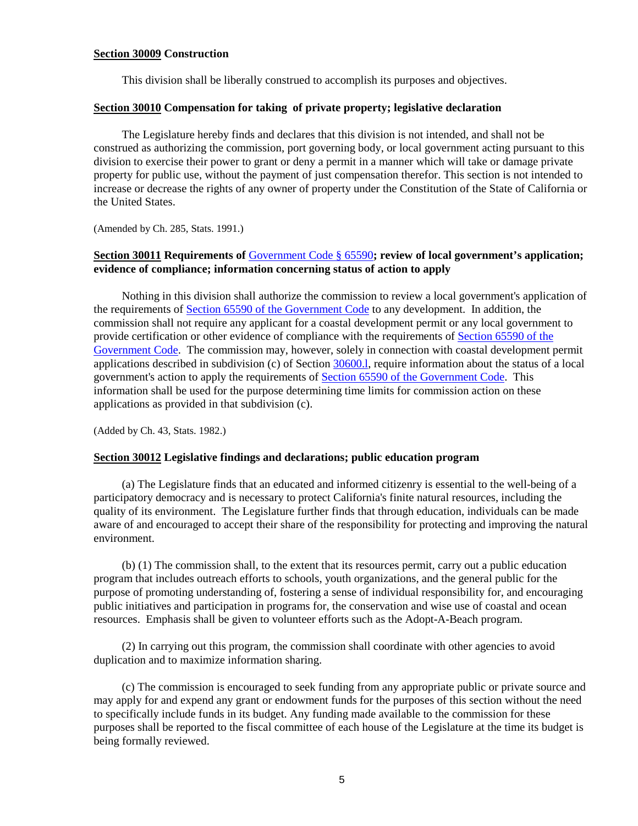## <span id="page-5-0"></span>**Section 30009 Construction**

This division shall be liberally construed to accomplish its purposes and objectives.

## <span id="page-5-1"></span>**Section 30010 Compensation for taking of private property; legislative declaration**

The Legislature hereby finds and declares that this division is not intended, and shall not be construed as authorizing the commission, port governing body, or local government acting pursuant to this division to exercise their power to grant or deny a permit in a manner which will take or damage private property for public use, without the payment of just compensation therefor. This section is not intended to increase or decrease the rights of any owner of property under the Constitution of the State of California or the United States.

(Amended by Ch. 285, Stats. 1991.)

## <span id="page-5-2"></span>**Section 30011 Requirements of** [Government Code § 65590](http://leginfo.legislature.ca.gov/faces/codes_displayText.xhtml?lawCode=GOV&division=1.&title=7.&part=&chapter=3.&article=10.7.)**; review of local government's application; evidence of compliance; information concerning status of action to apply**

Nothing in this division shall authorize the commission to review a local government's application of the requirements of [Section 65590 of the Government Code](http://leginfo.legislature.ca.gov/faces/codes_displayText.xhtml?lawCode=GOV&division=1.&title=7.&part=&chapter=3.&article=10.7.) to any development. In addition, the commission shall not require any applicant for a coastal development permit or any local government to provide certification or other evidence of compliance with the requirements of [Section 65590 of the](http://leginfo.legislature.ca.gov/faces/codes_displayText.xhtml?lawCode=GOV&division=1.&title=7.&part=&chapter=3.&article=10.7.)  [Government Code.](http://leginfo.legislature.ca.gov/faces/codes_displayText.xhtml?lawCode=GOV&division=1.&title=7.&part=&chapter=3.&article=10.7.) The commission may, however, solely in connection with coastal development permit applications described in subdivision (c) of Section [30600.l,](#page-91-0) require information about the status of a local government's action to apply the requirements of [Section 65590 of the Government Code.](http://leginfo.legislature.ca.gov/faces/codes_displayText.xhtml?lawCode=GOV&division=1.&title=7.&part=&chapter=3.&article=10.7.) This information shall be used for the purpose determining time limits for commission action on these applications as provided in that subdivision (c).

(Added by Ch. 43, Stats. 1982.)

## <span id="page-5-3"></span>**Section 30012 Legislative findings and declarations; public education program**

(a) The Legislature finds that an educated and informed citizenry is essential to the well-being of a participatory democracy and is necessary to protect California's finite natural resources, including the quality of its environment. The Legislature further finds that through education, individuals can be made aware of and encouraged to accept their share of the responsibility for protecting and improving the natural environment.

(b) (1) The commission shall, to the extent that its resources permit, carry out a public education program that includes outreach efforts to schools, youth organizations, and the general public for the purpose of promoting understanding of, fostering a sense of individual responsibility for, and encouraging public initiatives and participation in programs for, the conservation and wise use of coastal and ocean resources. Emphasis shall be given to volunteer efforts such as the Adopt-A-Beach program.

(2) In carrying out this program, the commission shall coordinate with other agencies to avoid duplication and to maximize information sharing.

(c) The commission is encouraged to seek funding from any appropriate public or private source and may apply for and expend any grant or endowment funds for the purposes of this section without the need to specifically include funds in its budget. Any funding made available to the commission for these purposes shall be reported to the fiscal committee of each house of the Legislature at the time its budget is being formally reviewed.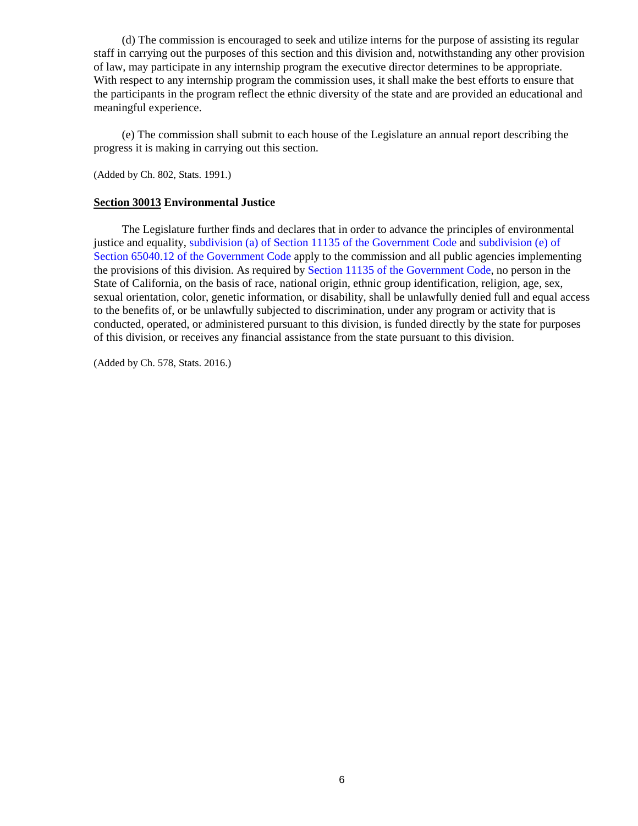(d) The commission is encouraged to seek and utilize interns for the purpose of assisting its regular staff in carrying out the purposes of this section and this division and, notwithstanding any other provision of law, may participate in any internship program the executive director determines to be appropriate. With respect to any internship program the commission uses, it shall make the best efforts to ensure that the participants in the program reflect the ethnic diversity of the state and are provided an educational and meaningful experience.

(e) The commission shall submit to each house of the Legislature an annual report describing the progress it is making in carrying out this section.

(Added by Ch. 802, Stats. 1991.)

## <span id="page-6-0"></span>**Section 30013 Environmental Justice**

The Legislature further finds and declares that in order to advance the principles of environmental justice and equality, [subdivision \(a\) of Section 11135 of the Government Code](http://leginfo.legislature.ca.gov/faces/codes_displayText.xhtml?lawCode=GOV&division=3.&title=2.&part=1.&chapter=1.&article=9.5.) and [subdivision \(e\) of](http://leginfo.legislature.ca.gov/faces/codes_displayText.xhtml?lawCode=GOV&division=&title=7.10.&part=&chapter=4.&article=)  [Section 65040.12 of the Government Code](http://leginfo.legislature.ca.gov/faces/codes_displayText.xhtml?lawCode=GOV&division=&title=7.10.&part=&chapter=4.&article=) apply to the commission and all public agencies implementing the provisions of this division. As required by [Section 11135 of the Government Code,](http://leginfo.legislature.ca.gov/faces/codes_displayText.xhtml?lawCode=GOV&division=3.&title=2.&part=1.&chapter=1.&article=9.5.) no person in the State of California, on the basis of race, national origin, ethnic group identification, religion, age, sex, sexual orientation, color, genetic information, or disability, shall be unlawfully denied full and equal access to the benefits of, or be unlawfully subjected to discrimination, under any program or activity that is conducted, operated, or administered pursuant to this division, is funded directly by the state for purposes of this division, or receives any financial assistance from the state pursuant to this division.

(Added by Ch. 578, Stats. 2016.)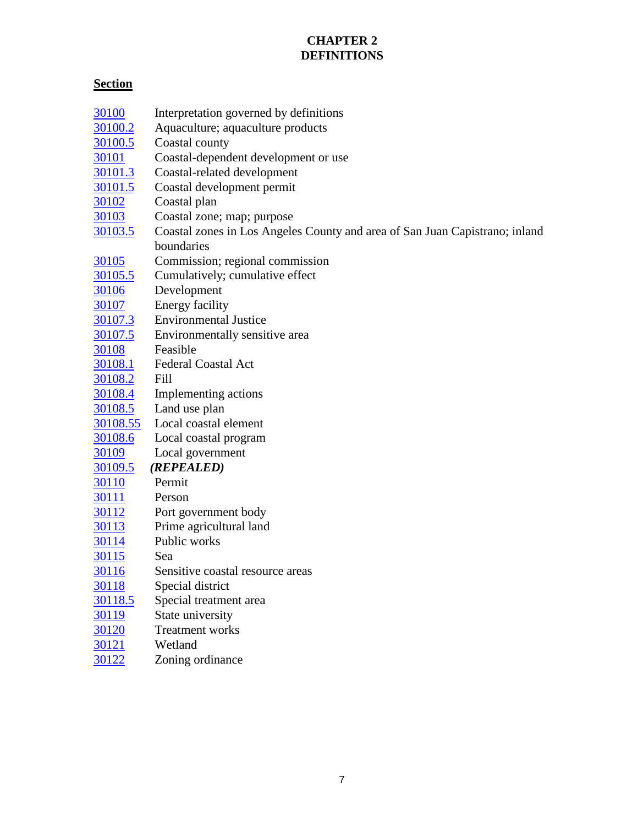## **CHAPTER 2 DEFINITIONS**

# <span id="page-7-0"></span>**Section**

| 30100          | Interpretation governed by definitions                                      |
|----------------|-----------------------------------------------------------------------------|
| 30100.2        | Aquaculture; aquaculture products                                           |
| 30100.5        | Coastal county                                                              |
| <u>30101</u>   | Coastal-dependent development or use                                        |
| 30101.3        | Coastal-related development                                                 |
| 30101.5        | Coastal development permit                                                  |
| 30102          | Coastal plan                                                                |
| 30103          | Coastal zone; map; purpose                                                  |
| 30103.5        | Coastal zones in Los Angeles County and area of San Juan Capistrano; inland |
|                | boundaries                                                                  |
| 30105          | Commission; regional commission                                             |
| 30105.5        | Cumulatively; cumulative effect                                             |
| <u>30106</u>   | Development                                                                 |
| 30107          | <b>Energy facility</b>                                                      |
| 30107.3        | <b>Environmental Justice</b>                                                |
| 30107.5        | Environmentally sensitive area                                              |
| <u>30108</u>   | Feasible                                                                    |
| 30108.1        | <b>Federal Coastal Act</b>                                                  |
| 30108.2        | Fill                                                                        |
| 30108.4        | Implementing actions                                                        |
| 30108.5        | Land use plan                                                               |
| 30108.55       | Local coastal element                                                       |
| 30108.6        | Local coastal program                                                       |
| 30109          | Local government                                                            |
| <u>30109.5</u> | (REPEALED)                                                                  |
| 30110          | Permit                                                                      |
| 30111          | Person                                                                      |
| 30112          | Port government body                                                        |
| <u>30113</u>   | Prime agricultural land                                                     |
| 30114          | Public works                                                                |
| 30115          | Sea                                                                         |
| <u>30116</u>   | Sensitive coastal resource areas                                            |
| 30118          | Special district                                                            |
| 30118.5        | Special treatment area                                                      |
| 30119          | State university                                                            |
| <u>30120</u>   | <b>Treatment works</b>                                                      |
| 30121          | Wetland                                                                     |
| 30122          | Zoning ordinance                                                            |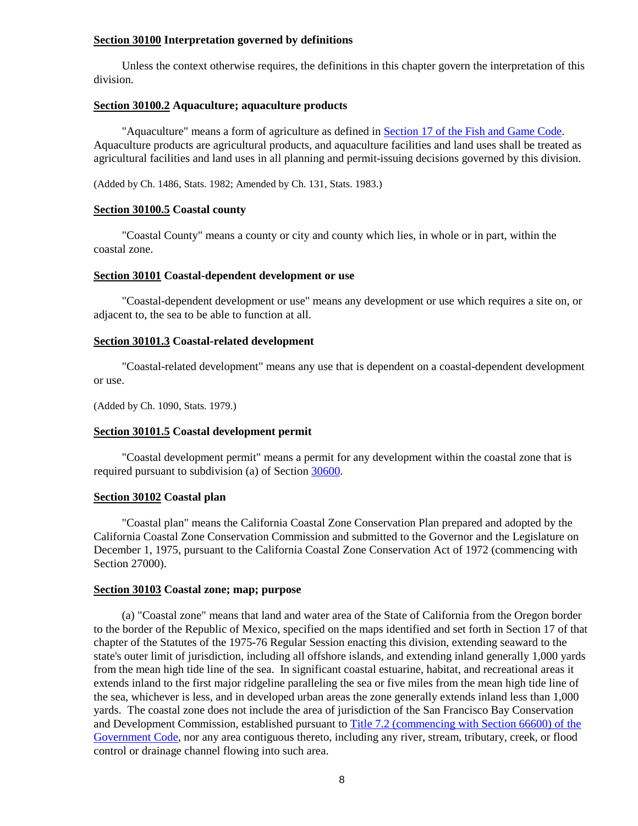## <span id="page-8-0"></span>**Section 30100 Interpretation governed by definitions**

Unless the context otherwise requires, the definitions in this chapter govern the interpretation of this division.

## <span id="page-8-1"></span>**Section 30100.2 Aquaculture; aquaculture products**

"Aquaculture" means a form of agriculture as defined in [Section 17 of the Fish and Game Code.](http://leginfo.legislature.ca.gov/faces/codes_displayText.xhtml?lawCode=FGC&division=0.5.&title=&part=&chapter=1.&article=) Aquaculture products are agricultural products, and aquaculture facilities and land uses shall be treated as agricultural facilities and land uses in all planning and permit-issuing decisions governed by this division.

(Added by Ch. 1486, Stats. 1982; Amended by Ch. 131, Stats. 1983.)

## <span id="page-8-2"></span>**Section 30100.5 Coastal county**

"Coastal County" means a county or city and county which lies, in whole or in part, within the coastal zone.

## <span id="page-8-3"></span>**Section 30101 Coastal-dependent development or use**

"Coastal-dependent development or use" means any development or use which requires a site on, or adjacent to, the sea to be able to function at all.

## <span id="page-8-4"></span>**Section 30101.3 Coastal-related development**

"Coastal-related development" means any use that is dependent on a coastal-dependent development or use.

(Added by Ch. 1090, Stats. 1979.)

## <span id="page-8-5"></span>**Section 30101.5 Coastal development permit**

"Coastal development permit" means a permit for any development within the coastal zone that is required pursuant to subdivision (a) of Section [30600.](#page-91-1)

## <span id="page-8-6"></span>**Section 30102 Coastal plan**

"Coastal plan" means the California Coastal Zone Conservation Plan prepared and adopted by the California Coastal Zone Conservation Commission and submitted to the Governor and the Legislature on December 1, 1975, pursuant to the California Coastal Zone Conservation Act of 1972 (commencing with Section 27000).

## <span id="page-8-7"></span>**Section 30103 Coastal zone; map; purpose**

(a) "Coastal zone" means that land and water area of the State of California from the Oregon border to the border of the Republic of Mexico, specified on the maps identified and set forth in Section 17 of that chapter of the Statutes of the 1975-76 Regular Session enacting this division, extending seaward to the state's outer limit of jurisdiction, including all offshore islands, and extending inland generally 1,000 yards from the mean high tide line of the sea. In significant coastal estuarine, habitat, and recreational areas it extends inland to the first major ridgeline paralleling the sea or five miles from the mean high tide line of the sea, whichever is less, and in developed urban areas the zone generally extends inland less than 1,000 yards. The coastal zone does not include the area of jurisdiction of the San Francisco Bay Conservation and Development Commission, established pursuant to [Title 7.2 \(commencing with Section 66600\) of the](http://leginfo.legislature.ca.gov/faces/codes_displayexpandedbranch.xhtml?tocCode=GOV&division=&title=7.2.&part=&chapter=&article=)  [Government Code,](http://leginfo.legislature.ca.gov/faces/codes_displayexpandedbranch.xhtml?tocCode=GOV&division=&title=7.2.&part=&chapter=&article=) nor any area contiguous thereto, including any river, stream, tributary, creek, or flood control or drainage channel flowing into such area.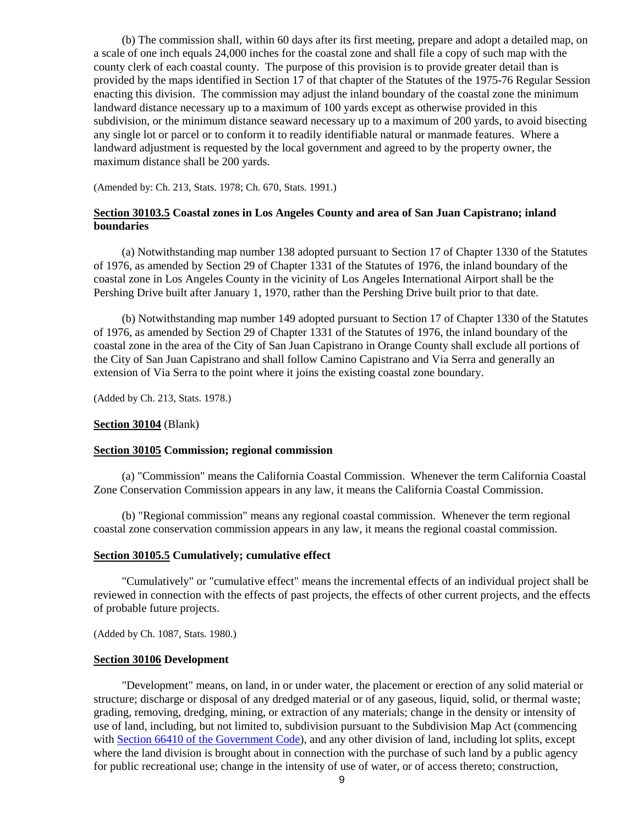(b) The commission shall, within 60 days after its first meeting, prepare and adopt a detailed map, on a scale of one inch equals 24,000 inches for the coastal zone and shall file a copy of such map with the county clerk of each coastal county. The purpose of this provision is to provide greater detail than is provided by the maps identified in Section 17 of that chapter of the Statutes of the 1975-76 Regular Session enacting this division. The commission may adjust the inland boundary of the coastal zone the minimum landward distance necessary up to a maximum of 100 yards except as otherwise provided in this subdivision, or the minimum distance seaward necessary up to a maximum of 200 yards, to avoid bisecting any single lot or parcel or to conform it to readily identifiable natural or manmade features. Where a landward adjustment is requested by the local government and agreed to by the property owner, the maximum distance shall be 200 yards.

(Amended by: Ch. 213, Stats. 1978; Ch. 670, Stats. 1991.)

## <span id="page-9-0"></span>**Section 30103.5 Coastal zones in Los Angeles County and area of San Juan Capistrano; inland boundaries**

(a) Notwithstanding map number 138 adopted pursuant to Section 17 of Chapter 1330 of the Statutes of 1976, as amended by Section 29 of Chapter 1331 of the Statutes of 1976, the inland boundary of the coastal zone in Los Angeles County in the vicinity of Los Angeles International Airport shall be the Pershing Drive built after January 1, 1970, rather than the Pershing Drive built prior to that date.

(b) Notwithstanding map number 149 adopted pursuant to Section 17 of Chapter 1330 of the Statutes of 1976, as amended by Section 29 of Chapter 1331 of the Statutes of 1976, the inland boundary of the coastal zone in the area of the City of San Juan Capistrano in Orange County shall exclude all portions of the City of San Juan Capistrano and shall follow Camino Capistrano and Via Serra and generally an extension of Via Serra to the point where it joins the existing coastal zone boundary.

(Added by Ch. 213, Stats. 1978.)

#### **Section 30104** (Blank)

#### <span id="page-9-1"></span>**Section 30105 Commission; regional commission**

(a) "Commission" means the California Coastal Commission. Whenever the term California Coastal Zone Conservation Commission appears in any law, it means the California Coastal Commission.

(b) "Regional commission" means any regional coastal commission. Whenever the term regional coastal zone conservation commission appears in any law, it means the regional coastal commission.

#### <span id="page-9-2"></span>**Section 30105.5 Cumulatively; cumulative effect**

"Cumulatively" or "cumulative effect" means the incremental effects of an individual project shall be reviewed in connection with the effects of past projects, the effects of other current projects, and the effects of probable future projects.

(Added by Ch. 1087, Stats. 1980.)

## <span id="page-9-3"></span>**Section 30106 Development**

"Development" means, on land, in or under water, the placement or erection of any solid material or structure; discharge or disposal of any dredged material or of any gaseous, liquid, solid, or thermal waste; grading, removing, dredging, mining, or extraction of any materials; change in the density or intensity of use of land, including, but not limited to, subdivision pursuant to the Subdivision Map Act (commencing with [Section 66410 of the Government Code\)](http://leginfo.legislature.ca.gov/faces/codes_displayexpandedbranch.xhtml?tocCode=GOV&division=2.&title=7.&part=&chapter=&article=), and any other division of land, including lot splits, except where the land division is brought about in connection with the purchase of such land by a public agency for public recreational use; change in the intensity of use of water, or of access thereto; construction,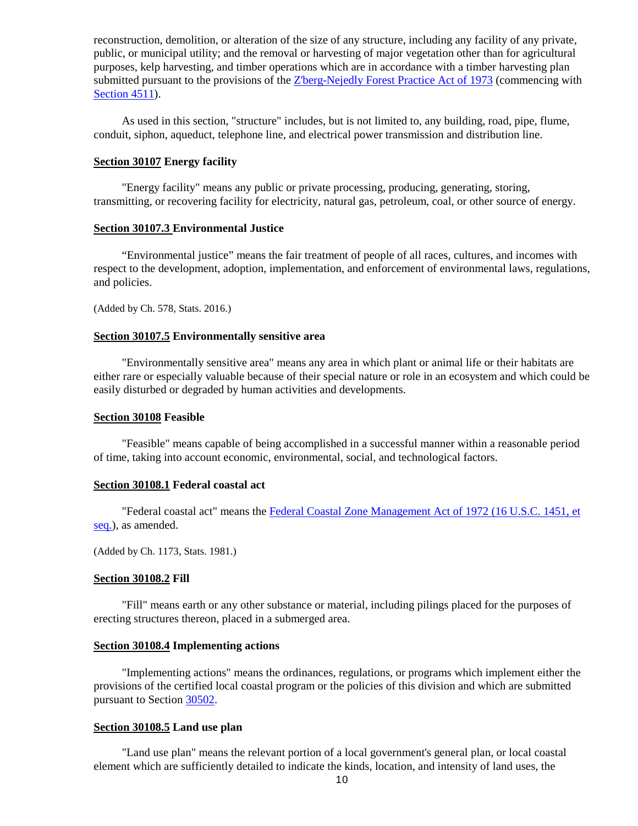reconstruction, demolition, or alteration of the size of any structure, including any facility of any private, public, or municipal utility; and the removal or harvesting of major vegetation other than for agricultural purposes, kelp harvesting, and timber operations which are in accordance with a timber harvesting plan submitted pursuant to the provisions of the [Z'berg-Nejedly Forest Practice Act of 1973](http://leginfo.legislature.ca.gov/faces/codes_displayexpandedbranch.xhtml?tocCode=PRC&division=4.&title=&part=2.&chapter=8.&article=) (commencing with [Section 4511\)](http://leginfo.legislature.ca.gov/faces/codes_displayexpandedbranch.xhtml?tocCode=PRC&division=4.&title=&part=2.&chapter=8.&article=).

As used in this section, "structure" includes, but is not limited to, any building, road, pipe, flume, conduit, siphon, aqueduct, telephone line, and electrical power transmission and distribution line.

## <span id="page-10-0"></span>**Section 30107 Energy facility**

"Energy facility" means any public or private processing, producing, generating, storing, transmitting, or recovering facility for electricity, natural gas, petroleum, coal, or other source of energy.

## <span id="page-10-1"></span>**Section 30107.3 Environmental Justice**

"Environmental justice" means the fair treatment of people of all races, cultures, and incomes with respect to the development, adoption, implementation, and enforcement of environmental laws, regulations, and policies.

(Added by Ch. 578, Stats. 2016.)

#### **Section 30107.5 Environmentally sensitive area**

"Environmentally sensitive area" means any area in which plant or animal life or their habitats are either rare or especially valuable because of their special nature or role in an ecosystem and which could be easily disturbed or degraded by human activities and developments.

### <span id="page-10-2"></span>**Section 30108 Feasible**

"Feasible" means capable of being accomplished in a successful manner within a reasonable period of time, taking into account economic, environmental, social, and technological factors.

#### <span id="page-10-3"></span>**Section 30108.1 Federal coastal act**

"Federal coastal act" means the [Federal Coastal Zone Management Act of 1972 \(16 U.S.C. 1451, et](http://www.law.cornell.edu/uscode/)  [seq.\)](http://www.law.cornell.edu/uscode/), as amended.

(Added by Ch. 1173, Stats. 1981.)

## <span id="page-10-4"></span>**Section 30108.2 Fill**

"Fill" means earth or any other substance or material, including pilings placed for the purposes of erecting structures thereon, placed in a submerged area.

#### <span id="page-10-5"></span>**Section 30108.4 Implementing actions**

"Implementing actions" means the ordinances, regulations, or programs which implement either the provisions of the certified local coastal program or the policies of this division and which are submitted pursuant to Section [30502.](#page-75-0)

#### <span id="page-10-6"></span>**Section 30108.5 Land use plan**

"Land use plan" means the relevant portion of a local government's general plan, or local coastal element which are sufficiently detailed to indicate the kinds, location, and intensity of land uses, the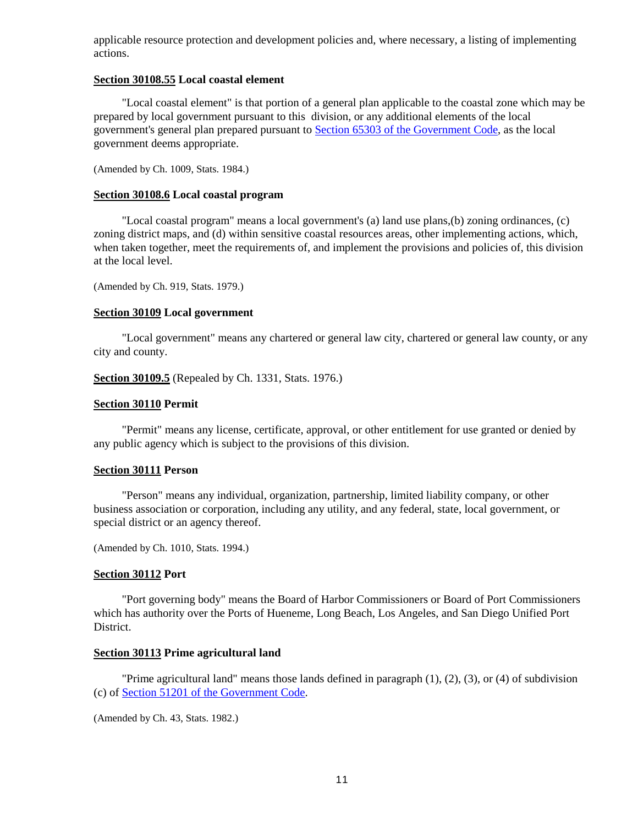applicable resource protection and development policies and, where necessary, a listing of implementing actions.

## <span id="page-11-0"></span>**Section 30108.55 Local coastal element**

"Local coastal element" is that portion of a general plan applicable to the coastal zone which may be prepared by local government pursuant to this division, or any additional elements of the local government's general plan prepared pursuant to [Section 65303 of the Government Code,](http://leginfo.legislature.ca.gov/faces/codes_displayText.xhtml?lawCode=GOV&division=1.&title=7.&part=&chapter=3.&article=5.) as the local government deems appropriate.

(Amended by Ch. 1009, Stats. 1984.)

## <span id="page-11-1"></span>**Section 30108.6 Local coastal program**

"Local coastal program" means a local government's (a) land use plans,(b) zoning ordinances, (c) zoning district maps, and (d) within sensitive coastal resources areas, other implementing actions, which, when taken together, meet the requirements of, and implement the provisions and policies of, this division at the local level.

(Amended by Ch. 919, Stats. 1979.)

## <span id="page-11-2"></span>**Section 30109 Local government**

"Local government" means any chartered or general law city, chartered or general law county, or any city and county.

<span id="page-11-3"></span>**Section 30109.5** (Repealed by Ch. 1331, Stats. 1976.)

#### <span id="page-11-4"></span>**Section 30110 Permit**

"Permit" means any license, certificate, approval, or other entitlement for use granted or denied by any public agency which is subject to the provisions of this division.

### <span id="page-11-5"></span>**Section 30111 Person**

"Person" means any individual, organization, partnership, limited liability company, or other business association or corporation, including any utility, and any federal, state, local government, or special district or an agency thereof.

(Amended by Ch. 1010, Stats. 1994.)

## <span id="page-11-6"></span>**Section 30112 Port**

"Port governing body" means the Board of Harbor Commissioners or Board of Port Commissioners which has authority over the Ports of Hueneme, Long Beach, Los Angeles, and San Diego Unified Port District.

## <span id="page-11-7"></span>**Section 30113 Prime agricultural land**

"Prime agricultural land" means those lands defined in paragraph  $(1)$ ,  $(2)$ ,  $(3)$ , or  $(4)$  of subdivision (c) of [Section 51201 of the Government Code.](http://leginfo.legislature.ca.gov/faces/codes_displayText.xhtml?lawCode=GOV&division=1.&title=5.&part=1.&chapter=7.&article=1.)

<span id="page-11-8"></span>(Amended by Ch. 43, Stats. 1982.)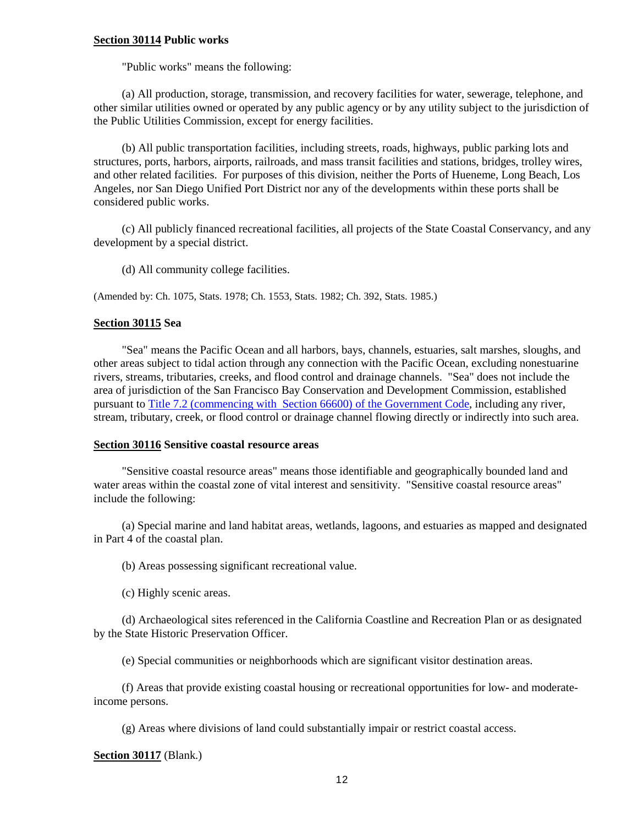## **Section 30114 Public works**

"Public works" means the following:

(a) All production, storage, transmission, and recovery facilities for water, sewerage, telephone, and other similar utilities owned or operated by any public agency or by any utility subject to the jurisdiction of the Public Utilities Commission, except for energy facilities.

(b) All public transportation facilities, including streets, roads, highways, public parking lots and structures, ports, harbors, airports, railroads, and mass transit facilities and stations, bridges, trolley wires, and other related facilities. For purposes of this division, neither the Ports of Hueneme, Long Beach, Los Angeles, nor San Diego Unified Port District nor any of the developments within these ports shall be considered public works.

(c) All publicly financed recreational facilities, all projects of the State Coastal Conservancy, and any development by a special district.

(d) All community college facilities.

(Amended by: Ch. 1075, Stats. 1978; Ch. 1553, Stats. 1982; Ch. 392, Stats. 1985.)

## <span id="page-12-0"></span>**Section 30115 Sea**

"Sea" means the Pacific Ocean and all harbors, bays, channels, estuaries, salt marshes, sloughs, and other areas subject to tidal action through any connection with the Pacific Ocean, excluding nonestuarine rivers, streams, tributaries, creeks, and flood control and drainage channels. "Sea" does not include the area of jurisdiction of the San Francisco Bay Conservation and Development Commission, established pursuant to [Title 7.2 \(commencing with Section 66600\) of the Government Code,](http://leginfo.legislature.ca.gov/faces/codes_displayexpandedbranch.xhtml?tocCode=GOV&division=&title=7.2.&part=&chapter=&article=) including any river, stream, tributary, creek, or flood control or drainage channel flowing directly or indirectly into such area.

## <span id="page-12-1"></span>**Section 30116 Sensitive coastal resource areas**

"Sensitive coastal resource areas" means those identifiable and geographically bounded land and water areas within the coastal zone of vital interest and sensitivity. "Sensitive coastal resource areas" include the following:

(a) Special marine and land habitat areas, wetlands, lagoons, and estuaries as mapped and designated in Part 4 of the coastal plan.

(b) Areas possessing significant recreational value.

(c) Highly scenic areas.

(d) Archaeological sites referenced in the California Coastline and Recreation Plan or as designated by the State Historic Preservation Officer.

(e) Special communities or neighborhoods which are significant visitor destination areas.

(f) Areas that provide existing coastal housing or recreational opportunities for low- and moderateincome persons.

(g) Areas where divisions of land could substantially impair or restrict coastal access.

## **Section 30117** (Blank.)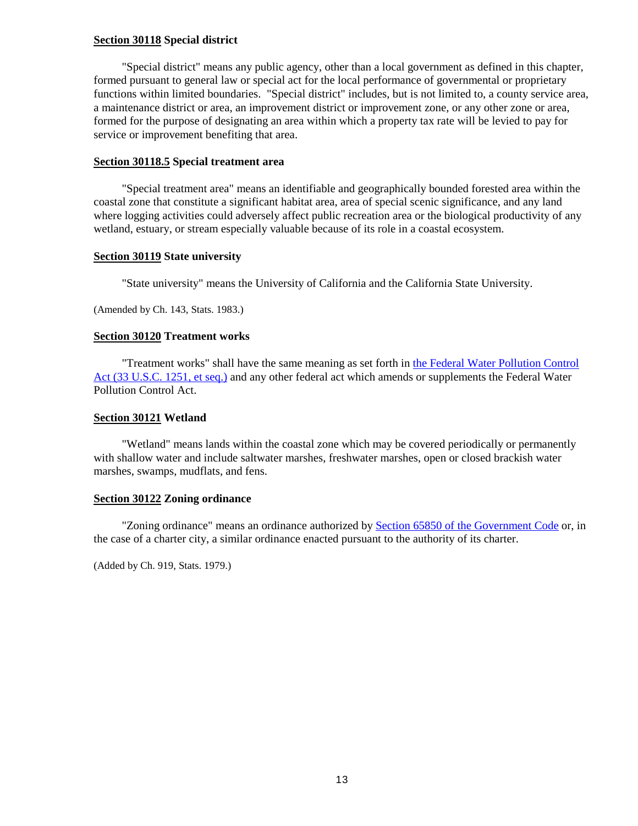## <span id="page-13-0"></span>**Section 30118 Special district**

"Special district" means any public agency, other than a local government as defined in this chapter, formed pursuant to general law or special act for the local performance of governmental or proprietary functions within limited boundaries. "Special district" includes, but is not limited to, a county service area, a maintenance district or area, an improvement district or improvement zone, or any other zone or area, formed for the purpose of designating an area within which a property tax rate will be levied to pay for service or improvement benefiting that area.

## <span id="page-13-1"></span>**Section 30118.5 Special treatment area**

"Special treatment area" means an identifiable and geographically bounded forested area within the coastal zone that constitute a significant habitat area, area of special scenic significance, and any land where logging activities could adversely affect public recreation area or the biological productivity of any wetland, estuary, or stream especially valuable because of its role in a coastal ecosystem.

## <span id="page-13-2"></span>**Section 30119 State university**

"State university" means the University of California and the California State University.

(Amended by Ch. 143, Stats. 1983.)

## <span id="page-13-3"></span>**Section 30120 Treatment works**

"Treatment works" shall have the same meaning as set forth in [the Federal Water Pollution Control](http://www.law.cornell.edu/uscode/)  [Act \(33 U.S.C. 1251, et seq.\)](http://www.law.cornell.edu/uscode/) and any other federal act which amends or supplements the Federal Water Pollution Control Act.

## <span id="page-13-4"></span>**Section 30121 Wetland**

"Wetland" means lands within the coastal zone which may be covered periodically or permanently with shallow water and include saltwater marshes, freshwater marshes, open or closed brackish water marshes, swamps, mudflats, and fens.

## <span id="page-13-5"></span>**Section 30122 Zoning ordinance**

"Zoning ordinance" means an ordinance authorized b[y Section 65850 of the Government Code](http://leginfo.legislature.ca.gov/faces/codes_displayexpandedbranch.xhtml?tocCode=GOV&division=&title=7.&part=&chapter=&article=) or, in the case of a charter city, a similar ordinance enacted pursuant to the authority of its charter.

(Added by Ch. 919, Stats. 1979.)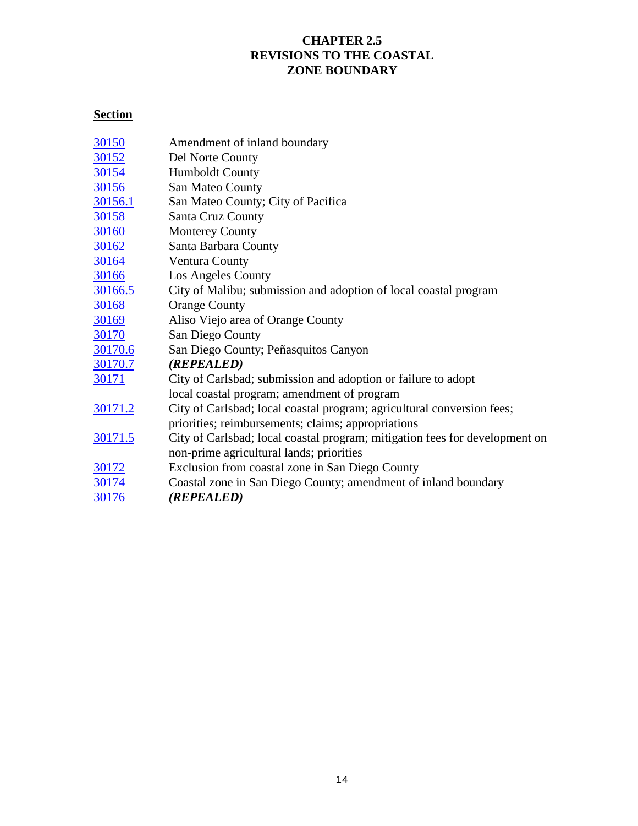## **CHAPTER 2.5 REVISIONS TO THE COASTAL ZONE BOUNDARY**

## <span id="page-14-0"></span>**Section**

| 30150          | Amendment of inland boundary                                                |
|----------------|-----------------------------------------------------------------------------|
| 30152          | Del Norte County                                                            |
| 30154          | <b>Humboldt County</b>                                                      |
| 30156          | San Mateo County                                                            |
| 30156.1        | San Mateo County; City of Pacifica                                          |
| <u>30158</u>   | Santa Cruz County                                                           |
| 30160          | <b>Monterey County</b>                                                      |
| 30162          | Santa Barbara County                                                        |
| 30164          | Ventura County                                                              |
| 30166          | Los Angeles County                                                          |
| 30166.5        | City of Malibu; submission and adoption of local coastal program            |
| 30168          | <b>Orange County</b>                                                        |
| <u>30169</u>   | Aliso Viejo area of Orange County                                           |
| 30170          | San Diego County                                                            |
| 30170.6        | San Diego County; Peñasquitos Canyon                                        |
| 30170.7        | (REPEALED)                                                                  |
| <u>30171</u>   | City of Carlsbad; submission and adoption or failure to adopt               |
|                | local coastal program; amendment of program                                 |
| 30171.2        | City of Carlsbad; local coastal program; agricultural conversion fees;      |
|                | priorities; reimbursements; claims; appropriations                          |
| <u>30171.5</u> | City of Carlsbad; local coastal program; mitigation fees for development on |
|                | non-prime agricultural lands; priorities                                    |
| 30172          | Exclusion from coastal zone in San Diego County                             |
| 30174          | Coastal zone in San Diego County; amendment of inland boundary              |
| 30176          | (REPEALED)                                                                  |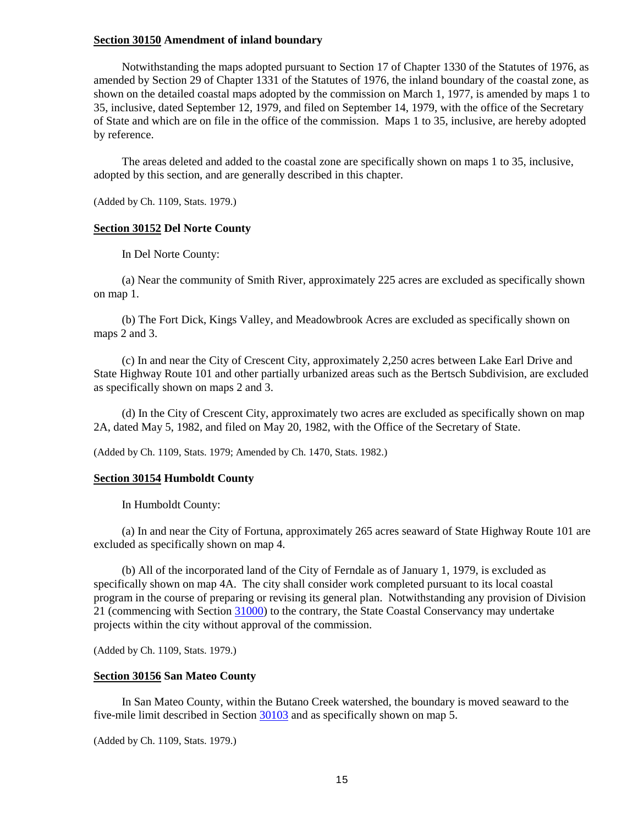## <span id="page-15-0"></span>**Section 30150 Amendment of inland boundary**

Notwithstanding the maps adopted pursuant to Section 17 of Chapter 1330 of the Statutes of 1976, as amended by Section 29 of Chapter 1331 of the Statutes of 1976, the inland boundary of the coastal zone, as shown on the detailed coastal maps adopted by the commission on March 1, 1977, is amended by maps 1 to 35, inclusive, dated September 12, 1979, and filed on September 14, 1979, with the office of the Secretary of State and which are on file in the office of the commission. Maps 1 to 35, inclusive, are hereby adopted by reference.

The areas deleted and added to the coastal zone are specifically shown on maps 1 to 35, inclusive, adopted by this section, and are generally described in this chapter.

(Added by Ch. 1109, Stats. 1979.)

## <span id="page-15-1"></span>**Section 30152 Del Norte County**

In Del Norte County:

(a) Near the community of Smith River, approximately 225 acres are excluded as specifically shown on map 1.

(b) The Fort Dick, Kings Valley, and Meadowbrook Acres are excluded as specifically shown on maps 2 and 3.

(c) In and near the City of Crescent City, approximately 2,250 acres between Lake Earl Drive and State Highway Route 101 and other partially urbanized areas such as the Bertsch Subdivision, are excluded as specifically shown on maps 2 and 3.

(d) In the City of Crescent City, approximately two acres are excluded as specifically shown on map 2A, dated May 5, 1982, and filed on May 20, 1982, with the Office of the Secretary of State.

(Added by Ch. 1109, Stats. 1979; Amended by Ch. 1470, Stats. 1982.)

#### <span id="page-15-2"></span>**Section 30154 Humboldt County**

In Humboldt County:

(a) In and near the City of Fortuna, approximately 265 acres seaward of State Highway Route 101 are excluded as specifically shown on map 4.

(b) All of the incorporated land of the City of Ferndale as of January 1, 1979, is excluded as specifically shown on map 4A. The city shall consider work completed pursuant to its local coastal program in the course of preparing or revising its general plan. Notwithstanding any provision of Division 21 (commencing with Section [31000\)](http://leginfo.legislature.ca.gov/faces/codes_displayexpandedbranch.xhtml?tocCode=PRC&division=21.&title=&part=&chapter=&article=) to the contrary, the State Coastal Conservancy may undertake projects within the city without approval of the commission.

(Added by Ch. 1109, Stats. 1979.)

### <span id="page-15-3"></span>**Section 30156 San Mateo County**

In San Mateo County, within the Butano Creek watershed, the boundary is moved seaward to the five-mile limit described in Section [30103](#page-8-7) and as specifically shown on map 5.

<span id="page-15-4"></span>(Added by Ch. 1109, Stats. 1979.)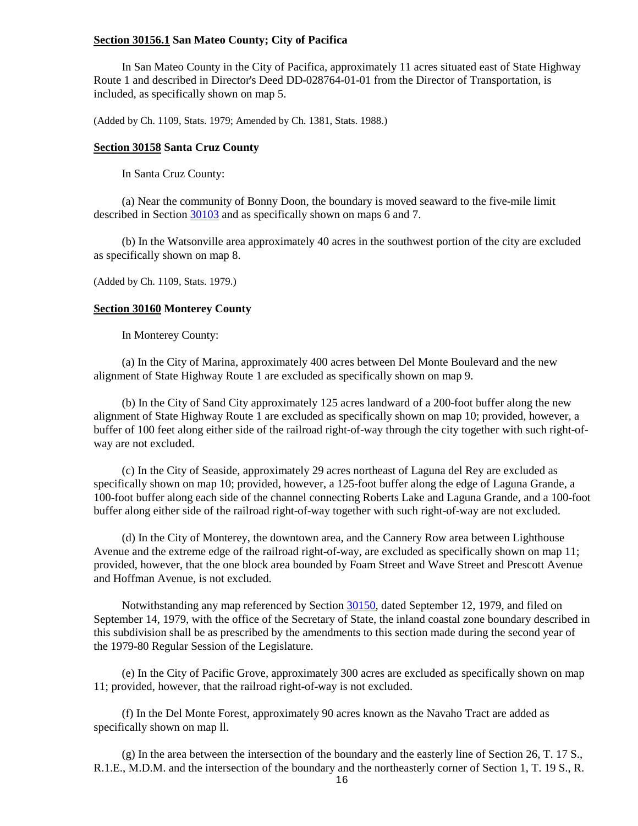## **Section 30156.1 San Mateo County; City of Pacifica**

In San Mateo County in the City of Pacifica, approximately 11 acres situated east of State Highway Route 1 and described in Director's Deed DD-028764-01-01 from the Director of Transportation, is included, as specifically shown on map 5.

(Added by Ch. 1109, Stats. 1979; Amended by Ch. 1381, Stats. 1988.)

#### <span id="page-16-0"></span>**Section 30158 Santa Cruz County**

In Santa Cruz County:

(a) Near the community of Bonny Doon, the boundary is moved seaward to the five-mile limit described in Section [30103](#page-8-7) and as specifically shown on maps 6 and 7.

(b) In the Watsonville area approximately 40 acres in the southwest portion of the city are excluded as specifically shown on map 8.

(Added by Ch. 1109, Stats. 1979.)

#### <span id="page-16-1"></span>**Section 30160 Monterey County**

In Monterey County:

(a) In the City of Marina, approximately 400 acres between Del Monte Boulevard and the new alignment of State Highway Route 1 are excluded as specifically shown on map 9.

(b) In the City of Sand City approximately 125 acres landward of a 200-foot buffer along the new alignment of State Highway Route 1 are excluded as specifically shown on map 10; provided, however, a buffer of 100 feet along either side of the railroad right-of-way through the city together with such right-ofway are not excluded.

(c) In the City of Seaside, approximately 29 acres northeast of Laguna del Rey are excluded as specifically shown on map 10; provided, however, a 125-foot buffer along the edge of Laguna Grande, a 100-foot buffer along each side of the channel connecting Roberts Lake and Laguna Grande, and a 100-foot buffer along either side of the railroad right-of-way together with such right-of-way are not excluded.

(d) In the City of Monterey, the downtown area, and the Cannery Row area between Lighthouse Avenue and the extreme edge of the railroad right-of-way, are excluded as specifically shown on map 11; provided, however, that the one block area bounded by Foam Street and Wave Street and Prescott Avenue and Hoffman Avenue, is not excluded.

Notwithstanding any map referenced by Section [30150,](#page-15-0) dated September 12, 1979, and filed on September 14, 1979, with the office of the Secretary of State, the inland coastal zone boundary described in this subdivision shall be as prescribed by the amendments to this section made during the second year of the 1979-80 Regular Session of the Legislature.

(e) In the City of Pacific Grove, approximately 300 acres are excluded as specifically shown on map 11; provided, however, that the railroad right-of-way is not excluded.

(f) In the Del Monte Forest, approximately 90 acres known as the Navaho Tract are added as specifically shown on map ll.

(g) In the area between the intersection of the boundary and the easterly line of Section 26, T. 17 S., R.1.E., M.D.M. and the intersection of the boundary and the northeasterly corner of Section 1, T. 19 S., R.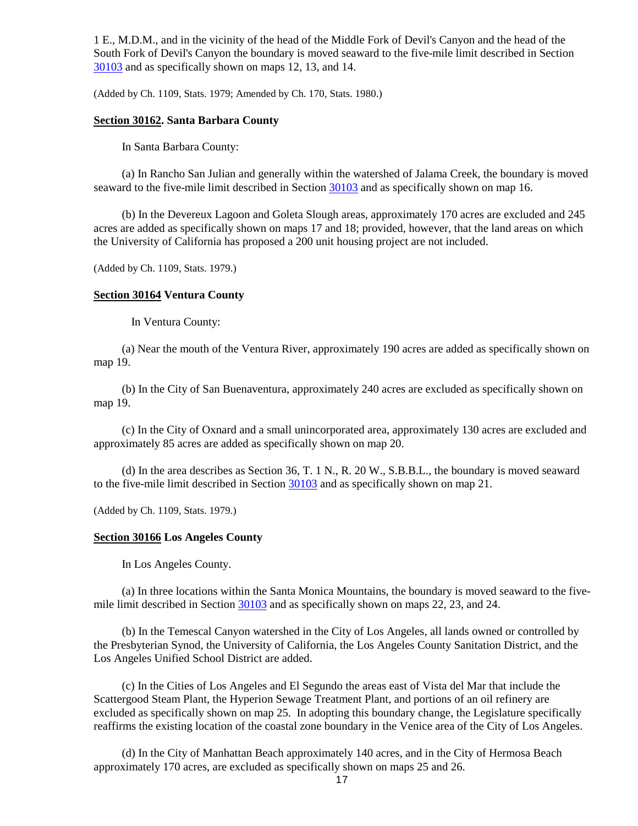1 E., M.D.M., and in the vicinity of the head of the Middle Fork of Devil's Canyon and the head of the South Fork of Devil's Canyon the boundary is moved seaward to the five-mile limit described in Section [30103](#page-8-7) and as specifically shown on maps 12, 13, and 14.

(Added by Ch. 1109, Stats. 1979; Amended by Ch. 170, Stats. 1980.)

## <span id="page-17-0"></span>**Section 30162. Santa Barbara County**

In Santa Barbara County:

(a) In Rancho San Julian and generally within the watershed of Jalama Creek, the boundary is moved seaward to the five-mile limit described in Section [30103](#page-8-7) and as specifically shown on map 16.

(b) In the Devereux Lagoon and Goleta Slough areas, approximately 170 acres are excluded and 245 acres are added as specifically shown on maps 17 and 18; provided, however, that the land areas on which the University of California has proposed a 200 unit housing project are not included.

(Added by Ch. 1109, Stats. 1979.)

## <span id="page-17-1"></span>**Section 30164 Ventura County**

In Ventura County:

(a) Near the mouth of the Ventura River, approximately 190 acres are added as specifically shown on map 19.

(b) In the City of San Buenaventura, approximately 240 acres are excluded as specifically shown on map 19.

(c) In the City of Oxnard and a small unincorporated area, approximately 130 acres are excluded and approximately 85 acres are added as specifically shown on map 20.

(d) In the area describes as Section 36, T. 1 N., R. 20 W., S.B.B.L., the boundary is moved seaward to the five-mile limit described in Section [30103](#page-8-7) and as specifically shown on map 21.

(Added by Ch. 1109, Stats. 1979.)

## <span id="page-17-2"></span>**Section 30166 Los Angeles County**

In Los Angeles County.

(a) In three locations within the Santa Monica Mountains, the boundary is moved seaward to the fivemile limit described in Section [30103](#page-8-7) and as specifically shown on maps 22, 23, and 24.

(b) In the Temescal Canyon watershed in the City of Los Angeles, all lands owned or controlled by the Presbyterian Synod, the University of California, the Los Angeles County Sanitation District, and the Los Angeles Unified School District are added.

(c) In the Cities of Los Angeles and El Segundo the areas east of Vista del Mar that include the Scattergood Steam Plant, the Hyperion Sewage Treatment Plant, and portions of an oil refinery are excluded as specifically shown on map 25. In adopting this boundary change, the Legislature specifically reaffirms the existing location of the coastal zone boundary in the Venice area of the City of Los Angeles.

(d) In the City of Manhattan Beach approximately 140 acres, and in the City of Hermosa Beach approximately 170 acres, are excluded as specifically shown on maps 25 and 26.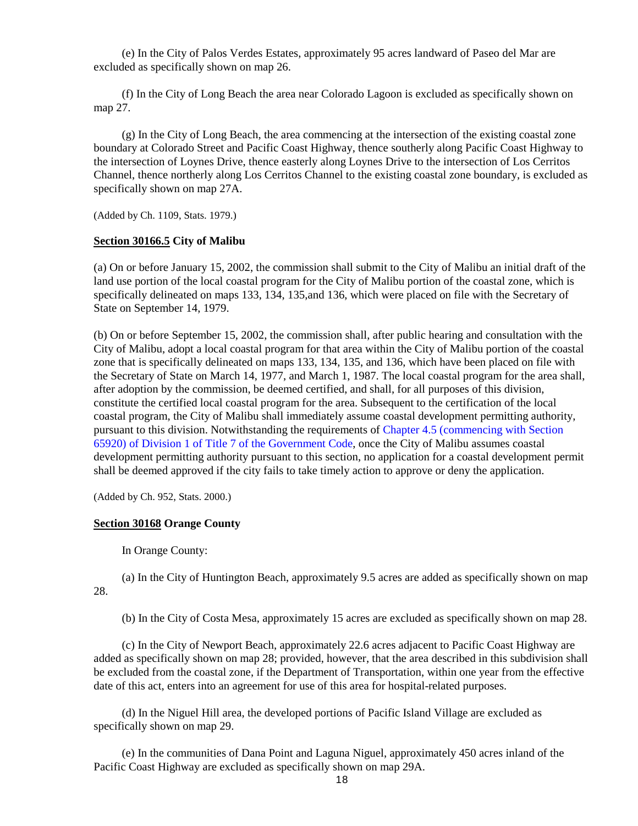(e) In the City of Palos Verdes Estates, approximately 95 acres landward of Paseo del Mar are excluded as specifically shown on map 26.

(f) In the City of Long Beach the area near Colorado Lagoon is excluded as specifically shown on map 27.

(g) In the City of Long Beach, the area commencing at the intersection of the existing coastal zone boundary at Colorado Street and Pacific Coast Highway, thence southerly along Pacific Coast Highway to the intersection of Loynes Drive, thence easterly along Loynes Drive to the intersection of Los Cerritos Channel, thence northerly along Los Cerritos Channel to the existing coastal zone boundary, is excluded as specifically shown on map 27A.

(Added by Ch. 1109, Stats. 1979.)

## <span id="page-18-0"></span>**Section 30166.5 City of Malibu**

(a) On or before January 15, 2002, the commission shall submit to the City of Malibu an initial draft of the land use portion of the local coastal program for the City of Malibu portion of the coastal zone, which is specifically delineated on maps 133, 134, 135,and 136, which were placed on file with the Secretary of State on September 14, 1979.

(b) On or before September 15, 2002, the commission shall, after public hearing and consultation with the City of Malibu, adopt a local coastal program for that area within the City of Malibu portion of the coastal zone that is specifically delineated on maps 133, 134, 135, and 136, which have been placed on file with the Secretary of State on March 14, 1977, and March 1, 1987. The local coastal program for the area shall, after adoption by the commission, be deemed certified, and shall, for all purposes of this division, constitute the certified local coastal program for the area. Subsequent to the certification of the local coastal program, the City of Malibu shall immediately assume coastal development permitting authority, pursuant to this division. Notwithstanding the requirements of [Chapter 4.5 \(commencing with Section](http://leginfo.legislature.ca.gov/faces/codes_displayexpandedbranch.xhtml?tocCode=GOV&division=&title=7.&part=&chapter=&article=)  [65920\) of Division 1 of Title 7 of the Government Code,](http://leginfo.legislature.ca.gov/faces/codes_displayexpandedbranch.xhtml?tocCode=GOV&division=&title=7.&part=&chapter=&article=) once the City of Malibu assumes coastal development permitting authority pursuant to this section, no application for a coastal development permit shall be deemed approved if the city fails to take timely action to approve or deny the application.

(Added by Ch. 952, Stats. 2000.)

## <span id="page-18-1"></span>**Section 30168 Orange County**

In Orange County:

(a) In the City of Huntington Beach, approximately 9.5 acres are added as specifically shown on map 28.

(b) In the City of Costa Mesa, approximately 15 acres are excluded as specifically shown on map 28.

(c) In the City of Newport Beach, approximately 22.6 acres adjacent to Pacific Coast Highway are added as specifically shown on map 28; provided, however, that the area described in this subdivision shall be excluded from the coastal zone, if the Department of Transportation, within one year from the effective date of this act, enters into an agreement for use of this area for hospital-related purposes.

(d) In the Niguel Hill area, the developed portions of Pacific Island Village are excluded as specifically shown on map 29.

(e) In the communities of Dana Point and Laguna Niguel, approximately 450 acres inland of the Pacific Coast Highway are excluded as specifically shown on map 29A.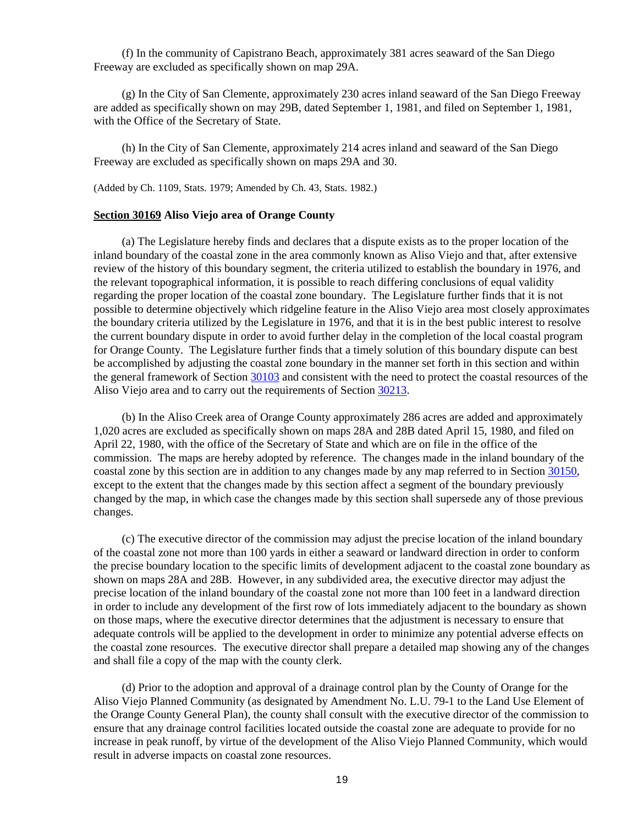(f) In the community of Capistrano Beach, approximately 381 acres seaward of the San Diego Freeway are excluded as specifically shown on map 29A.

(g) In the City of San Clemente, approximately 230 acres inland seaward of the San Diego Freeway are added as specifically shown on may 29B, dated September 1, 1981, and filed on September 1, 1981, with the Office of the Secretary of State.

(h) In the City of San Clemente, approximately 214 acres inland and seaward of the San Diego Freeway are excluded as specifically shown on maps 29A and 30.

(Added by Ch. 1109, Stats. 1979; Amended by Ch. 43, Stats. 1982.)

#### <span id="page-19-0"></span>**Section 30169 Aliso Viejo area of Orange County**

(a) The Legislature hereby finds and declares that a dispute exists as to the proper location of the inland boundary of the coastal zone in the area commonly known as Aliso Viejo and that, after extensive review of the history of this boundary segment, the criteria utilized to establish the boundary in 1976, and the relevant topographical information, it is possible to reach differing conclusions of equal validity regarding the proper location of the coastal zone boundary. The Legislature further finds that it is not possible to determine objectively which ridgeline feature in the Aliso Viejo area most closely approximates the boundary criteria utilized by the Legislature in 1976, and that it is in the best public interest to resolve the current boundary dispute in order to avoid further delay in the completion of the local coastal program for Orange County. The Legislature further finds that a timely solution of this boundary dispute can best be accomplished by adjusting the coastal zone boundary in the manner set forth in this section and within the general framework of Section [30103](#page-8-7) and consistent with the need to protect the coastal resources of the Aliso Viejo area and to carry out the requirements of Section [30213.](#page-31-0)

(b) In the Aliso Creek area of Orange County approximately 286 acres are added and approximately 1,020 acres are excluded as specifically shown on maps 28A and 28B dated April 15, 1980, and filed on April 22, 1980, with the office of the Secretary of State and which are on file in the office of the commission. The maps are hereby adopted by reference. The changes made in the inland boundary of the coastal zone by this section are in addition to any changes made by any map referred to in Section [30150,](#page-15-0) except to the extent that the changes made by this section affect a segment of the boundary previously changed by the map, in which case the changes made by this section shall supersede any of those previous changes.

(c) The executive director of the commission may adjust the precise location of the inland boundary of the coastal zone not more than 100 yards in either a seaward or landward direction in order to conform the precise boundary location to the specific limits of development adjacent to the coastal zone boundary as shown on maps 28A and 28B. However, in any subdivided area, the executive director may adjust the precise location of the inland boundary of the coastal zone not more than 100 feet in a landward direction in order to include any development of the first row of lots immediately adjacent to the boundary as shown on those maps, where the executive director determines that the adjustment is necessary to ensure that adequate controls will be applied to the development in order to minimize any potential adverse effects on the coastal zone resources. The executive director shall prepare a detailed map showing any of the changes and shall file a copy of the map with the county clerk.

(d) Prior to the adoption and approval of a drainage control plan by the County of Orange for the Aliso Viejo Planned Community (as designated by Amendment No. L.U. 79-1 to the Land Use Element of the Orange County General Plan), the county shall consult with the executive director of the commission to ensure that any drainage control facilities located outside the coastal zone are adequate to provide for no increase in peak runoff, by virtue of the development of the Aliso Viejo Planned Community, which would result in adverse impacts on coastal zone resources.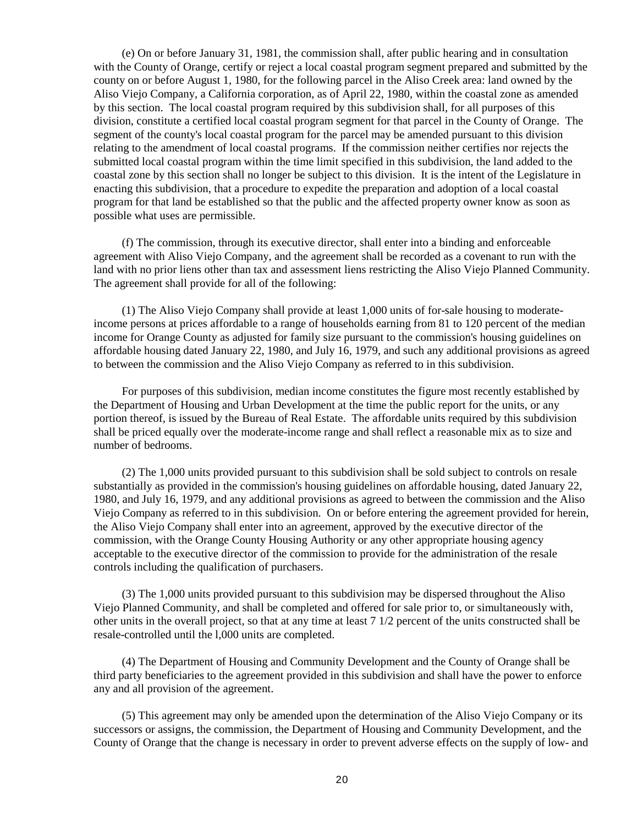(e) On or before January 31, 1981, the commission shall, after public hearing and in consultation with the County of Orange, certify or reject a local coastal program segment prepared and submitted by the county on or before August 1, 1980, for the following parcel in the Aliso Creek area: land owned by the Aliso Viejo Company, a California corporation, as of April 22, 1980, within the coastal zone as amended by this section. The local coastal program required by this subdivision shall, for all purposes of this division, constitute a certified local coastal program segment for that parcel in the County of Orange. The segment of the county's local coastal program for the parcel may be amended pursuant to this division relating to the amendment of local coastal programs. If the commission neither certifies nor rejects the submitted local coastal program within the time limit specified in this subdivision, the land added to the coastal zone by this section shall no longer be subject to this division. It is the intent of the Legislature in enacting this subdivision, that a procedure to expedite the preparation and adoption of a local coastal program for that land be established so that the public and the affected property owner know as soon as possible what uses are permissible.

(f) The commission, through its executive director, shall enter into a binding and enforceable agreement with Aliso Viejo Company, and the agreement shall be recorded as a covenant to run with the land with no prior liens other than tax and assessment liens restricting the Aliso Viejo Planned Community. The agreement shall provide for all of the following:

(1) The Aliso Viejo Company shall provide at least 1,000 units of for-sale housing to moderateincome persons at prices affordable to a range of households earning from 81 to 120 percent of the median income for Orange County as adjusted for family size pursuant to the commission's housing guidelines on affordable housing dated January 22, 1980, and July 16, 1979, and such any additional provisions as agreed to between the commission and the Aliso Viejo Company as referred to in this subdivision.

For purposes of this subdivision, median income constitutes the figure most recently established by the Department of Housing and Urban Development at the time the public report for the units, or any portion thereof, is issued by the Bureau of Real Estate. The affordable units required by this subdivision shall be priced equally over the moderate-income range and shall reflect a reasonable mix as to size and number of bedrooms.

(2) The 1,000 units provided pursuant to this subdivision shall be sold subject to controls on resale substantially as provided in the commission's housing guidelines on affordable housing, dated January 22, 1980, and July 16, 1979, and any additional provisions as agreed to between the commission and the Aliso Viejo Company as referred to in this subdivision. On or before entering the agreement provided for herein, the Aliso Viejo Company shall enter into an agreement, approved by the executive director of the commission, with the Orange County Housing Authority or any other appropriate housing agency acceptable to the executive director of the commission to provide for the administration of the resale controls including the qualification of purchasers.

(3) The 1,000 units provided pursuant to this subdivision may be dispersed throughout the Aliso Viejo Planned Community, and shall be completed and offered for sale prior to, or simultaneously with, other units in the overall project, so that at any time at least 7 1/2 percent of the units constructed shall be resale-controlled until the l,000 units are completed.

(4) The Department of Housing and Community Development and the County of Orange shall be third party beneficiaries to the agreement provided in this subdivision and shall have the power to enforce any and all provision of the agreement.

(5) This agreement may only be amended upon the determination of the Aliso Viejo Company or its successors or assigns, the commission, the Department of Housing and Community Development, and the County of Orange that the change is necessary in order to prevent adverse effects on the supply of low- and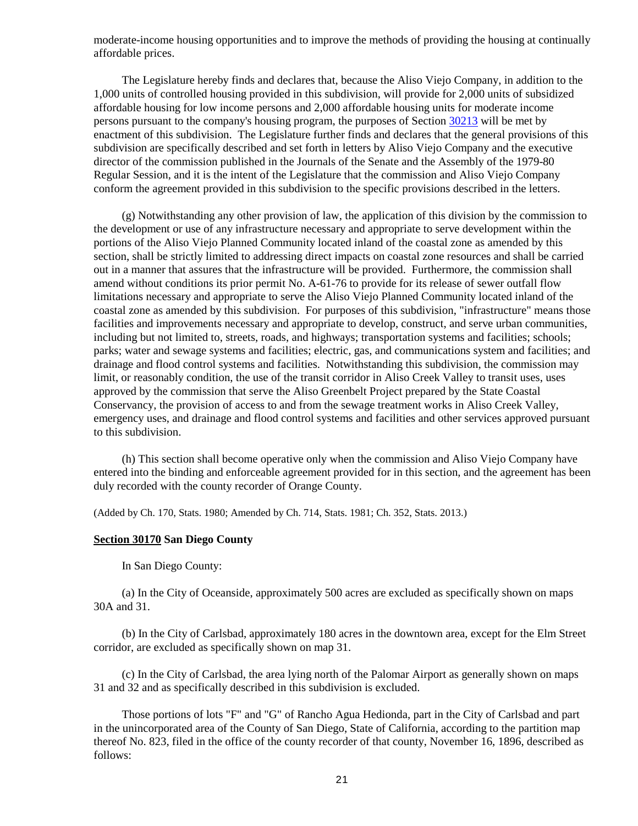moderate-income housing opportunities and to improve the methods of providing the housing at continually affordable prices.

The Legislature hereby finds and declares that, because the Aliso Viejo Company, in addition to the 1,000 units of controlled housing provided in this subdivision, will provide for 2,000 units of subsidized affordable housing for low income persons and 2,000 affordable housing units for moderate income persons pursuant to the company's housing program, the purposes of Section [30213](#page-31-0) will be met by enactment of this subdivision. The Legislature further finds and declares that the general provisions of this subdivision are specifically described and set forth in letters by Aliso Viejo Company and the executive director of the commission published in the Journals of the Senate and the Assembly of the 1979-80 Regular Session, and it is the intent of the Legislature that the commission and Aliso Viejo Company conform the agreement provided in this subdivision to the specific provisions described in the letters.

(g) Notwithstanding any other provision of law, the application of this division by the commission to the development or use of any infrastructure necessary and appropriate to serve development within the portions of the Aliso Viejo Planned Community located inland of the coastal zone as amended by this section, shall be strictly limited to addressing direct impacts on coastal zone resources and shall be carried out in a manner that assures that the infrastructure will be provided. Furthermore, the commission shall amend without conditions its prior permit No. A-61-76 to provide for its release of sewer outfall flow limitations necessary and appropriate to serve the Aliso Viejo Planned Community located inland of the coastal zone as amended by this subdivision. For purposes of this subdivision, "infrastructure" means those facilities and improvements necessary and appropriate to develop, construct, and serve urban communities, including but not limited to, streets, roads, and highways; transportation systems and facilities; schools; parks; water and sewage systems and facilities; electric, gas, and communications system and facilities; and drainage and flood control systems and facilities. Notwithstanding this subdivision, the commission may limit, or reasonably condition, the use of the transit corridor in Aliso Creek Valley to transit uses, uses approved by the commission that serve the Aliso Greenbelt Project prepared by the State Coastal Conservancy, the provision of access to and from the sewage treatment works in Aliso Creek Valley, emergency uses, and drainage and flood control systems and facilities and other services approved pursuant to this subdivision.

(h) This section shall become operative only when the commission and Aliso Viejo Company have entered into the binding and enforceable agreement provided for in this section, and the agreement has been duly recorded with the county recorder of Orange County.

(Added by Ch. 170, Stats. 1980; Amended by Ch. 714, Stats. 1981; Ch. 352, Stats. 2013.)

## <span id="page-21-0"></span>**Section 30170 San Diego County**

In San Diego County:

(a) In the City of Oceanside, approximately 500 acres are excluded as specifically shown on maps 30A and 31.

(b) In the City of Carlsbad, approximately 180 acres in the downtown area, except for the Elm Street corridor, are excluded as specifically shown on map 31.

(c) In the City of Carlsbad, the area lying north of the Palomar Airport as generally shown on maps 31 and 32 and as specifically described in this subdivision is excluded.

Those portions of lots "F" and "G" of Rancho Agua Hedionda, part in the City of Carlsbad and part in the unincorporated area of the County of San Diego, State of California, according to the partition map thereof No. 823, filed in the office of the county recorder of that county, November 16, 1896, described as follows: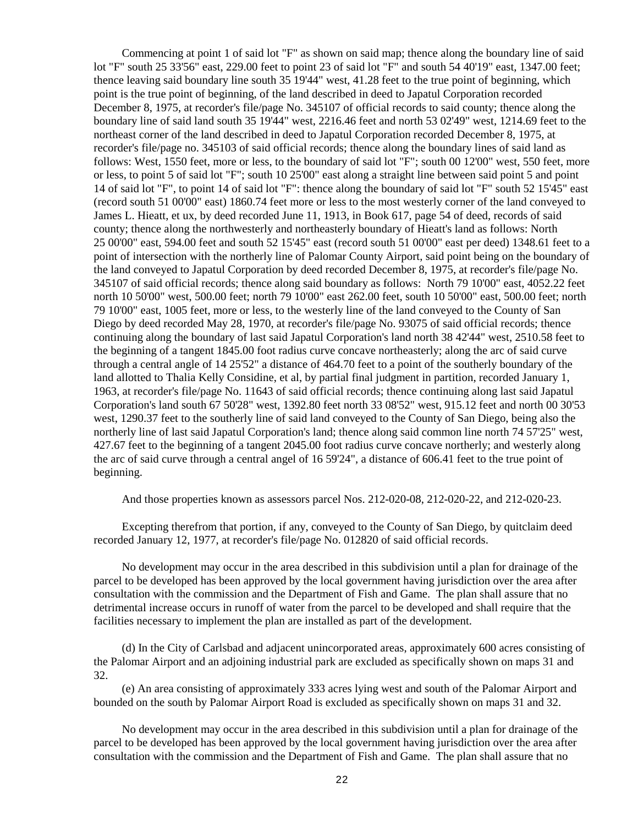Commencing at point 1 of said lot "F" as shown on said map; thence along the boundary line of said lot "F" south 25 33'56" east, 229.00 feet to point 23 of said lot "F" and south 54 40'19" east, 1347.00 feet; thence leaving said boundary line south 35 19'44" west, 41.28 feet to the true point of beginning, which point is the true point of beginning, of the land described in deed to Japatul Corporation recorded December 8, 1975, at recorder's file/page No. 345107 of official records to said county; thence along the boundary line of said land south 35 19'44" west, 2216.46 feet and north 53 02'49" west, 1214.69 feet to the northeast corner of the land described in deed to Japatul Corporation recorded December 8, 1975, at recorder's file/page no. 345103 of said official records; thence along the boundary lines of said land as follows: West, 1550 feet, more or less, to the boundary of said lot "F"; south 00 12'00" west, 550 feet, more or less, to point 5 of said lot "F"; south 10 25'00" east along a straight line between said point 5 and point 14 of said lot "F", to point 14 of said lot "F": thence along the boundary of said lot "F" south 52 15'45" east (record south 51 00'00" east) 1860.74 feet more or less to the most westerly corner of the land conveyed to James L. Hieatt, et ux, by deed recorded June 11, 1913, in Book 617, page 54 of deed, records of said county; thence along the northwesterly and northeasterly boundary of Hieatt's land as follows: North 25 00'00" east, 594.00 feet and south 52 15'45" east (record south 51 00'00" east per deed) 1348.61 feet to a point of intersection with the northerly line of Palomar County Airport, said point being on the boundary of the land conveyed to Japatul Corporation by deed recorded December 8, 1975, at recorder's file/page No. 345107 of said official records; thence along said boundary as follows: North 79 10'00" east, 4052.22 feet north 10 50'00" west, 500.00 feet; north 79 10'00" east 262.00 feet, south 10 50'00" east, 500.00 feet; north 79 10'00" east, 1005 feet, more or less, to the westerly line of the land conveyed to the County of San Diego by deed recorded May 28, 1970, at recorder's file/page No. 93075 of said official records; thence continuing along the boundary of last said Japatul Corporation's land north 38 42'44" west, 2510.58 feet to the beginning of a tangent 1845.00 foot radius curve concave northeasterly; along the arc of said curve through a central angle of 14 25'52" a distance of 464.70 feet to a point of the southerly boundary of the land allotted to Thalia Kelly Considine, et al, by partial final judgment in partition, recorded January 1, 1963, at recorder's file/page No. 11643 of said official records; thence continuing along last said Japatul Corporation's land south 67 50'28" west, 1392.80 feet north 33 08'52" west, 915.12 feet and north 00 30'53 west, 1290.37 feet to the southerly line of said land conveyed to the County of San Diego, being also the northerly line of last said Japatul Corporation's land; thence along said common line north 74 57'25" west, 427.67 feet to the beginning of a tangent 2045.00 foot radius curve concave northerly; and westerly along the arc of said curve through a central angel of 16 59'24", a distance of 606.41 feet to the true point of beginning.

And those properties known as assessors parcel Nos. 212-020-08, 212-020-22, and 212-020-23.

Excepting therefrom that portion, if any, conveyed to the County of San Diego, by quitclaim deed recorded January 12, 1977, at recorder's file/page No. 012820 of said official records.

No development may occur in the area described in this subdivision until a plan for drainage of the parcel to be developed has been approved by the local government having jurisdiction over the area after consultation with the commission and the Department of Fish and Game. The plan shall assure that no detrimental increase occurs in runoff of water from the parcel to be developed and shall require that the facilities necessary to implement the plan are installed as part of the development.

(d) In the City of Carlsbad and adjacent unincorporated areas, approximately 600 acres consisting of the Palomar Airport and an adjoining industrial park are excluded as specifically shown on maps 31 and 32.

(e) An area consisting of approximately 333 acres lying west and south of the Palomar Airport and bounded on the south by Palomar Airport Road is excluded as specifically shown on maps 31 and 32.

No development may occur in the area described in this subdivision until a plan for drainage of the parcel to be developed has been approved by the local government having jurisdiction over the area after consultation with the commission and the Department of Fish and Game. The plan shall assure that no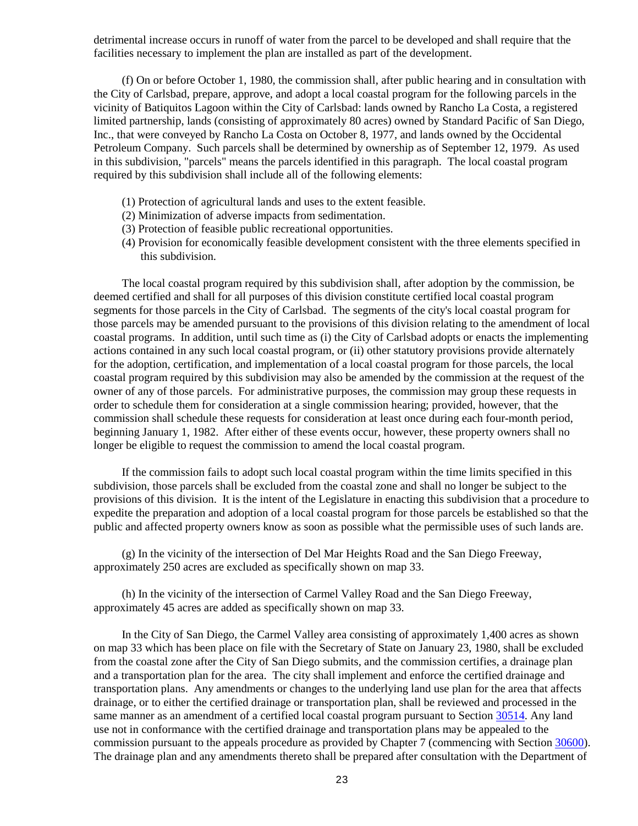detrimental increase occurs in runoff of water from the parcel to be developed and shall require that the facilities necessary to implement the plan are installed as part of the development.

(f) On or before October 1, 1980, the commission shall, after public hearing and in consultation with the City of Carlsbad, prepare, approve, and adopt a local coastal program for the following parcels in the vicinity of Batiquitos Lagoon within the City of Carlsbad: lands owned by Rancho La Costa, a registered limited partnership, lands (consisting of approximately 80 acres) owned by Standard Pacific of San Diego, Inc., that were conveyed by Rancho La Costa on October 8, 1977, and lands owned by the Occidental Petroleum Company. Such parcels shall be determined by ownership as of September 12, 1979. As used in this subdivision, "parcels" means the parcels identified in this paragraph. The local coastal program required by this subdivision shall include all of the following elements:

- (1) Protection of agricultural lands and uses to the extent feasible.
- (2) Minimization of adverse impacts from sedimentation.
- (3) Protection of feasible public recreational opportunities.
- (4) Provision for economically feasible development consistent with the three elements specified in this subdivision.

The local coastal program required by this subdivision shall, after adoption by the commission, be deemed certified and shall for all purposes of this division constitute certified local coastal program segments for those parcels in the City of Carlsbad. The segments of the city's local coastal program for those parcels may be amended pursuant to the provisions of this division relating to the amendment of local coastal programs. In addition, until such time as (i) the City of Carlsbad adopts or enacts the implementing actions contained in any such local coastal program, or (ii) other statutory provisions provide alternately for the adoption, certification, and implementation of a local coastal program for those parcels, the local coastal program required by this subdivision may also be amended by the commission at the request of the owner of any of those parcels. For administrative purposes, the commission may group these requests in order to schedule them for consideration at a single commission hearing; provided, however, that the commission shall schedule these requests for consideration at least once during each four-month period, beginning January 1, 1982. After either of these events occur, however, these property owners shall no longer be eligible to request the commission to amend the local coastal program.

If the commission fails to adopt such local coastal program within the time limits specified in this subdivision, those parcels shall be excluded from the coastal zone and shall no longer be subject to the provisions of this division. It is the intent of the Legislature in enacting this subdivision that a procedure to expedite the preparation and adoption of a local coastal program for those parcels be established so that the public and affected property owners know as soon as possible what the permissible uses of such lands are.

(g) In the vicinity of the intersection of Del Mar Heights Road and the San Diego Freeway, approximately 250 acres are excluded as specifically shown on map 33.

(h) In the vicinity of the intersection of Carmel Valley Road and the San Diego Freeway, approximately 45 acres are added as specifically shown on map 33.

In the City of San Diego, the Carmel Valley area consisting of approximately 1,400 acres as shown on map 33 which has been place on file with the Secretary of State on January 23, 1980, shall be excluded from the coastal zone after the City of San Diego submits, and the commission certifies, a drainage plan and a transportation plan for the area. The city shall implement and enforce the certified drainage and transportation plans. Any amendments or changes to the underlying land use plan for the area that affects drainage, or to either the certified drainage or transportation plan, shall be reviewed and processed in the same manner as an amendment of a certified local coastal program pursuant to Section [30514.](#page-79-0) Any land use not in conformance with the certified drainage and transportation plans may be appealed to the commission pursuant to the appeals procedure as provided by Chapter 7 (commencing with Section [30600\)](#page-91-1). The drainage plan and any amendments thereto shall be prepared after consultation with the Department of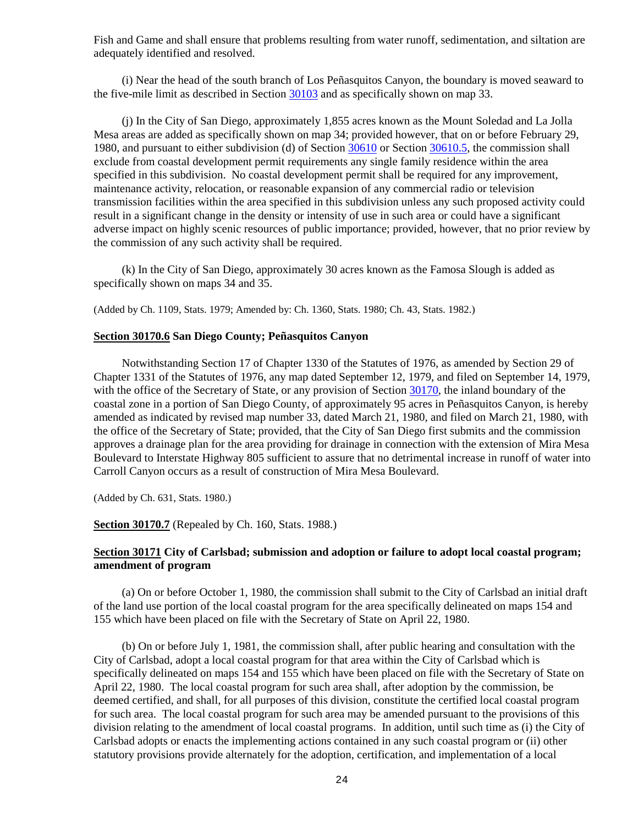Fish and Game and shall ensure that problems resulting from water runoff, sedimentation, and siltation are adequately identified and resolved.

(i) Near the head of the south branch of Los Peñasquitos Canyon, the boundary is moved seaward to the five-mile limit as described in Section [30103](#page-8-7) and as specifically shown on map 33.

(j) In the City of San Diego, approximately 1,855 acres known as the Mount Soledad and La Jolla Mesa areas are added as specifically shown on map 34; provided however, that on or before February 29, 1980, and pursuant to either subdivision (d) of Section [30610](#page-102-0) or Section [30610.5,](#page-106-0) the commission shall exclude from coastal development permit requirements any single family residence within the area specified in this subdivision. No coastal development permit shall be required for any improvement, maintenance activity, relocation, or reasonable expansion of any commercial radio or television transmission facilities within the area specified in this subdivision unless any such proposed activity could result in a significant change in the density or intensity of use in such area or could have a significant adverse impact on highly scenic resources of public importance; provided, however, that no prior review by the commission of any such activity shall be required.

(k) In the City of San Diego, approximately 30 acres known as the Famosa Slough is added as specifically shown on maps 34 and 35.

(Added by Ch. 1109, Stats. 1979; Amended by: Ch. 1360, Stats. 1980; Ch. 43, Stats. 1982.)

#### <span id="page-24-0"></span>**Section 30170.6 San Diego County; Peñasquitos Canyon**

Notwithstanding Section 17 of Chapter 1330 of the Statutes of 1976, as amended by Section 29 of Chapter 1331 of the Statutes of 1976, any map dated September 12, 1979, and filed on September 14, 1979, with the office of the Secretary of State, or any provision of Section [30170,](#page-21-0) the inland boundary of the coastal zone in a portion of San Diego County, of approximately 95 acres in Peñasquitos Canyon, is hereby amended as indicated by revised map number 33, dated March 21, 1980, and filed on March 21, 1980, with the office of the Secretary of State; provided, that the City of San Diego first submits and the commission approves a drainage plan for the area providing for drainage in connection with the extension of Mira Mesa Boulevard to Interstate Highway 805 sufficient to assure that no detrimental increase in runoff of water into Carroll Canyon occurs as a result of construction of Mira Mesa Boulevard.

(Added by Ch. 631, Stats. 1980.)

## <span id="page-24-1"></span>**Section 30170.7** (Repealed by Ch. 160, Stats. 1988.)

## <span id="page-24-2"></span>**Section 30171 City of Carlsbad; submission and adoption or failure to adopt local coastal program; amendment of program**

(a) On or before October 1, 1980, the commission shall submit to the City of Carlsbad an initial draft of the land use portion of the local coastal program for the area specifically delineated on maps 154 and 155 which have been placed on file with the Secretary of State on April 22, 1980.

(b) On or before July 1, 1981, the commission shall, after public hearing and consultation with the City of Carlsbad, adopt a local coastal program for that area within the City of Carlsbad which is specifically delineated on maps 154 and 155 which have been placed on file with the Secretary of State on April 22, 1980. The local coastal program for such area shall, after adoption by the commission, be deemed certified, and shall, for all purposes of this division, constitute the certified local coastal program for such area. The local coastal program for such area may be amended pursuant to the provisions of this division relating to the amendment of local coastal programs. In addition, until such time as (i) the City of Carlsbad adopts or enacts the implementing actions contained in any such coastal program or (ii) other statutory provisions provide alternately for the adoption, certification, and implementation of a local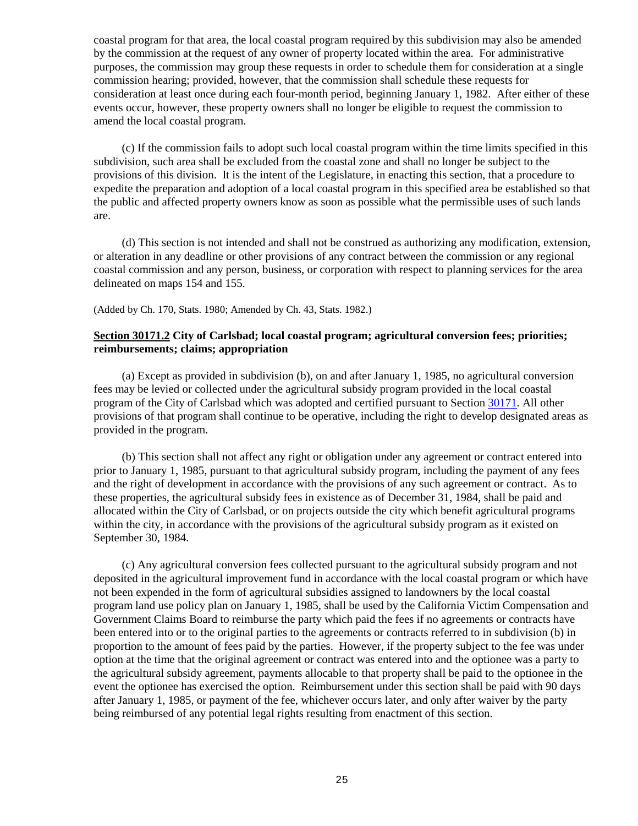coastal program for that area, the local coastal program required by this subdivision may also be amended by the commission at the request of any owner of property located within the area. For administrative purposes, the commission may group these requests in order to schedule them for consideration at a single commission hearing; provided, however, that the commission shall schedule these requests for consideration at least once during each four-month period, beginning January 1, 1982. After either of these events occur, however, these property owners shall no longer be eligible to request the commission to amend the local coastal program.

(c) If the commission fails to adopt such local coastal program within the time limits specified in this subdivision, such area shall be excluded from the coastal zone and shall no longer be subject to the provisions of this division. It is the intent of the Legislature, in enacting this section, that a procedure to expedite the preparation and adoption of a local coastal program in this specified area be established so that the public and affected property owners know as soon as possible what the permissible uses of such lands are.

(d) This section is not intended and shall not be construed as authorizing any modification, extension, or alteration in any deadline or other provisions of any contract between the commission or any regional coastal commission and any person, business, or corporation with respect to planning services for the area delineated on maps 154 and 155.

(Added by Ch. 170, Stats. 1980; Amended by Ch. 43, Stats. 1982.)

## <span id="page-25-0"></span>**Section 30171.2 City of Carlsbad; local coastal program; agricultural conversion fees; priorities; reimbursements; claims; appropriation**

(a) Except as provided in subdivision (b), on and after January 1, 1985, no agricultural conversion fees may be levied or collected under the agricultural subsidy program provided in the local coastal program of the City of Carlsbad which was adopted and certified pursuant to Section [30171.](#page-24-2) All other provisions of that program shall continue to be operative, including the right to develop designated areas as provided in the program.

(b) This section shall not affect any right or obligation under any agreement or contract entered into prior to January 1, 1985, pursuant to that agricultural subsidy program, including the payment of any fees and the right of development in accordance with the provisions of any such agreement or contract. As to these properties, the agricultural subsidy fees in existence as of December 31, 1984, shall be paid and allocated within the City of Carlsbad, or on projects outside the city which benefit agricultural programs within the city, in accordance with the provisions of the agricultural subsidy program as it existed on September 30, 1984.

(c) Any agricultural conversion fees collected pursuant to the agricultural subsidy program and not deposited in the agricultural improvement fund in accordance with the local coastal program or which have not been expended in the form of agricultural subsidies assigned to landowners by the local coastal program land use policy plan on January 1, 1985, shall be used by the California Victim Compensation and Government Claims Board to reimburse the party which paid the fees if no agreements or contracts have been entered into or to the original parties to the agreements or contracts referred to in subdivision (b) in proportion to the amount of fees paid by the parties. However, if the property subject to the fee was under option at the time that the original agreement or contract was entered into and the optionee was a party to the agricultural subsidy agreement, payments allocable to that property shall be paid to the optionee in the event the optionee has exercised the option. Reimbursement under this section shall be paid with 90 days after January 1, 1985, or payment of the fee, whichever occurs later, and only after waiver by the party being reimbursed of any potential legal rights resulting from enactment of this section.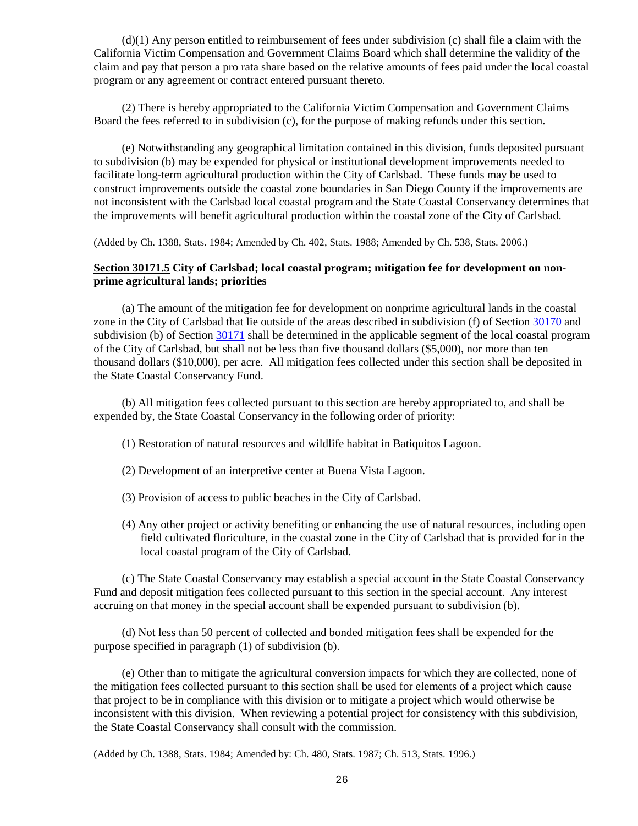(d)(1) Any person entitled to reimbursement of fees under subdivision (c) shall file a claim with the California Victim Compensation and Government Claims Board which shall determine the validity of the claim and pay that person a pro rata share based on the relative amounts of fees paid under the local coastal program or any agreement or contract entered pursuant thereto.

(2) There is hereby appropriated to the California Victim Compensation and Government Claims Board the fees referred to in subdivision (c), for the purpose of making refunds under this section.

(e) Notwithstanding any geographical limitation contained in this division, funds deposited pursuant to subdivision (b) may be expended for physical or institutional development improvements needed to facilitate long-term agricultural production within the City of Carlsbad. These funds may be used to construct improvements outside the coastal zone boundaries in San Diego County if the improvements are not inconsistent with the Carlsbad local coastal program and the State Coastal Conservancy determines that the improvements will benefit agricultural production within the coastal zone of the City of Carlsbad.

(Added by Ch. 1388, Stats. 1984; Amended by Ch. 402, Stats. 1988; Amended by Ch. 538, Stats. 2006.)

## <span id="page-26-0"></span>**Section 30171.5 City of Carlsbad; local coastal program; mitigation fee for development on nonprime agricultural lands; priorities**

(a) The amount of the mitigation fee for development on nonprime agricultural lands in the coastal zone in the City of Carlsbad that lie outside of the areas described in subdivision (f) of Section [30170](#page-21-0) and subdivision (b) of Section [30171](#page-24-2) shall be determined in the applicable segment of the local coastal program of the City of Carlsbad, but shall not be less than five thousand dollars (\$5,000), nor more than ten thousand dollars (\$10,000), per acre. All mitigation fees collected under this section shall be deposited in the State Coastal Conservancy Fund.

(b) All mitigation fees collected pursuant to this section are hereby appropriated to, and shall be expended by, the State Coastal Conservancy in the following order of priority:

- (1) Restoration of natural resources and wildlife habitat in Batiquitos Lagoon.
- (2) Development of an interpretive center at Buena Vista Lagoon.
- (3) Provision of access to public beaches in the City of Carlsbad.
- (4) Any other project or activity benefiting or enhancing the use of natural resources, including open field cultivated floriculture, in the coastal zone in the City of Carlsbad that is provided for in the local coastal program of the City of Carlsbad.

(c) The State Coastal Conservancy may establish a special account in the State Coastal Conservancy Fund and deposit mitigation fees collected pursuant to this section in the special account. Any interest accruing on that money in the special account shall be expended pursuant to subdivision (b).

(d) Not less than 50 percent of collected and bonded mitigation fees shall be expended for the purpose specified in paragraph (1) of subdivision (b).

(e) Other than to mitigate the agricultural conversion impacts for which they are collected, none of the mitigation fees collected pursuant to this section shall be used for elements of a project which cause that project to be in compliance with this division or to mitigate a project which would otherwise be inconsistent with this division. When reviewing a potential project for consistency with this subdivision, the State Coastal Conservancy shall consult with the commission.

<span id="page-26-1"></span>(Added by Ch. 1388, Stats. 1984; Amended by: Ch. 480, Stats. 1987; Ch. 513, Stats. 1996.)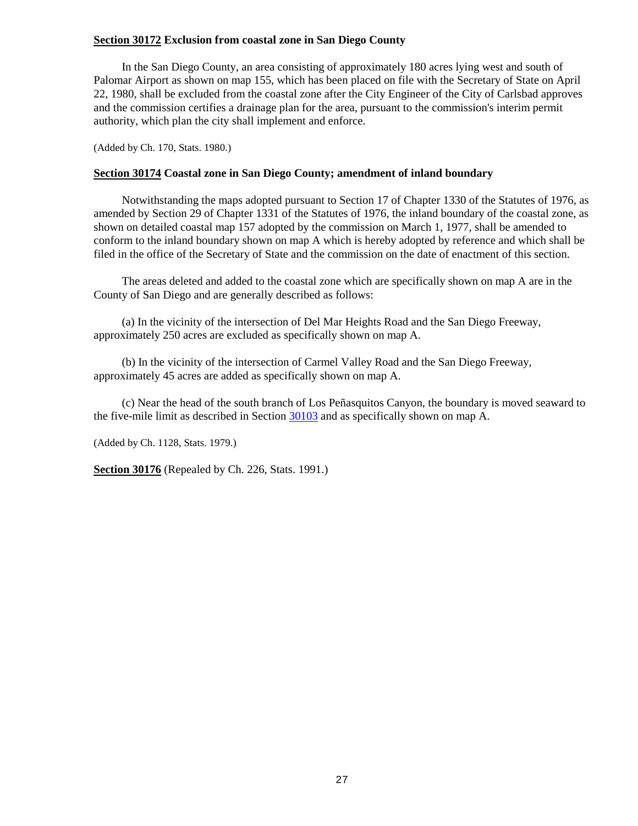## **Section 30172 Exclusion from coastal zone in San Diego County**

In the San Diego County, an area consisting of approximately 180 acres lying west and south of Palomar Airport as shown on map 155, which has been placed on file with the Secretary of State on April 22, 1980, shall be excluded from the coastal zone after the City Engineer of the City of Carlsbad approves and the commission certifies a drainage plan for the area, pursuant to the commission's interim permit authority, which plan the city shall implement and enforce.

(Added by Ch. 170, Stats. 1980.)

## <span id="page-27-0"></span>**Section 30174 Coastal zone in San Diego County; amendment of inland boundary**

Notwithstanding the maps adopted pursuant to Section 17 of Chapter 1330 of the Statutes of 1976, as amended by Section 29 of Chapter 1331 of the Statutes of 1976, the inland boundary of the coastal zone, as shown on detailed coastal map 157 adopted by the commission on March 1, 1977, shall be amended to conform to the inland boundary shown on map A which is hereby adopted by reference and which shall be filed in the office of the Secretary of State and the commission on the date of enactment of this section.

The areas deleted and added to the coastal zone which are specifically shown on map A are in the County of San Diego and are generally described as follows:

(a) In the vicinity of the intersection of Del Mar Heights Road and the San Diego Freeway, approximately 250 acres are excluded as specifically shown on map A.

(b) In the vicinity of the intersection of Carmel Valley Road and the San Diego Freeway, approximately 45 acres are added as specifically shown on map A.

(c) Near the head of the south branch of Los Peñasquitos Canyon, the boundary is moved seaward to the five-mile limit as described in Section [30103](#page-8-7) and as specifically shown on map A.

(Added by Ch. 1128, Stats. 1979.)

<span id="page-27-1"></span>**Section 30176** (Repealed by Ch. 226, Stats. 1991.)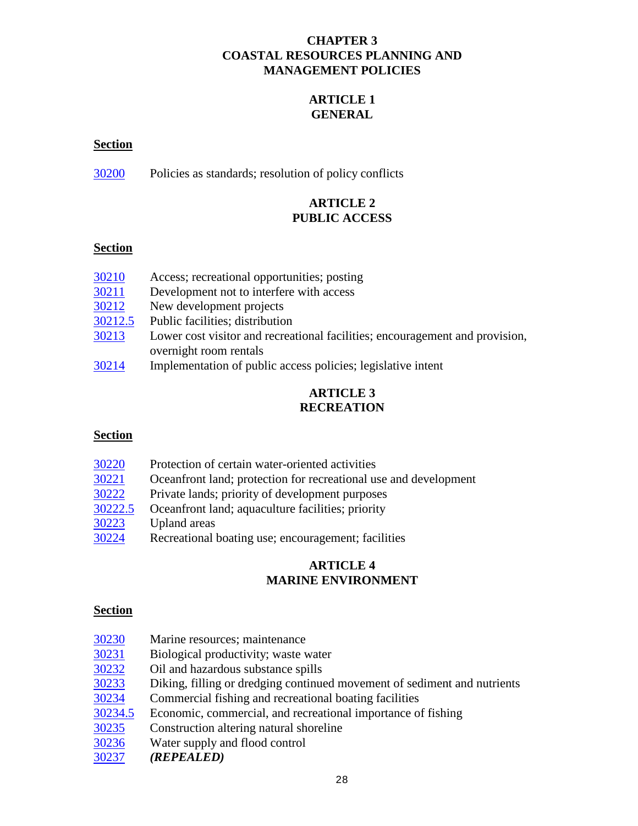## **CHAPTER 3 COASTAL RESOURCES PLANNING AND MANAGEMENT POLICIES**

## **ARTICLE 1 GENERAL**

## <span id="page-28-0"></span>**Section**

[30200](#page-30-0) Policies as standards; resolution of policy conflicts

## **ARTICLE 2 PUBLIC ACCESS**

## **Section**

| 30210   | Access; recreational opportunities; posting                                  |
|---------|------------------------------------------------------------------------------|
| 30211   | Development not to interfere with access                                     |
| 30212   | New development projects                                                     |
| 30212.5 | Public facilities; distribution                                              |
| 30213   | Lower cost visitor and recreational facilities; encouragement and provision, |
|         | overnight room rentals                                                       |
| 20011   | Incolando that an affinite concentral distant leadels to the the             |

[30214](#page-31-2) Implementation of public access policies; legislative intent

## **ARTICLE 3 RECREATION**

## **Section**

| 30220   | Protection of certain water-oriented activities                  |
|---------|------------------------------------------------------------------|
| 30221   | Oceanfront land; protection for recreational use and development |
| 30222   | Private lands; priority of development purposes                  |
| 30222.5 | Oceanfront land; aquaculture facilities; priority                |
| 30223   | Upland areas                                                     |
| 30224   | Recreational boating use; encouragement; facilities              |

## **ARTICLE 4 MARINE ENVIRONMENT**

## **Section**

| 30230 | Marine resources; maintenance |  |
|-------|-------------------------------|--|
|-------|-------------------------------|--|

- [30231](#page-33-1) Biological productivity; waste water
- [30232](#page-33-2) Oil and hazardous substance spills
- [30233](#page-33-3) Diking, filling or dredging continued movement of sediment and nutrients
- [30234](#page-34-0) Commercial fishing and recreational boating facilities
- [30234.5](#page-34-1) Economic, commercial, and recreational importance of fishing
- [30235](#page-34-2) Construction altering natural shoreline
- [30236](#page-35-0) Water supply and flood control
- [30237](#page-35-1) *(REPEALED)*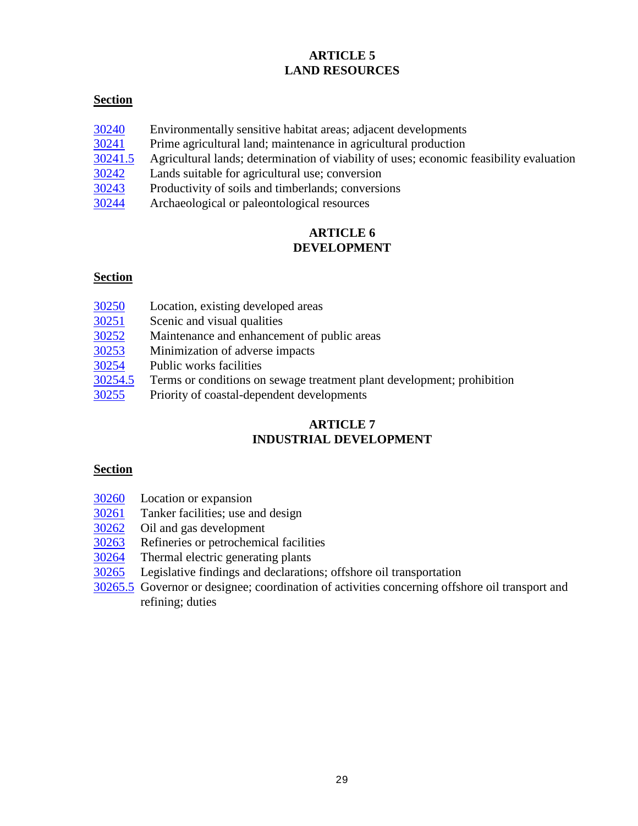## **ARTICLE 5 LAND RESOURCES**

## **Section**

- $\frac{30240}{30241}$  $\frac{30240}{30241}$  $\frac{30240}{30241}$  Environmentally sensitive habitat areas; adjacent developments  $\frac{30241}{30241}$  Prime agricultural land; maintenance in agricultural production
- [30241](#page-35-3) Prime agricultural land; maintenance in agricultural production
- [30241.5](#page-35-4) Agricultural lands; determination of viability of uses; economic feasibility evaluation
- [30242](#page-36-0) Lands suitable for agricultural use; conversion
- [30243](#page-36-1) Productivity of soils and timberlands; conversions
- [30244](#page-36-2) Archaeological or paleontological resources

## **ARTICLE 6 DEVELOPMENT**

## **Section**

| 30250   | Location, existing developed areas                                     |
|---------|------------------------------------------------------------------------|
| 30251   | Scenic and visual qualities                                            |
| 30252   | Maintenance and enhancement of public areas                            |
| 30253   | Minimization of adverse impacts                                        |
| 30254   | Public works facilities                                                |
| 30254.5 | Terms or conditions on sewage treatment plant development; prohibition |
| 30255   | Priority of coastal-dependent developments                             |

## **ARTICLE 7 INDUSTRIAL DEVELOPMENT**

## **Section**

- [30260](#page-38-2) Location or expansion
- $\frac{30261}{30262}$  $\frac{30261}{30262}$  $\frac{30261}{30262}$  Tanker facilities; use and design 30262 Oil and gas development
- Oil and gas development
- [30263](#page-40-0) Refineries or petrochemical facilities
- [30264](#page-40-1) Thermal electric generating plants
- [30265](#page-41-0) Legislative findings and declarations; offshore oil transportation
- [30265.5](#page-41-1) Governor or designee; coordination of activities concerning offshore oil transport and refining; duties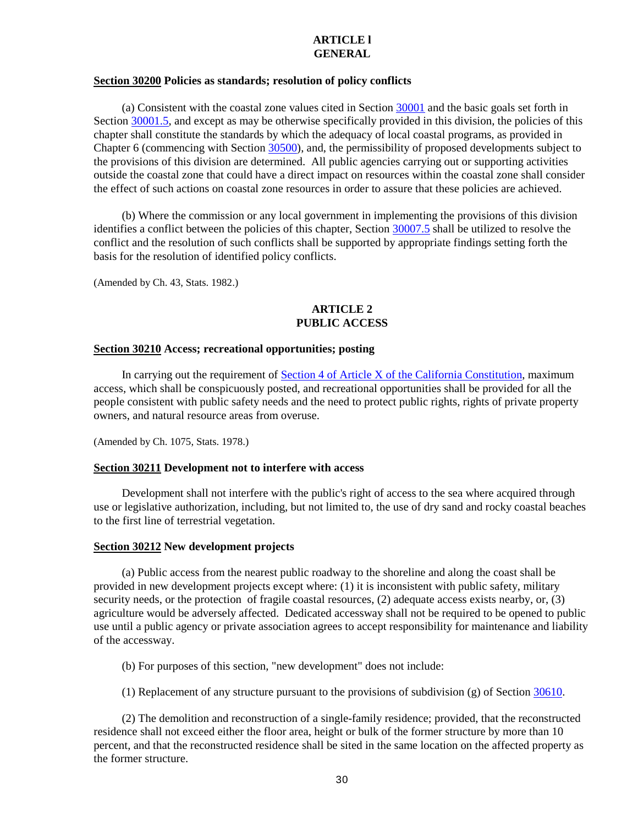### **ARTICLE l GENERAL**

## <span id="page-30-0"></span>**Section 30200 Policies as standards; resolution of policy conflicts**

(a) Consistent with the coastal zone values cited in Section [30001](#page-2-1) and the basic goals set forth in Section [30001.5,](#page-2-3) and except as may be otherwise specifically provided in this division, the policies of this chapter shall constitute the standards by which the adequacy of local coastal programs, as provided in Chapter 6 (commencing with Section [30500\)](#page-75-1), and, the permissibility of proposed developments subject to the provisions of this division are determined. All public agencies carrying out or supporting activities outside the coastal zone that could have a direct impact on resources within the coastal zone shall consider the effect of such actions on coastal zone resources in order to assure that these policies are achieved.

(b) Where the commission or any local government in implementing the provisions of this division identifies a conflict between the policies of this chapter, Section [30007.5](#page-4-3) shall be utilized to resolve the conflict and the resolution of such conflicts shall be supported by appropriate findings setting forth the basis for the resolution of identified policy conflicts.

(Amended by Ch. 43, Stats. 1982.)

## **ARTICLE 2 PUBLIC ACCESS**

#### <span id="page-30-1"></span>**Section 30210 Access; recreational opportunities; posting**

In carrying out the requirement of [Section 4 of Article X of the California Constitution,](http://leginfo.legislature.ca.gov/faces/codes_displayText.xhtml?lawCode=CONS&division=&title=&part=&chapter=&article=X) maximum access, which shall be conspicuously posted, and recreational opportunities shall be provided for all the people consistent with public safety needs and the need to protect public rights, rights of private property owners, and natural resource areas from overuse.

(Amended by Ch. 1075, Stats. 1978.)

## <span id="page-30-2"></span>**Section 30211 Development not to interfere with access**

Development shall not interfere with the public's right of access to the sea where acquired through use or legislative authorization, including, but not limited to, the use of dry sand and rocky coastal beaches to the first line of terrestrial vegetation.

## <span id="page-30-3"></span>**Section 30212 New development projects**

(a) Public access from the nearest public roadway to the shoreline and along the coast shall be provided in new development projects except where: (1) it is inconsistent with public safety, military security needs, or the protection of fragile coastal resources, (2) adequate access exists nearby, or, (3) agriculture would be adversely affected. Dedicated accessway shall not be required to be opened to public use until a public agency or private association agrees to accept responsibility for maintenance and liability of the accessway.

(b) For purposes of this section, "new development" does not include:

(1) Replacement of any structure pursuant to the provisions of subdivision (g) of Section [30610.](#page-102-0)

(2) The demolition and reconstruction of a single-family residence; provided, that the reconstructed residence shall not exceed either the floor area, height or bulk of the former structure by more than 10 percent, and that the reconstructed residence shall be sited in the same location on the affected property as the former structure.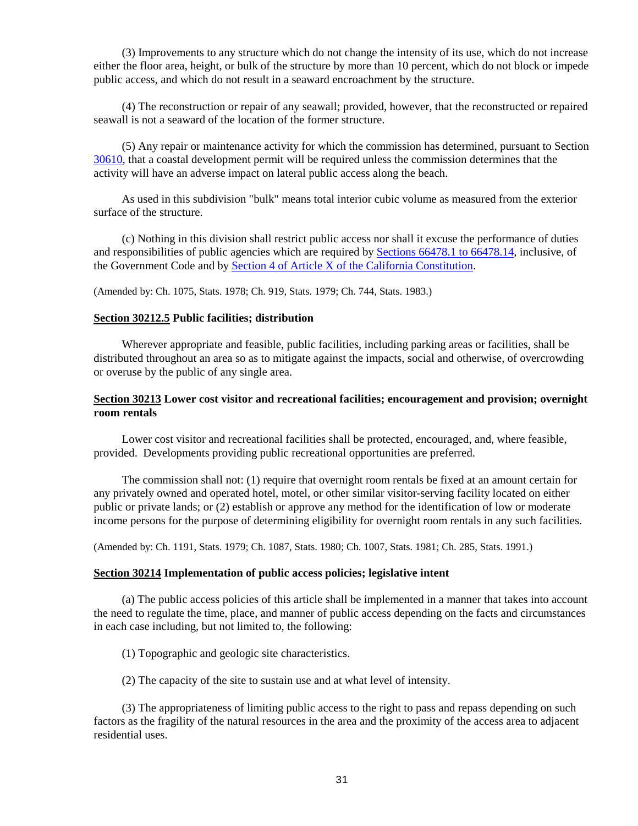(3) Improvements to any structure which do not change the intensity of its use, which do not increase either the floor area, height, or bulk of the structure by more than 10 percent, which do not block or impede public access, and which do not result in a seaward encroachment by the structure.

(4) The reconstruction or repair of any seawall; provided, however, that the reconstructed or repaired seawall is not a seaward of the location of the former structure.

(5) Any repair or maintenance activity for which the commission has determined, pursuant to Section [30610,](#page-102-0) that a coastal development permit will be required unless the commission determines that the activity will have an adverse impact on lateral public access along the beach.

As used in this subdivision "bulk" means total interior cubic volume as measured from the exterior surface of the structure.

(c) Nothing in this division shall restrict public access nor shall it excuse the performance of duties and responsibilities of public agencies which are required by **Sections 66478.1** to 66478.14, inclusive, of the Government Code and by [Section 4 of Article X of the California Constitution.](http://leginfo.legislature.ca.gov/faces/codes_displayText.xhtml?lawCode=CONS&division=&title=&part=&chapter=&article=X)

<span id="page-31-1"></span>(Amended by: Ch. 1075, Stats. 1978; Ch. 919, Stats. 1979; Ch. 744, Stats. 1983.)

## **Section 30212.5 Public facilities; distribution**

Wherever appropriate and feasible, public facilities, including parking areas or facilities, shall be distributed throughout an area so as to mitigate against the impacts, social and otherwise, of overcrowding or overuse by the public of any single area.

## <span id="page-31-0"></span>**Section 30213 Lower cost visitor and recreational facilities; encouragement and provision; overnight room rentals**

Lower cost visitor and recreational facilities shall be protected, encouraged, and, where feasible, provided. Developments providing public recreational opportunities are preferred.

The commission shall not: (1) require that overnight room rentals be fixed at an amount certain for any privately owned and operated hotel, motel, or other similar visitor-serving facility located on either public or private lands; or (2) establish or approve any method for the identification of low or moderate income persons for the purpose of determining eligibility for overnight room rentals in any such facilities.

(Amended by: Ch. 1191, Stats. 1979; Ch. 1087, Stats. 1980; Ch. 1007, Stats. 1981; Ch. 285, Stats. 1991.)

#### <span id="page-31-2"></span>**Section 30214 Implementation of public access policies; legislative intent**

(a) The public access policies of this article shall be implemented in a manner that takes into account the need to regulate the time, place, and manner of public access depending on the facts and circumstances in each case including, but not limited to, the following:

(1) Topographic and geologic site characteristics.

(2) The capacity of the site to sustain use and at what level of intensity.

(3) The appropriateness of limiting public access to the right to pass and repass depending on such factors as the fragility of the natural resources in the area and the proximity of the access area to adjacent residential uses.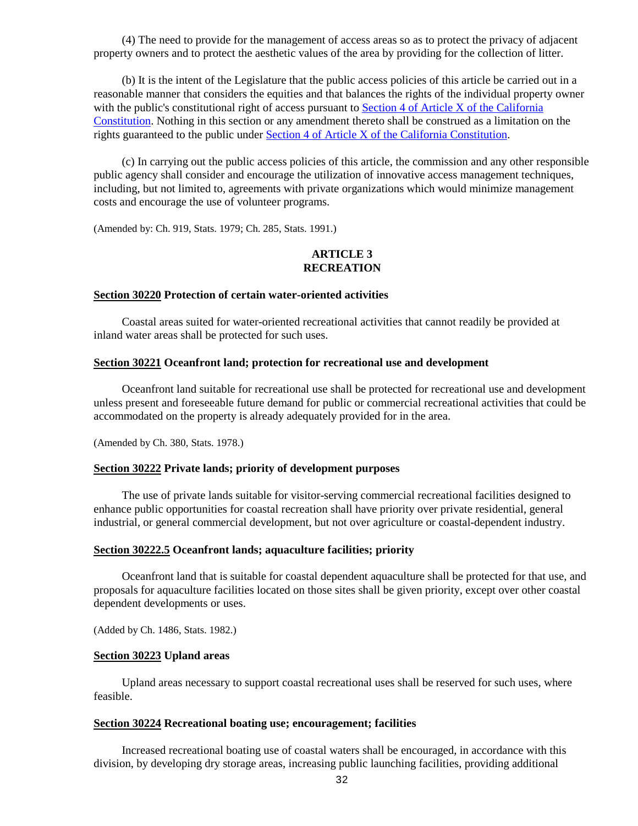(4) The need to provide for the management of access areas so as to protect the privacy of adjacent property owners and to protect the aesthetic values of the area by providing for the collection of litter.

(b) It is the intent of the Legislature that the public access policies of this article be carried out in a reasonable manner that considers the equities and that balances the rights of the individual property owner with the public's constitutional right of access pursuant to [Section 4 of Article X of the California](http://leginfo.legislature.ca.gov/faces/codes_displayText.xhtml?lawCode=CONS&division=&title=&part=&chapter=&article=X)  [Constitution.](http://leginfo.legislature.ca.gov/faces/codes_displayText.xhtml?lawCode=CONS&division=&title=&part=&chapter=&article=X) Nothing in this section or any amendment thereto shall be construed as a limitation on the rights guaranteed to the public under [Section 4 of Article X of the California Constitution.](http://leginfo.legislature.ca.gov/faces/codes_displayText.xhtml?lawCode=CONS&division=&title=&part=&chapter=&article=X)

(c) In carrying out the public access policies of this article, the commission and any other responsible public agency shall consider and encourage the utilization of innovative access management techniques, including, but not limited to, agreements with private organizations which would minimize management costs and encourage the use of volunteer programs.

(Amended by: Ch. 919, Stats. 1979; Ch. 285, Stats. 1991.)

## **ARTICLE 3 RECREATION**

#### <span id="page-32-0"></span>**Section 30220 Protection of certain water-oriented activities**

Coastal areas suited for water-oriented recreational activities that cannot readily be provided at inland water areas shall be protected for such uses.

## <span id="page-32-1"></span>**Section 30221 Oceanfront land; protection for recreational use and development**

Oceanfront land suitable for recreational use shall be protected for recreational use and development unless present and foreseeable future demand for public or commercial recreational activities that could be accommodated on the property is already adequately provided for in the area.

(Amended by Ch. 380, Stats. 1978.)

#### <span id="page-32-2"></span>**Section 30222 Private lands; priority of development purposes**

The use of private lands suitable for visitor-serving commercial recreational facilities designed to enhance public opportunities for coastal recreation shall have priority over private residential, general industrial, or general commercial development, but not over agriculture or coastal-dependent industry.

## <span id="page-32-3"></span>**Section 30222.5 Oceanfront lands; aquaculture facilities; priority**

Oceanfront land that is suitable for coastal dependent aquaculture shall be protected for that use, and proposals for aquaculture facilities located on those sites shall be given priority, except over other coastal dependent developments or uses.

(Added by Ch. 1486, Stats. 1982.)

#### <span id="page-32-4"></span>**Section 30223 Upland areas**

Upland areas necessary to support coastal recreational uses shall be reserved for such uses, where feasible.

## <span id="page-32-5"></span>**Section 30224 Recreational boating use; encouragement; facilities**

Increased recreational boating use of coastal waters shall be encouraged, in accordance with this division, by developing dry storage areas, increasing public launching facilities, providing additional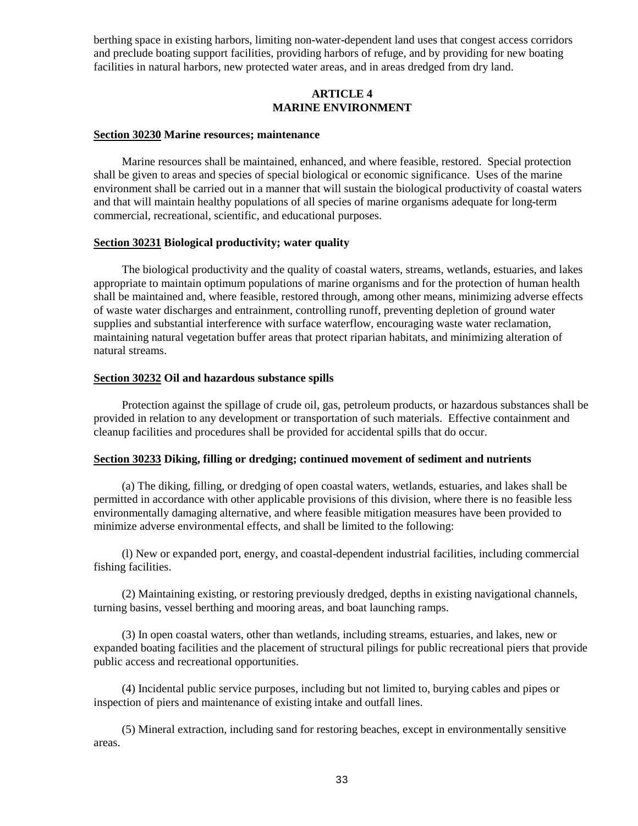berthing space in existing harbors, limiting non-water-dependent land uses that congest access corridors and preclude boating support facilities, providing harbors of refuge, and by providing for new boating facilities in natural harbors, new protected water areas, and in areas dredged from dry land.

## **ARTICLE 4 MARINE ENVIRONMENT**

## <span id="page-33-0"></span>**Section 30230 Marine resources; maintenance**

Marine resources shall be maintained, enhanced, and where feasible, restored. Special protection shall be given to areas and species of special biological or economic significance. Uses of the marine environment shall be carried out in a manner that will sustain the biological productivity of coastal waters and that will maintain healthy populations of all species of marine organisms adequate for long-term commercial, recreational, scientific, and educational purposes.

## <span id="page-33-1"></span>**Section 30231 Biological productivity; water quality**

The biological productivity and the quality of coastal waters, streams, wetlands, estuaries, and lakes appropriate to maintain optimum populations of marine organisms and for the protection of human health shall be maintained and, where feasible, restored through, among other means, minimizing adverse effects of waste water discharges and entrainment, controlling runoff, preventing depletion of ground water supplies and substantial interference with surface waterflow, encouraging waste water reclamation, maintaining natural vegetation buffer areas that protect riparian habitats, and minimizing alteration of natural streams.

## <span id="page-33-2"></span>**Section 30232 Oil and hazardous substance spills**

Protection against the spillage of crude oil, gas, petroleum products, or hazardous substances shall be provided in relation to any development or transportation of such materials. Effective containment and cleanup facilities and procedures shall be provided for accidental spills that do occur.

## <span id="page-33-3"></span>**Section 30233 Diking, filling or dredging; continued movement of sediment and nutrients**

(a) The diking, filling, or dredging of open coastal waters, wetlands, estuaries, and lakes shall be permitted in accordance with other applicable provisions of this division, where there is no feasible less environmentally damaging alternative, and where feasible mitigation measures have been provided to minimize adverse environmental effects, and shall be limited to the following:

(l) New or expanded port, energy, and coastal-dependent industrial facilities, including commercial fishing facilities.

(2) Maintaining existing, or restoring previously dredged, depths in existing navigational channels, turning basins, vessel berthing and mooring areas, and boat launching ramps.

(3) In open coastal waters, other than wetlands, including streams, estuaries, and lakes, new or expanded boating facilities and the placement of structural pilings for public recreational piers that provide public access and recreational opportunities.

(4) Incidental public service purposes, including but not limited to, burying cables and pipes or inspection of piers and maintenance of existing intake and outfall lines.

(5) Mineral extraction, including sand for restoring beaches, except in environmentally sensitive areas.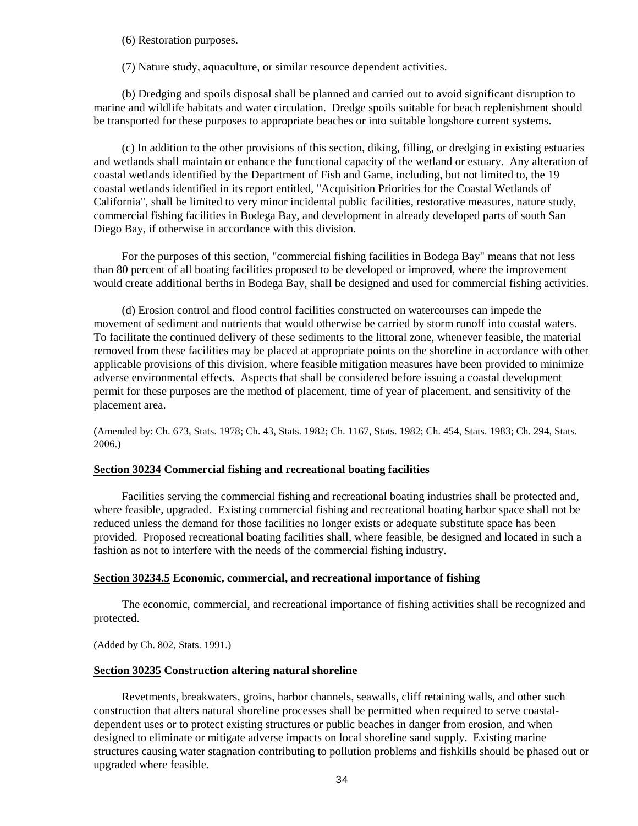(6) Restoration purposes.

(7) Nature study, aquaculture, or similar resource dependent activities.

(b) Dredging and spoils disposal shall be planned and carried out to avoid significant disruption to marine and wildlife habitats and water circulation. Dredge spoils suitable for beach replenishment should be transported for these purposes to appropriate beaches or into suitable longshore current systems.

(c) In addition to the other provisions of this section, diking, filling, or dredging in existing estuaries and wetlands shall maintain or enhance the functional capacity of the wetland or estuary. Any alteration of coastal wetlands identified by the Department of Fish and Game, including, but not limited to, the 19 coastal wetlands identified in its report entitled, "Acquisition Priorities for the Coastal Wetlands of California", shall be limited to very minor incidental public facilities, restorative measures, nature study, commercial fishing facilities in Bodega Bay, and development in already developed parts of south San Diego Bay, if otherwise in accordance with this division.

For the purposes of this section, "commercial fishing facilities in Bodega Bay" means that not less than 80 percent of all boating facilities proposed to be developed or improved, where the improvement would create additional berths in Bodega Bay, shall be designed and used for commercial fishing activities.

(d) Erosion control and flood control facilities constructed on watercourses can impede the movement of sediment and nutrients that would otherwise be carried by storm runoff into coastal waters. To facilitate the continued delivery of these sediments to the littoral zone, whenever feasible, the material removed from these facilities may be placed at appropriate points on the shoreline in accordance with other applicable provisions of this division, where feasible mitigation measures have been provided to minimize adverse environmental effects. Aspects that shall be considered before issuing a coastal development permit for these purposes are the method of placement, time of year of placement, and sensitivity of the placement area.

(Amended by: Ch. 673, Stats. 1978; Ch. 43, Stats. 1982; Ch. 1167, Stats. 1982; Ch. 454, Stats. 1983; Ch. 294, Stats. 2006.)

## <span id="page-34-0"></span>**Section 30234 Commercial fishing and recreational boating facilities**

Facilities serving the commercial fishing and recreational boating industries shall be protected and, where feasible, upgraded. Existing commercial fishing and recreational boating harbor space shall not be reduced unless the demand for those facilities no longer exists or adequate substitute space has been provided. Proposed recreational boating facilities shall, where feasible, be designed and located in such a fashion as not to interfere with the needs of the commercial fishing industry.

## <span id="page-34-1"></span>**Section 30234.5 Economic, commercial, and recreational importance of fishing**

The economic, commercial, and recreational importance of fishing activities shall be recognized and protected.

(Added by Ch. 802, Stats. 1991.)

## <span id="page-34-2"></span>**Section 30235 Construction altering natural shoreline**

Revetments, breakwaters, groins, harbor channels, seawalls, cliff retaining walls, and other such construction that alters natural shoreline processes shall be permitted when required to serve coastaldependent uses or to protect existing structures or public beaches in danger from erosion, and when designed to eliminate or mitigate adverse impacts on local shoreline sand supply. Existing marine structures causing water stagnation contributing to pollution problems and fishkills should be phased out or upgraded where feasible.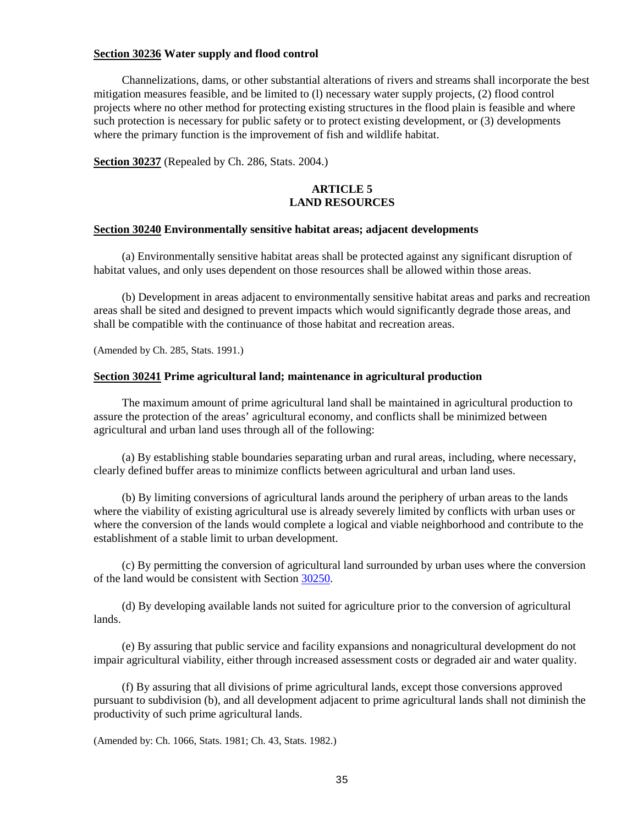#### <span id="page-35-0"></span>**Section 30236 Water supply and flood control**

Channelizations, dams, or other substantial alterations of rivers and streams shall incorporate the best mitigation measures feasible, and be limited to (l) necessary water supply projects, (2) flood control projects where no other method for protecting existing structures in the flood plain is feasible and where such protection is necessary for public safety or to protect existing development, or (3) developments where the primary function is the improvement of fish and wildlife habitat.

<span id="page-35-1"></span>**Section 30237** (Repealed by Ch. 286, Stats. 2004.)

## **ARTICLE 5 LAND RESOURCES**

## <span id="page-35-2"></span>**Section 30240 Environmentally sensitive habitat areas; adjacent developments**

(a) Environmentally sensitive habitat areas shall be protected against any significant disruption of habitat values, and only uses dependent on those resources shall be allowed within those areas.

(b) Development in areas adjacent to environmentally sensitive habitat areas and parks and recreation areas shall be sited and designed to prevent impacts which would significantly degrade those areas, and shall be compatible with the continuance of those habitat and recreation areas.

(Amended by Ch. 285, Stats. 1991.)

#### <span id="page-35-3"></span>**Section 30241 Prime agricultural land; maintenance in agricultural production**

The maximum amount of prime agricultural land shall be maintained in agricultural production to assure the protection of the areas' agricultural economy, and conflicts shall be minimized between agricultural and urban land uses through all of the following:

(a) By establishing stable boundaries separating urban and rural areas, including, where necessary, clearly defined buffer areas to minimize conflicts between agricultural and urban land uses.

(b) By limiting conversions of agricultural lands around the periphery of urban areas to the lands where the viability of existing agricultural use is already severely limited by conflicts with urban uses or where the conversion of the lands would complete a logical and viable neighborhood and contribute to the establishment of a stable limit to urban development.

(c) By permitting the conversion of agricultural land surrounded by urban uses where the conversion of the land would be consistent with Section [30250.](#page-36-3)

(d) By developing available lands not suited for agriculture prior to the conversion of agricultural lands.

(e) By assuring that public service and facility expansions and nonagricultural development do not impair agricultural viability, either through increased assessment costs or degraded air and water quality.

(f) By assuring that all divisions of prime agricultural lands, except those conversions approved pursuant to subdivision (b), and all development adjacent to prime agricultural lands shall not diminish the productivity of such prime agricultural lands.

<span id="page-35-4"></span>(Amended by: Ch. 1066, Stats. 1981; Ch. 43, Stats. 1982.)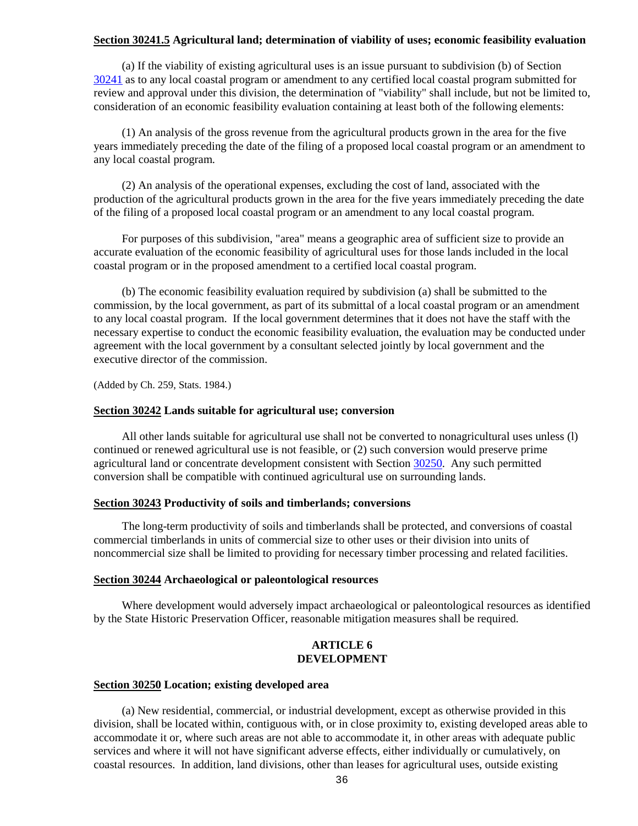### **Section 30241.5 Agricultural land; determination of viability of uses; economic feasibility evaluation**

(a) If the viability of existing agricultural uses is an issue pursuant to subdivision (b) of Section [30241](#page-35-0) as to any local coastal program or amendment to any certified local coastal program submitted for review and approval under this division, the determination of "viability" shall include, but not be limited to, consideration of an economic feasibility evaluation containing at least both of the following elements:

(1) An analysis of the gross revenue from the agricultural products grown in the area for the five years immediately preceding the date of the filing of a proposed local coastal program or an amendment to any local coastal program.

(2) An analysis of the operational expenses, excluding the cost of land, associated with the production of the agricultural products grown in the area for the five years immediately preceding the date of the filing of a proposed local coastal program or an amendment to any local coastal program.

For purposes of this subdivision, "area" means a geographic area of sufficient size to provide an accurate evaluation of the economic feasibility of agricultural uses for those lands included in the local coastal program or in the proposed amendment to a certified local coastal program.

(b) The economic feasibility evaluation required by subdivision (a) shall be submitted to the commission, by the local government, as part of its submittal of a local coastal program or an amendment to any local coastal program. If the local government determines that it does not have the staff with the necessary expertise to conduct the economic feasibility evaluation, the evaluation may be conducted under agreement with the local government by a consultant selected jointly by local government and the executive director of the commission.

(Added by Ch. 259, Stats. 1984.)

#### **Section 30242 Lands suitable for agricultural use; conversion**

All other lands suitable for agricultural use shall not be converted to nonagricultural uses unless (l) continued or renewed agricultural use is not feasible, or (2) such conversion would preserve prime agricultural land or concentrate development consistent with Section [30250.](#page-36-0) Any such permitted conversion shall be compatible with continued agricultural use on surrounding lands.

#### **Section 30243 Productivity of soils and timberlands; conversions**

The long-term productivity of soils and timberlands shall be protected, and conversions of coastal commercial timberlands in units of commercial size to other uses or their division into units of noncommercial size shall be limited to providing for necessary timber processing and related facilities.

#### **Section 30244 Archaeological or paleontological resources**

Where development would adversely impact archaeological or paleontological resources as identified by the State Historic Preservation Officer, reasonable mitigation measures shall be required.

#### **ARTICLE 6 DEVELOPMENT**

### <span id="page-36-0"></span>**Section 30250 Location; existing developed area**

(a) New residential, commercial, or industrial development, except as otherwise provided in this division, shall be located within, contiguous with, or in close proximity to, existing developed areas able to accommodate it or, where such areas are not able to accommodate it, in other areas with adequate public services and where it will not have significant adverse effects, either individually or cumulatively, on coastal resources. In addition, land divisions, other than leases for agricultural uses, outside existing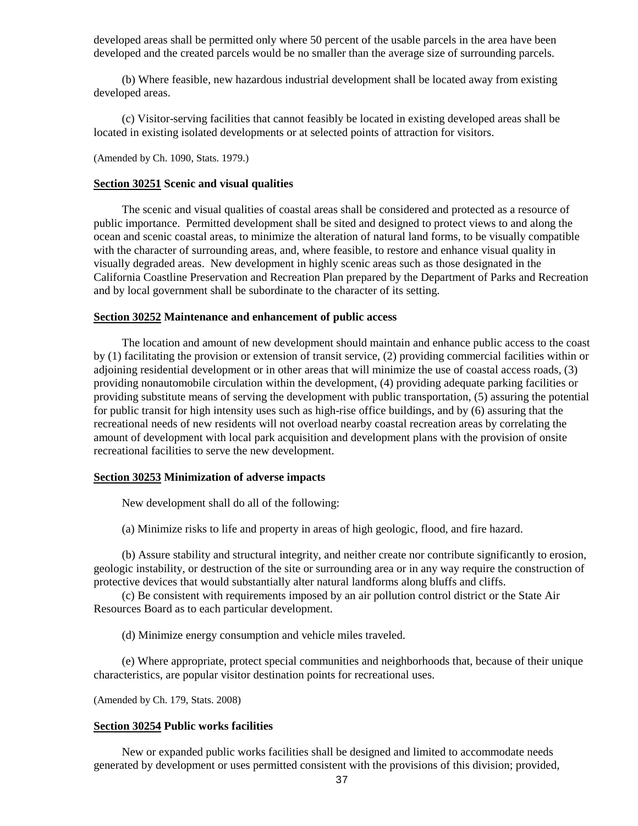developed areas shall be permitted only where 50 percent of the usable parcels in the area have been developed and the created parcels would be no smaller than the average size of surrounding parcels.

(b) Where feasible, new hazardous industrial development shall be located away from existing developed areas.

(c) Visitor-serving facilities that cannot feasibly be located in existing developed areas shall be located in existing isolated developments or at selected points of attraction for visitors.

(Amended by Ch. 1090, Stats. 1979.)

#### **Section 30251 Scenic and visual qualities**

The scenic and visual qualities of coastal areas shall be considered and protected as a resource of public importance. Permitted development shall be sited and designed to protect views to and along the ocean and scenic coastal areas, to minimize the alteration of natural land forms, to be visually compatible with the character of surrounding areas, and, where feasible, to restore and enhance visual quality in visually degraded areas. New development in highly scenic areas such as those designated in the California Coastline Preservation and Recreation Plan prepared by the Department of Parks and Recreation and by local government shall be subordinate to the character of its setting.

#### **Section 30252 Maintenance and enhancement of public access**

The location and amount of new development should maintain and enhance public access to the coast by (1) facilitating the provision or extension of transit service, (2) providing commercial facilities within or adjoining residential development or in other areas that will minimize the use of coastal access roads, (3) providing nonautomobile circulation within the development, (4) providing adequate parking facilities or providing substitute means of serving the development with public transportation, (5) assuring the potential for public transit for high intensity uses such as high-rise office buildings, and by (6) assuring that the recreational needs of new residents will not overload nearby coastal recreation areas by correlating the amount of development with local park acquisition and development plans with the provision of onsite recreational facilities to serve the new development.

#### **Section 30253 Minimization of adverse impacts**

New development shall do all of the following:

(a) Minimize risks to life and property in areas of high geologic, flood, and fire hazard.

(b) Assure stability and structural integrity, and neither create nor contribute significantly to erosion, geologic instability, or destruction of the site or surrounding area or in any way require the construction of protective devices that would substantially alter natural landforms along bluffs and cliffs.

(c) Be consistent with requirements imposed by an air pollution control district or the State Air Resources Board as to each particular development.

(d) Minimize energy consumption and vehicle miles traveled.

(e) Where appropriate, protect special communities and neighborhoods that, because of their unique characteristics, are popular visitor destination points for recreational uses.

(Amended by Ch. 179, Stats. 2008)

#### <span id="page-37-0"></span>**Section 30254 Public works facilities**

New or expanded public works facilities shall be designed and limited to accommodate needs generated by development or uses permitted consistent with the provisions of this division; provided,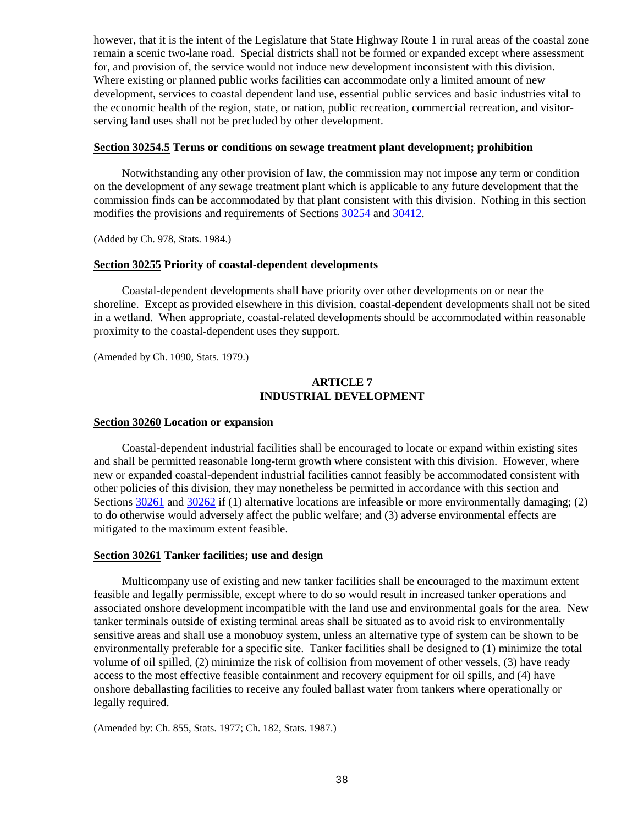however, that it is the intent of the Legislature that State Highway Route 1 in rural areas of the coastal zone remain a scenic two-lane road. Special districts shall not be formed or expanded except where assessment for, and provision of, the service would not induce new development inconsistent with this division. Where existing or planned public works facilities can accommodate only a limited amount of new development, services to coastal dependent land use, essential public services and basic industries vital to the economic health of the region, state, or nation, public recreation, commercial recreation, and visitorserving land uses shall not be precluded by other development.

#### **Section 30254.5 Terms or conditions on sewage treatment plant development; prohibition**

Notwithstanding any other provision of law, the commission may not impose any term or condition on the development of any sewage treatment plant which is applicable to any future development that the commission finds can be accommodated by that plant consistent with this division. Nothing in this section modifies the provisions and requirements of Sections [30254](#page-37-0) and [30412.](#page-68-0)

(Added by Ch. 978, Stats. 1984.)

#### **Section 30255 Priority of coastal-dependent developments**

Coastal-dependent developments shall have priority over other developments on or near the shoreline. Except as provided elsewhere in this division, coastal-dependent developments shall not be sited in a wetland. When appropriate, coastal-related developments should be accommodated within reasonable proximity to the coastal-dependent uses they support.

(Amended by Ch. 1090, Stats. 1979.)

#### **ARTICLE 7 INDUSTRIAL DEVELOPMENT**

#### <span id="page-38-2"></span>**Section 30260 Location or expansion**

Coastal-dependent industrial facilities shall be encouraged to locate or expand within existing sites and shall be permitted reasonable long-term growth where consistent with this division. However, where new or expanded coastal-dependent industrial facilities cannot feasibly be accommodated consistent with other policies of this division, they may nonetheless be permitted in accordance with this section and Sections [30261](#page-38-0) and [30262](#page-38-1) if (1) alternative locations are infeasible or more environmentally damaging; (2) to do otherwise would adversely affect the public welfare; and (3) adverse environmental effects are mitigated to the maximum extent feasible.

#### <span id="page-38-0"></span>**Section 30261 Tanker facilities; use and design**

Multicompany use of existing and new tanker facilities shall be encouraged to the maximum extent feasible and legally permissible, except where to do so would result in increased tanker operations and associated onshore development incompatible with the land use and environmental goals for the area. New tanker terminals outside of existing terminal areas shall be situated as to avoid risk to environmentally sensitive areas and shall use a monobuoy system, unless an alternative type of system can be shown to be environmentally preferable for a specific site. Tanker facilities shall be designed to (1) minimize the total volume of oil spilled, (2) minimize the risk of collision from movement of other vessels, (3) have ready access to the most effective feasible containment and recovery equipment for oil spills, and (4) have onshore deballasting facilities to receive any fouled ballast water from tankers where operationally or legally required.

<span id="page-38-1"></span>(Amended by: Ch. 855, Stats. 1977; Ch. 182, Stats. 1987.)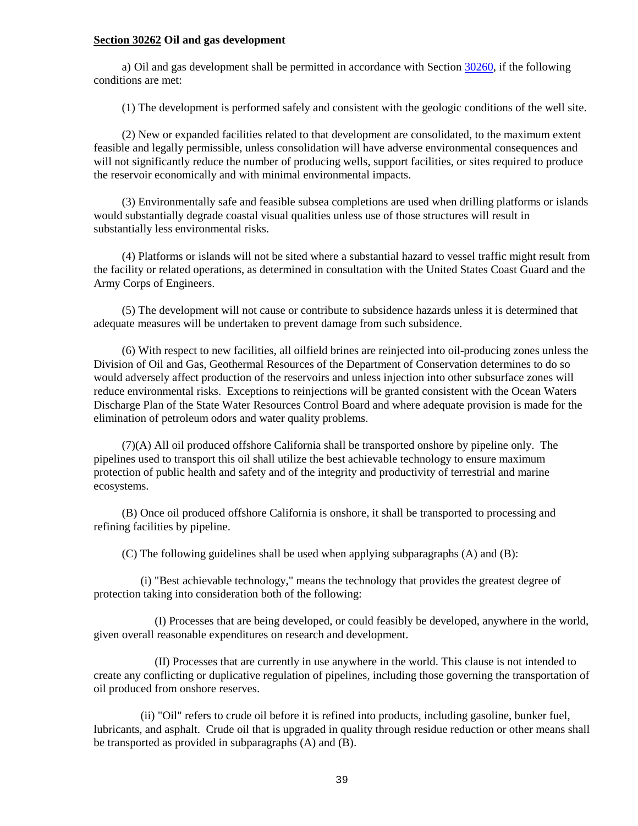#### **Section 30262 Oil and gas development**

a) Oil and gas development shall be permitted in accordance with Section [30260,](#page-38-2) if the following conditions are met:

(1) The development is performed safely and consistent with the geologic conditions of the well site.

(2) New or expanded facilities related to that development are consolidated, to the maximum extent feasible and legally permissible, unless consolidation will have adverse environmental consequences and will not significantly reduce the number of producing wells, support facilities, or sites required to produce the reservoir economically and with minimal environmental impacts.

(3) Environmentally safe and feasible subsea completions are used when drilling platforms or islands would substantially degrade coastal visual qualities unless use of those structures will result in substantially less environmental risks.

(4) Platforms or islands will not be sited where a substantial hazard to vessel traffic might result from the facility or related operations, as determined in consultation with the United States Coast Guard and the Army Corps of Engineers.

(5) The development will not cause or contribute to subsidence hazards unless it is determined that adequate measures will be undertaken to prevent damage from such subsidence.

(6) With respect to new facilities, all oilfield brines are reinjected into oil-producing zones unless the Division of Oil and Gas, Geothermal Resources of the Department of Conservation determines to do so would adversely affect production of the reservoirs and unless injection into other subsurface zones will reduce environmental risks. Exceptions to reinjections will be granted consistent with the Ocean Waters Discharge Plan of the State Water Resources Control Board and where adequate provision is made for the elimination of petroleum odors and water quality problems.

(7)(A) All oil produced offshore California shall be transported onshore by pipeline only. The pipelines used to transport this oil shall utilize the best achievable technology to ensure maximum protection of public health and safety and of the integrity and productivity of terrestrial and marine ecosystems.

(B) Once oil produced offshore California is onshore, it shall be transported to processing and refining facilities by pipeline.

(C) The following guidelines shall be used when applying subparagraphs (A) and (B):

(i) "Best achievable technology," means the technology that provides the greatest degree of protection taking into consideration both of the following:

(I) Processes that are being developed, or could feasibly be developed, anywhere in the world, given overall reasonable expenditures on research and development.

(II) Processes that are currently in use anywhere in the world. This clause is not intended to create any conflicting or duplicative regulation of pipelines, including those governing the transportation of oil produced from onshore reserves.

(ii) "Oil" refers to crude oil before it is refined into products, including gasoline, bunker fuel, lubricants, and asphalt. Crude oil that is upgraded in quality through residue reduction or other means shall be transported as provided in subparagraphs (A) and (B).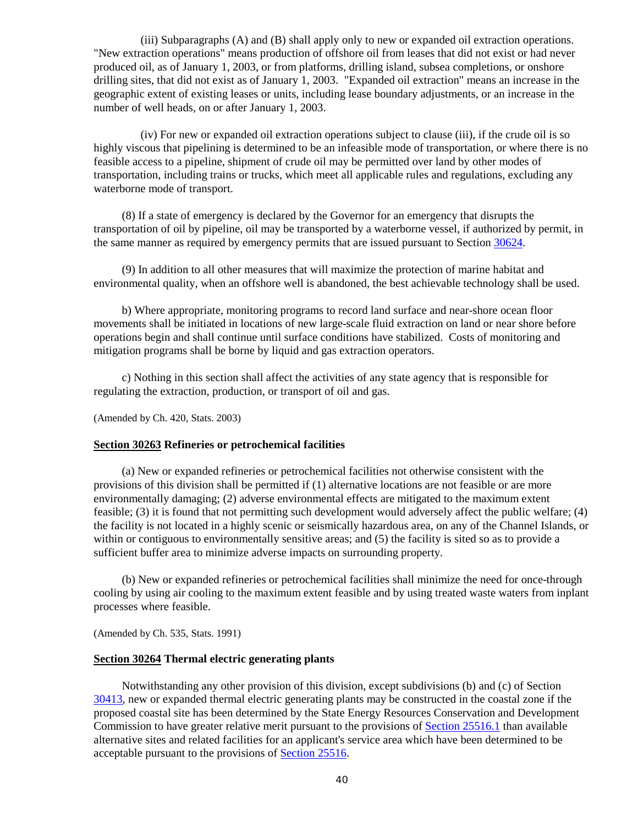(iii) Subparagraphs (A) and (B) shall apply only to new or expanded oil extraction operations. "New extraction operations" means production of offshore oil from leases that did not exist or had never produced oil, as of January 1, 2003, or from platforms, drilling island, subsea completions, or onshore drilling sites, that did not exist as of January 1, 2003. "Expanded oil extraction" means an increase in the geographic extent of existing leases or units, including lease boundary adjustments, or an increase in the number of well heads, on or after January 1, 2003.

(iv) For new or expanded oil extraction operations subject to clause (iii), if the crude oil is so highly viscous that pipelining is determined to be an infeasible mode of transportation, or where there is no feasible access to a pipeline, shipment of crude oil may be permitted over land by other modes of transportation, including trains or trucks, which meet all applicable rules and regulations, excluding any waterborne mode of transport.

(8) If a state of emergency is declared by the Governor for an emergency that disrupts the transportation of oil by pipeline, oil may be transported by a waterborne vessel, if authorized by permit, in the same manner as required by emergency permits that are issued pursuant to Section [30624.](#page-115-0)

(9) In addition to all other measures that will maximize the protection of marine habitat and environmental quality, when an offshore well is abandoned, the best achievable technology shall be used.

b) Where appropriate, monitoring programs to record land surface and near-shore ocean floor movements shall be initiated in locations of new large-scale fluid extraction on land or near shore before operations begin and shall continue until surface conditions have stabilized. Costs of monitoring and mitigation programs shall be borne by liquid and gas extraction operators.

c) Nothing in this section shall affect the activities of any state agency that is responsible for regulating the extraction, production, or transport of oil and gas.

(Amended by Ch. 420, Stats. 2003)

## **Section 30263 Refineries or petrochemical facilities**

(a) New or expanded refineries or petrochemical facilities not otherwise consistent with the provisions of this division shall be permitted if (1) alternative locations are not feasible or are more environmentally damaging; (2) adverse environmental effects are mitigated to the maximum extent feasible; (3) it is found that not permitting such development would adversely affect the public welfare; (4) the facility is not located in a highly scenic or seismically hazardous area, on any of the Channel Islands, or within or contiguous to environmentally sensitive areas; and  $(5)$  the facility is sited so as to provide a sufficient buffer area to minimize adverse impacts on surrounding property.

(b) New or expanded refineries or petrochemical facilities shall minimize the need for once-through cooling by using air cooling to the maximum extent feasible and by using treated waste waters from inplant processes where feasible.

(Amended by Ch. 535, Stats. 1991)

#### **Section 30264 Thermal electric generating plants**

Notwithstanding any other provision of this division, except subdivisions (b) and (c) of Section [30413,](#page-69-0) new or expanded thermal electric generating plants may be constructed in the coastal zone if the proposed coastal site has been determined by the State Energy Resources Conservation and Development Commission to have greater relative merit pursuant to the provisions of [Section 25516.1](http://leginfo.legislature.ca.gov/faces/codes_displayexpandedbranch.xhtml?tocCode=PRC&division=15.&title=&part=&chapter=&article=) than available alternative sites and related facilities for an applicant's service area which have been determined to be acceptable pursuant to the provisions of [Section 25516.](http://leginfo.legislature.ca.gov/faces/codes_displayexpandedbranch.xhtml?tocCode=PRC&division=15.&title=&part=&chapter=&article=)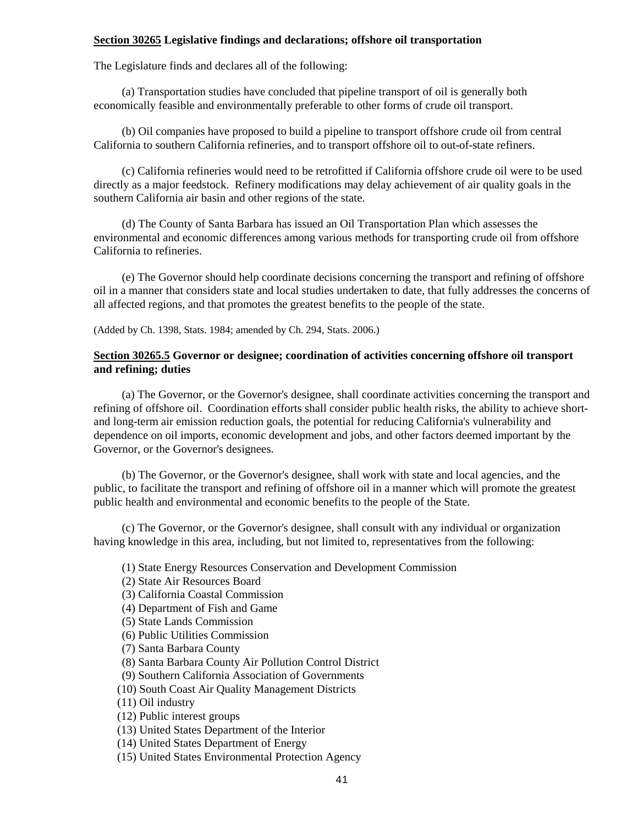#### **Section 30265 Legislative findings and declarations; offshore oil transportation**

The Legislature finds and declares all of the following:

(a) Transportation studies have concluded that pipeline transport of oil is generally both economically feasible and environmentally preferable to other forms of crude oil transport.

(b) Oil companies have proposed to build a pipeline to transport offshore crude oil from central California to southern California refineries, and to transport offshore oil to out-of-state refiners.

(c) California refineries would need to be retrofitted if California offshore crude oil were to be used directly as a major feedstock. Refinery modifications may delay achievement of air quality goals in the southern California air basin and other regions of the state.

(d) The County of Santa Barbara has issued an Oil Transportation Plan which assesses the environmental and economic differences among various methods for transporting crude oil from offshore California to refineries.

(e) The Governor should help coordinate decisions concerning the transport and refining of offshore oil in a manner that considers state and local studies undertaken to date, that fully addresses the concerns of all affected regions, and that promotes the greatest benefits to the people of the state.

(Added by Ch. 1398, Stats. 1984; amended by Ch. 294, Stats. 2006.)

## **Section 30265.5 Governor or designee; coordination of activities concerning offshore oil transport and refining; duties**

(a) The Governor, or the Governor's designee, shall coordinate activities concerning the transport and refining of offshore oil. Coordination efforts shall consider public health risks, the ability to achieve shortand long-term air emission reduction goals, the potential for reducing California's vulnerability and dependence on oil imports, economic development and jobs, and other factors deemed important by the Governor, or the Governor's designees.

(b) The Governor, or the Governor's designee, shall work with state and local agencies, and the public, to facilitate the transport and refining of offshore oil in a manner which will promote the greatest public health and environmental and economic benefits to the people of the State.

(c) The Governor, or the Governor's designee, shall consult with any individual or organization having knowledge in this area, including, but not limited to, representatives from the following:

- (1) State Energy Resources Conservation and Development Commission
- (2) State Air Resources Board
- (3) California Coastal Commission
- (4) Department of Fish and Game
- (5) State Lands Commission
- (6) Public Utilities Commission
- (7) Santa Barbara County
- (8) Santa Barbara County Air Pollution Control District
- (9) Southern California Association of Governments
- (10) South Coast Air Quality Management Districts
- (11) Oil industry
- (12) Public interest groups
- (13) United States Department of the Interior
- (14) United States Department of Energy
- (15) United States Environmental Protection Agency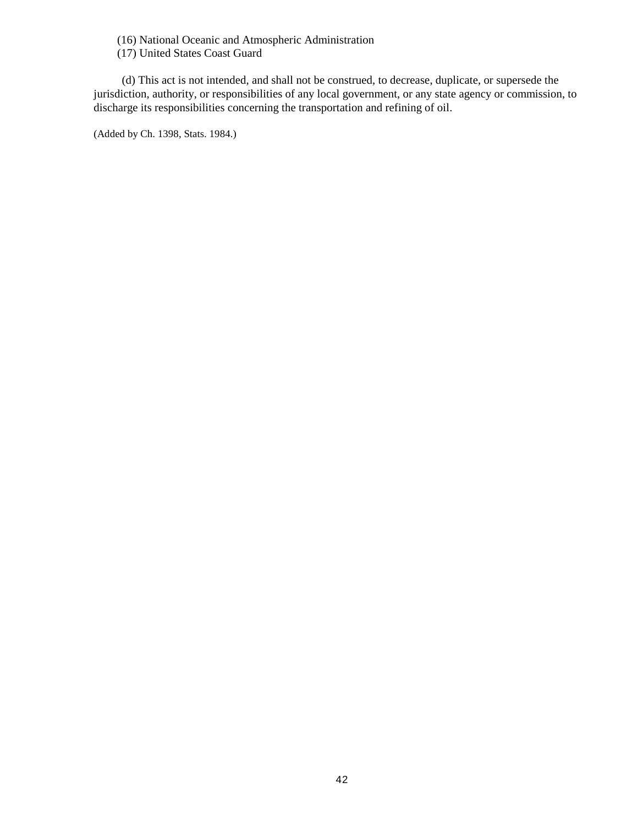(16) National Oceanic and Atmospheric Administration

(17) United States Coast Guard

(d) This act is not intended, and shall not be construed, to decrease, duplicate, or supersede the jurisdiction, authority, or responsibilities of any local government, or any state agency or commission, to discharge its responsibilities concerning the transportation and refining of oil.

(Added by Ch. 1398, Stats. 1984.)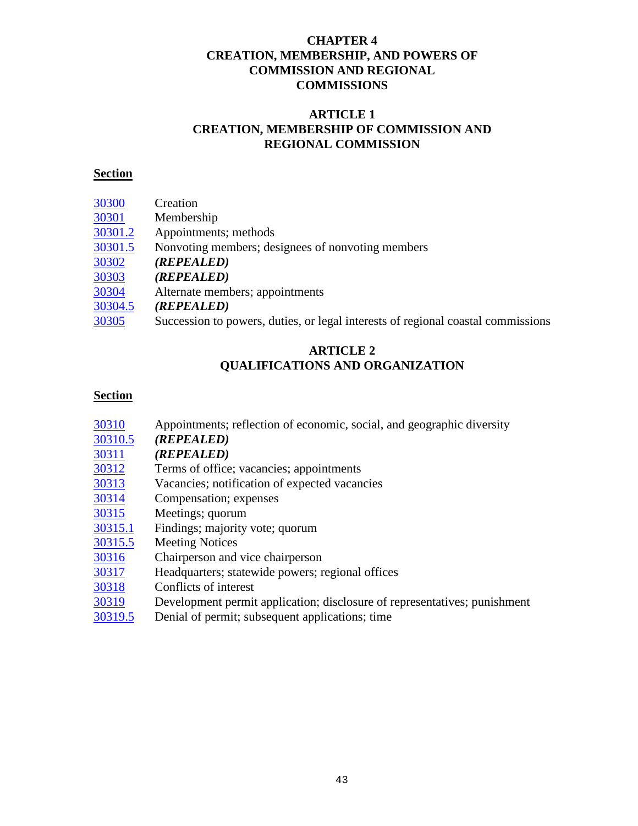# **CHAPTER 4 CREATION, MEMBERSHIP, AND POWERS OF COMMISSION AND REGIONAL COMMISSIONS**

# **ARTICLE 1 CREATION, MEMBERSHIP OF COMMISSION AND REGIONAL COMMISSION**

# **Section**

| 30300   | Creation                                                                         |
|---------|----------------------------------------------------------------------------------|
| 30301   | Membership                                                                       |
| 30301.2 | Appointments; methods                                                            |
| 30301.5 | Nonvoting members; designees of nonvoting members                                |
| 30302   | (REPEALED)                                                                       |
| 30303   | (REPEALED)                                                                       |
| 30304   | Alternate members; appointments                                                  |
| 30304.5 | (REPEALED)                                                                       |
| 30305   | Succession to powers, duties, or legal interests of regional coastal commissions |
|         |                                                                                  |

# **ARTICLE 2 QUALIFICATIONS AND ORGANIZATION**

- [30310](#page-48-2) Appointments; reflection of economic, social, and geographic diversity
- [30310.5](#page-48-3) *(REPEALED)*
- [30311](#page-48-4) *(REPEALED)*
- [30312](#page-48-5) Terms of office; vacancies; appointments
- [30313](#page-49-0) Vacancies; notification of expected vacancies
- [30314](#page-49-1) Compensation; expenses
- [30315](#page-49-2) Meetings; quorum
- [30315.1](#page-50-0) Findings; majority vote; quorum
- [30315.5](#page-50-1) Meeting Notices
- [30316](#page-50-1) Chairperson and vice chairperson
- [30317](#page-50-2) Headquarters; statewide powers; regional offices
- [30318](#page-50-3) Conflicts of interest
- [30319](#page-50-4) Development permit application; disclosure of representatives; punishment
- [30319.5](#page-51-0) Denial of permit; subsequent applications; time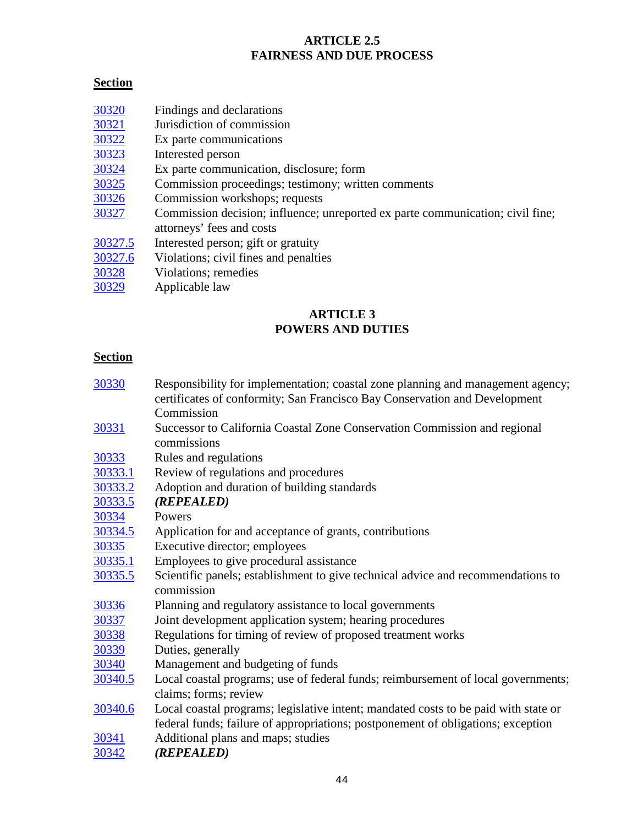# **ARTICLE 2.5 FAIRNESS AND DUE PROCESS**

# **Section**

- [30320](#page-51-1) Findings and declarations
- [30321](#page-51-2) Jurisdiction of commission
- [30322](#page-51-3) Ex parte communications
- [30323](#page-52-0) Interested person
- [30324](#page-52-1) Ex parte communication, disclosure; form
- [30325](#page-53-0) Commission proceedings; testimony; written comments
- [30326](#page-53-1) Commission workshops; requests
- [30327](#page-53-2) Commission decision; influence; unreported ex parte communication; civil fine; attorneys' fees and costs
- [30327.5](#page-53-3) Interested person; gift or gratuity
- [30327.6](#page-54-0) Violations; civil fines and penalties
- [30328](#page-54-1) Violations; remedies
- [30329](#page-55-0) Applicable law

# **ARTICLE 3 POWERS AND DUTIES**

- [30330](#page-55-1) Responsibility for implementation; coastal zone planning and management agency; certificates of conformity; San Francisco Bay Conservation and Development Commission
- [30331](#page-55-2) Successor to California Coastal Zone Conservation Commission and regional commissions
- [30333](#page-55-3) Rules and regulations
- [30333.1](#page-56-0) Review of regulations and procedures
- [30333.2](#page-56-1) Adoption and duration of building standards
- [30333.5](#page-56-2) *(REPEALED)*
- [30334](#page-56-3) Powers
- [30334.5](#page-56-4) Application for and acceptance of grants, contributions
- [30335](#page-56-5) Executive director; employees
- [30335.1](#page-57-0) Employees to give procedural assistance
- [30335.5](#page-57-1) Scientific panels; establishment to give technical advice and recommendations to commission
- [30336](#page-57-2) Planning and regulatory assistance to local governments
- [30337](#page-58-0) Joint development application system; hearing procedures
- [30338](#page-58-1) Regulations for timing of review of proposed treatment works
- [30339](#page-58-2) Duties, generally
- [30340](#page-58-3) Management and budgeting of funds
- [30340.5](#page-58-4) Local coastal programs; use of federal funds; reimbursement of local governments; claims; forms; review
- [30340.6](#page-59-0) Local coastal programs; legislative intent; mandated costs to be paid with state or federal funds; failure of appropriations; postponement of obligations; exception
- [30341](#page-60-0) Additional plans and maps; studies
- [30342](#page-60-1) *(REPEALED)*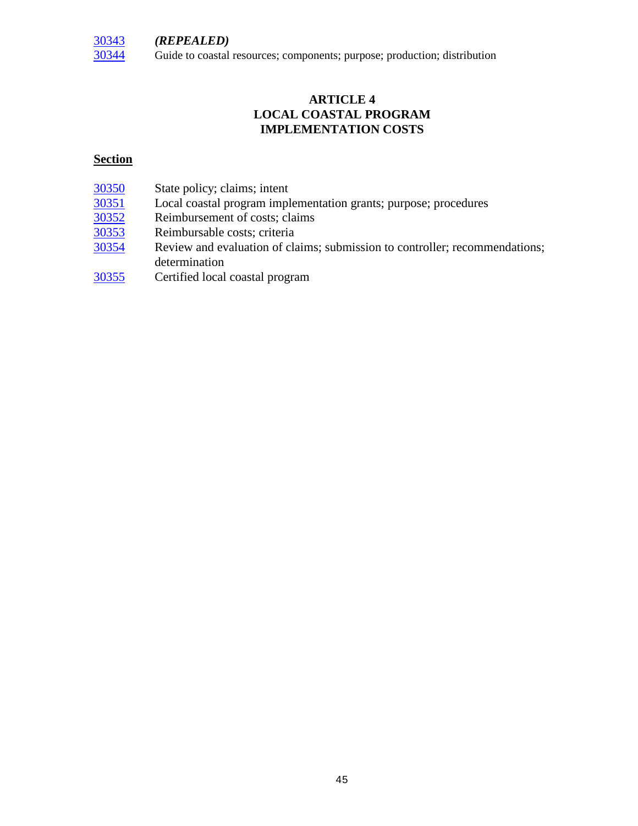

Guide to coastal resources; components; purpose; production; distribution

# **ARTICLE 4 LOCAL COASTAL PROGRAM IMPLEMENTATION COSTS**

| 30350 | State policy; claims; intent                                                |
|-------|-----------------------------------------------------------------------------|
| 30351 | Local coastal program implementation grants; purpose; procedures            |
| 30352 | Reimbursement of costs; claims                                              |
| 30353 | Reimbursable costs; criteria                                                |
| 30354 | Review and evaluation of claims; submission to controller; recommendations; |

- determination
- [30355](#page-64-0) Certified local coastal program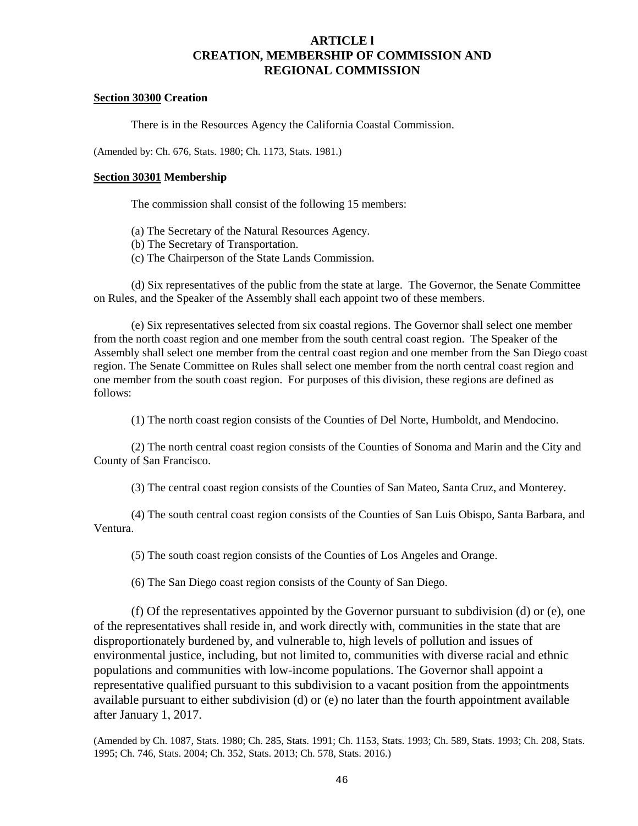# **ARTICLE l CREATION, MEMBERSHIP OF COMMISSION AND REGIONAL COMMISSION**

#### <span id="page-46-0"></span>**Section 30300 Creation**

There is in the Resources Agency the California Coastal Commission.

(Amended by: Ch. 676, Stats. 1980; Ch. 1173, Stats. 1981.)

#### <span id="page-46-1"></span>**Section 30301 Membership**

The commission shall consist of the following 15 members:

- (a) The Secretary of the Natural Resources Agency.
- (b) The Secretary of Transportation.
- (c) The Chairperson of the State Lands Commission.

(d) Six representatives of the public from the state at large. The Governor, the Senate Committee on Rules, and the Speaker of the Assembly shall each appoint two of these members.

(e) Six representatives selected from six coastal regions. The Governor shall select one member from the north coast region and one member from the south central coast region. The Speaker of the Assembly shall select one member from the central coast region and one member from the San Diego coast region. The Senate Committee on Rules shall select one member from the north central coast region and one member from the south coast region. For purposes of this division, these regions are defined as follows:

(1) The north coast region consists of the Counties of Del Norte, Humboldt, and Mendocino.

(2) The north central coast region consists of the Counties of Sonoma and Marin and the City and County of San Francisco.

(3) The central coast region consists of the Counties of San Mateo, Santa Cruz, and Monterey.

(4) The south central coast region consists of the Counties of San Luis Obispo, Santa Barbara, and Ventura.

(5) The south coast region consists of the Counties of Los Angeles and Orange.

(6) The San Diego coast region consists of the County of San Diego.

(f) Of the representatives appointed by the Governor pursuant to subdivision (d) or (e), one of the representatives shall reside in, and work directly with, communities in the state that are disproportionately burdened by, and vulnerable to, high levels of pollution and issues of environmental justice, including, but not limited to, communities with diverse racial and ethnic populations and communities with low-income populations. The Governor shall appoint a representative qualified pursuant to this subdivision to a vacant position from the appointments available pursuant to either subdivision (d) or (e) no later than the fourth appointment available after January 1, 2017.

<span id="page-46-2"></span>(Amended by Ch. 1087, Stats. 1980; Ch. 285, Stats. 1991; Ch. 1153, Stats. 1993; Ch. 589, Stats. 1993; Ch. 208, Stats. 1995; Ch. 746, Stats. 2004; Ch. 352, Stats. 2013; Ch. 578, Stats. 2016.)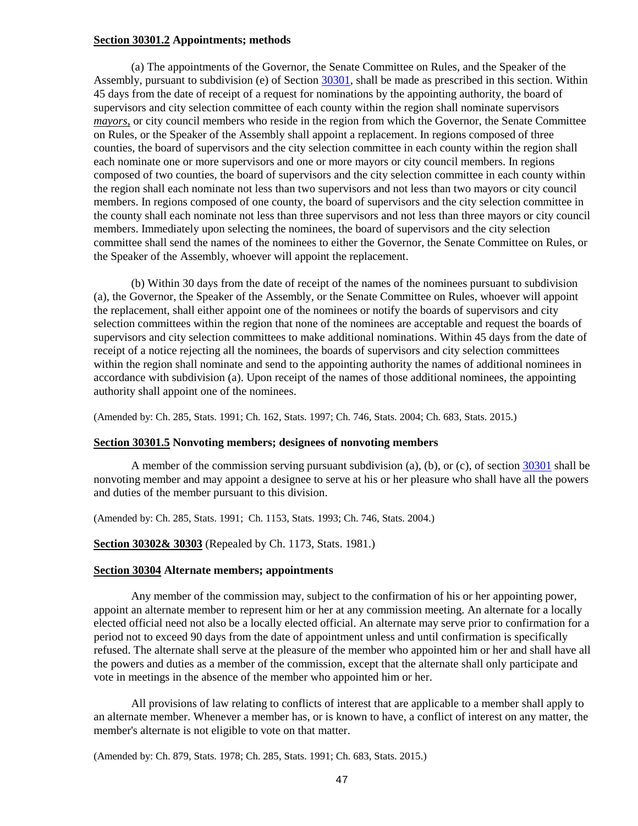#### **Section 30301.2 Appointments; methods**

(a) The appointments of the Governor, the Senate Committee on Rules, and the Speaker of the Assembly, pursuant to subdivision (e) of Section [30301,](#page-46-1) shall be made as prescribed in this section. Within 45 days from the date of receipt of a request for nominations by the appointing authority, the board of supervisors and city selection committee of each county within the region shall nominate supervisors *mayors,* or city council members who reside in the region from which the Governor, the Senate Committee on Rules, or the Speaker of the Assembly shall appoint a replacement. In regions composed of three counties, the board of supervisors and the city selection committee in each county within the region shall each nominate one or more supervisors and one or more mayors or city council members. In regions composed of two counties, the board of supervisors and the city selection committee in each county within the region shall each nominate not less than two supervisors and not less than two mayors or city council members. In regions composed of one county, the board of supervisors and the city selection committee in the county shall each nominate not less than three supervisors and not less than three mayors or city council members. Immediately upon selecting the nominees, the board of supervisors and the city selection committee shall send the names of the nominees to either the Governor, the Senate Committee on Rules, or the Speaker of the Assembly, whoever will appoint the replacement.

(b) Within 30 days from the date of receipt of the names of the nominees pursuant to subdivision (a), the Governor, the Speaker of the Assembly, or the Senate Committee on Rules, whoever will appoint the replacement, shall either appoint one of the nominees or notify the boards of supervisors and city selection committees within the region that none of the nominees are acceptable and request the boards of supervisors and city selection committees to make additional nominations. Within 45 days from the date of receipt of a notice rejecting all the nominees, the boards of supervisors and city selection committees within the region shall nominate and send to the appointing authority the names of additional nominees in accordance with subdivision (a). Upon receipt of the names of those additional nominees, the appointing authority shall appoint one of the nominees.

(Amended by: Ch. 285, Stats. 1991; Ch. 162, Stats. 1997; Ch. 746, Stats. 2004; Ch. 683, Stats. 2015.)

#### <span id="page-47-0"></span>**Section 30301.5 Nonvoting members; designees of nonvoting members**

A member of the commission serving pursuant subdivision (a), (b), or (c), of section [30301](#page-46-1) shall be nonvoting member and may appoint a designee to serve at his or her pleasure who shall have all the powers and duties of the member pursuant to this division.

(Amended by: Ch. 285, Stats. 1991; Ch. 1153, Stats. 1993; Ch. 746, Stats. 2004.)

<span id="page-47-1"></span>**Section 30302& 30303** (Repealed by Ch. 1173, Stats. 1981.)

#### <span id="page-47-2"></span>**Section 30304 Alternate members; appointments**

Any member of the commission may, subject to the confirmation of his or her appointing power, appoint an alternate member to represent him or her at any commission meeting. An alternate for a locally elected official need not also be a locally elected official. An alternate may serve prior to confirmation for a period not to exceed 90 days from the date of appointment unless and until confirmation is specifically refused. The alternate shall serve at the pleasure of the member who appointed him or her and shall have all the powers and duties as a member of the commission, except that the alternate shall only participate and vote in meetings in the absence of the member who appointed him or her.

All provisions of law relating to conflicts of interest that are applicable to a member shall apply to an alternate member. Whenever a member has, or is known to have, a conflict of interest on any matter, the member's alternate is not eligible to vote on that matter.

(Amended by: Ch. 879, Stats. 1978; Ch. 285, Stats. 1991; Ch. 683, Stats. 2015.)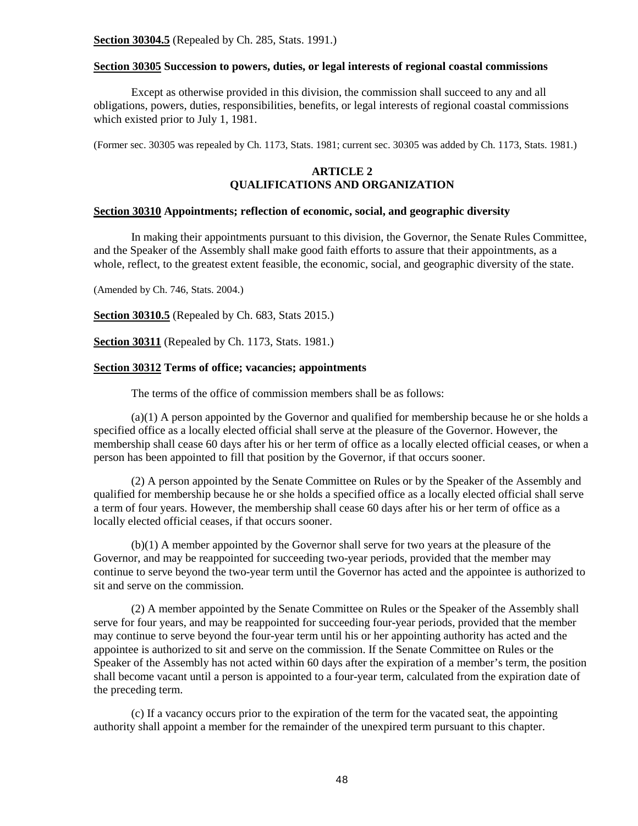#### <span id="page-48-1"></span><span id="page-48-0"></span>**Section 30305 Succession to powers, duties, or legal interests of regional coastal commissions**

Except as otherwise provided in this division, the commission shall succeed to any and all obligations, powers, duties, responsibilities, benefits, or legal interests of regional coastal commissions which existed prior to July 1, 1981.

(Former sec. 30305 was repealed by Ch. 1173, Stats. 1981; current sec. 30305 was added by Ch. 1173, Stats. 1981.)

## **ARTICLE 2 QUALIFICATIONS AND ORGANIZATION**

#### <span id="page-48-2"></span>**Section 30310 Appointments; reflection of economic, social, and geographic diversity**

In making their appointments pursuant to this division, the Governor, the Senate Rules Committee, and the Speaker of the Assembly shall make good faith efforts to assure that their appointments, as a whole, reflect, to the greatest extent feasible, the economic, social, and geographic diversity of the state.

(Amended by Ch. 746, Stats. 2004.)

<span id="page-48-3"></span>**Section 30310.5** (Repealed by Ch. 683, Stats 2015.)

<span id="page-48-4"></span>**Section 30311** (Repealed by Ch. 1173, Stats. 1981.)

### <span id="page-48-5"></span>**Section 30312 Terms of office; vacancies; appointments**

The terms of the office of commission members shall be as follows:

(a)(1) A person appointed by the Governor and qualified for membership because he or she holds a specified office as a locally elected official shall serve at the pleasure of the Governor. However, the membership shall cease 60 days after his or her term of office as a locally elected official ceases, or when a person has been appointed to fill that position by the Governor, if that occurs sooner.

(2) A person appointed by the Senate Committee on Rules or by the Speaker of the Assembly and qualified for membership because he or she holds a specified office as a locally elected official shall serve a term of four years. However, the membership shall cease 60 days after his or her term of office as a locally elected official ceases, if that occurs sooner.

(b)(1) A member appointed by the Governor shall serve for two years at the pleasure of the Governor, and may be reappointed for succeeding two-year periods, provided that the member may continue to serve beyond the two-year term until the Governor has acted and the appointee is authorized to sit and serve on the commission.

(2) A member appointed by the Senate Committee on Rules or the Speaker of the Assembly shall serve for four years, and may be reappointed for succeeding four-year periods, provided that the member may continue to serve beyond the four-year term until his or her appointing authority has acted and the appointee is authorized to sit and serve on the commission. If the Senate Committee on Rules or the Speaker of the Assembly has not acted within 60 days after the expiration of a member's term, the position shall become vacant until a person is appointed to a four-year term, calculated from the expiration date of the preceding term.

(c) If a vacancy occurs prior to the expiration of the term for the vacated seat, the appointing authority shall appoint a member for the remainder of the unexpired term pursuant to this chapter.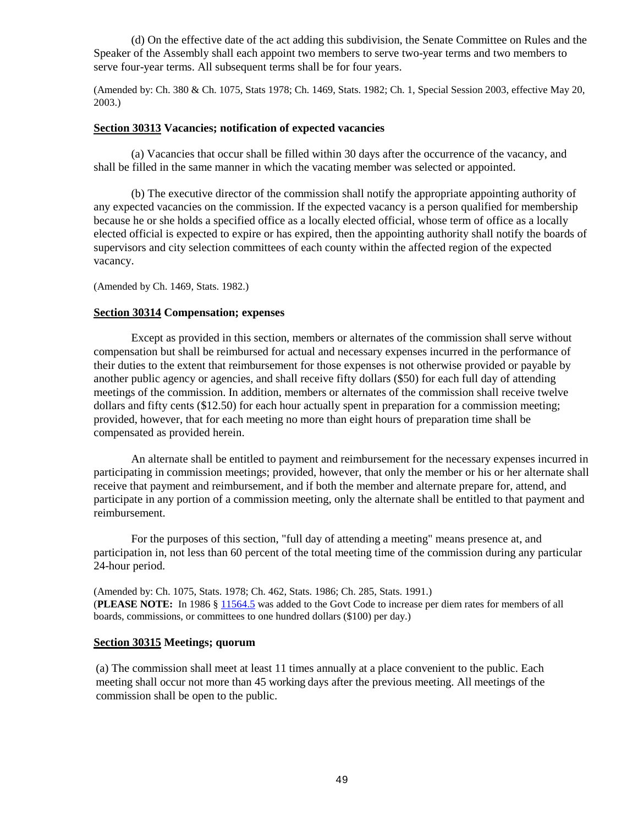(d) On the effective date of the act adding this subdivision, the Senate Committee on Rules and the Speaker of the Assembly shall each appoint two members to serve two-year terms and two members to serve four-year terms. All subsequent terms shall be for four years.

(Amended by: Ch. 380 & Ch. 1075, Stats 1978; Ch. 1469, Stats. 1982; Ch. 1, Special Session 2003, effective May 20, 2003.)

### <span id="page-49-0"></span>**Section 30313 Vacancies; notification of expected vacancies**

(a) Vacancies that occur shall be filled within 30 days after the occurrence of the vacancy, and shall be filled in the same manner in which the vacating member was selected or appointed.

(b) The executive director of the commission shall notify the appropriate appointing authority of any expected vacancies on the commission. If the expected vacancy is a person qualified for membership because he or she holds a specified office as a locally elected official, whose term of office as a locally elected official is expected to expire or has expired, then the appointing authority shall notify the boards of supervisors and city selection committees of each county within the affected region of the expected vacancy.

(Amended by Ch. 1469, Stats. 1982.)

#### <span id="page-49-1"></span>**Section 30314 Compensation; expenses**

Except as provided in this section, members or alternates of the commission shall serve without compensation but shall be reimbursed for actual and necessary expenses incurred in the performance of their duties to the extent that reimbursement for those expenses is not otherwise provided or payable by another public agency or agencies, and shall receive fifty dollars (\$50) for each full day of attending meetings of the commission. In addition, members or alternates of the commission shall receive twelve dollars and fifty cents (\$12.50) for each hour actually spent in preparation for a commission meeting; provided, however, that for each meeting no more than eight hours of preparation time shall be compensated as provided herein.

An alternate shall be entitled to payment and reimbursement for the necessary expenses incurred in participating in commission meetings; provided, however, that only the member or his or her alternate shall receive that payment and reimbursement, and if both the member and alternate prepare for, attend, and participate in any portion of a commission meeting, only the alternate shall be entitled to that payment and reimbursement.

For the purposes of this section, "full day of attending a meeting" means presence at, and participation in, not less than 60 percent of the total meeting time of the commission during any particular 24-hour period.

(Amended by: Ch. 1075, Stats. 1978; Ch. 462, Stats. 1986; Ch. 285, Stats. 1991.) (**PLEASE NOTE:** In 1986 § [11564.5](http://leginfo.legislature.ca.gov/faces/codes_displayText.xhtml?lawCode=GOV&division=3.&title=2.&part=1.&chapter=6.&article=1.) was added to the Govt Code to increase per diem rates for members of all boards, commissions, or committees to one hundred dollars (\$100) per day.)

## <span id="page-49-2"></span>**Section 30315 Meetings; quorum**

(a) The commission shall meet at least 11 times annually at a place convenient to the public. Each meeting shall occur not more than 45 working days after the previous meeting. All meetings of the commission shall be open to the public.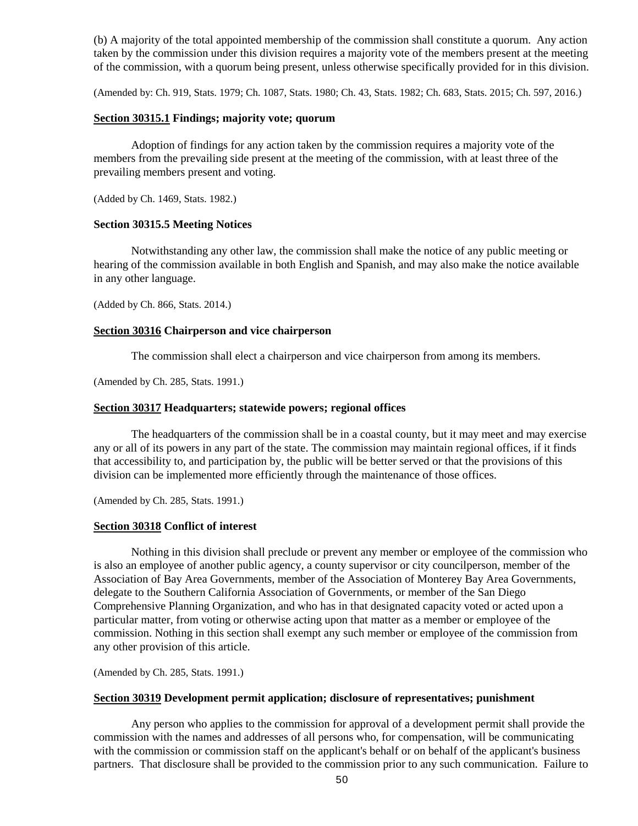(b) A majority of the total appointed membership of the commission shall constitute a quorum. Any action taken by the commission under this division requires a majority vote of the members present at the meeting of the commission, with a quorum being present, unless otherwise specifically provided for in this division.

(Amended by: Ch. 919, Stats. 1979; Ch. 1087, Stats. 1980; Ch. 43, Stats. 1982; Ch. 683, Stats. 2015; Ch. 597, 2016.)

#### <span id="page-50-0"></span>**Section 30315.1 Findings; majority vote; quorum**

Adoption of findings for any action taken by the commission requires a majority vote of the members from the prevailing side present at the meeting of the commission, with at least three of the prevailing members present and voting.

(Added by Ch. 1469, Stats. 1982.)

#### <span id="page-50-1"></span>**Section 30315.5 Meeting Notices**

Notwithstanding any other law, the commission shall make the notice of any public meeting or hearing of the commission available in both English and Spanish, and may also make the notice available in any other language.

(Added by Ch. 866, Stats. 2014.)

#### **Section 30316 Chairperson and vice chairperson**

The commission shall elect a chairperson and vice chairperson from among its members.

(Amended by Ch. 285, Stats. 1991.)

## <span id="page-50-2"></span>**Section 30317 Headquarters; statewide powers; regional offices**

The headquarters of the commission shall be in a coastal county, but it may meet and may exercise any or all of its powers in any part of the state. The commission may maintain regional offices, if it finds that accessibility to, and participation by, the public will be better served or that the provisions of this division can be implemented more efficiently through the maintenance of those offices.

(Amended by Ch. 285, Stats. 1991.)

#### <span id="page-50-3"></span>**Section 30318 Conflict of interest**

Nothing in this division shall preclude or prevent any member or employee of the commission who is also an employee of another public agency, a county supervisor or city councilperson, member of the Association of Bay Area Governments, member of the Association of Monterey Bay Area Governments, delegate to the Southern California Association of Governments, or member of the San Diego Comprehensive Planning Organization, and who has in that designated capacity voted or acted upon a particular matter, from voting or otherwise acting upon that matter as a member or employee of the commission. Nothing in this section shall exempt any such member or employee of the commission from any other provision of this article.

(Amended by Ch. 285, Stats. 1991.)

#### <span id="page-50-4"></span>**Section 30319 Development permit application; disclosure of representatives; punishment**

Any person who applies to the commission for approval of a development permit shall provide the commission with the names and addresses of all persons who, for compensation, will be communicating with the commission or commission staff on the applicant's behalf or on behalf of the applicant's business partners. That disclosure shall be provided to the commission prior to any such communication. Failure to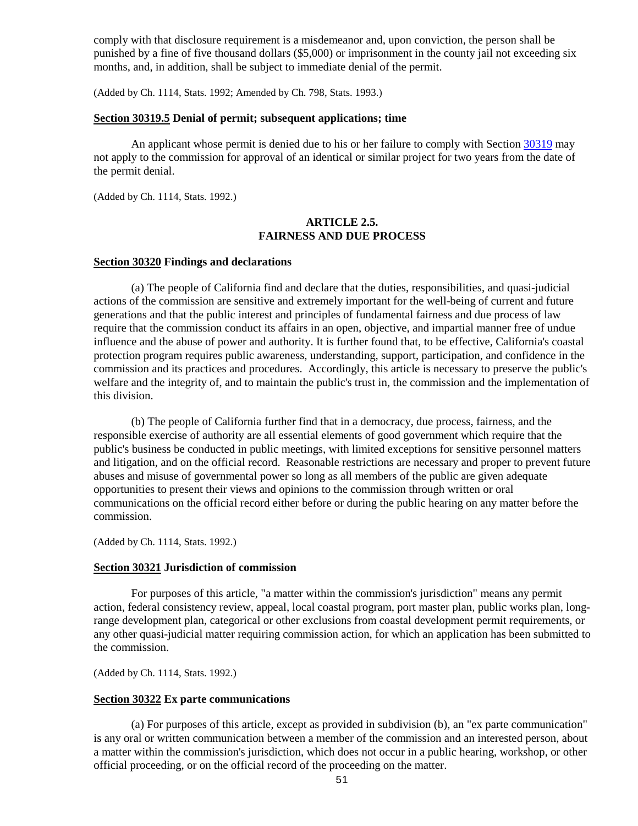comply with that disclosure requirement is a misdemeanor and, upon conviction, the person shall be punished by a fine of five thousand dollars (\$5,000) or imprisonment in the county jail not exceeding six months, and, in addition, shall be subject to immediate denial of the permit.

(Added by Ch. 1114, Stats. 1992; Amended by Ch. 798, Stats. 1993.)

#### <span id="page-51-0"></span>**Section 30319.5 Denial of permit; subsequent applications; time**

An applicant whose permit is denied due to his or her failure to comply with Sectio[n 30319](#page-50-4) may not apply to the commission for approval of an identical or similar project for two years from the date of the permit denial.

(Added by Ch. 1114, Stats. 1992.)

#### **ARTICLE 2.5. FAIRNESS AND DUE PROCESS**

#### <span id="page-51-1"></span>**Section 30320 Findings and declarations**

(a) The people of California find and declare that the duties, responsibilities, and quasi-judicial actions of the commission are sensitive and extremely important for the well-being of current and future generations and that the public interest and principles of fundamental fairness and due process of law require that the commission conduct its affairs in an open, objective, and impartial manner free of undue influence and the abuse of power and authority. It is further found that, to be effective, California's coastal protection program requires public awareness, understanding, support, participation, and confidence in the commission and its practices and procedures. Accordingly, this article is necessary to preserve the public's welfare and the integrity of, and to maintain the public's trust in, the commission and the implementation of this division.

(b) The people of California further find that in a democracy, due process, fairness, and the responsible exercise of authority are all essential elements of good government which require that the public's business be conducted in public meetings, with limited exceptions for sensitive personnel matters and litigation, and on the official record. Reasonable restrictions are necessary and proper to prevent future abuses and misuse of governmental power so long as all members of the public are given adequate opportunities to present their views and opinions to the commission through written or oral communications on the official record either before or during the public hearing on any matter before the commission.

(Added by Ch. 1114, Stats. 1992.)

#### <span id="page-51-2"></span>**Section 30321 Jurisdiction of commission**

For purposes of this article, "a matter within the commission's jurisdiction" means any permit action, federal consistency review, appeal, local coastal program, port master plan, public works plan, longrange development plan, categorical or other exclusions from coastal development permit requirements, or any other quasi-judicial matter requiring commission action, for which an application has been submitted to the commission.

(Added by Ch. 1114, Stats. 1992.)

#### <span id="page-51-3"></span>**Section 30322 Ex parte communications**

(a) For purposes of this article, except as provided in subdivision (b), an "ex parte communication" is any oral or written communication between a member of the commission and an interested person, about a matter within the commission's jurisdiction, which does not occur in a public hearing, workshop, or other official proceeding, or on the official record of the proceeding on the matter.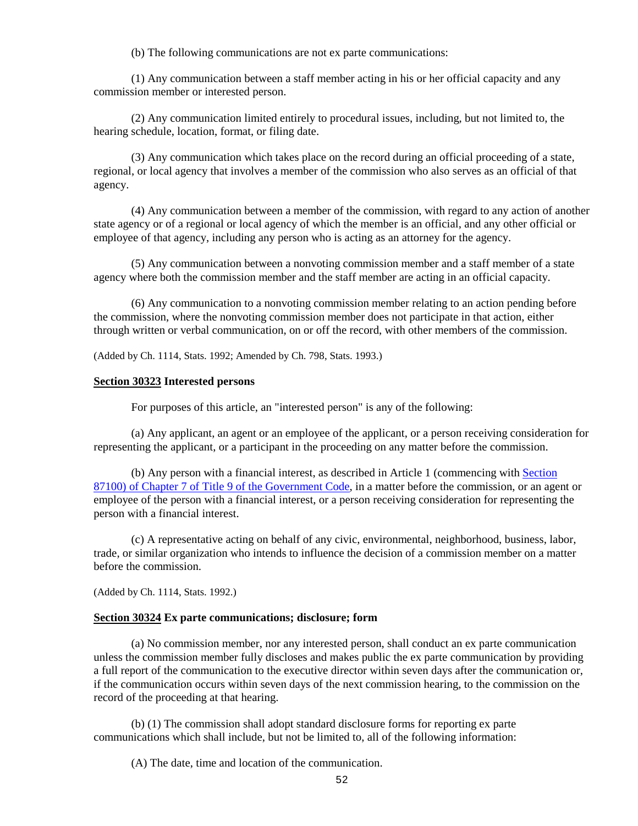(b) The following communications are not ex parte communications:

(1) Any communication between a staff member acting in his or her official capacity and any commission member or interested person.

(2) Any communication limited entirely to procedural issues, including, but not limited to, the hearing schedule, location, format, or filing date.

(3) Any communication which takes place on the record during an official proceeding of a state, regional, or local agency that involves a member of the commission who also serves as an official of that agency.

(4) Any communication between a member of the commission, with regard to any action of another state agency or of a regional or local agency of which the member is an official, and any other official or employee of that agency, including any person who is acting as an attorney for the agency.

(5) Any communication between a nonvoting commission member and a staff member of a state agency where both the commission member and the staff member are acting in an official capacity.

(6) Any communication to a nonvoting commission member relating to an action pending before the commission, where the nonvoting commission member does not participate in that action, either through written or verbal communication, on or off the record, with other members of the commission.

(Added by Ch. 1114, Stats. 1992; Amended by Ch. 798, Stats. 1993.)

#### <span id="page-52-0"></span>**Section 30323 Interested persons**

For purposes of this article, an "interested person" is any of the following:

(a) Any applicant, an agent or an employee of the applicant, or a person receiving consideration for representing the applicant, or a participant in the proceeding on any matter before the commission.

(b) Any person with a financial interest, as described in Article 1 (commencing wit[h Section](http://leginfo.legislature.ca.gov/faces/codes_displayText.xhtml?lawCode=GOV&division=&title=9.&part=&chapter=7.&article=1.)  [87100\) of Chapter 7 of Title 9 of the Government Code,](http://leginfo.legislature.ca.gov/faces/codes_displayText.xhtml?lawCode=GOV&division=&title=9.&part=&chapter=7.&article=1.) in a matter before the commission, or an agent or employee of the person with a financial interest, or a person receiving consideration for representing the person with a financial interest.

(c) A representative acting on behalf of any civic, environmental, neighborhood, business, labor, trade, or similar organization who intends to influence the decision of a commission member on a matter before the commission.

(Added by Ch. 1114, Stats. 1992.)

#### <span id="page-52-1"></span>**Section 30324 Ex parte communications; disclosure; form**

(a) No commission member, nor any interested person, shall conduct an ex parte communication unless the commission member fully discloses and makes public the ex parte communication by providing a full report of the communication to the executive director within seven days after the communication or, if the communication occurs within seven days of the next commission hearing, to the commission on the record of the proceeding at that hearing.

(b) (1) The commission shall adopt standard disclosure forms for reporting ex parte communications which shall include, but not be limited to, all of the following information:

(A) The date, time and location of the communication.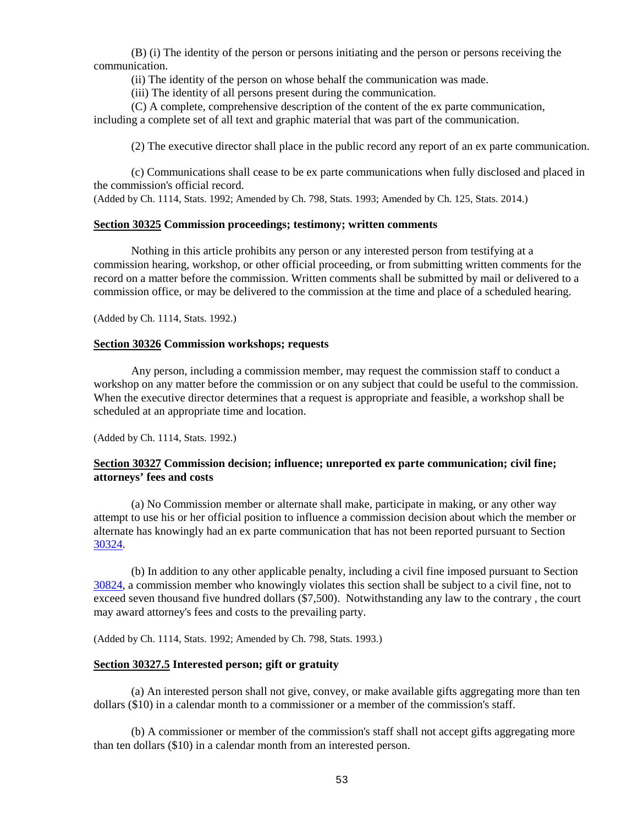(B) (i) The identity of the person or persons initiating and the person or persons receiving the communication.

(ii) The identity of the person on whose behalf the communication was made.

(iii) The identity of all persons present during the communication.

(C) A complete, comprehensive description of the content of the ex parte communication, including a complete set of all text and graphic material that was part of the communication.

(2) The executive director shall place in the public record any report of an ex parte communication.

(c) Communications shall cease to be ex parte communications when fully disclosed and placed in the commission's official record.

(Added by Ch. 1114, Stats. 1992; Amended by Ch. 798, Stats. 1993; Amended by Ch. 125, Stats. 2014.)

#### <span id="page-53-0"></span>**Section 30325 Commission proceedings; testimony; written comments**

Nothing in this article prohibits any person or any interested person from testifying at a commission hearing, workshop, or other official proceeding, or from submitting written comments for the record on a matter before the commission. Written comments shall be submitted by mail or delivered to a commission office, or may be delivered to the commission at the time and place of a scheduled hearing.

(Added by Ch. 1114, Stats. 1992.)

#### <span id="page-53-1"></span>**Section 30326 Commission workshops; requests**

Any person, including a commission member, may request the commission staff to conduct a workshop on any matter before the commission or on any subject that could be useful to the commission. When the executive director determines that a request is appropriate and feasible, a workshop shall be scheduled at an appropriate time and location.

(Added by Ch. 1114, Stats. 1992.)

### <span id="page-53-2"></span>**Section 30327 Commission decision; influence; unreported ex parte communication; civil fine; attorneys' fees and costs**

(a) No Commission member or alternate shall make, participate in making, or any other way attempt to use his or her official position to influence a commission decision about which the member or alternate has knowingly had an ex parte communication that has not been reported pursuant to Section [30324.](#page-52-1)

(b) In addition to any other applicable penalty, including a civil fine imposed pursuant to Section [30824,](#page-136-0) a commission member who knowingly violates this section shall be subject to a civil fine, not to exceed seven thousand five hundred dollars (\$7,500). Notwithstanding any law to the contrary , the court may award attorney's fees and costs to the prevailing party.

(Added by Ch. 1114, Stats. 1992; Amended by Ch. 798, Stats. 1993.)

#### <span id="page-53-3"></span>**Section 30327.5 Interested person; gift or gratuity**

(a) An interested person shall not give, convey, or make available gifts aggregating more than ten dollars (\$10) in a calendar month to a commissioner or a member of the commission's staff.

(b) A commissioner or member of the commission's staff shall not accept gifts aggregating more than ten dollars (\$10) in a calendar month from an interested person.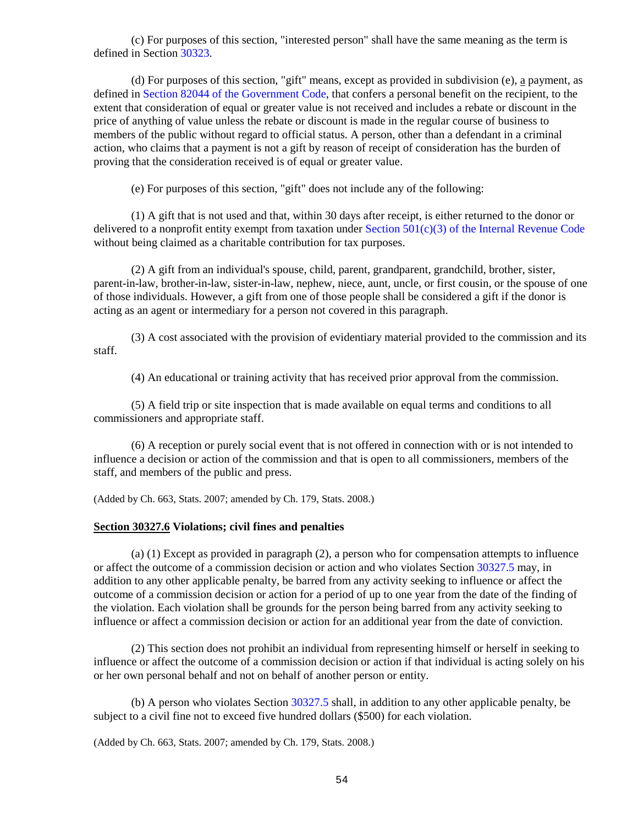(c) For purposes of this section, "interested person" shall have the same meaning as the term is defined in Section [30323.](#page-52-0)

(d) For purposes of this section, "gift" means, except as provided in subdivision (e),  $\underline{a}$  payment, as defined in [Section 82044 of the Government Code,](http://leginfo.legislature.ca.gov/faces/codes_displayText.xhtml?lawCode=GOV&division=&title=9.&part=&chapter=2.&article=) that confers a personal benefit on the recipient, to the extent that consideration of equal or greater value is not received and includes a rebate or discount in the price of anything of value unless the rebate or discount is made in the regular course of business to members of the public without regard to official status. A person, other than a defendant in a criminal action, who claims that a payment is not a gift by reason of receipt of consideration has the burden of proving that the consideration received is of equal or greater value.

(e) For purposes of this section, "gift" does not include any of the following:

(1) A gift that is not used and that, within 30 days after receipt, is either returned to the donor or delivered to a nonprofit entity exempt from taxation under Section  $501(c)(3)$  of the Internal Revenue Code without being claimed as a charitable contribution for tax purposes.

(2) A gift from an individual's spouse, child, parent, grandparent, grandchild, brother, sister, parent-in-law, brother-in-law, sister-in-law, nephew, niece, aunt, uncle, or first cousin, or the spouse of one of those individuals. However, a gift from one of those people shall be considered a gift if the donor is acting as an agent or intermediary for a person not covered in this paragraph.

(3) A cost associated with the provision of evidentiary material provided to the commission and its staff.

(4) An educational or training activity that has received prior approval from the commission.

(5) A field trip or site inspection that is made available on equal terms and conditions to all commissioners and appropriate staff.

(6) A reception or purely social event that is not offered in connection with or is not intended to influence a decision or action of the commission and that is open to all commissioners, members of the staff, and members of the public and press.

<span id="page-54-1"></span>(Added by Ch. 663, Stats. 2007; amended by Ch. 179, Stats. 2008.)

#### <span id="page-54-0"></span>**Section 30327.6 Violations; civil fines and penalties**

(a) (1) Except as provided in paragraph (2), a person who for compensation attempts to influence or affect the outcome of a commission decision or action and who violates Section [30327.5](#page-53-3) may, in addition to any other applicable penalty, be barred from any activity seeking to influence or affect the outcome of a commission decision or action for a period of up to one year from the date of the finding of the violation. Each violation shall be grounds for the person being barred from any activity seeking to influence or affect a commission decision or action for an additional year from the date of conviction.

(2) This section does not prohibit an individual from representing himself or herself in seeking to influence or affect the outcome of a commission decision or action if that individual is acting solely on his or her own personal behalf and not on behalf of another person or entity.

(b) A person who violates Section [30327.5](#page-53-3) shall, in addition to any other applicable penalty, be subject to a civil fine not to exceed five hundred dollars (\$500) for each violation.

(Added by Ch. 663, Stats. 2007; amended by Ch. 179, Stats. 2008.)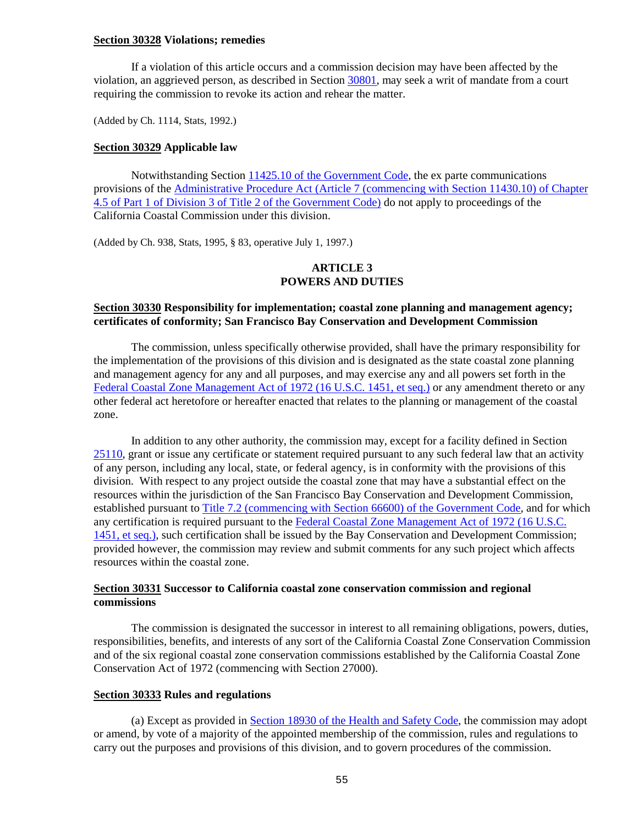#### **Section 30328 Violations; remedies**

If a violation of this article occurs and a commission decision may have been affected by the violation, an aggrieved person, as described in Section [30801,](#page-129-0) may seek a writ of mandate from a court requiring the commission to revoke its action and rehear the matter.

(Added by Ch. 1114, Stats, 1992.)

#### <span id="page-55-0"></span>**Section 30329 Applicable law**

Notwithstanding Section [11425.10 of the Government Code,](http://leginfo.legislature.ca.gov/faces/codes_displayText.xhtml?lawCode=GOV&division=3.&title=2.&part=1.&chapter=4.5.&article=6.) the ex parte communications provisions of the [Administrative Procedure Act \(Article 7 \(commencing with Section 11430.10\) of Chapter](http://leginfo.legislature.ca.gov/faces/codes_displayText.xhtml?lawCode=GOV&division=3.&title=2.&part=1.&chapter=4.5.&article=7.)  [4.5 of Part 1 of Division 3 of Title 2 of the Government Code\)](http://leginfo.legislature.ca.gov/faces/codes_displayText.xhtml?lawCode=GOV&division=3.&title=2.&part=1.&chapter=4.5.&article=7.) do not apply to proceedings of the California Coastal Commission under this division.

(Added by Ch. 938, Stats, 1995, § 83, operative July 1, 1997.)

#### **ARTICLE 3 POWERS AND DUTIES**

## <span id="page-55-1"></span>**Section 30330 Responsibility for implementation; coastal zone planning and management agency; certificates of conformity; San Francisco Bay Conservation and Development Commission**

The commission, unless specifically otherwise provided, shall have the primary responsibility for the implementation of the provisions of this division and is designated as the state coastal zone planning and management agency for any and all purposes, and may exercise any and all powers set forth in the [Federal Coastal Zone Management Act of 1972 \(16 U.S.C. 1451, et seq.\)](http://www.law.cornell.edu/uscode/) or any amendment thereto or any other federal act heretofore or hereafter enacted that relates to the planning or management of the coastal zone.

In addition to any other authority, the commission may, except for a facility defined in Section [25110,](http://leginfo.legislature.ca.gov/faces/codes_displayText.xhtml?lawCode=PRC&division=15.&title=&part=&chapter=2.&article=) grant or issue any certificate or statement required pursuant to any such federal law that an activity of any person, including any local, state, or federal agency, is in conformity with the provisions of this division. With respect to any project outside the coastal zone that may have a substantial effect on the resources within the jurisdiction of the San Francisco Bay Conservation and Development Commission, established pursuant to [Title 7.2 \(commencing with Section 66600\) of the Government Code,](http://leginfo.legislature.ca.gov/faces/codes_displayexpandedbranch.xhtml?tocCode=GOV&division=&title=7.2.&part=&chapter=&article=) and for which any certification is required pursuant to the [Federal Coastal Zone Management Act of 1972 \(16 U.S.C.](http://www.law.cornell.edu/uscode/)  [1451, et seq.\),](http://www.law.cornell.edu/uscode/) such certification shall be issued by the Bay Conservation and Development Commission; provided however, the commission may review and submit comments for any such project which affects resources within the coastal zone.

## <span id="page-55-2"></span>**Section 30331 Successor to California coastal zone conservation commission and regional commissions**

The commission is designated the successor in interest to all remaining obligations, powers, duties, responsibilities, benefits, and interests of any sort of the California Coastal Zone Conservation Commission and of the six regional coastal zone conservation commissions established by the California Coastal Zone Conservation Act of 1972 (commencing with Section 27000).

#### <span id="page-55-3"></span>**Section 30333 Rules and regulations**

(a) Except as provided in [Section 18930 of the Health and Safety Code,](http://leginfo.legislature.ca.gov/faces/codesTOCSelected.xhtml?tocCode=HSC&tocTitle=+Health+and+Safety+Code+-+HSC) the commission may adopt or amend, by vote of a majority of the appointed membership of the commission, rules and regulations to carry out the purposes and provisions of this division, and to govern procedures of the commission.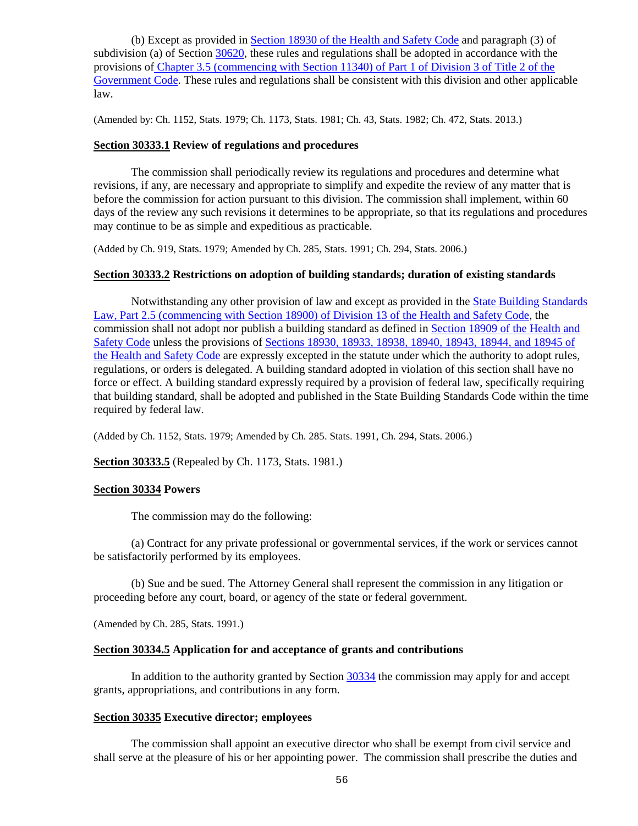(b) Except as provided in [Section 18930 of the Health and Safety Code](http://leginfo.legislature.ca.gov/faces/codesTOCSelected.xhtml?tocCode=HSC&tocTitle=+Health+and+Safety+Code+-+HSC) and paragraph (3) of subdivision (a) of Section [30620,](#page-112-0) these rules and regulations shall be adopted in accordance with the provisions of Chapter 3.5 [\(commencing with Section 11340\) of Part 1 of Division 3 of Title 2 of the](http://leginfo.legislature.ca.gov/faces/codes_displayexpandedbranch.xhtml?tocCode=GOV&division=&title=2.&part=&chapter=&article=)  [Government Code.](http://leginfo.legislature.ca.gov/faces/codes_displayexpandedbranch.xhtml?tocCode=GOV&division=&title=2.&part=&chapter=&article=) These rules and regulations shall be consistent with this division and other applicable law.

(Amended by: Ch. 1152, Stats. 1979; Ch. 1173, Stats. 1981; Ch. 43, Stats. 1982; Ch. 472, Stats. 2013.)

#### <span id="page-56-0"></span>**Section 30333.1 Review of regulations and procedures**

The commission shall periodically review its regulations and procedures and determine what revisions, if any, are necessary and appropriate to simplify and expedite the review of any matter that is before the commission for action pursuant to this division. The commission shall implement, within 60 days of the review any such revisions it determines to be appropriate, so that its regulations and procedures may continue to be as simple and expeditious as practicable.

(Added by Ch. 919, Stats. 1979; Amended by Ch. 285, Stats. 1991; Ch. 294, Stats. 2006.)

#### <span id="page-56-1"></span>**Section 30333.2 Restrictions on adoption of building standards; duration of existing standards**

Notwithstanding any other provision of law and except as provided in the [State Building Standards](http://leginfo.legislature.ca.gov/faces/codesTOCSelected.xhtml?tocCode=HSC&tocTitle=+Health+and+Safety+Code+-+HSC)  [Law, Part 2.5 \(commencing with Section 18900\) of Division 13 of the Health and Safety Code,](http://leginfo.legislature.ca.gov/faces/codesTOCSelected.xhtml?tocCode=HSC&tocTitle=+Health+and+Safety+Code+-+HSC) the commission shall not adopt nor publish a building standard as defined in [Section 18909 of the Health and](http://leginfo.legislature.ca.gov/faces/codesTOCSelected.xhtml?tocCode=HSC&tocTitle=+Health+and+Safety+Code+-+HSC)  [Safety Code](http://leginfo.legislature.ca.gov/faces/codesTOCSelected.xhtml?tocCode=HSC&tocTitle=+Health+and+Safety+Code+-+HSC) unless the provisions of [Sections 18930, 18933, 18938, 18940, 18943, 18944, and 18945 of](http://leginfo.legislature.ca.gov/faces/codesTOCSelected.xhtml?tocCode=HSC&tocTitle=+Health+and+Safety+Code+-+HSC)  [the Health and Safety Code](http://leginfo.legislature.ca.gov/faces/codesTOCSelected.xhtml?tocCode=HSC&tocTitle=+Health+and+Safety+Code+-+HSC) are expressly excepted in the statute under which the authority to adopt rules, regulations, or orders is delegated. A building standard adopted in violation of this section shall have no force or effect. A building standard expressly required by a provision of federal law, specifically requiring that building standard, shall be adopted and published in the State Building Standards Code within the time required by federal law.

(Added by Ch. 1152, Stats. 1979; Amended by Ch. 285. Stats. 1991, Ch. 294, Stats. 2006.)

<span id="page-56-2"></span>**Section 30333.5** (Repealed by Ch. 1173, Stats. 1981.)

#### <span id="page-56-3"></span>**Section 30334 Powers**

The commission may do the following:

(a) Contract for any private professional or governmental services, if the work or services cannot be satisfactorily performed by its employees.

(b) Sue and be sued. The Attorney General shall represent the commission in any litigation or proceeding before any court, board, or agency of the state or federal government.

(Amended by Ch. 285, Stats. 1991.)

#### <span id="page-56-4"></span>**Section 30334.5 Application for and acceptance of grants and contributions**

In addition to the authority granted by Section [30334](#page-56-3) the commission may apply for and accept grants, appropriations, and contributions in any form.

#### <span id="page-56-5"></span>**Section 30335 Executive director; employees**

The commission shall appoint an executive director who shall be exempt from civil service and shall serve at the pleasure of his or her appointing power. The commission shall prescribe the duties and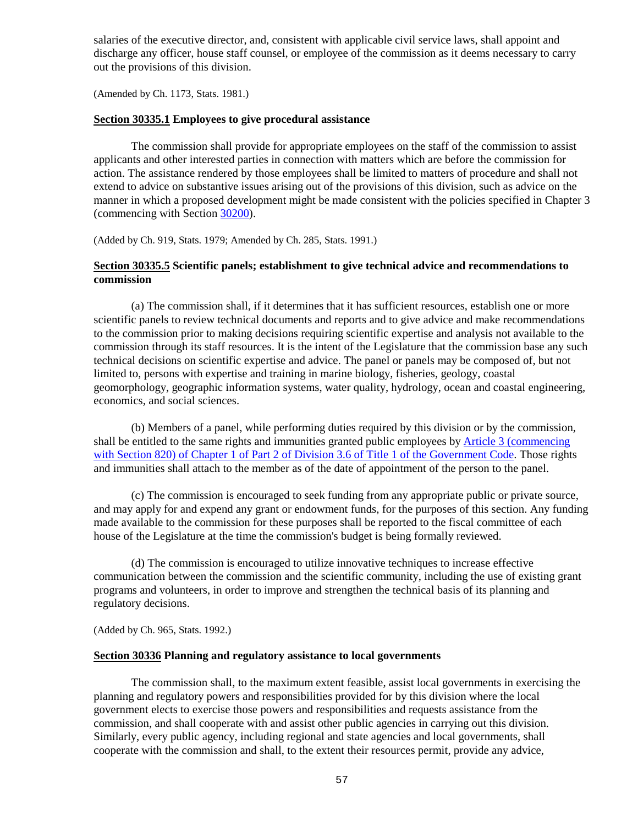salaries of the executive director, and, consistent with applicable civil service laws, shall appoint and discharge any officer, house staff counsel, or employee of the commission as it deems necessary to carry out the provisions of this division.

(Amended by Ch. 1173, Stats. 1981.)

#### <span id="page-57-0"></span>**Section 30335.1 Employees to give procedural assistance**

The commission shall provide for appropriate employees on the staff of the commission to assist applicants and other interested parties in connection with matters which are before the commission for action. The assistance rendered by those employees shall be limited to matters of procedure and shall not extend to advice on substantive issues arising out of the provisions of this division, such as advice on the manner in which a proposed development might be made consistent with the policies specified in Chapter 3 (commencing with Section [30200\)](#page-30-0).

(Added by Ch. 919, Stats. 1979; Amended by Ch. 285, Stats. 1991.)

## <span id="page-57-1"></span>**Section 30335.5 Scientific panels; establishment to give technical advice and recommendations to commission**

(a) The commission shall, if it determines that it has sufficient resources, establish one or more scientific panels to review technical documents and reports and to give advice and make recommendations to the commission prior to making decisions requiring scientific expertise and analysis not available to the commission through its staff resources. It is the intent of the Legislature that the commission base any such technical decisions on scientific expertise and advice. The panel or panels may be composed of, but not limited to, persons with expertise and training in marine biology, fisheries, geology, coastal geomorphology, geographic information systems, water quality, hydrology, ocean and coastal engineering, economics, and social sciences.

(b) Members of a panel, while performing duties required by this division or by the commission, shall be entitled to the same rights and immunities granted public employees by **Article 3** (commencing [with Section 820\) of Chapter 1 of Part 2 of Division 3.6 of Title 1 of the Government Code.](http://leginfo.legislature.ca.gov/faces/codesTOCSelected.xhtml?tocCode=GOV&tocTitle=+Government+Code+-+GOV) Those rights and immunities shall attach to the member as of the date of appointment of the person to the panel.

(c) The commission is encouraged to seek funding from any appropriate public or private source, and may apply for and expend any grant or endowment funds, for the purposes of this section. Any funding made available to the commission for these purposes shall be reported to the fiscal committee of each house of the Legislature at the time the commission's budget is being formally reviewed.

(d) The commission is encouraged to utilize innovative techniques to increase effective communication between the commission and the scientific community, including the use of existing grant programs and volunteers, in order to improve and strengthen the technical basis of its planning and regulatory decisions.

(Added by Ch. 965, Stats. 1992.)

#### <span id="page-57-2"></span>**Section 30336 Planning and regulatory assistance to local governments**

The commission shall, to the maximum extent feasible, assist local governments in exercising the planning and regulatory powers and responsibilities provided for by this division where the local government elects to exercise those powers and responsibilities and requests assistance from the commission, and shall cooperate with and assist other public agencies in carrying out this division. Similarly, every public agency, including regional and state agencies and local governments, shall cooperate with the commission and shall, to the extent their resources permit, provide any advice,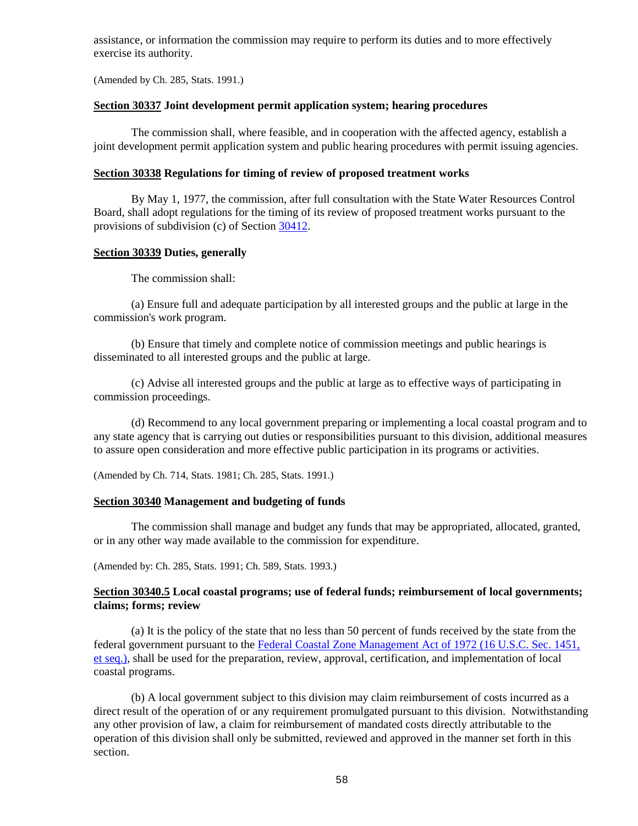assistance, or information the commission may require to perform its duties and to more effectively exercise its authority.

(Amended by Ch. 285, Stats. 1991.)

#### <span id="page-58-0"></span>**Section 30337 Joint development permit application system; hearing procedures**

The commission shall, where feasible, and in cooperation with the affected agency, establish a joint development permit application system and public hearing procedures with permit issuing agencies.

#### <span id="page-58-1"></span>**Section 30338 Regulations for timing of review of proposed treatment works**

By May 1, 1977, the commission, after full consultation with the State Water Resources Control Board, shall adopt regulations for the timing of its review of proposed treatment works pursuant to the provisions of subdivision (c) of Section [30412.](#page-68-0)

#### <span id="page-58-2"></span>**Section 30339 Duties, generally**

The commission shall:

(a) Ensure full and adequate participation by all interested groups and the public at large in the commission's work program.

(b) Ensure that timely and complete notice of commission meetings and public hearings is disseminated to all interested groups and the public at large.

(c) Advise all interested groups and the public at large as to effective ways of participating in commission proceedings.

(d) Recommend to any local government preparing or implementing a local coastal program and to any state agency that is carrying out duties or responsibilities pursuant to this division, additional measures to assure open consideration and more effective public participation in its programs or activities.

(Amended by Ch. 714, Stats. 1981; Ch. 285, Stats. 1991.)

#### <span id="page-58-3"></span>**Section 30340 Management and budgeting of funds**

The commission shall manage and budget any funds that may be appropriated, allocated, granted, or in any other way made available to the commission for expenditure.

(Amended by: Ch. 285, Stats. 1991; Ch. 589, Stats. 1993.)

## <span id="page-58-4"></span>**Section 30340.5 Local coastal programs; use of federal funds; reimbursement of local governments; claims; forms; review**

(a) It is the policy of the state that no less than 50 percent of funds received by the state from the federal government pursuant to the [Federal Coastal Zone Management Act of 1972 \(16 U.S.C. Sec.](http://www.law.cornell.edu/uscode/) 1451, [et seq.\),](http://www.law.cornell.edu/uscode/) shall be used for the preparation, review, approval, certification, and implementation of local coastal programs.

(b) A local government subject to this division may claim reimbursement of costs incurred as a direct result of the operation of or any requirement promulgated pursuant to this division. Notwithstanding any other provision of law, a claim for reimbursement of mandated costs directly attributable to the operation of this division shall only be submitted, reviewed and approved in the manner set forth in this section.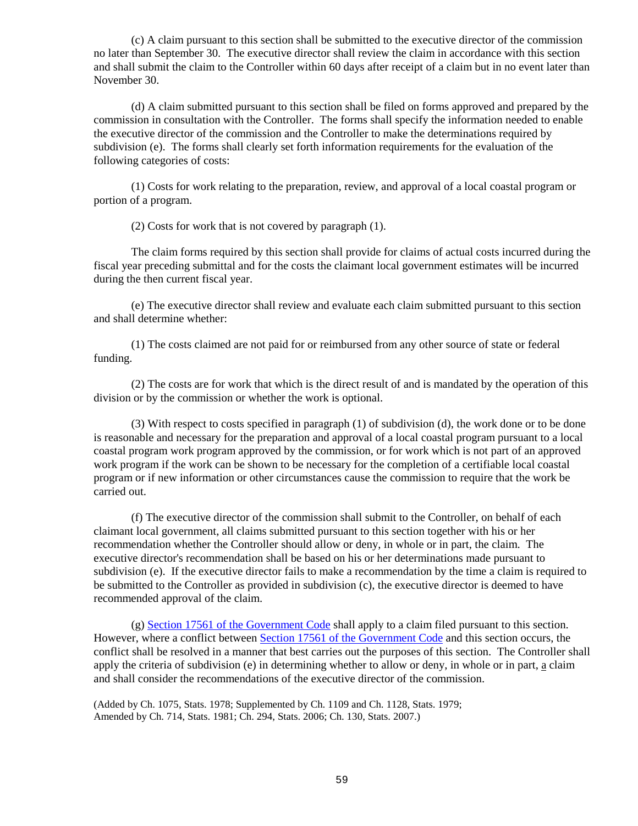(c) A claim pursuant to this section shall be submitted to the executive director of the commission no later than September 30. The executive director shall review the claim in accordance with this section and shall submit the claim to the Controller within 60 days after receipt of a claim but in no event later than November 30.

(d) A claim submitted pursuant to this section shall be filed on forms approved and prepared by the commission in consultation with the Controller. The forms shall specify the information needed to enable the executive director of the commission and the Controller to make the determinations required by subdivision (e). The forms shall clearly set forth information requirements for the evaluation of the following categories of costs:

(1) Costs for work relating to the preparation, review, and approval of a local coastal program or portion of a program.

(2) Costs for work that is not covered by paragraph (1).

The claim forms required by this section shall provide for claims of actual costs incurred during the fiscal year preceding submittal and for the costs the claimant local government estimates will be incurred during the then current fiscal year.

(e) The executive director shall review and evaluate each claim submitted pursuant to this section and shall determine whether:

(1) The costs claimed are not paid for or reimbursed from any other source of state or federal funding.

(2) The costs are for work that which is the direct result of and is mandated by the operation of this division or by the commission or whether the work is optional.

(3) With respect to costs specified in paragraph (1) of subdivision (d), the work done or to be done is reasonable and necessary for the preparation and approval of a local coastal program pursuant to a local coastal program work program approved by the commission, or for work which is not part of an approved work program if the work can be shown to be necessary for the completion of a certifiable local coastal program or if new information or other circumstances cause the commission to require that the work be carried out.

(f) The executive director of the commission shall submit to the Controller, on behalf of each claimant local government, all claims submitted pursuant to this section together with his or her recommendation whether the Controller should allow or deny, in whole or in part, the claim. The executive director's recommendation shall be based on his or her determinations made pursuant to subdivision (e). If the executive director fails to make a recommendation by the time a claim is required to be submitted to the Controller as provided in subdivision (c), the executive director is deemed to have recommended approval of the claim.

(g) [Section 17561 of the Government Code](http://leginfo.legislature.ca.gov/faces/codes_displayText.xhtml?lawCode=GOV&division=4.&title=2.&part=7.&chapter=4.&article=1.) shall apply to a claim filed pursuant to this section. However, where a conflict between [Section 17561 of the Government Code](http://leginfo.legislature.ca.gov/faces/codes_displayText.xhtml?lawCode=GOV&division=4.&title=2.&part=7.&chapter=4.&article=1.) and this section occurs, the conflict shall be resolved in a manner that best carries out the purposes of this section. The Controller shall apply the criteria of subdivision (e) in determining whether to allow or deny, in whole or in part,  $\underline{a}$  claim and shall consider the recommendations of the executive director of the commission.

<span id="page-59-0"></span>(Added by Ch. 1075, Stats. 1978; Supplemented by Ch. 1109 and Ch. 1128, Stats. 1979; Amended by Ch. 714, Stats. 1981; Ch. 294, Stats. 2006; Ch. 130, Stats. 2007.)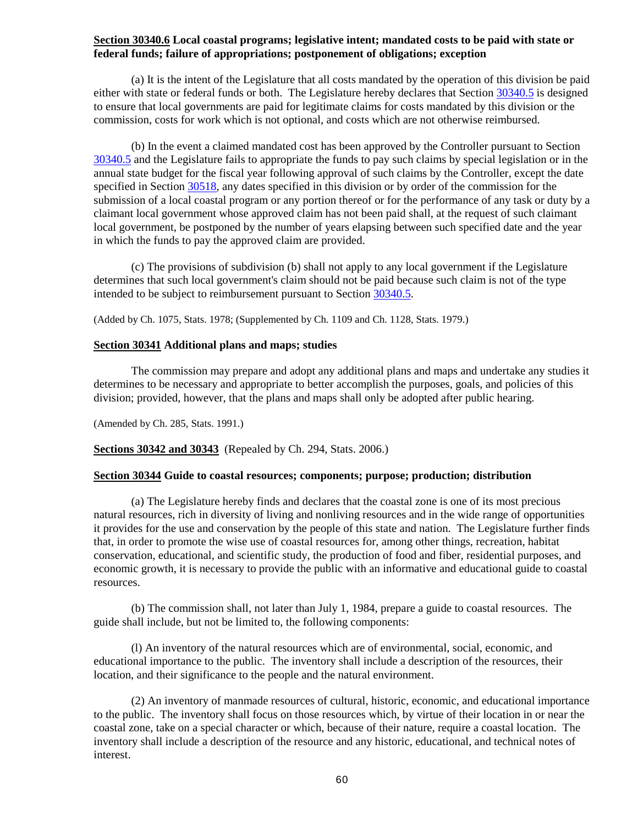## **Section 30340.6 Local coastal programs; legislative intent; mandated costs to be paid with state or federal funds; failure of appropriations; postponement of obligations; exception**

(a) It is the intent of the Legislature that all costs mandated by the operation of this division be paid either with state or federal funds or both. The Legislature hereby declares that Section [30340.5](#page-58-4) is designed to ensure that local governments are paid for legitimate claims for costs mandated by this division or the commission, costs for work which is not optional, and costs which are not otherwise reimbursed.

(b) In the event a claimed mandated cost has been approved by the Controller pursuant to Section [30340.5](#page-58-4) and the Legislature fails to appropriate the funds to pay such claims by special legislation or in the annual state budget for the fiscal year following approval of such claims by the Controller, except the date specified in Section [30518,](#page-82-0) any dates specified in this division or by order of the commission for the submission of a local coastal program or any portion thereof or for the performance of any task or duty by a claimant local government whose approved claim has not been paid shall, at the request of such claimant local government, be postponed by the number of years elapsing between such specified date and the year in which the funds to pay the approved claim are provided.

(c) The provisions of subdivision (b) shall not apply to any local government if the Legislature determines that such local government's claim should not be paid because such claim is not of the type intended to be subject to reimbursement pursuant to Section [30340.5.](#page-58-4)

(Added by Ch. 1075, Stats. 1978; (Supplemented by Ch. 1109 and Ch. 1128, Stats. 1979.)

## <span id="page-60-0"></span>**Section 30341 Additional plans and maps; studies**

The commission may prepare and adopt any additional plans and maps and undertake any studies it determines to be necessary and appropriate to better accomplish the purposes, goals, and policies of this division; provided, however, that the plans and maps shall only be adopted after public hearing.

(Amended by Ch. 285, Stats. 1991.)

## <span id="page-60-1"></span>**Sections 30342 and 30343** (Repealed by Ch. 294, Stats. 2006.)

## <span id="page-60-2"></span>**Section 30344 Guide to coastal resources; components; purpose; production; distribution**

(a) The Legislature hereby finds and declares that the coastal zone is one of its most precious natural resources, rich in diversity of living and nonliving resources and in the wide range of opportunities it provides for the use and conservation by the people of this state and nation. The Legislature further finds that, in order to promote the wise use of coastal resources for, among other things, recreation, habitat conservation, educational, and scientific study, the production of food and fiber, residential purposes, and economic growth, it is necessary to provide the public with an informative and educational guide to coastal resources.

(b) The commission shall, not later than July 1, 1984, prepare a guide to coastal resources. The guide shall include, but not be limited to, the following components:

(l) An inventory of the natural resources which are of environmental, social, economic, and educational importance to the public. The inventory shall include a description of the resources, their location, and their significance to the people and the natural environment.

(2) An inventory of manmade resources of cultural, historic, economic, and educational importance to the public. The inventory shall focus on those resources which, by virtue of their location in or near the coastal zone, take on a special character or which, because of their nature, require a coastal location. The inventory shall include a description of the resource and any historic, educational, and technical notes of interest.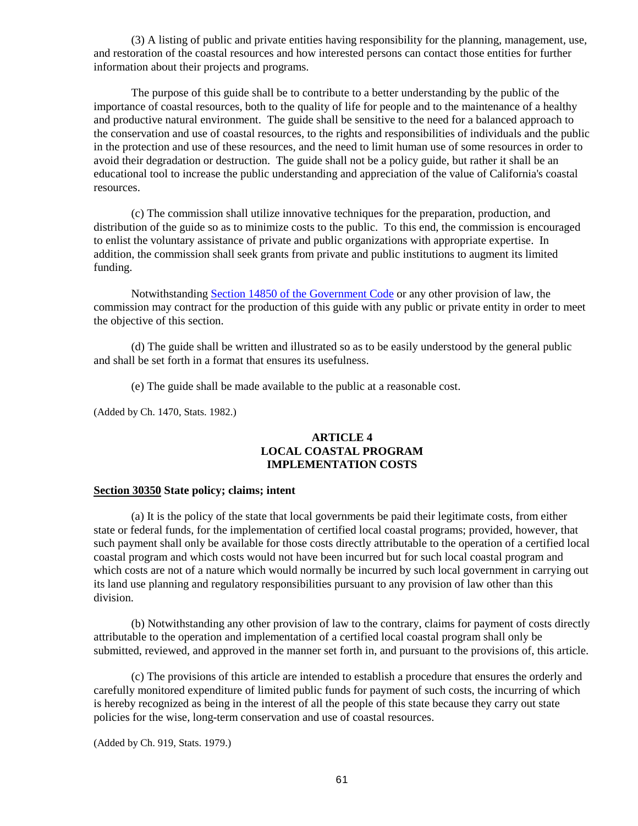(3) A listing of public and private entities having responsibility for the planning, management, use, and restoration of the coastal resources and how interested persons can contact those entities for further information about their projects and programs.

The purpose of this guide shall be to contribute to a better understanding by the public of the importance of coastal resources, both to the quality of life for people and to the maintenance of a healthy and productive natural environment. The guide shall be sensitive to the need for a balanced approach to the conservation and use of coastal resources, to the rights and responsibilities of individuals and the public in the protection and use of these resources, and the need to limit human use of some resources in order to avoid their degradation or destruction. The guide shall not be a policy guide, but rather it shall be an educational tool to increase the public understanding and appreciation of the value of California's coastal resources.

(c) The commission shall utilize innovative techniques for the preparation, production, and distribution of the guide so as to minimize costs to the public. To this end, the commission is encouraged to enlist the voluntary assistance of private and public organizations with appropriate expertise. In addition, the commission shall seek grants from private and public institutions to augment its limited funding.

Notwithstanding [Section 14850 of the Government Code](http://leginfo.legislature.ca.gov/faces/codes_displayexpandedbranch.xhtml?tocCode=GOV&division=3.&title=2.&part=5.5.&chapter=7.&article=) or any other provision of law, the commission may contract for the production of this guide with any public or private entity in order to meet the objective of this section.

(d) The guide shall be written and illustrated so as to be easily understood by the general public and shall be set forth in a format that ensures its usefulness.

(e) The guide shall be made available to the public at a reasonable cost.

(Added by Ch. 1470, Stats. 1982.)

## **ARTICLE 4 LOCAL COASTAL PROGRAM IMPLEMENTATION COSTS**

#### <span id="page-61-0"></span>**Section 30350 State policy; claims; intent**

(a) It is the policy of the state that local governments be paid their legitimate costs, from either state or federal funds, for the implementation of certified local coastal programs; provided, however, that such payment shall only be available for those costs directly attributable to the operation of a certified local coastal program and which costs would not have been incurred but for such local coastal program and which costs are not of a nature which would normally be incurred by such local government in carrying out its land use planning and regulatory responsibilities pursuant to any provision of law other than this division.

(b) Notwithstanding any other provision of law to the contrary, claims for payment of costs directly attributable to the operation and implementation of a certified local coastal program shall only be submitted, reviewed, and approved in the manner set forth in, and pursuant to the provisions of, this article.

(c) The provisions of this article are intended to establish a procedure that ensures the orderly and carefully monitored expenditure of limited public funds for payment of such costs, the incurring of which is hereby recognized as being in the interest of all the people of this state because they carry out state policies for the wise, long-term conservation and use of coastal resources.

(Added by Ch. 919, Stats. 1979.)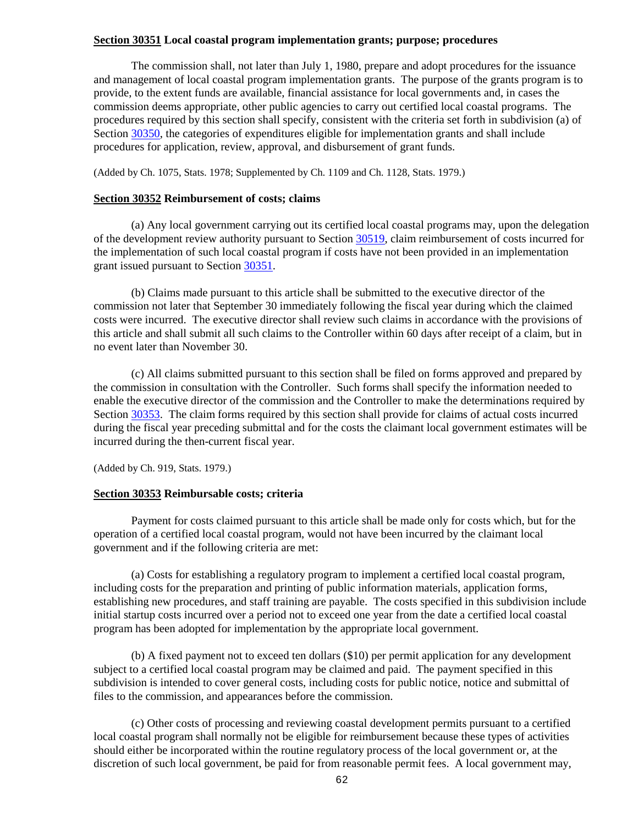## <span id="page-62-0"></span>**Section 30351 Local coastal program implementation grants; purpose; procedures**

The commission shall, not later than July 1, 1980, prepare and adopt procedures for the issuance and management of local coastal program implementation grants. The purpose of the grants program is to provide, to the extent funds are available, financial assistance for local governments and, in cases the commission deems appropriate, other public agencies to carry out certified local coastal programs. The procedures required by this section shall specify, consistent with the criteria set forth in subdivision (a) of Section [30350,](#page-61-0) the categories of expenditures eligible for implementation grants and shall include procedures for application, review, approval, and disbursement of grant funds.

(Added by Ch. 1075, Stats. 1978; Supplemented by Ch. 1109 and Ch. 1128, Stats. 1979.)

#### <span id="page-62-1"></span>**Section 30352 Reimbursement of costs; claims**

(a) Any local government carrying out its certified local coastal programs may, upon the delegation of the development review authority pursuant to Sectio[n 30519,](#page-82-1) claim reimbursement of costs incurred for the implementation of such local coastal program if costs have not been provided in an implementation grant issued pursuant to Section [30351.](#page-62-0)

(b) Claims made pursuant to this article shall be submitted to the executive director of the commission not later that September 30 immediately following the fiscal year during which the claimed costs were incurred. The executive director shall review such claims in accordance with the provisions of this article and shall submit all such claims to the Controller within 60 days after receipt of a claim, but in no event later than November 30.

(c) All claims submitted pursuant to this section shall be filed on forms approved and prepared by the commission in consultation with the Controller. Such forms shall specify the information needed to enable the executive director of the commission and the Controller to make the determinations required by Section [30353.](#page-62-2) The claim forms required by this section shall provide for claims of actual costs incurred during the fiscal year preceding submittal and for the costs the claimant local government estimates will be incurred during the then-current fiscal year.

(Added by Ch. 919, Stats. 1979.)

#### <span id="page-62-2"></span>**Section 30353 Reimbursable costs; criteria**

Payment for costs claimed pursuant to this article shall be made only for costs which, but for the operation of a certified local coastal program, would not have been incurred by the claimant local government and if the following criteria are met:

(a) Costs for establishing a regulatory program to implement a certified local coastal program, including costs for the preparation and printing of public information materials, application forms, establishing new procedures, and staff training are payable. The costs specified in this subdivision include initial startup costs incurred over a period not to exceed one year from the date a certified local coastal program has been adopted for implementation by the appropriate local government.

(b) A fixed payment not to exceed ten dollars (\$10) per permit application for any development subject to a certified local coastal program may be claimed and paid. The payment specified in this subdivision is intended to cover general costs, including costs for public notice, notice and submittal of files to the commission, and appearances before the commission.

(c) Other costs of processing and reviewing coastal development permits pursuant to a certified local coastal program shall normally not be eligible for reimbursement because these types of activities should either be incorporated within the routine regulatory process of the local government or, at the discretion of such local government, be paid for from reasonable permit fees. A local government may,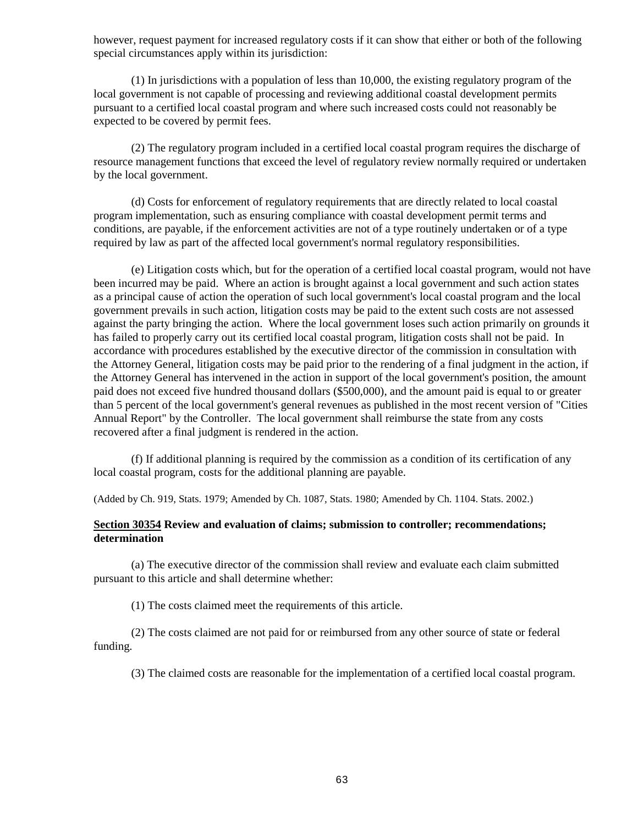however, request payment for increased regulatory costs if it can show that either or both of the following special circumstances apply within its jurisdiction:

(1) In jurisdictions with a population of less than 10,000, the existing regulatory program of the local government is not capable of processing and reviewing additional coastal development permits pursuant to a certified local coastal program and where such increased costs could not reasonably be expected to be covered by permit fees.

(2) The regulatory program included in a certified local coastal program requires the discharge of resource management functions that exceed the level of regulatory review normally required or undertaken by the local government.

(d) Costs for enforcement of regulatory requirements that are directly related to local coastal program implementation, such as ensuring compliance with coastal development permit terms and conditions, are payable, if the enforcement activities are not of a type routinely undertaken or of a type required by law as part of the affected local government's normal regulatory responsibilities.

(e) Litigation costs which, but for the operation of a certified local coastal program, would not have been incurred may be paid. Where an action is brought against a local government and such action states as a principal cause of action the operation of such local government's local coastal program and the local government prevails in such action, litigation costs may be paid to the extent such costs are not assessed against the party bringing the action. Where the local government loses such action primarily on grounds it has failed to properly carry out its certified local coastal program, litigation costs shall not be paid. In accordance with procedures established by the executive director of the commission in consultation with the Attorney General, litigation costs may be paid prior to the rendering of a final judgment in the action, if the Attorney General has intervened in the action in support of the local government's position, the amount paid does not exceed five hundred thousand dollars (\$500,000), and the amount paid is equal to or greater than 5 percent of the local government's general revenues as published in the most recent version of "Cities Annual Report" by the Controller. The local government shall reimburse the state from any costs recovered after a final judgment is rendered in the action.

(f) If additional planning is required by the commission as a condition of its certification of any local coastal program, costs for the additional planning are payable.

(Added by Ch. 919, Stats. 1979; Amended by Ch. 1087, Stats. 1980; Amended by Ch. 1104. Stats. 2002.)

## <span id="page-63-0"></span>**Section 30354 Review and evaluation of claims; submission to controller; recommendations; determination**

(a) The executive director of the commission shall review and evaluate each claim submitted pursuant to this article and shall determine whether:

(1) The costs claimed meet the requirements of this article.

(2) The costs claimed are not paid for or reimbursed from any other source of state or federal funding.

(3) The claimed costs are reasonable for the implementation of a certified local coastal program.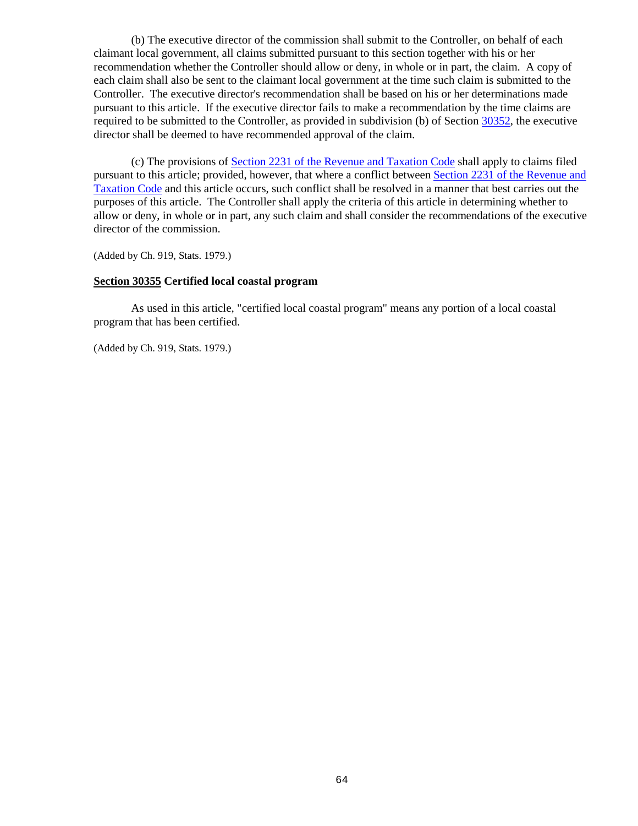(b) The executive director of the commission shall submit to the Controller, on behalf of each claimant local government, all claims submitted pursuant to this section together with his or her recommendation whether the Controller should allow or deny, in whole or in part, the claim. A copy of each claim shall also be sent to the claimant local government at the time such claim is submitted to the Controller. The executive director's recommendation shall be based on his or her determinations made pursuant to this article. If the executive director fails to make a recommendation by the time claims are required to be submitted to the Controller, as provided in subdivision (b) of Section [30352,](#page-62-1) the executive director shall be deemed to have recommended approval of the claim.

(c) The provisions of [Section 2231 of the Revenue and Taxation Code](http://leginfo.legislature.ca.gov/faces/codesTOCSelected.xhtml?tocCode=RTC&tocTitle=+Revenue+and+Taxation+Code+-+RTC) shall apply to claims filed pursuant to this article; provided, however, that where a conflict between [Section 2231 of the Revenue and](http://leginfo.legislature.ca.gov/faces/codesTOCSelected.xhtml?tocCode=RTC&tocTitle=+Revenue+and+Taxation+Code+-+RTC)  [Taxation Code](http://leginfo.legislature.ca.gov/faces/codesTOCSelected.xhtml?tocCode=RTC&tocTitle=+Revenue+and+Taxation+Code+-+RTC) and this article occurs, such conflict shall be resolved in a manner that best carries out the purposes of this article. The Controller shall apply the criteria of this article in determining whether to allow or deny, in whole or in part, any such claim and shall consider the recommendations of the executive director of the commission.

(Added by Ch. 919, Stats. 1979.)

#### <span id="page-64-0"></span>**Section 30355 Certified local coastal program**

As used in this article, "certified local coastal program" means any portion of a local coastal program that has been certified.

(Added by Ch. 919, Stats. 1979.)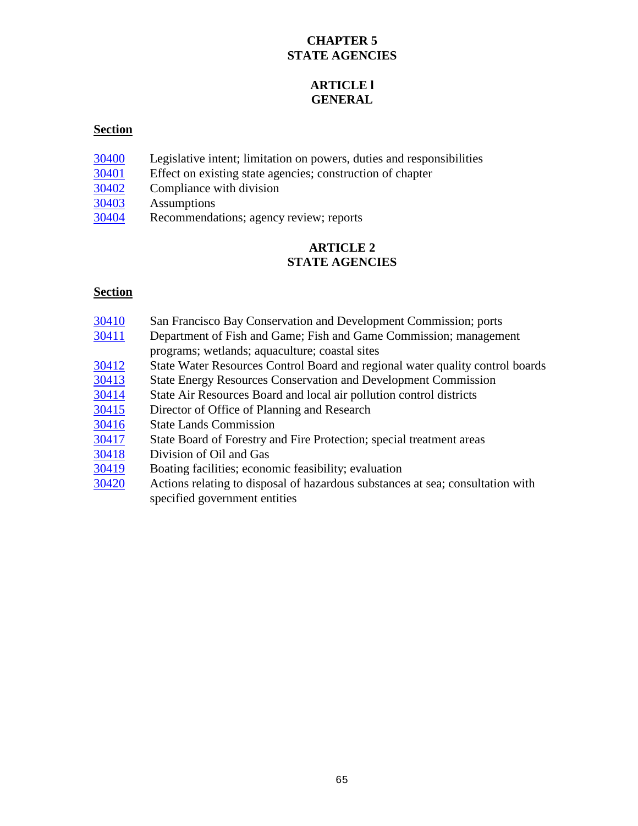# **CHAPTER 5 STATE AGENCIES**

# **ARTICLE l GENERAL**

## **Section**

- Legislative intent; limitation on powers, duties and responsibilities
- Effect on existing state agencies; construction of chapter
- Compliance with division
- Assumptions
- Recommendations; agency review; reports

# **ARTICLE 2 STATE AGENCIES**

- San Francisco Bay Conservation and Development Commission; ports
- Department of Fish and Game; Fish and Game Commission; management programs; wetlands; aquaculture; coastal sites
- State Water Resources Control Board and regional water quality control boards
- State Energy Resources Conservation and Development Commission
- State Air Resources Board and local air pollution control districts
- Director of Office of Planning and Research
- State Lands Commission
- State Board of Forestry and Fire Protection; special treatment areas
- Division of Oil and Gas
- Boating facilities; economic feasibility; evaluation
- Actions relating to disposal of hazardous substances at sea; consultation with specified government entities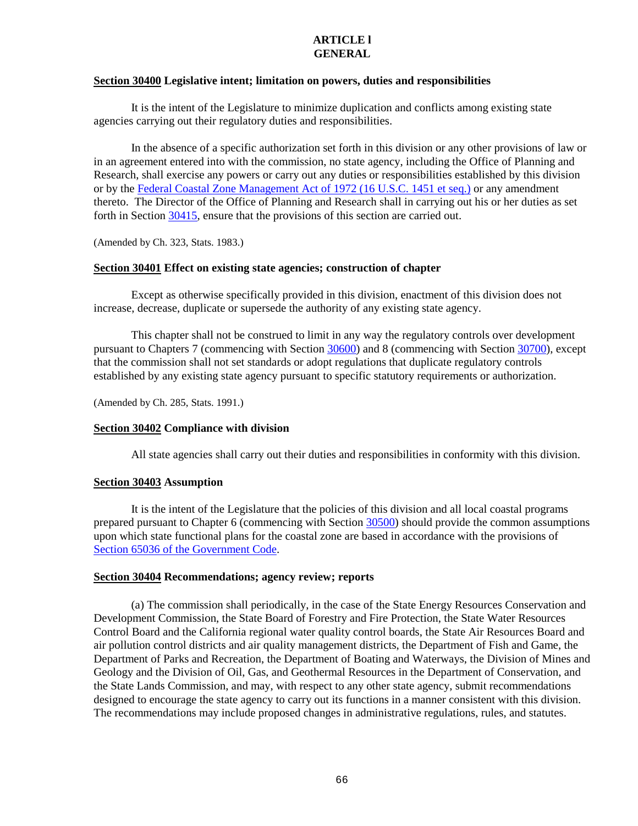#### **ARTICLE l GENERAL**

#### <span id="page-66-0"></span>**Section 30400 Legislative intent; limitation on powers, duties and responsibilities**

It is the intent of the Legislature to minimize duplication and conflicts among existing state agencies carrying out their regulatory duties and responsibilities.

In the absence of a specific authorization set forth in this division or any other provisions of law or in an agreement entered into with the commission, no state agency, including the Office of Planning and Research, shall exercise any powers or carry out any duties or responsibilities established by this division or by the [Federal Coastal Zone Management Act of 1972 \(16 U.S.C. 1451 et seq.\)](http://www.law.cornell.edu/uscode/) or any amendment thereto. The Director of the Office of Planning and Research shall in carrying out his or her duties as set forth in Sectio[n 30415,](#page-70-1) ensure that the provisions of this section are carried out.

(Amended by Ch. 323, Stats. 1983.)

## <span id="page-66-1"></span>**Section 30401 Effect on existing state agencies; construction of chapter**

Except as otherwise specifically provided in this division, enactment of this division does not increase, decrease, duplicate or supersede the authority of any existing state agency.

This chapter shall not be construed to limit in any way the regulatory controls over development pursuant to Chapters 7 (commencing with Section [30600\)](#page-91-0) and 8 (commencing with Section [30700\)](#page-120-0), except that the commission shall not set standards or adopt regulations that duplicate regulatory controls established by any existing state agency pursuant to specific statutory requirements or authorization.

(Amended by Ch. 285, Stats. 1991.)

## <span id="page-66-2"></span>**Section 30402 Compliance with division**

All state agencies shall carry out their duties and responsibilities in conformity with this division.

## <span id="page-66-3"></span>**Section 30403 Assumption**

It is the intent of the Legislature that the policies of this division and all local coastal programs prepared pursuant to Chapter 6 (commencing with Section [30500\)](#page-75-0) should provide the common assumptions upon which state functional plans for the coastal zone are based in accordance with the provisions of [Section 65036 of the Government](http://www.leginfo.ca.gov/calaw.html) Code.

## <span id="page-66-4"></span>**Section 30404 Recommendations; agency review; reports**

(a) The commission shall periodically, in the case of the State Energy Resources Conservation and Development Commission, the State Board of Forestry and Fire Protection, the State Water Resources Control Board and the California regional water quality control boards, the State Air Resources Board and air pollution control districts and air quality management districts, the Department of Fish and Game, the Department of Parks and Recreation, the Department of Boating and Waterways, the Division of Mines and Geology and the Division of Oil, Gas, and Geothermal Resources in the Department of Conservation, and the State Lands Commission, and may, with respect to any other state agency, submit recommendations designed to encourage the state agency to carry out its functions in a manner consistent with this division. The recommendations may include proposed changes in administrative regulations, rules, and statutes.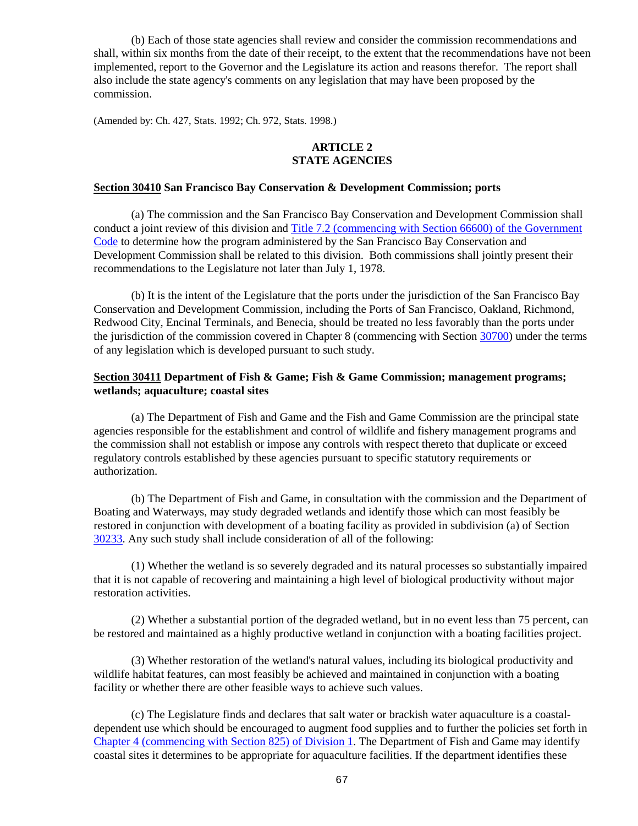(b) Each of those state agencies shall review and consider the commission recommendations and shall, within six months from the date of their receipt, to the extent that the recommendations have not been implemented, report to the Governor and the Legislature its action and reasons therefor. The report shall also include the state agency's comments on any legislation that may have been proposed by the commission.

(Amended by: Ch. 427, Stats. 1992; Ch. 972, Stats. 1998.)

## **ARTICLE 2 STATE AGENCIES**

#### <span id="page-67-0"></span>**Section 30410 San Francisco Bay Conservation & Development Commission; ports**

(a) The commission and the San Francisco Bay Conservation and Development Commission shall conduct a joint review of this division and [Title 7.2 \(commencing with Section 66600\) of the Government](http://www.leginfo.ca.gov/calaw.html)  [Code](http://www.leginfo.ca.gov/calaw.html) to determine how the program administered by the San Francisco Bay Conservation and Development Commission shall be related to this division. Both commissions shall jointly present their recommendations to the Legislature not later than July 1, 1978.

(b) It is the intent of the Legislature that the ports under the jurisdiction of the San Francisco Bay Conservation and Development Commission, including the Ports of San Francisco, Oakland, Richmond, Redwood City, Encinal Terminals, and Benecia, should be treated no less favorably than the ports under the jurisdiction of the commission covered in Chapter 8 (commencing with Section [30700\)](#page-120-0) under the terms of any legislation which is developed pursuant to such study.

#### <span id="page-67-1"></span>**Section 30411 Department of Fish & Game; Fish & Game Commission; management programs; wetlands; aquaculture; coastal sites**

(a) The Department of Fish and Game and the Fish and Game Commission are the principal state agencies responsible for the establishment and control of wildlife and fishery management programs and the commission shall not establish or impose any controls with respect thereto that duplicate or exceed regulatory controls established by these agencies pursuant to specific statutory requirements or authorization.

(b) The Department of Fish and Game, in consultation with the commission and the Department of Boating and Waterways, may study degraded wetlands and identify those which can most feasibly be restored in conjunction with development of a boating facility as provided in subdivision (a) of Section [30233.](#page-33-0) Any such study shall include consideration of all of the following:

(1) Whether the wetland is so severely degraded and its natural processes so substantially impaired that it is not capable of recovering and maintaining a high level of biological productivity without major restoration activities.

(2) Whether a substantial portion of the degraded wetland, but in no event less than 75 percent, can be restored and maintained as a highly productive wetland in conjunction with a boating facilities project.

(3) Whether restoration of the wetland's natural values, including its biological productivity and wildlife habitat features, can most feasibly be achieved and maintained in conjunction with a boating facility or whether there are other feasible ways to achieve such values.

(c) The Legislature finds and declares that salt water or brackish water aquaculture is a coastaldependent use which should be encouraged to augment food supplies and to further the policies set forth in [Chapter 4 \(commencing with Section 825\) of Division 1.](http://www.leginfo.ca.gov/calaw.html) The Department of Fish and Game may identify coastal sites it determines to be appropriate for aquaculture facilities. If the department identifies these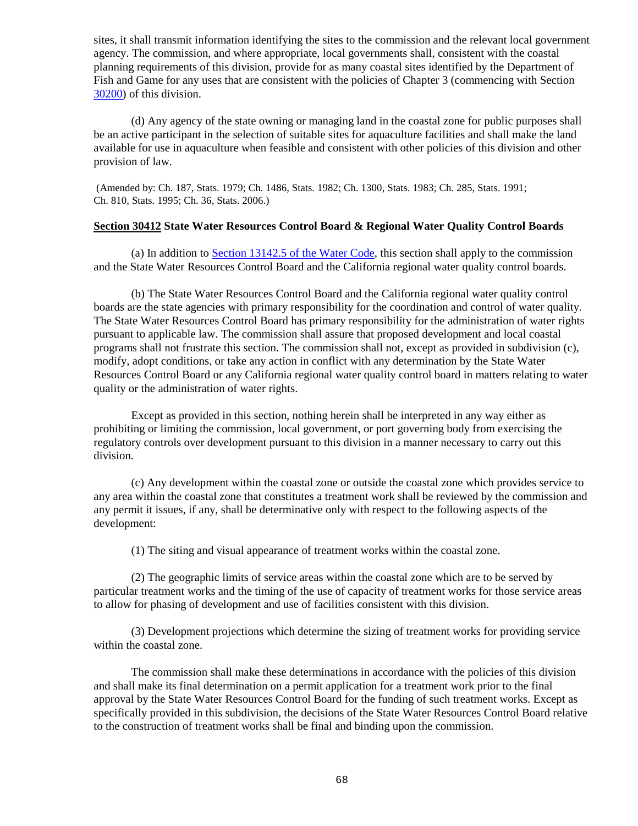sites, it shall transmit information identifying the sites to the commission and the relevant local government agency. The commission, and where appropriate, local governments shall, consistent with the coastal planning requirements of this division, provide for as many coastal sites identified by the Department of Fish and Game for any uses that are consistent with the policies of Chapter 3 (commencing with Section [30200\)](#page-30-0) of this division.

(d) Any agency of the state owning or managing land in the coastal zone for public purposes shall be an active participant in the selection of suitable sites for aquaculture facilities and shall make the land available for use in aquaculture when feasible and consistent with other policies of this division and other provision of law.

(Amended by: Ch. 187, Stats. 1979; Ch. 1486, Stats. 1982; Ch. 1300, Stats. 1983; Ch. 285, Stats. 1991; Ch. 810, Stats. 1995; Ch. 36, Stats. 2006.)

### <span id="page-68-0"></span>**Section 30412 State Water Resources Control Board & Regional Water Quality Control Boards**

(a) In addition to [Section 13142.5 of the Water Code,](http://www.leginfo.ca.gov/calaw.html) this section shall apply to the commission and the State Water Resources Control Board and the California regional water quality control boards.

(b) The State Water Resources Control Board and the California regional water quality control boards are the state agencies with primary responsibility for the coordination and control of water quality. The State Water Resources Control Board has primary responsibility for the administration of water rights pursuant to applicable law. The commission shall assure that proposed development and local coastal programs shall not frustrate this section. The commission shall not, except as provided in subdivision (c), modify, adopt conditions, or take any action in conflict with any determination by the State Water Resources Control Board or any California regional water quality control board in matters relating to water quality or the administration of water rights.

Except as provided in this section, nothing herein shall be interpreted in any way either as prohibiting or limiting the commission, local government, or port governing body from exercising the regulatory controls over development pursuant to this division in a manner necessary to carry out this division.

(c) Any development within the coastal zone or outside the coastal zone which provides service to any area within the coastal zone that constitutes a treatment work shall be reviewed by the commission and any permit it issues, if any, shall be determinative only with respect to the following aspects of the development:

(1) The siting and visual appearance of treatment works within the coastal zone.

(2) The geographic limits of service areas within the coastal zone which are to be served by particular treatment works and the timing of the use of capacity of treatment works for those service areas to allow for phasing of development and use of facilities consistent with this division.

(3) Development projections which determine the sizing of treatment works for providing service within the coastal zone.

The commission shall make these determinations in accordance with the policies of this division and shall make its final determination on a permit application for a treatment work prior to the final approval by the State Water Resources Control Board for the funding of such treatment works. Except as specifically provided in this subdivision, the decisions of the State Water Resources Control Board relative to the construction of treatment works shall be final and binding upon the commission.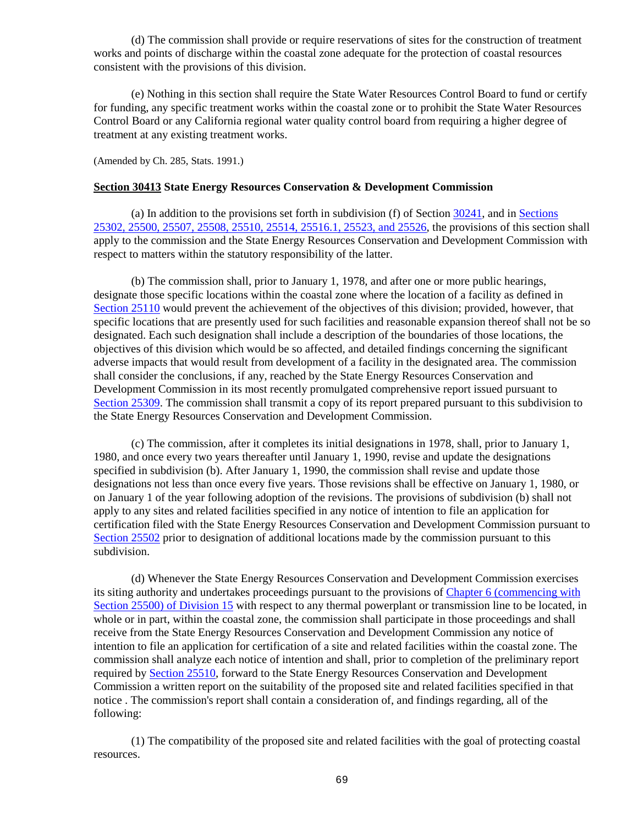(d) The commission shall provide or require reservations of sites for the construction of treatment works and points of discharge within the coastal zone adequate for the protection of coastal resources consistent with the provisions of this division.

(e) Nothing in this section shall require the State Water Resources Control Board to fund or certify for funding, any specific treatment works within the coastal zone or to prohibit the State Water Resources Control Board or any California regional water quality control board from requiring a higher degree of treatment at any existing treatment works.

(Amended by Ch. 285, Stats. 1991.)

#### <span id="page-69-0"></span>**Section 30413 State Energy Resources Conservation & Development Commission**

(a) In addition to the provisions set forth in subdivision (f) of Section [30241,](#page-35-0) and in [Sections](http://leginfo.legislature.ca.gov/faces/codes_displayexpandedbranch.xhtml?tocCode=PRC&division=15.&title=&part=&chapter=&article=)  [25302, 25500, 25507, 25508, 25510, 25514, 25516.1, 25523, and 25526,](http://leginfo.legislature.ca.gov/faces/codes_displayexpandedbranch.xhtml?tocCode=PRC&division=15.&title=&part=&chapter=&article=) the provisions of this section shall apply to the commission and the State Energy Resources Conservation and Development Commission with respect to matters within the statutory responsibility of the latter.

(b) The commission shall, prior to January 1, 1978, and after one or more public hearings, designate those specific locations within the coastal zone where the location of a facility as defined in [Section 25110](http://leginfo.legislature.ca.gov/faces/codes_displayexpandedbranch.xhtml?tocCode=PRC&division=15.&title=&part=&chapter=&article=) would prevent the achievement of the objectives of this division; provided, however, that specific locations that are presently used for such facilities and reasonable expansion thereof shall not be so designated. Each such designation shall include a description of the boundaries of those locations, the objectives of this division which would be so affected, and detailed findings concerning the significant adverse impacts that would result from development of a facility in the designated area. The commission shall consider the conclusions, if any, reached by the State Energy Resources Conservation and Development Commission in its most recently promulgated comprehensive report issued pursuant to [Section 25309.](http://leginfo.legislature.ca.gov/faces/codes_displayexpandedbranch.xhtml?tocCode=PRC&division=15.&title=&part=&chapter=&article=) The commission shall transmit a copy of its report prepared pursuant to this subdivision to the State Energy Resources Conservation and Development Commission.

(c) The commission, after it completes its initial designations in 1978, shall, prior to January 1, 1980, and once every two years thereafter until January 1, 1990, revise and update the designations specified in subdivision (b). After January 1, 1990, the commission shall revise and update those designations not less than once every five years. Those revisions shall be effective on January 1, 1980, or on January 1 of the year following adoption of the revisions. The provisions of subdivision (b) shall not apply to any sites and related facilities specified in any notice of intention to file an application for certification filed with the State Energy Resources Conservation and Development Commission pursuant to [Section 25502](http://leginfo.legislature.ca.gov/faces/codes_displayexpandedbranch.xhtml?tocCode=PRC&division=15.&title=&part=&chapter=&article=) prior to designation of additional locations made by the commission pursuant to this subdivision.

(d) Whenever the State Energy Resources Conservation and Development Commission exercises its siting authority and undertakes proceedings pursuant to the provisions of [Chapter 6 \(commencing with](http://leginfo.legislature.ca.gov/faces/codes_displayexpandedbranch.xhtml?tocCode=PRC&division=15.&title=&part=&chapter=&article=)  [Section 25500\) of Division 15](http://leginfo.legislature.ca.gov/faces/codes_displayexpandedbranch.xhtml?tocCode=PRC&division=15.&title=&part=&chapter=&article=) with respect to any thermal powerplant or transmission line to be located, in whole or in part, within the coastal zone, the commission shall participate in those proceedings and shall receive from the State Energy Resources Conservation and Development Commission any notice of intention to file an application for certification of a site and related facilities within the coastal zone. The commission shall analyze each notice of intention and shall, prior to completion of the preliminary report required by [Section 25510,](http://leginfo.legislature.ca.gov/faces/codes_displayexpandedbranch.xhtml?tocCode=PRC&division=15.&title=&part=&chapter=&article=) forward to the State Energy Resources Conservation and Development Commission a written report on the suitability of the proposed site and related facilities specified in that notice . The commission's report shall contain a consideration of, and findings regarding, all of the following:

(1) The compatibility of the proposed site and related facilities with the goal of protecting coastal resources.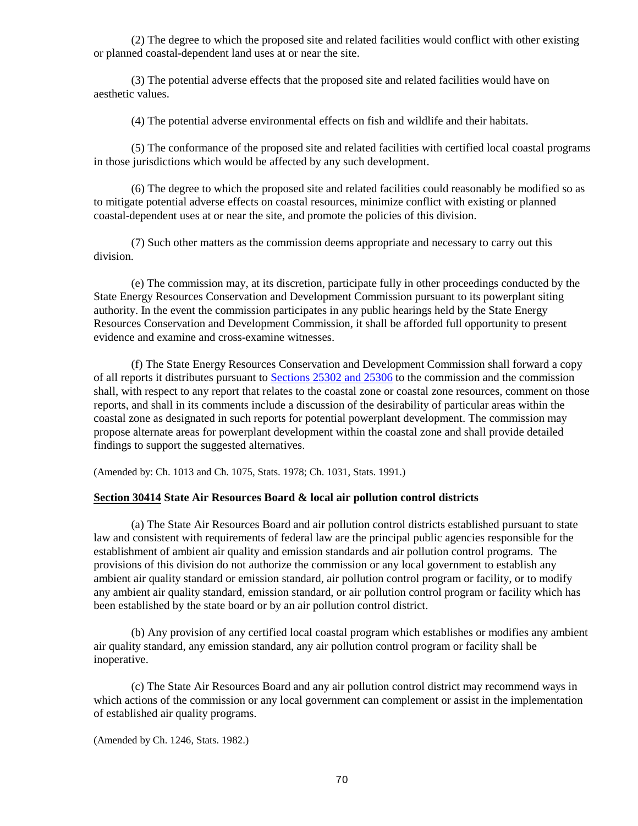(2) The degree to which the proposed site and related facilities would conflict with other existing or planned coastal-dependent land uses at or near the site.

(3) The potential adverse effects that the proposed site and related facilities would have on aesthetic values.

(4) The potential adverse environmental effects on fish and wildlife and their habitats.

(5) The conformance of the proposed site and related facilities with certified local coastal programs in those jurisdictions which would be affected by any such development.

(6) The degree to which the proposed site and related facilities could reasonably be modified so as to mitigate potential adverse effects on coastal resources, minimize conflict with existing or planned coastal-dependent uses at or near the site, and promote the policies of this division.

(7) Such other matters as the commission deems appropriate and necessary to carry out this division.

(e) The commission may, at its discretion, participate fully in other proceedings conducted by the State Energy Resources Conservation and Development Commission pursuant to its powerplant siting authority. In the event the commission participates in any public hearings held by the State Energy Resources Conservation and Development Commission, it shall be afforded full opportunity to present evidence and examine and cross-examine witnesses.

(f) The State Energy Resources Conservation and Development Commission shall forward a copy of all reports it distributes pursuant to [Sections 25302 and 25306](http://leginfo.legislature.ca.gov/faces/codes_displayexpandedbranch.xhtml?tocCode=PRC&division=15.&title=&part=&chapter=&article=) to the commission and the commission shall, with respect to any report that relates to the coastal zone or coastal zone resources, comment on those reports, and shall in its comments include a discussion of the desirability of particular areas within the coastal zone as designated in such reports for potential powerplant development. The commission may propose alternate areas for powerplant development within the coastal zone and shall provide detailed findings to support the suggested alternatives.

(Amended by: Ch. 1013 and Ch. 1075, Stats. 1978; Ch. 1031, Stats. 1991.)

#### <span id="page-70-0"></span>**Section 30414 State Air Resources Board & local air pollution control districts**

(a) The State Air Resources Board and air pollution control districts established pursuant to state law and consistent with requirements of federal law are the principal public agencies responsible for the establishment of ambient air quality and emission standards and air pollution control programs. The provisions of this division do not authorize the commission or any local government to establish any ambient air quality standard or emission standard, air pollution control program or facility, or to modify any ambient air quality standard, emission standard, or air pollution control program or facility which has been established by the state board or by an air pollution control district.

(b) Any provision of any certified local coastal program which establishes or modifies any ambient air quality standard, any emission standard, any air pollution control program or facility shall be inoperative.

(c) The State Air Resources Board and any air pollution control district may recommend ways in which actions of the commission or any local government can complement or assist in the implementation of established air quality programs.

<span id="page-70-1"></span>(Amended by Ch. 1246, Stats. 1982.)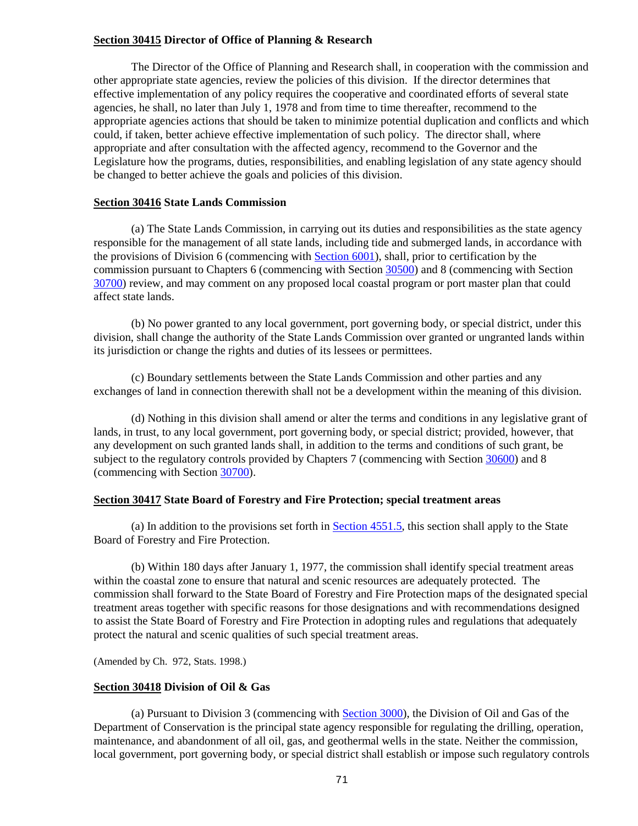## **Section 30415 Director of Office of Planning & Research**

The Director of the Office of Planning and Research shall, in cooperation with the commission and other appropriate state agencies, review the policies of this division. If the director determines that effective implementation of any policy requires the cooperative and coordinated efforts of several state agencies, he shall, no later than July 1, 1978 and from time to time thereafter, recommend to the appropriate agencies actions that should be taken to minimize potential duplication and conflicts and which could, if taken, better achieve effective implementation of such policy. The director shall, where appropriate and after consultation with the affected agency, recommend to the Governor and the Legislature how the programs, duties, responsibilities, and enabling legislation of any state agency should be changed to better achieve the goals and policies of this division.

#### <span id="page-71-0"></span>**Section 30416 State Lands Commission**

(a) The State Lands Commission, in carrying out its duties and responsibilities as the state agency responsible for the management of all state lands, including tide and submerged lands, in accordance with the provisions of Division 6 (commencing with [Section 6001\)](http://leginfo.legislature.ca.gov/faces/codes_displayexpandedbranch.xhtml?tocCode=PRC&division=6.&title=&part=&chapter=&article=), shall, prior to certification by the commission pursuant to Chapters 6 (commencing with Section [30500\)](#page-75-0) and 8 (commencing with Section [30700\)](#page-120-0) review, and may comment on any proposed local coastal program or port master plan that could affect state lands.

(b) No power granted to any local government, port governing body, or special district, under this division, shall change the authority of the State Lands Commission over granted or ungranted lands within its jurisdiction or change the rights and duties of its lessees or permittees.

(c) Boundary settlements between the State Lands Commission and other parties and any exchanges of land in connection therewith shall not be a development within the meaning of this division.

(d) Nothing in this division shall amend or alter the terms and conditions in any legislative grant of lands, in trust, to any local government, port governing body, or special district; provided, however, that any development on such granted lands shall, in addition to the terms and conditions of such grant, be subject to the regulatory controls provided by Chapters 7 (commencing with Section [30600\)](#page-91-0) and 8 (commencing with Section [30700\)](#page-120-0).

#### <span id="page-71-1"></span>**Section 30417 State Board of Forestry and Fire Protection; special treatment areas**

(a) In addition to the provisions set forth in Section  $4551.5$ , this section shall apply to the State Board of Forestry and Fire Protection.

(b) Within 180 days after January 1, 1977, the commission shall identify special treatment areas within the coastal zone to ensure that natural and scenic resources are adequately protected. The commission shall forward to the State Board of Forestry and Fire Protection maps of the designated special treatment areas together with specific reasons for those designations and with recommendations designed to assist the State Board of Forestry and Fire Protection in adopting rules and regulations that adequately protect the natural and scenic qualities of such special treatment areas.

(Amended by Ch. 972, Stats. 1998.)

#### <span id="page-71-2"></span>**Section 30418 Division of Oil & Gas**

(a) Pursuant to Division 3 (commencing with [Section 3000\)](http://www.leginfo.ca.gov/calaw.html), the Division of Oil and Gas of the Department of Conservation is the principal state agency responsible for regulating the drilling, operation, maintenance, and abandonment of all oil, gas, and geothermal wells in the state. Neither the commission, local government, port governing body, or special district shall establish or impose such regulatory controls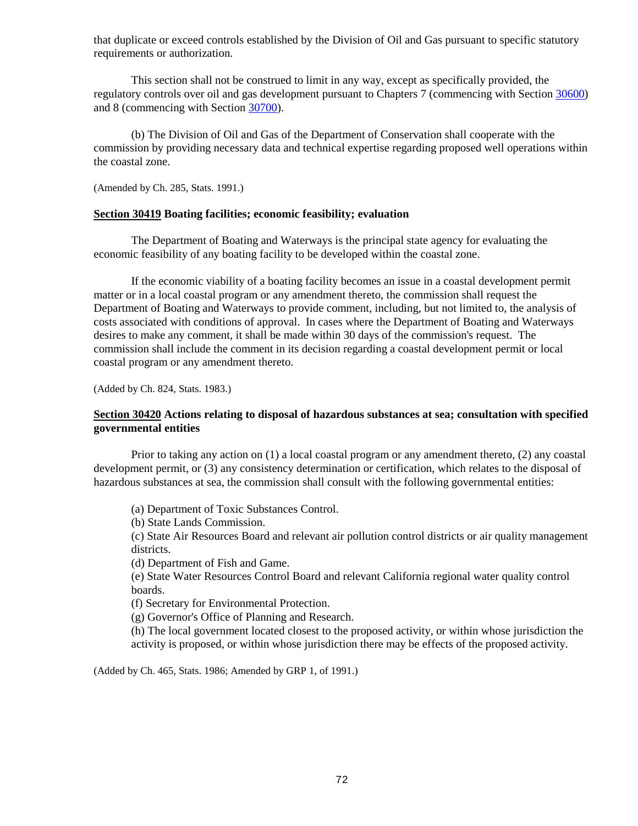that duplicate or exceed controls established by the Division of Oil and Gas pursuant to specific statutory requirements or authorization.

This section shall not be construed to limit in any way, except as specifically provided, the regulatory controls over oil and gas development pursuant to Chapters 7 (commencing with Section [30600\)](#page-91-0) and 8 (commencing with Section [30700\)](#page-120-0).

(b) The Division of Oil and Gas of the Department of Conservation shall cooperate with the commission by providing necessary data and technical expertise regarding proposed well operations within the coastal zone.

(Amended by Ch. 285, Stats. 1991.)

#### **Section 30419 Boating facilities; economic feasibility; evaluation**

The Department of Boating and Waterways is the principal state agency for evaluating the economic feasibility of any boating facility to be developed within the coastal zone.

If the economic viability of a boating facility becomes an issue in a coastal development permit matter or in a local coastal program or any amendment thereto, the commission shall request the Department of Boating and Waterways to provide comment, including, but not limited to, the analysis of costs associated with conditions of approval. In cases where the Department of Boating and Waterways desires to make any comment, it shall be made within 30 days of the commission's request. The commission shall include the comment in its decision regarding a coastal development permit or local coastal program or any amendment thereto.

(Added by Ch. 824, Stats. 1983.)

## **Section 30420 Actions relating to disposal of hazardous substances at sea; consultation with specified governmental entities**

Prior to taking any action on (1) a local coastal program or any amendment thereto, (2) any coastal development permit, or (3) any consistency determination or certification, which relates to the disposal of hazardous substances at sea, the commission shall consult with the following governmental entities:

(a) Department of Toxic Substances Control.

(b) State Lands Commission.

(c) State Air Resources Board and relevant air pollution control districts or air quality management districts.

(d) Department of Fish and Game.

(e) State Water Resources Control Board and relevant California regional water quality control boards.

(f) Secretary for Environmental Protection.

(g) Governor's Office of Planning and Research.

(h) The local government located closest to the proposed activity, or within whose jurisdiction the activity is proposed, or within whose jurisdiction there may be effects of the proposed activity.

(Added by Ch. 465, Stats. 1986; Amended by GRP 1, of 1991.)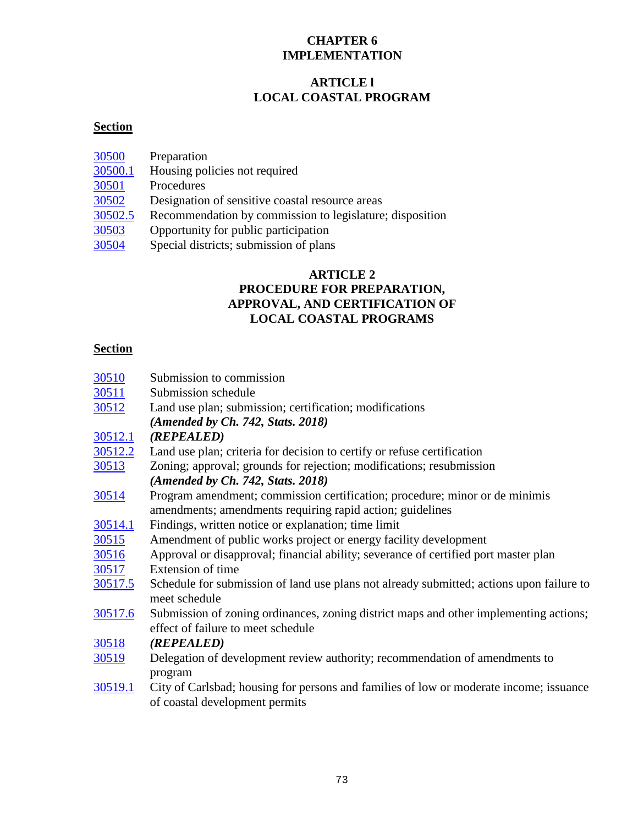## **CHAPTER 6 IMPLEMENTATION**

# **ARTICLE l LOCAL COASTAL PROGRAM**

# **Section**

| Preparation                                              |
|----------------------------------------------------------|
| Housing policies not required                            |
|                                                          |
| Procedures                                               |
| Designation of sensitive coastal resource areas          |
| Recommendation by commission to legislature; disposition |
| Opportunity for public participation                     |
| Special districts; submission of plans                   |
|                                                          |

## **ARTICLE 2 PROCEDURE FOR PREPARATION, APPROVAL, AND CERTIFICATION OF LOCAL COASTAL PROGRAMS**

# **Section**

| 30510          | Submission to commission                                                                 |
|----------------|------------------------------------------------------------------------------------------|
| 30511          | Submission schedule                                                                      |
| 30512          | Land use plan; submission; certification; modifications                                  |
|                | (Amended by Ch. 742, Stats. 2018)                                                        |
| 30512.1        | (REPEALED)                                                                               |
| <u>30512.2</u> | Land use plan; criteria for decision to certify or refuse certification                  |
| 30513          | Zoning; approval; grounds for rejection; modifications; resubmission                     |
|                | $(Amended by Ch. 742, Stats. 2018)$                                                      |
| 30514          | Program amendment; commission certification; procedure; minor or de minimis              |
|                | amendments; amendments requiring rapid action; guidelines                                |
| <u>30514.1</u> | Findings, written notice or explanation; time limit                                      |
| 30515          | Amendment of public works project or energy facility development                         |
| 30516          | Approval or disapproval; financial ability; severance of certified port master plan      |
| 30517          | Extension of time                                                                        |
| 30517.5        | Schedule for submission of land use plans not already submitted; actions upon failure to |
|                | meet schedule                                                                            |
| 30517.6        | Submission of zoning ordinances, zoning district maps and other implementing actions;    |
|                | effect of failure to meet schedule                                                       |
| 30518          | (REPEALED)                                                                               |
| <u>30519</u>   | Delegation of development review authority; recommendation of amendments to              |
|                | program                                                                                  |
| 30519.1        | City of Carlsbad; housing for persons and families of low or moderate income; issuance   |
|                | of coastal development permits                                                           |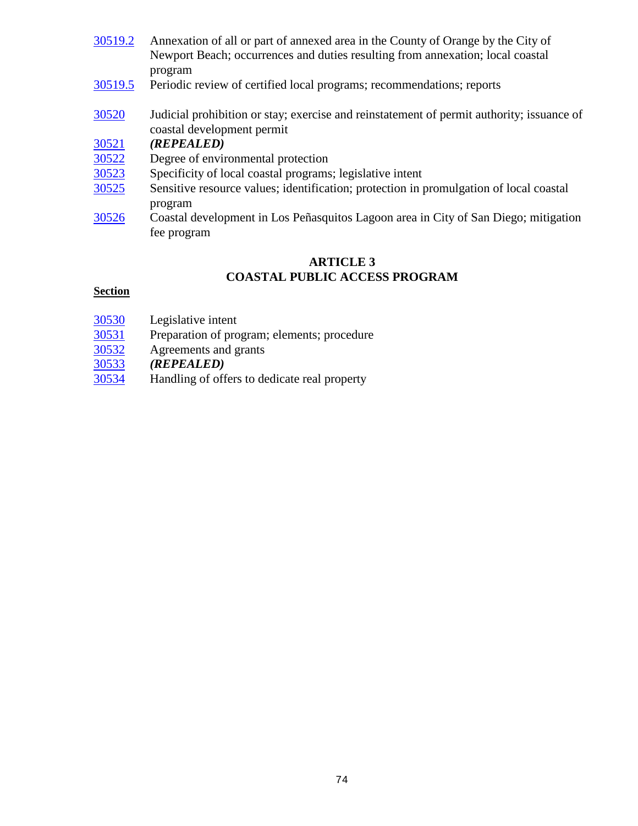| 30519.2 | Annexation of all or part of annexed area in the County of Orange by the City of          |
|---------|-------------------------------------------------------------------------------------------|
|         | Newport Beach; occurrences and duties resulting from annexation; local coastal            |
|         | program                                                                                   |
| 30519.5 | Periodic review of certified local programs; recommendations; reports                     |
| 30520   | Judicial prohibition or stay; exercise and reinstatement of permit authority; issuance of |
|         | coastal development permit                                                                |
| 30521   | (REPEALED)                                                                                |
| 30522   | Degree of environmental protection                                                        |
| 30523   | Specificity of local coastal programs; legislative intent                                 |
| 30525   | Sensitive resource values; identification; protection in promulgation of local coastal    |
|         | program                                                                                   |
| 30526   | Coastal development in Los Peñasquitos Lagoon area in City of San Diego; mitigation       |
|         | fee program                                                                               |

## **ARTICLE 3 COASTAL PUBLIC ACCESS PROGRAM**

## **Section**

- 
- $\frac{30530}{30531}$  $\frac{30530}{30531}$  $\frac{30530}{30531}$  Legislative intent<br>Preparation of pro  $\frac{30531}{30532}$  $\frac{30531}{30532}$  $\frac{30531}{30532}$  Preparation of program; elements; procedure Agreements and grants
- [30532](#page-87-0) Agreements and grants<br>30533 (*REPEALED*)
- [30533](#page-88-0) *(REPEALED)*
- Handling of offers to dedicate real property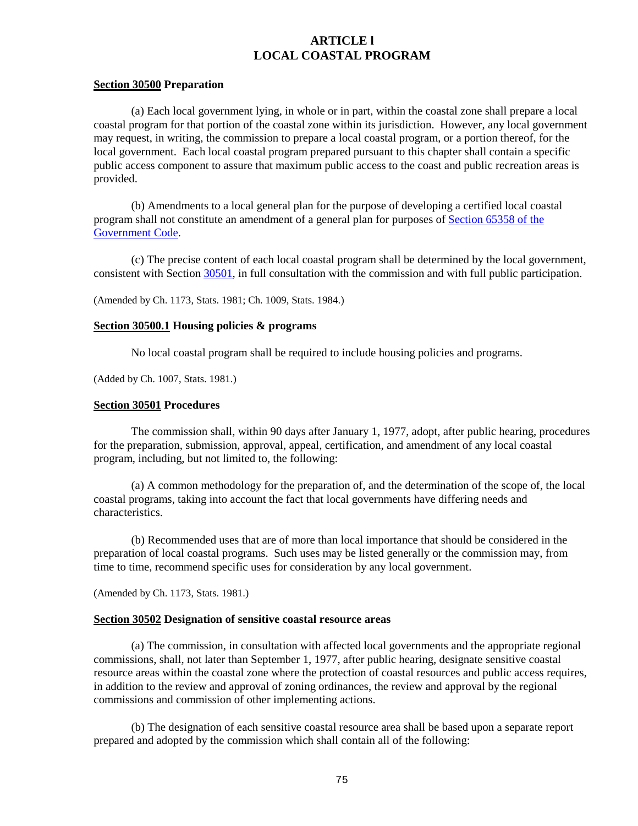## **ARTICLE l LOCAL COASTAL PROGRAM**

#### <span id="page-75-0"></span>**Section 30500 Preparation**

(a) Each local government lying, in whole or in part, within the coastal zone shall prepare a local coastal program for that portion of the coastal zone within its jurisdiction. However, any local government may request, in writing, the commission to prepare a local coastal program, or a portion thereof, for the local government. Each local coastal program prepared pursuant to this chapter shall contain a specific public access component to assure that maximum public access to the coast and public recreation areas is provided.

(b) Amendments to a local general plan for the purpose of developing a certified local coastal program shall not constitute an amendment of a general plan for purposes of [Section 65358 of the](http://leginfo.legislature.ca.gov/faces/codes_displayexpandedbranch.xhtml?tocCode=GOV&division=&title=7.&part=&chapter=&article=)  [Government Code.](http://leginfo.legislature.ca.gov/faces/codes_displayexpandedbranch.xhtml?tocCode=GOV&division=&title=7.&part=&chapter=&article=)

(c) The precise content of each local coastal program shall be determined by the local government, consistent with Section [30501,](#page-75-2) in full consultation with the commission and with full public participation.

(Amended by Ch. 1173, Stats. 1981; Ch. 1009, Stats. 1984.)

#### <span id="page-75-1"></span>**Section 30500.1 Housing policies & programs**

No local coastal program shall be required to include housing policies and programs.

(Added by Ch. 1007, Stats. 1981.)

#### <span id="page-75-2"></span>**Section 30501 Procedures**

The commission shall, within 90 days after January 1, 1977, adopt, after public hearing, procedures for the preparation, submission, approval, appeal, certification, and amendment of any local coastal program, including, but not limited to, the following:

(a) A common methodology for the preparation of, and the determination of the scope of, the local coastal programs, taking into account the fact that local governments have differing needs and characteristics.

(b) Recommended uses that are of more than local importance that should be considered in the preparation of local coastal programs. Such uses may be listed generally or the commission may, from time to time, recommend specific uses for consideration by any local government.

(Amended by Ch. 1173, Stats. 1981.)

### <span id="page-75-3"></span>**Section 30502 Designation of sensitive coastal resource areas**

(a) The commission, in consultation with affected local governments and the appropriate regional commissions, shall, not later than September 1, 1977, after public hearing, designate sensitive coastal resource areas within the coastal zone where the protection of coastal resources and public access requires, in addition to the review and approval of zoning ordinances, the review and approval by the regional commissions and commission of other implementing actions.

(b) The designation of each sensitive coastal resource area shall be based upon a separate report prepared and adopted by the commission which shall contain all of the following: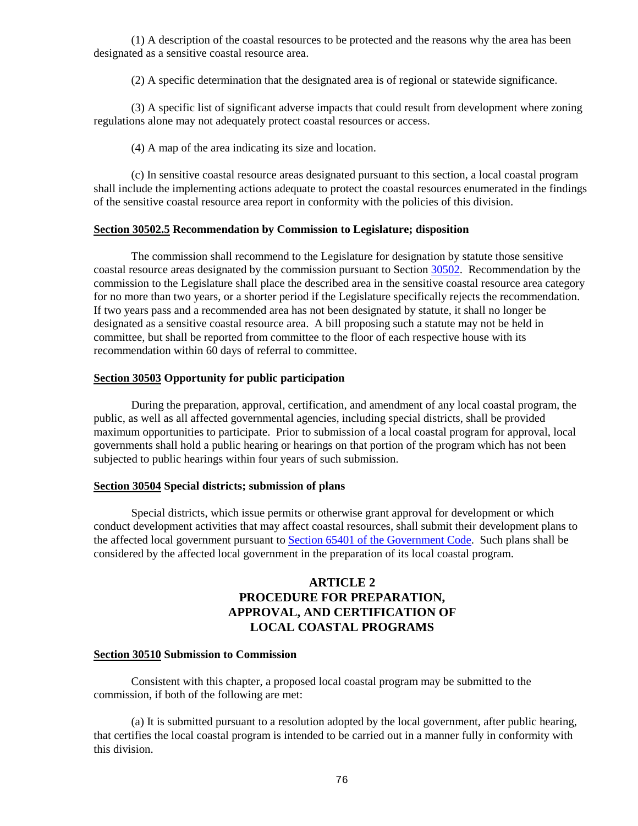(1) A description of the coastal resources to be protected and the reasons why the area has been designated as a sensitive coastal resource area.

(2) A specific determination that the designated area is of regional or statewide significance.

(3) A specific list of significant adverse impacts that could result from development where zoning regulations alone may not adequately protect coastal resources or access.

(4) A map of the area indicating its size and location.

(c) In sensitive coastal resource areas designated pursuant to this section, a local coastal program shall include the implementing actions adequate to protect the coastal resources enumerated in the findings of the sensitive coastal resource area report in conformity with the policies of this division.

### <span id="page-76-0"></span>**Section 30502.5 Recommendation by Commission to Legislature; disposition**

The commission shall recommend to the Legislature for designation by statute those sensitive coastal resource areas designated by the commission pursuant to Sectio[n 30502.](#page-75-3) Recommendation by the commission to the Legislature shall place the described area in the sensitive coastal resource area category for no more than two years, or a shorter period if the Legislature specifically rejects the recommendation. If two years pass and a recommended area has not been designated by statute, it shall no longer be designated as a sensitive coastal resource area. A bill proposing such a statute may not be held in committee, but shall be reported from committee to the floor of each respective house with its recommendation within 60 days of referral to committee.

### <span id="page-76-1"></span>**Section 30503 Opportunity for public participation**

During the preparation, approval, certification, and amendment of any local coastal program, the public, as well as all affected governmental agencies, including special districts, shall be provided maximum opportunities to participate. Prior to submission of a local coastal program for approval, local governments shall hold a public hearing or hearings on that portion of the program which has not been subjected to public hearings within four years of such submission.

#### <span id="page-76-2"></span>**Section 30504 Special districts; submission of plans**

Special districts, which issue permits or otherwise grant approval for development or which conduct development activities that may affect coastal resources, shall submit their development plans to the affected local government pursuant t[o Section 65401 of the Government Code.](http://leginfo.legislature.ca.gov/faces/codes_displayexpandedbranch.xhtml?tocCode=GOV&division=&title=7.&part=&chapter=&article=) Such plans shall be considered by the affected local government in the preparation of its local coastal program.

## **ARTICLE 2 PROCEDURE FOR PREPARATION, APPROVAL, AND CERTIFICATION OF LOCAL COASTAL PROGRAMS**

#### <span id="page-76-3"></span>**Section 30510 Submission to Commission**

Consistent with this chapter, a proposed local coastal program may be submitted to the commission, if both of the following are met:

(a) It is submitted pursuant to a resolution adopted by the local government, after public hearing, that certifies the local coastal program is intended to be carried out in a manner fully in conformity with this division.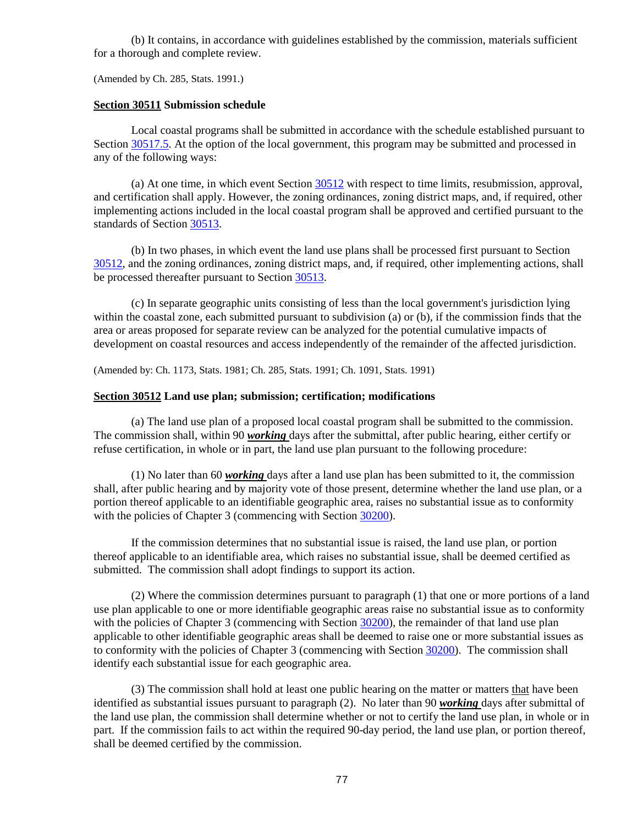(b) It contains, in accordance with guidelines established by the commission, materials sufficient for a thorough and complete review.

(Amended by Ch. 285, Stats. 1991.)

#### <span id="page-77-0"></span>**Section 30511 Submission schedule**

Local coastal programs shall be submitted in accordance with the schedule established pursuant to Section [30517.5.](#page-81-2) At the option of the local government, this program may be submitted and processed in any of the following ways:

(a) At one time, in which event Section [30512](#page-77-1) with respect to time limits, resubmission, approval, and certification shall apply. However, the zoning ordinances, zoning district maps, and, if required, other implementing actions included in the local coastal program shall be approved and certified pursuant to the standards of Section [30513.](#page-78-2)

(b) In two phases, in which event the land use plans shall be processed first pursuant to Section [30512,](#page-77-1) and the zoning ordinances, zoning district maps, and, if required, other implementing actions, shall be processed thereafter pursuant to Section [30513.](#page-78-2)

(c) In separate geographic units consisting of less than the local government's jurisdiction lying within the coastal zone, each submitted pursuant to subdivision (a) or (b), if the commission finds that the area or areas proposed for separate review can be analyzed for the potential cumulative impacts of development on coastal resources and access independently of the remainder of the affected jurisdiction.

(Amended by: Ch. 1173, Stats. 1981; Ch. 285, Stats. 1991; Ch. 1091, Stats. 1991)

#### <span id="page-77-1"></span>**Section 30512 Land use plan; submission; certification; modifications**

(a) The land use plan of a proposed local coastal program shall be submitted to the commission. The commission shall, within 90 *working* days after the submittal, after public hearing, either certify or refuse certification, in whole or in part, the land use plan pursuant to the following procedure:

(1) No later than 60 *working* days after a land use plan has been submitted to it, the commission shall, after public hearing and by majority vote of those present, determine whether the land use plan, or a portion thereof applicable to an identifiable geographic area, raises no substantial issue as to conformity with the policies of Chapter 3 (commencing with Sectio[n 30200\)](#page-30-0).

If the commission determines that no substantial issue is raised, the land use plan, or portion thereof applicable to an identifiable area, which raises no substantial issue, shall be deemed certified as submitted. The commission shall adopt findings to support its action.

(2) Where the commission determines pursuant to paragraph (1) that one or more portions of a land use plan applicable to one or more identifiable geographic areas raise no substantial issue as to conformity with the policies of Chapter 3 (commencing with Sectio[n 30200\)](#page-30-0), the remainder of that land use plan applicable to other identifiable geographic areas shall be deemed to raise one or more substantial issues as to conformity with the policies of Chapter 3 (commencing with Section [30200\)](#page-30-0). The commission shall identify each substantial issue for each geographic area.

(3) The commission shall hold at least one public hearing on the matter or matters that have been identified as substantial issues pursuant to paragraph (2). No later than 90 *working* days after submittal of the land use plan, the commission shall determine whether or not to certify the land use plan, in whole or in part. If the commission fails to act within the required 90-day period, the land use plan, or portion thereof, shall be deemed certified by the commission.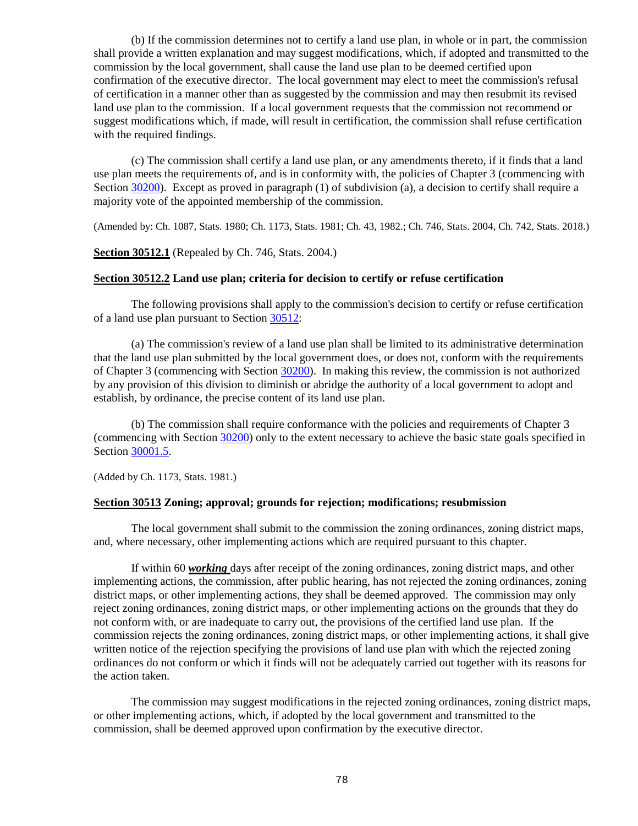(b) If the commission determines not to certify a land use plan, in whole or in part, the commission shall provide a written explanation and may suggest modifications, which, if adopted and transmitted to the commission by the local government, shall cause the land use plan to be deemed certified upon confirmation of the executive director. The local government may elect to meet the commission's refusal of certification in a manner other than as suggested by the commission and may then resubmit its revised land use plan to the commission. If a local government requests that the commission not recommend or suggest modifications which, if made, will result in certification, the commission shall refuse certification with the required findings.

(c) The commission shall certify a land use plan, or any amendments thereto, if it finds that a land use plan meets the requirements of, and is in conformity with, the policies of Chapter 3 (commencing with Section [30200\)](#page-30-0). Except as proved in paragraph (1) of subdivision (a), a decision to certify shall require a majority vote of the appointed membership of the commission.

(Amended by: Ch. 1087, Stats. 1980; Ch. 1173, Stats. 1981; Ch. 43, 1982.; Ch. 746, Stats. 2004, Ch. 742, Stats. 2018.)

#### <span id="page-78-0"></span>**Section 30512.1** (Repealed by Ch. 746, Stats. 2004.)

#### <span id="page-78-1"></span>**Section 30512.2 Land use plan; criteria for decision to certify or refuse certification**

The following provisions shall apply to the commission's decision to certify or refuse certification of a land use plan pursuant to Section [30512:](#page-77-1)

(a) The commission's review of a land use plan shall be limited to its administrative determination that the land use plan submitted by the local government does, or does not, conform with the requirements of Chapter 3 (commencing with Section [30200\)](#page-30-0). In making this review, the commission is not authorized by any provision of this division to diminish or abridge the authority of a local government to adopt and establish, by ordinance, the precise content of its land use plan.

(b) The commission shall require conformance with the policies and requirements of Chapter 3 (commencing with Section [30200\)](#page-30-0) only to the extent necessary to achieve the basic state goals specified in Section [30001.5.](#page-2-0)

(Added by Ch. 1173, Stats. 1981.)

### <span id="page-78-2"></span>**Section 30513 Zoning; approval; grounds for rejection; modifications; resubmission**

The local government shall submit to the commission the zoning ordinances, zoning district maps, and, where necessary, other implementing actions which are required pursuant to this chapter.

If within 60 *working* days after receipt of the zoning ordinances, zoning district maps, and other implementing actions, the commission, after public hearing, has not rejected the zoning ordinances, zoning district maps, or other implementing actions, they shall be deemed approved. The commission may only reject zoning ordinances, zoning district maps, or other implementing actions on the grounds that they do not conform with, or are inadequate to carry out, the provisions of the certified land use plan. If the commission rejects the zoning ordinances, zoning district maps, or other implementing actions, it shall give written notice of the rejection specifying the provisions of land use plan with which the rejected zoning ordinances do not conform or which it finds will not be adequately carried out together with its reasons for the action taken.

The commission may suggest modifications in the rejected zoning ordinances, zoning district maps, or other implementing actions, which, if adopted by the local government and transmitted to the commission, shall be deemed approved upon confirmation by the executive director.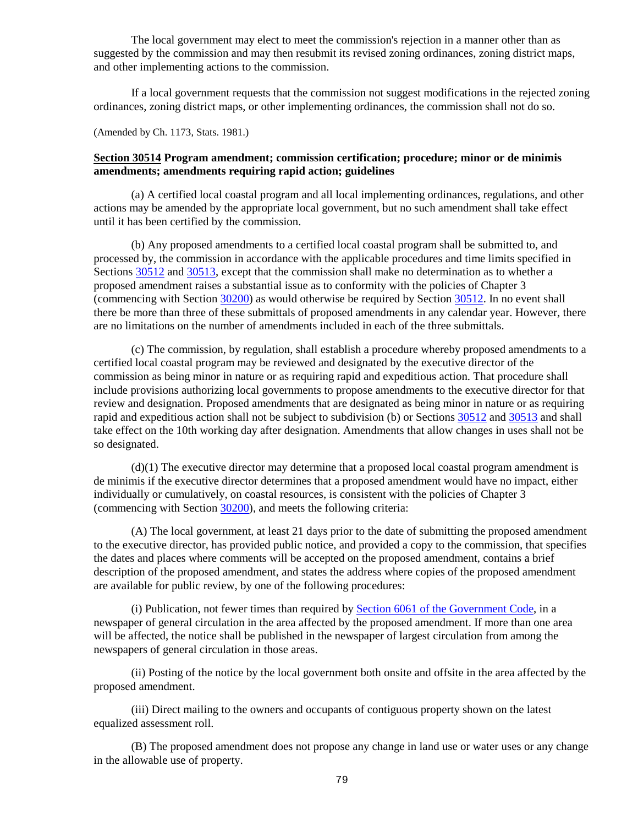The local government may elect to meet the commission's rejection in a manner other than as suggested by the commission and may then resubmit its revised zoning ordinances, zoning district maps, and other implementing actions to the commission.

If a local government requests that the commission not suggest modifications in the rejected zoning ordinances, zoning district maps, or other implementing ordinances, the commission shall not do so.

(Amended by Ch. 1173, Stats. 1981.)

## <span id="page-79-0"></span>**Section 30514 Program amendment; commission certification; procedure; minor or de minimis amendments; amendments requiring rapid action; guidelines**

(a) A certified local coastal program and all local implementing ordinances, regulations, and other actions may be amended by the appropriate local government, but no such amendment shall take effect until it has been certified by the commission.

(b) Any proposed amendments to a certified local coastal program shall be submitted to, and processed by, the commission in accordance with the applicable procedures and time limits specified in Sections [30512](#page-77-1) and [30513,](#page-78-2) except that the commission shall make no determination as to whether a proposed amendment raises a substantial issue as to conformity with the policies of Chapter 3 (commencing with Section [30200\)](#page-30-0) as would otherwise be required by Section [30512.](#page-77-1) In no event shall there be more than three of these submittals of proposed amendments in any calendar year. However, there are no limitations on the number of amendments included in each of the three submittals.

(c) The commission, by regulation, shall establish a procedure whereby proposed amendments to a certified local coastal program may be reviewed and designated by the executive director of the commission as being minor in nature or as requiring rapid and expeditious action. That procedure shall include provisions authorizing local governments to propose amendments to the executive director for that review and designation. Proposed amendments that are designated as being minor in nature or as requiring rapid and expeditious action shall not be subject to subdivision (b) or Sections [30512](#page-77-1) and [30513](#page-78-2) and shall take effect on the 10th working day after designation. Amendments that allow changes in uses shall not be so designated.

(d)(1) The executive director may determine that a proposed local coastal program amendment is de minimis if the executive director determines that a proposed amendment would have no impact, either individually or cumulatively, on coastal resources, is consistent with the policies of Chapter 3 (commencing with Section [30200\)](#page-30-0), and meets the following criteria:

(A) The local government, at least 21 days prior to the date of submitting the proposed amendment to the executive director, has provided public notice, and provided a copy to the commission, that specifies the dates and places where comments will be accepted on the proposed amendment, contains a brief description of the proposed amendment, and states the address where copies of the proposed amendment are available for public review, by one of the following procedures:

(i) Publication, not fewer times than required by [Section 6061 of the Government Code,](http://leginfo.legislature.ca.gov/faces/codes_displayexpandedbranch.xhtml?tocCode=GOV&division=&title=1.&part=&chapter=&article=) in a newspaper of general circulation in the area affected by the proposed amendment. If more than one area will be affected, the notice shall be published in the newspaper of largest circulation from among the newspapers of general circulation in those areas.

(ii) Posting of the notice by the local government both onsite and offsite in the area affected by the proposed amendment.

(iii) Direct mailing to the owners and occupants of contiguous property shown on the latest equalized assessment roll.

(B) The proposed amendment does not propose any change in land use or water uses or any change in the allowable use of property.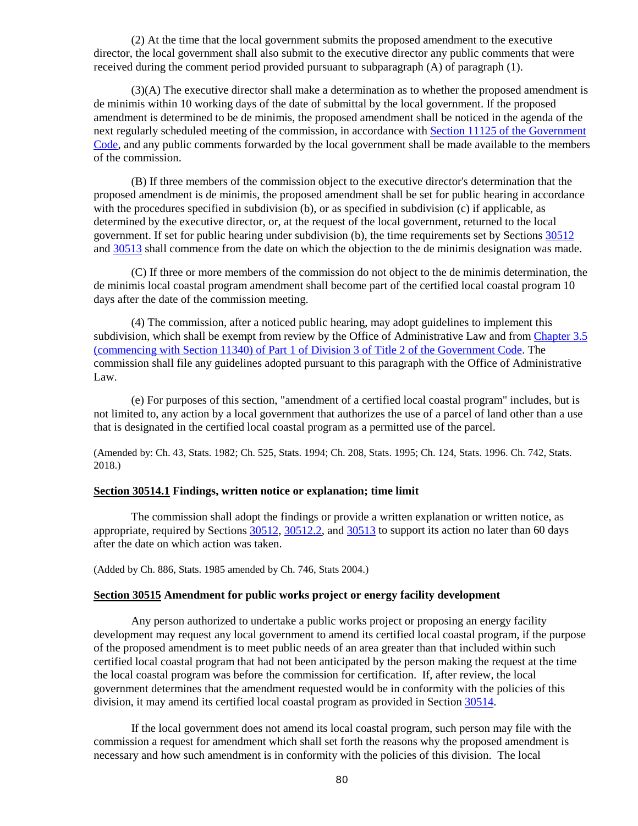(2) At the time that the local government submits the proposed amendment to the executive director, the local government shall also submit to the executive director any public comments that were received during the comment period provided pursuant to subparagraph (A) of paragraph (1).

(3)(A) The executive director shall make a determination as to whether the proposed amendment is de minimis within 10 working days of the date of submittal by the local government. If the proposed amendment is determined to be de minimis, the proposed amendment shall be noticed in the agenda of the next regularly scheduled meeting of the commission, in accordance with [Section 11125 of the Government](http://leginfo.legislature.ca.gov/faces/codes_displayexpandedbranch.xhtml?tocCode=GOV&division=&title=2.&part=&chapter=&article=)  [Code,](http://leginfo.legislature.ca.gov/faces/codes_displayexpandedbranch.xhtml?tocCode=GOV&division=&title=2.&part=&chapter=&article=) and any public comments forwarded by the local government shall be made available to the members of the commission.

(B) If three members of the commission object to the executive director's determination that the proposed amendment is de minimis, the proposed amendment shall be set for public hearing in accordance with the procedures specified in subdivision (b), or as specified in subdivision (c) if applicable, as determined by the executive director, or, at the request of the local government, returned to the local government. If set for public hearing under subdivision (b), the time requirements set by Sections [30512](#page-77-1) and [30513](#page-78-2) shall commence from the date on which the objection to the de minimis designation was made.

(C) If three or more members of the commission do not object to the de minimis determination, the de minimis local coastal program amendment shall become part of the certified local coastal program 10 days after the date of the commission meeting.

(4) The commission, after a noticed public hearing, may adopt guidelines to implement this subdivision, which shall be exempt from review by the Office of Administrative Law and fro[m Chapter 3.5](http://leginfo.legislature.ca.gov/faces/codes_displayText.xhtml?lawCode=GOV&division=3.&title=2.&part=1.&chapter=3.5.&article=1.)  [\(commencing with Section 11340\) of Part 1 of Division 3 of Title 2 of the Government Code.](http://leginfo.legislature.ca.gov/faces/codes_displayText.xhtml?lawCode=GOV&division=3.&title=2.&part=1.&chapter=3.5.&article=1.) The commission shall file any guidelines adopted pursuant to this paragraph with the Office of Administrative Law.

(e) For purposes of this section, "amendment of a certified local coastal program" includes, but is not limited to, any action by a local government that authorizes the use of a parcel of land other than a use that is designated in the certified local coastal program as a permitted use of the parcel.

(Amended by: Ch. 43, Stats. 1982; Ch. 525, Stats. 1994; Ch. 208, Stats. 1995; Ch. 124, Stats. 1996. Ch. 742, Stats. 2018.)

### <span id="page-80-0"></span>**Section 30514.1 Findings, written notice or explanation; time limit**

The commission shall adopt the findings or provide a written explanation or written notice, as appropriate, required by Section[s 30512,](#page-77-1) [30512.2,](#page-78-1) and [30513](#page-78-2) to support its action no later than 60 days after the date on which action was taken.

(Added by Ch. 886, Stats. 1985 amended by Ch. 746, Stats 2004.)

#### <span id="page-80-1"></span>**Section 30515 Amendment for public works project or energy facility development**

Any person authorized to undertake a public works project or proposing an energy facility development may request any local government to amend its certified local coastal program, if the purpose of the proposed amendment is to meet public needs of an area greater than that included within such certified local coastal program that had not been anticipated by the person making the request at the time the local coastal program was before the commission for certification. If, after review, the local government determines that the amendment requested would be in conformity with the policies of this division, it may amend its certified local coastal program as provided in Section [30514.](#page-79-0)

If the local government does not amend its local coastal program, such person may file with the commission a request for amendment which shall set forth the reasons why the proposed amendment is necessary and how such amendment is in conformity with the policies of this division. The local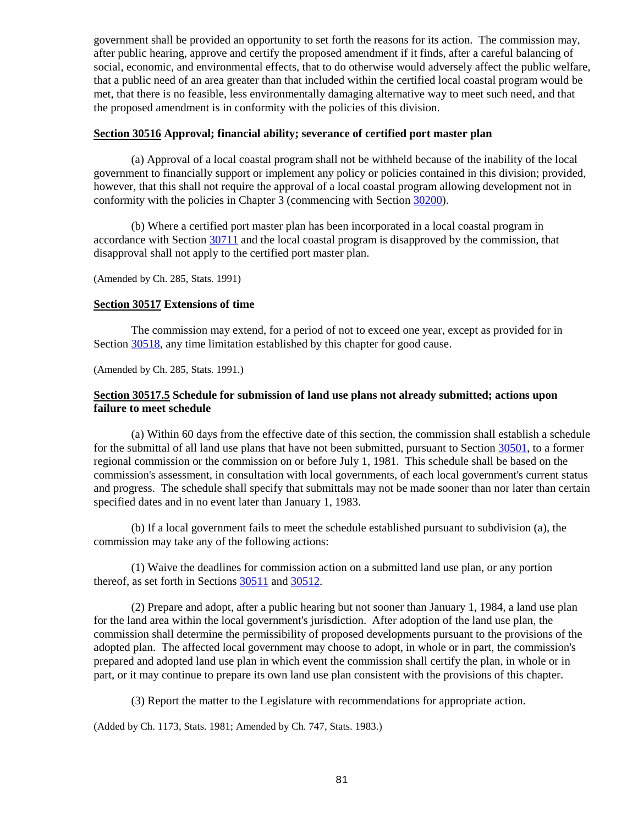government shall be provided an opportunity to set forth the reasons for its action. The commission may, after public hearing, approve and certify the proposed amendment if it finds, after a careful balancing of social, economic, and environmental effects, that to do otherwise would adversely affect the public welfare, that a public need of an area greater than that included within the certified local coastal program would be met, that there is no feasible, less environmentally damaging alternative way to meet such need, and that the proposed amendment is in conformity with the policies of this division.

#### <span id="page-81-0"></span>**Section 30516 Approval; financial ability; severance of certified port master plan**

(a) Approval of a local coastal program shall not be withheld because of the inability of the local government to financially support or implement any policy or policies contained in this division; provided, however, that this shall not require the approval of a local coastal program allowing development not in conformity with the policies in Chapter 3 (commencing with Section [30200\)](#page-30-0).

(b) Where a certified port master plan has been incorporated in a local coastal program in accordance with Section [30711](#page-122-0) and the local coastal program is disapproved by the commission, that disapproval shall not apply to the certified port master plan.

(Amended by Ch. 285, Stats. 1991)

#### <span id="page-81-1"></span>**Section 30517 Extensions of time**

The commission may extend, for a period of not to exceed one year, except as provided for in Section [30518,](#page-82-0) any time limitation established by this chapter for good cause.

(Amended by Ch. 285, Stats. 1991.)

## <span id="page-81-2"></span>**Section 30517.5 Schedule for submission of land use plans not already submitted; actions upon failure to meet schedule**

(a) Within 60 days from the effective date of this section, the commission shall establish a schedule for the submittal of all land use plans that have not been submitted, pursuant to Section [30501,](#page-75-2) to a former regional commission or the commission on or before July 1, 1981. This schedule shall be based on the commission's assessment, in consultation with local governments, of each local government's current status and progress. The schedule shall specify that submittals may not be made sooner than nor later than certain specified dates and in no event later than January 1, 1983.

(b) If a local government fails to meet the schedule established pursuant to subdivision (a), the commission may take any of the following actions:

(1) Waive the deadlines for commission action on a submitted land use plan, or any portion thereof, as set forth in Sections [30511](#page-77-0) and [30512.](#page-77-1)

(2) Prepare and adopt, after a public hearing but not sooner than January 1, 1984, a land use plan for the land area within the local government's jurisdiction. After adoption of the land use plan, the commission shall determine the permissibility of proposed developments pursuant to the provisions of the adopted plan. The affected local government may choose to adopt, in whole or in part, the commission's prepared and adopted land use plan in which event the commission shall certify the plan, in whole or in part, or it may continue to prepare its own land use plan consistent with the provisions of this chapter.

(3) Report the matter to the Legislature with recommendations for appropriate action.

<span id="page-81-3"></span>(Added by Ch. 1173, Stats. 1981; Amended by Ch. 747, Stats. 1983.)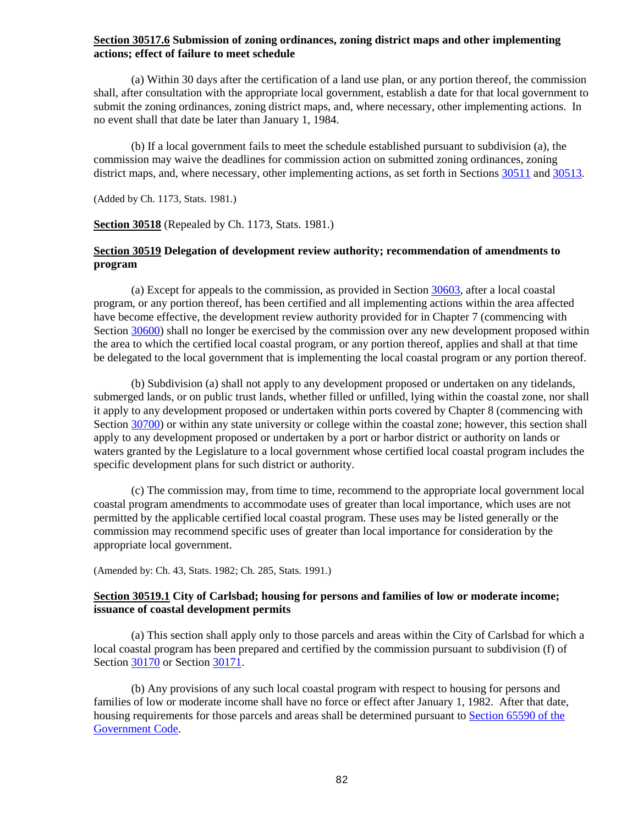## **Section 30517.6 Submission of zoning ordinances, zoning district maps and other implementing actions; effect of failure to meet schedule**

(a) Within 30 days after the certification of a land use plan, or any portion thereof, the commission shall, after consultation with the appropriate local government, establish a date for that local government to submit the zoning ordinances, zoning district maps, and, where necessary, other implementing actions. In no event shall that date be later than January 1, 1984.

(b) If a local government fails to meet the schedule established pursuant to subdivision (a), the commission may waive the deadlines for commission action on submitted zoning ordinances, zoning district maps, and, where necessary, other implementing actions, as set forth in Section[s 30511](#page-77-0) an[d 30513.](#page-78-2)

(Added by Ch. 1173, Stats. 1981.)

<span id="page-82-0"></span>**Section 30518** (Repealed by Ch. 1173, Stats. 1981.)

## <span id="page-82-1"></span>**Section 30519 Delegation of development review authority; recommendation of amendments to program**

(a) Except for appeals to the commission, as provided in Section [30603,](#page-96-0) after a local coastal program, or any portion thereof, has been certified and all implementing actions within the area affected have become effective, the development review authority provided for in Chapter 7 (commencing with Section [30600\)](#page-91-0) shall no longer be exercised by the commission over any new development proposed within the area to which the certified local coastal program, or any portion thereof, applies and shall at that time be delegated to the local government that is implementing the local coastal program or any portion thereof.

(b) Subdivision (a) shall not apply to any development proposed or undertaken on any tidelands, submerged lands, or on public trust lands, whether filled or unfilled, lying within the coastal zone, nor shall it apply to any development proposed or undertaken within ports covered by Chapter 8 (commencing with Section [30700\)](#page-120-0) or within any state university or college within the coastal zone; however, this section shall apply to any development proposed or undertaken by a port or harbor district or authority on lands or waters granted by the Legislature to a local government whose certified local coastal program includes the specific development plans for such district or authority.

(c) The commission may, from time to time, recommend to the appropriate local government local coastal program amendments to accommodate uses of greater than local importance, which uses are not permitted by the applicable certified local coastal program. These uses may be listed generally or the commission may recommend specific uses of greater than local importance for consideration by the appropriate local government.

(Amended by: Ch. 43, Stats. 1982; Ch. 285, Stats. 1991.)

## <span id="page-82-2"></span>**Section 30519.1 City of Carlsbad; housing for persons and families of low or moderate income; issuance of coastal development permits**

(a) This section shall apply only to those parcels and areas within the City of Carlsbad for which a local coastal program has been prepared and certified by the commission pursuant to subdivision (f) of Section [30170](#page-21-0) or Section [30171.](#page-24-0)

(b) Any provisions of any such local coastal program with respect to housing for persons and families of low or moderate income shall have no force or effect after January 1, 1982. After that date, housing requirements for those parcels and areas shall be determined pursuant to [Section 65590 of the](http://leginfo.legislature.ca.gov/faces/codes_displayexpandedbranch.xhtml?tocCode=GOV&division=&title=7.&part=&chapter=&article=)  [Government Code.](http://leginfo.legislature.ca.gov/faces/codes_displayexpandedbranch.xhtml?tocCode=GOV&division=&title=7.&part=&chapter=&article=)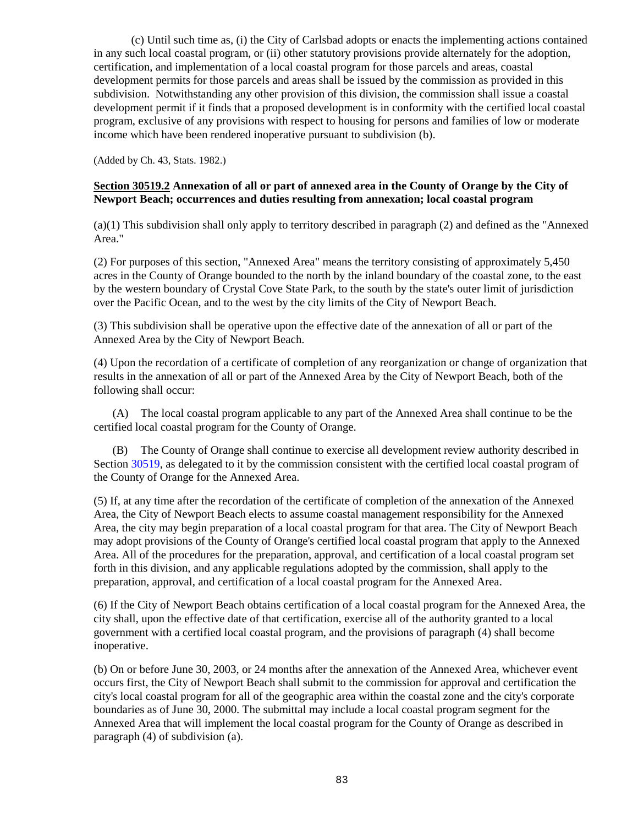(c) Until such time as, (i) the City of Carlsbad adopts or enacts the implementing actions contained in any such local coastal program, or (ii) other statutory provisions provide alternately for the adoption, certification, and implementation of a local coastal program for those parcels and areas, coastal development permits for those parcels and areas shall be issued by the commission as provided in this subdivision. Notwithstanding any other provision of this division, the commission shall issue a coastal development permit if it finds that a proposed development is in conformity with the certified local coastal program, exclusive of any provisions with respect to housing for persons and families of low or moderate income which have been rendered inoperative pursuant to subdivision (b).

(Added by Ch. 43, Stats. 1982.)

## <span id="page-83-0"></span>**Section 30519.2 Annexation of all or part of annexed area in the County of Orange by the City of Newport Beach; occurrences and duties resulting from annexation; local coastal program**

(a)(1) This subdivision shall only apply to territory described in paragraph (2) and defined as the "Annexed Area."

(2) For purposes of this section, "Annexed Area" means the territory consisting of approximately 5,450 acres in the County of Orange bounded to the north by the inland boundary of the coastal zone, to the east by the western boundary of Crystal Cove State Park, to the south by the state's outer limit of jurisdiction over the Pacific Ocean, and to the west by the city limits of the City of Newport Beach.

(3) This subdivision shall be operative upon the effective date of the annexation of all or part of the Annexed Area by the City of Newport Beach.

(4) Upon the recordation of a certificate of completion of any reorganization or change of organization that results in the annexation of all or part of the Annexed Area by the City of Newport Beach, both of the following shall occur:

(A) The local coastal program applicable to any part of the Annexed Area shall continue to be the certified local coastal program for the County of Orange.

(B) The County of Orange shall continue to exercise all development review authority described in Section [30519,](#page-82-1) as delegated to it by the commission consistent with the certified local coastal program of the County of Orange for the Annexed Area.

(5) If, at any time after the recordation of the certificate of completion of the annexation of the Annexed Area, the City of Newport Beach elects to assume coastal management responsibility for the Annexed Area, the city may begin preparation of a local coastal program for that area. The City of Newport Beach may adopt provisions of the County of Orange's certified local coastal program that apply to the Annexed Area. All of the procedures for the preparation, approval, and certification of a local coastal program set forth in this division, and any applicable regulations adopted by the commission, shall apply to the preparation, approval, and certification of a local coastal program for the Annexed Area.

(6) If the City of Newport Beach obtains certification of a local coastal program for the Annexed Area, the city shall, upon the effective date of that certification, exercise all of the authority granted to a local government with a certified local coastal program, and the provisions of paragraph (4) shall become inoperative.

(b) On or before June 30, 2003, or 24 months after the annexation of the Annexed Area, whichever event occurs first, the City of Newport Beach shall submit to the commission for approval and certification the city's local coastal program for all of the geographic area within the coastal zone and the city's corporate boundaries as of June 30, 2000. The submittal may include a local coastal program segment for the Annexed Area that will implement the local coastal program for the County of Orange as described in paragraph (4) of subdivision (a).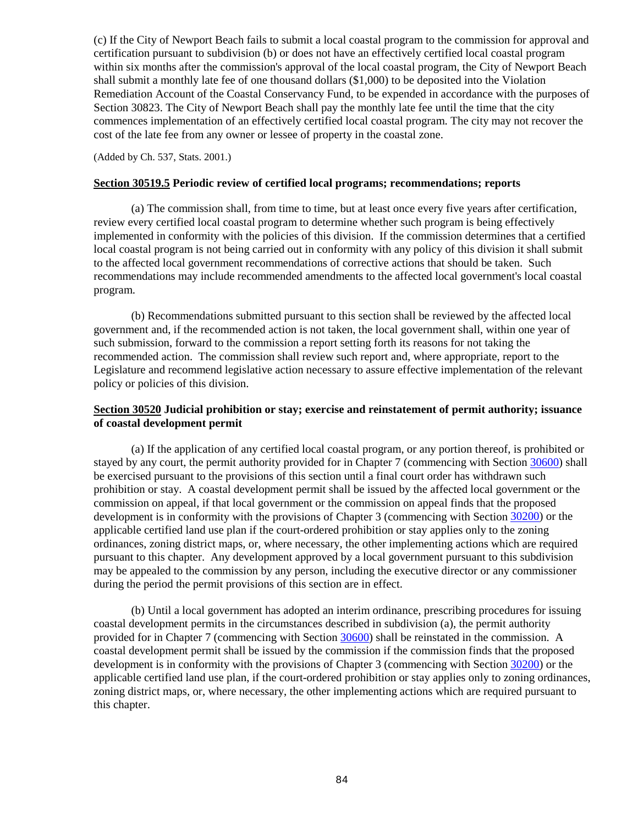(c) If the City of Newport Beach fails to submit a local coastal program to the commission for approval and certification pursuant to subdivision (b) or does not have an effectively certified local coastal program within six months after the commission's approval of the local coastal program, the City of Newport Beach shall submit a monthly late fee of one thousand dollars (\$1,000) to be deposited into the Violation Remediation Account of the Coastal Conservancy Fund, to be expended in accordance with the purposes of Section 30823. The City of Newport Beach shall pay the monthly late fee until the time that the city commences implementation of an effectively certified local coastal program. The city may not recover the cost of the late fee from any owner or lessee of property in the coastal zone.

(Added by Ch. 537, Stats. 2001.)

#### <span id="page-84-0"></span>**Section 30519.5 Periodic review of certified local programs; recommendations; reports**

(a) The commission shall, from time to time, but at least once every five years after certification, review every certified local coastal program to determine whether such program is being effectively implemented in conformity with the policies of this division. If the commission determines that a certified local coastal program is not being carried out in conformity with any policy of this division it shall submit to the affected local government recommendations of corrective actions that should be taken. Such recommendations may include recommended amendments to the affected local government's local coastal program.

(b) Recommendations submitted pursuant to this section shall be reviewed by the affected local government and, if the recommended action is not taken, the local government shall, within one year of such submission, forward to the commission a report setting forth its reasons for not taking the recommended action. The commission shall review such report and, where appropriate, report to the Legislature and recommend legislative action necessary to assure effective implementation of the relevant policy or policies of this division.

## <span id="page-84-1"></span>**Section 30520 Judicial prohibition or stay; exercise and reinstatement of permit authority; issuance of coastal development permit**

(a) If the application of any certified local coastal program, or any portion thereof, is prohibited or stayed by any court, the permit authority provided for in Chapter 7 (commencing with Section [30600\)](#page-91-0) shall be exercised pursuant to the provisions of this section until a final court order has withdrawn such prohibition or stay. A coastal development permit shall be issued by the affected local government or the commission on appeal, if that local government or the commission on appeal finds that the proposed development is in conformity with the provisions of Chapter 3 (commencing with Section [30200\)](#page-30-0) or the applicable certified land use plan if the court-ordered prohibition or stay applies only to the zoning ordinances, zoning district maps, or, where necessary, the other implementing actions which are required pursuant to this chapter. Any development approved by a local government pursuant to this subdivision may be appealed to the commission by any person, including the executive director or any commissioner during the period the permit provisions of this section are in effect.

(b) Until a local government has adopted an interim ordinance, prescribing procedures for issuing coastal development permits in the circumstances described in subdivision (a), the permit authority provided for in Chapter 7 (commencing with Sectio[n 30600\)](#page-91-0) shall be reinstated in the commission. A coastal development permit shall be issued by the commission if the commission finds that the proposed development is in conformity with the provisions of Chapter 3 (commencing with Section [30200\)](#page-30-0) or the applicable certified land use plan, if the court-ordered prohibition or stay applies only to zoning ordinances, zoning district maps, or, where necessary, the other implementing actions which are required pursuant to this chapter.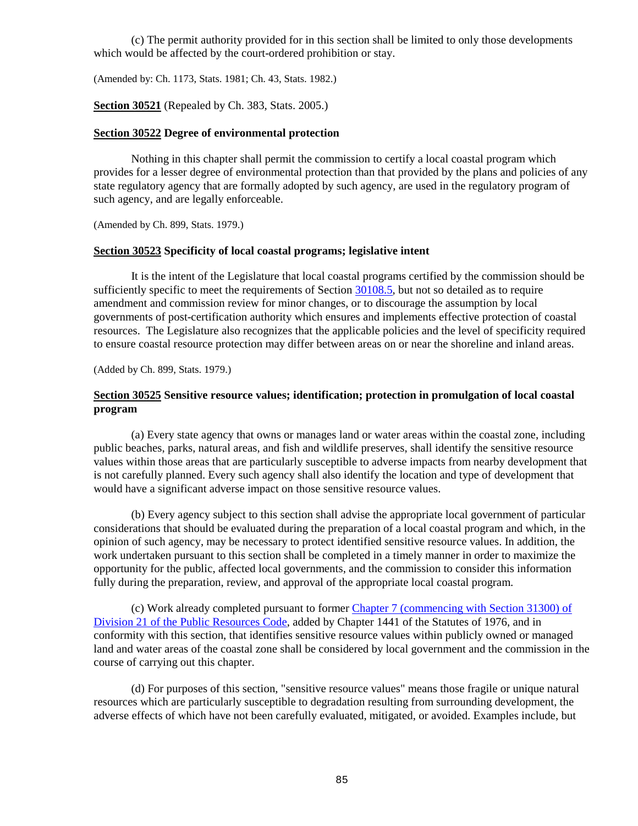(c) The permit authority provided for in this section shall be limited to only those developments which would be affected by the court-ordered prohibition or stay.

<span id="page-85-0"></span>(Amended by: Ch. 1173, Stats. 1981; Ch. 43, Stats. 1982.)

**Section 30521** (Repealed by Ch. 383, Stats. 2005.)

#### <span id="page-85-1"></span>**Section 30522 Degree of environmental protection**

Nothing in this chapter shall permit the commission to certify a local coastal program which provides for a lesser degree of environmental protection than that provided by the plans and policies of any state regulatory agency that are formally adopted by such agency, are used in the regulatory program of such agency, and are legally enforceable.

(Amended by Ch. 899, Stats. 1979.)

#### <span id="page-85-2"></span>**Section 30523 Specificity of local coastal programs; legislative intent**

It is the intent of the Legislature that local coastal programs certified by the commission should be sufficiently specific to meet the requirements of Section [30108.5,](#page-10-0) but not so detailed as to require amendment and commission review for minor changes, or to discourage the assumption by local governments of post-certification authority which ensures and implements effective protection of coastal resources. The Legislature also recognizes that the applicable policies and the level of specificity required to ensure coastal resource protection may differ between areas on or near the shoreline and inland areas.

(Added by Ch. 899, Stats. 1979.)

## <span id="page-85-3"></span>**Section 30525 Sensitive resource values; identification; protection in promulgation of local coastal program**

(a) Every state agency that owns or manages land or water areas within the coastal zone, including public beaches, parks, natural areas, and fish and wildlife preserves, shall identify the sensitive resource values within those areas that are particularly susceptible to adverse impacts from nearby development that is not carefully planned. Every such agency shall also identify the location and type of development that would have a significant adverse impact on those sensitive resource values.

(b) Every agency subject to this section shall advise the appropriate local government of particular considerations that should be evaluated during the preparation of a local coastal program and which, in the opinion of such agency, may be necessary to protect identified sensitive resource values. In addition, the work undertaken pursuant to this section shall be completed in a timely manner in order to maximize the opportunity for the public, affected local governments, and the commission to consider this information fully during the preparation, review, and approval of the appropriate local coastal program.

(c) Work already completed pursuant to former [Chapter 7 \(commencing with Section 31300\) of](http://leginfo.legislature.ca.gov/faces/codes_displayexpandedbranch.xhtml?tocCode=PRC&division=21.&title=&part=&chapter=&article=)  [Division 21 of the Public Resources Code,](http://leginfo.legislature.ca.gov/faces/codes_displayexpandedbranch.xhtml?tocCode=PRC&division=21.&title=&part=&chapter=&article=) added by Chapter 1441 of the Statutes of 1976, and in conformity with this section, that identifies sensitive resource values within publicly owned or managed land and water areas of the coastal zone shall be considered by local government and the commission in the course of carrying out this chapter.

(d) For purposes of this section, "sensitive resource values" means those fragile or unique natural resources which are particularly susceptible to degradation resulting from surrounding development, the adverse effects of which have not been carefully evaluated, mitigated, or avoided. Examples include, but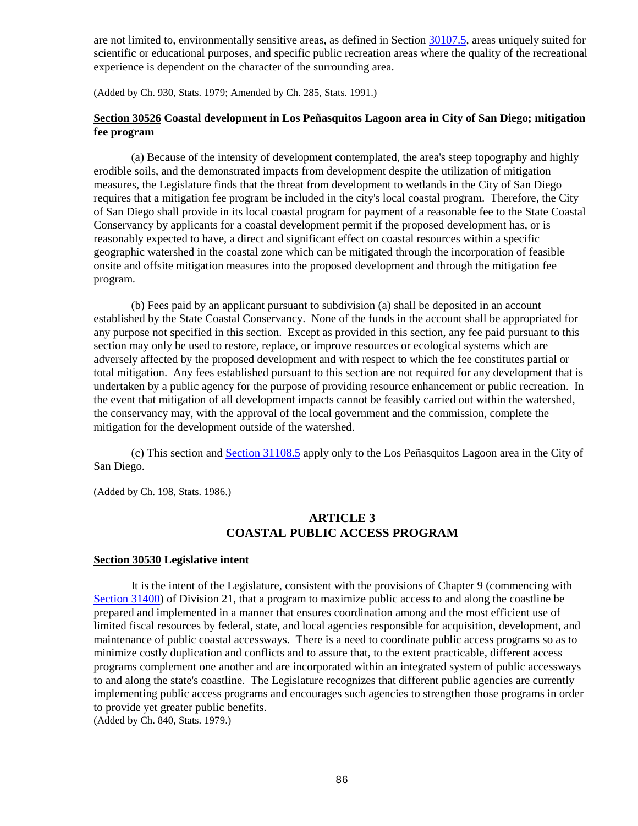are not limited to, environmentally sensitive areas, as defined in Sectio[n 30107.5,](#page-10-1) areas uniquely suited for scientific or educational purposes, and specific public recreation areas where the quality of the recreational experience is dependent on the character of the surrounding area.

(Added by Ch. 930, Stats. 1979; Amended by Ch. 285, Stats. 1991.)

## <span id="page-86-0"></span>**Section 30526 Coastal development in Los Peñasquitos Lagoon area in City of San Diego; mitigation fee program**

(a) Because of the intensity of development contemplated, the area's steep topography and highly erodible soils, and the demonstrated impacts from development despite the utilization of mitigation measures, the Legislature finds that the threat from development to wetlands in the City of San Diego requires that a mitigation fee program be included in the city's local coastal program. Therefore, the City of San Diego shall provide in its local coastal program for payment of a reasonable fee to the State Coastal Conservancy by applicants for a coastal development permit if the proposed development has, or is reasonably expected to have, a direct and significant effect on coastal resources within a specific geographic watershed in the coastal zone which can be mitigated through the incorporation of feasible onsite and offsite mitigation measures into the proposed development and through the mitigation fee program.

(b) Fees paid by an applicant pursuant to subdivision (a) shall be deposited in an account established by the State Coastal Conservancy. None of the funds in the account shall be appropriated for any purpose not specified in this section. Except as provided in this section, any fee paid pursuant to this section may only be used to restore, replace, or improve resources or ecological systems which are adversely affected by the proposed development and with respect to which the fee constitutes partial or total mitigation. Any fees established pursuant to this section are not required for any development that is undertaken by a public agency for the purpose of providing resource enhancement or public recreation. In the event that mitigation of all development impacts cannot be feasibly carried out within the watershed, the conservancy may, with the approval of the local government and the commission, complete the mitigation for the development outside of the watershed.

(c) This section and [Section 31108.5](http://leginfo.legislature.ca.gov/faces/codes_displayexpandedbranch.xhtml?tocCode=PRC&division=21.&title=&part=&chapter=&article=) apply only to the Los Peñasquitos Lagoon area in the City of San Diego.

(Added by Ch. 198, Stats. 1986.)

## **ARTICLE 3 COASTAL PUBLIC ACCESS PROGRAM**

#### <span id="page-86-1"></span>**Section 30530 Legislative intent**

It is the intent of the Legislature, consistent with the provisions of Chapter 9 (commencing with [Section 31400\)](http://leginfo.legislature.ca.gov/faces/codes_displayexpandedbranch.xhtml?tocCode=PRC&division=21.&title=&part=&chapter=&article=) of Division 21, that a program to maximize public access to and along the coastline be prepared and implemented in a manner that ensures coordination among and the most efficient use of limited fiscal resources by federal, state, and local agencies responsible for acquisition, development, and maintenance of public coastal accessways. There is a need to coordinate public access programs so as to minimize costly duplication and conflicts and to assure that, to the extent practicable, different access programs complement one another and are incorporated within an integrated system of public accessways to and along the state's coastline. The Legislature recognizes that different public agencies are currently implementing public access programs and encourages such agencies to strengthen those programs in order to provide yet greater public benefits.

<span id="page-86-2"></span>(Added by Ch. 840, Stats. 1979.)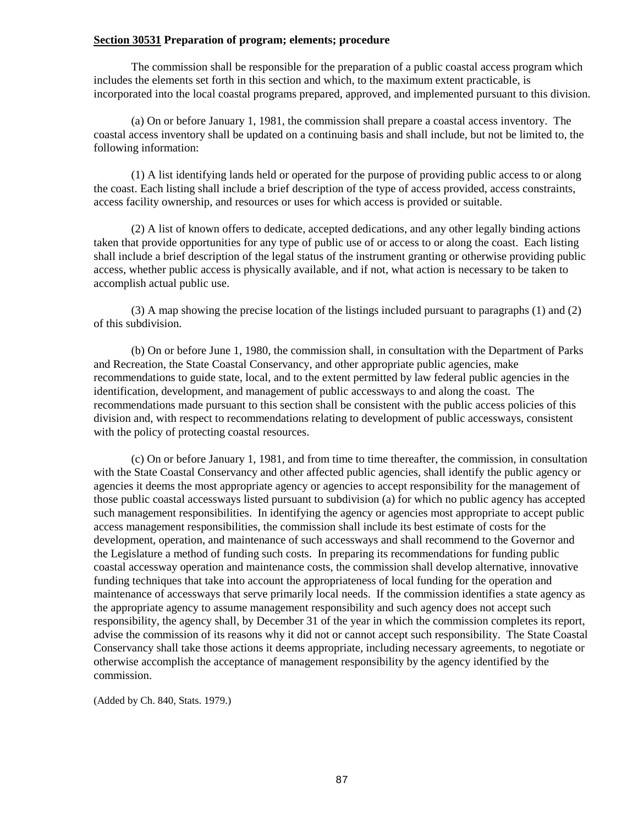### **Section 30531 Preparation of program; elements; procedure**

The commission shall be responsible for the preparation of a public coastal access program which includes the elements set forth in this section and which, to the maximum extent practicable, is incorporated into the local coastal programs prepared, approved, and implemented pursuant to this division.

(a) On or before January 1, 1981, the commission shall prepare a coastal access inventory. The coastal access inventory shall be updated on a continuing basis and shall include, but not be limited to, the following information:

(1) A list identifying lands held or operated for the purpose of providing public access to or along the coast. Each listing shall include a brief description of the type of access provided, access constraints, access facility ownership, and resources or uses for which access is provided or suitable.

(2) A list of known offers to dedicate, accepted dedications, and any other legally binding actions taken that provide opportunities for any type of public use of or access to or along the coast. Each listing shall include a brief description of the legal status of the instrument granting or otherwise providing public access, whether public access is physically available, and if not, what action is necessary to be taken to accomplish actual public use.

(3) A map showing the precise location of the listings included pursuant to paragraphs (1) and (2) of this subdivision.

(b) On or before June 1, 1980, the commission shall, in consultation with the Department of Parks and Recreation, the State Coastal Conservancy, and other appropriate public agencies, make recommendations to guide state, local, and to the extent permitted by law federal public agencies in the identification, development, and management of public accessways to and along the coast. The recommendations made pursuant to this section shall be consistent with the public access policies of this division and, with respect to recommendations relating to development of public accessways, consistent with the policy of protecting coastal resources.

(c) On or before January 1, 1981, and from time to time thereafter, the commission, in consultation with the State Coastal Conservancy and other affected public agencies, shall identify the public agency or agencies it deems the most appropriate agency or agencies to accept responsibility for the management of those public coastal accessways listed pursuant to subdivision (a) for which no public agency has accepted such management responsibilities. In identifying the agency or agencies most appropriate to accept public access management responsibilities, the commission shall include its best estimate of costs for the development, operation, and maintenance of such accessways and shall recommend to the Governor and the Legislature a method of funding such costs. In preparing its recommendations for funding public coastal accessway operation and maintenance costs, the commission shall develop alternative, innovative funding techniques that take into account the appropriateness of local funding for the operation and maintenance of accessways that serve primarily local needs. If the commission identifies a state agency as the appropriate agency to assume management responsibility and such agency does not accept such responsibility, the agency shall, by December 31 of the year in which the commission completes its report, advise the commission of its reasons why it did not or cannot accept such responsibility. The State Coastal Conservancy shall take those actions it deems appropriate, including necessary agreements, to negotiate or otherwise accomplish the acceptance of management responsibility by the agency identified by the commission.

<span id="page-87-0"></span>(Added by Ch. 840, Stats. 1979.)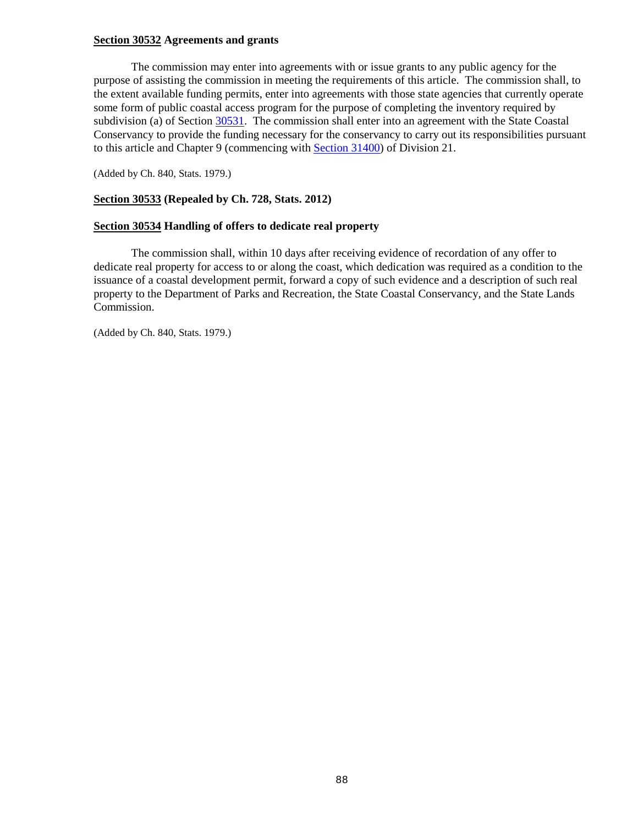### **Section 30532 Agreements and grants**

The commission may enter into agreements with or issue grants to any public agency for the purpose of assisting the commission in meeting the requirements of this article. The commission shall, to the extent available funding permits, enter into agreements with those state agencies that currently operate some form of public coastal access program for the purpose of completing the inventory required by subdivision (a) of Section  $\frac{30531}{1}$ . The commission shall enter into an agreement with the State Coastal Conservancy to provide the funding necessary for the conservancy to carry out its responsibilities pursuant to this article and Chapter 9 (commencing with [Section 31400\)](http://leginfo.legislature.ca.gov/faces/codes_displayexpandedbranch.xhtml?tocCode=PRC&division=21.&title=&part=&chapter=&article=) of Division 21.

(Added by Ch. 840, Stats. 1979.)

## <span id="page-88-0"></span>**Section 30533 (Repealed by Ch. 728, Stats. 2012)**

#### <span id="page-88-1"></span>**Section 30534 Handling of offers to dedicate real property**

The commission shall, within 10 days after receiving evidence of recordation of any offer to dedicate real property for access to or along the coast, which dedication was required as a condition to the issuance of a coastal development permit, forward a copy of such evidence and a description of such real property to the Department of Parks and Recreation, the State Coastal Conservancy, and the State Lands Commission.

(Added by Ch. 840, Stats. 1979.)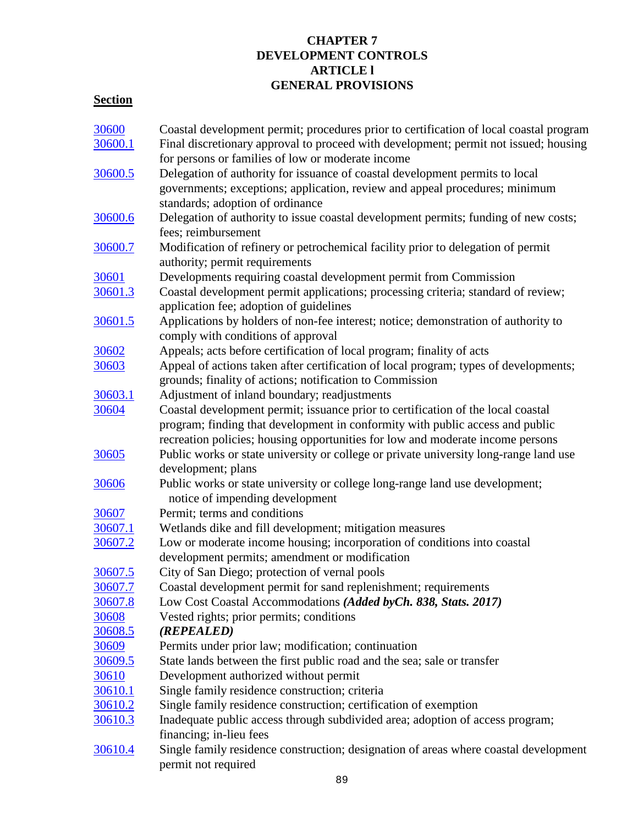## **CHAPTER 7 DEVELOPMENT CONTROLS ARTICLE l GENERAL PROVISIONS**

# **Section**

| Final discretionary approval to proceed with development; permit not issued; housing                                                                                    |
|-------------------------------------------------------------------------------------------------------------------------------------------------------------------------|
|                                                                                                                                                                         |
|                                                                                                                                                                         |
|                                                                                                                                                                         |
|                                                                                                                                                                         |
|                                                                                                                                                                         |
| Delegation of authority to issue coastal development permits; funding of new costs;                                                                                     |
|                                                                                                                                                                         |
|                                                                                                                                                                         |
|                                                                                                                                                                         |
|                                                                                                                                                                         |
|                                                                                                                                                                         |
|                                                                                                                                                                         |
|                                                                                                                                                                         |
|                                                                                                                                                                         |
|                                                                                                                                                                         |
| Appeal of actions taken after certification of local program; types of developments;                                                                                    |
|                                                                                                                                                                         |
|                                                                                                                                                                         |
|                                                                                                                                                                         |
|                                                                                                                                                                         |
|                                                                                                                                                                         |
| Public works or state university or college or private university long-range land use                                                                                   |
|                                                                                                                                                                         |
|                                                                                                                                                                         |
|                                                                                                                                                                         |
|                                                                                                                                                                         |
|                                                                                                                                                                         |
|                                                                                                                                                                         |
|                                                                                                                                                                         |
|                                                                                                                                                                         |
|                                                                                                                                                                         |
|                                                                                                                                                                         |
|                                                                                                                                                                         |
|                                                                                                                                                                         |
|                                                                                                                                                                         |
|                                                                                                                                                                         |
|                                                                                                                                                                         |
|                                                                                                                                                                         |
|                                                                                                                                                                         |
|                                                                                                                                                                         |
|                                                                                                                                                                         |
| Single family residence construction; designation of areas where coastal development                                                                                    |
|                                                                                                                                                                         |
| Coastal development permit applications; processing criteria; standard of review;<br>Applications by holders of non-fee interest; notice; demonstration of authority to |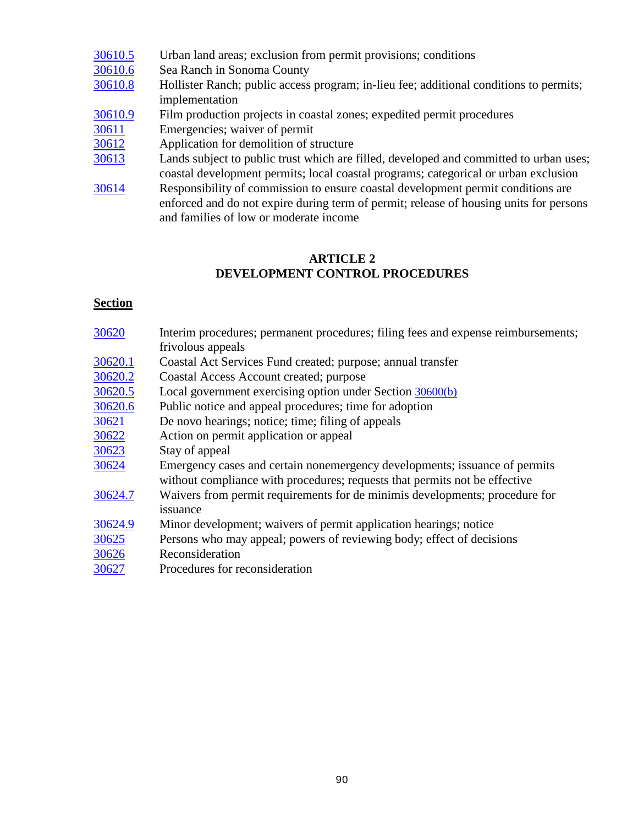| 30610.5 | Urban land areas; exclusion from permit provisions; conditions                         |
|---------|----------------------------------------------------------------------------------------|
| 30610.6 | Sea Ranch in Sonoma County                                                             |
| 30610.8 | Hollister Ranch; public access program; in-lieu fee; additional conditions to permits; |
|         | implementation                                                                         |
| 30610.9 | Film production projects in coastal zones; expedited permit procedures                 |
| 30611   | Emergencies; waiver of permit                                                          |
| 30612   | Application for demolition of structure                                                |
| 30613   | Lands subject to public trust which are filled, developed and committed to urban uses; |
|         | coastal development permits; local coastal programs; categorical or urban exclusion    |
| 30614   | Responsibility of commission to ensure coastal development permit conditions are       |
|         | enforced and do not expire during term of permit; release of housing units for persons |
|         | and families of low or moderate income                                                 |

# **ARTICLE 2 DEVELOPMENT CONTROL PROCEDURES**

# **Section**

| 30620   | Interim procedures; permanent procedures; filing fees and expense reimbursements;                                                                        |
|---------|----------------------------------------------------------------------------------------------------------------------------------------------------------|
|         | frivolous appeals                                                                                                                                        |
| 30620.1 | Coastal Act Services Fund created; purpose; annual transfer                                                                                              |
| 30620.2 | Coastal Access Account created; purpose                                                                                                                  |
| 30620.5 | Local government exercising option under Section 30600(b)                                                                                                |
| 30620.6 | Public notice and appeal procedures; time for adoption                                                                                                   |
| 30621   | De novo hearings; notice; time; filing of appeals                                                                                                        |
| 30622   | Action on permit application or appeal                                                                                                                   |
| 30623   | Stay of appeal                                                                                                                                           |
| 30624   | Emergency cases and certain nonemergency developments; issuance of permits<br>without compliance with procedures; requests that permits not be effective |
| 30624.7 | Waivers from permit requirements for de minimis developments; procedure for<br>issuance                                                                  |
| 30624.9 | Minor development; waivers of permit application hearings; notice                                                                                        |
| 30625   | Persons who may appeal; powers of reviewing body; effect of decisions                                                                                    |
| 30626   | Reconsideration                                                                                                                                          |
| 30627   | Procedures for reconsideration                                                                                                                           |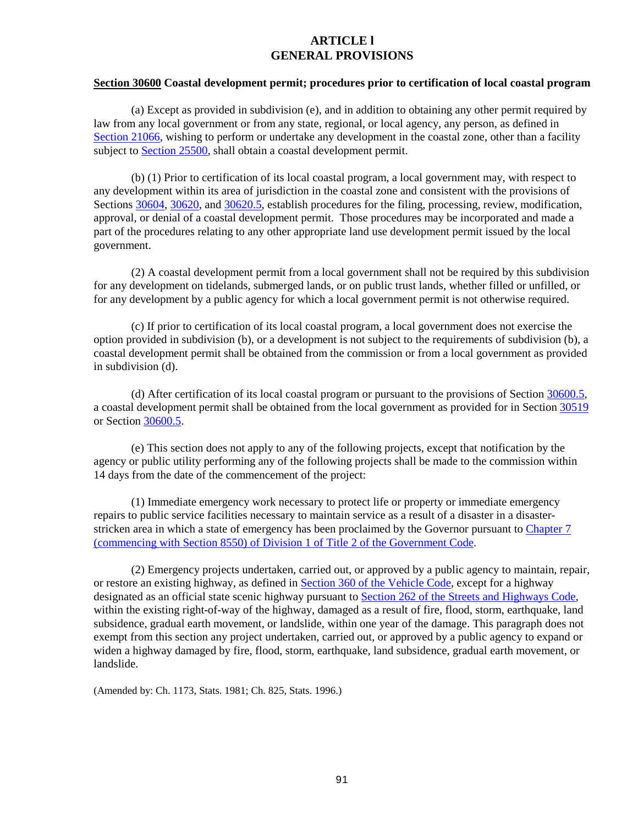## **ARTICLE l GENERAL PROVISIONS**

### <span id="page-91-0"></span>**Section 30600 Coastal development permit; procedures prior to certification of local coastal program**

(a) Except as provided in subdivision (e), and in addition to obtaining any other permit required by law from any local government or from any state, regional, or local agency, any person, as defined in [Section 21066,](http://leginfo.legislature.ca.gov/faces/codes_displayexpandedbranch.xhtml?tocCode=PRC&division=13.&title=&part=&chapter=&article=) wishing to perform or undertake any development in the coastal zone, other than a facility subject to [Section 25500,](http://leginfo.legislature.ca.gov/faces/codes_displayexpandedbranch.xhtml?tocCode=PRC&division=15.&title=&part=&chapter=&article=) shall obtain a coastal development permit.

(b) (1) Prior to certification of its local coastal program, a local government may, with respect to any development within its area of jurisdiction in the coastal zone and consistent with the provisions of Sections [30604,](#page-97-0) [30620,](#page-112-2) and [30620.5,](#page-114-0) establish procedures for the filing, processing, review, modification, approval, or denial of a coastal development permit. Those procedures may be incorporated and made a part of the procedures relating to any other appropriate land use development permit issued by the local government.

(2) A coastal development permit from a local government shall not be required by this subdivision for any development on tidelands, submerged lands, or on public trust lands, whether filled or unfilled, or for any development by a public agency for which a local government permit is not otherwise required.

(c) If prior to certification of its local coastal program, a local government does not exercise the option provided in subdivision (b), or a development is not subject to the requirements of subdivision (b), a coastal development permit shall be obtained from the commission or from a local government as provided in subdivision (d).

(d) After certification of its local coastal program or pursuant to the provisions of Section [30600.5,](#page-92-0) a coastal development permit shall be obtained from the local government as provided for in Section [30519](#page-82-1) or Section [30600.5.](#page-92-0)

(e) This section does not apply to any of the following projects, except that notification by the agency or public utility performing any of the following projects shall be made to the commission within 14 days from the date of the commencement of the project:

(1) Immediate emergency work necessary to protect life or property or immediate emergency repairs to public service facilities necessary to maintain service as a result of a disaster in a disasterstricken area in which a state of emergency has been proclaimed by the Governor pursuant to [Chapter 7](http://leginfo.legislature.ca.gov/faces/codes_displayexpandedbranch.xhtml?tocCode=GOV&division=&title=2.&part=&chapter=&article=)  [\(commencing with Section 8550\) of Division 1 of Title 2 of the Government Code.](http://leginfo.legislature.ca.gov/faces/codes_displayexpandedbranch.xhtml?tocCode=GOV&division=&title=2.&part=&chapter=&article=)

(2) Emergency projects undertaken, carried out, or approved by a public agency to maintain, repair, or restore an existing highway, as defined i[n Section 360 of the Vehicle Code,](http://leginfo.legislature.ca.gov/faces/codesTOCSelected.xhtml?tocCode=VEH&tocTitle=+Vehicle+Code+-+VEH) except for a highway designated as an official state scenic highway pursuant to [Section 262 of the Streets and Highways Code,](http://leginfo.legislature.ca.gov/faces/codesTOCSelected.xhtml?tocCode=SHC&tocTitle=+Streets+and+Highways+Code+-+SHC) within the existing right-of-way of the highway, damaged as a result of fire, flood, storm, earthquake, land subsidence, gradual earth movement, or landslide, within one year of the damage. This paragraph does not exempt from this section any project undertaken, carried out, or approved by a public agency to expand or widen a highway damaged by fire, flood, storm, earthquake, land subsidence, gradual earth movement, or landslide.

<span id="page-91-1"></span>(Amended by: Ch. 1173, Stats. 1981; Ch. 825, Stats. 1996.)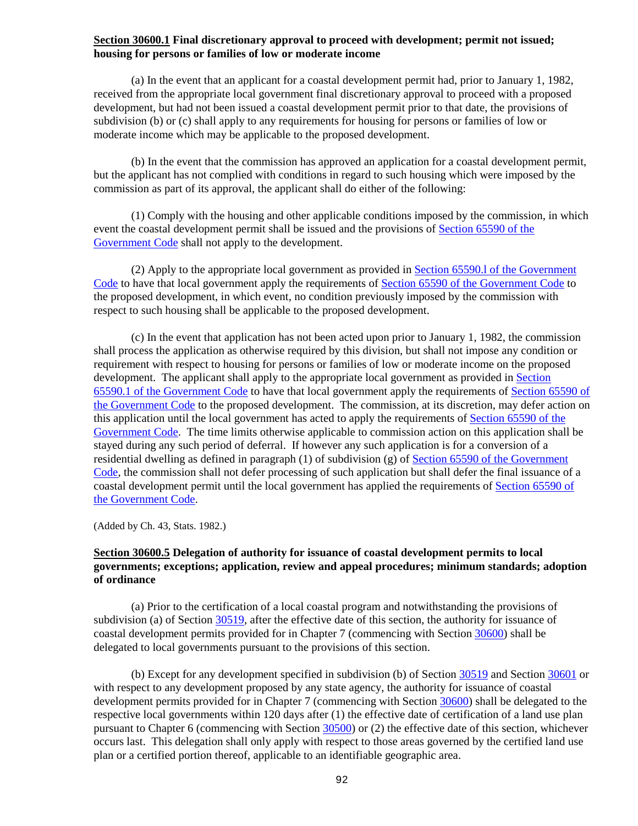### **Section 30600.1 Final discretionary approval to proceed with development; permit not issued; housing for persons or families of low or moderate income**

(a) In the event that an applicant for a coastal development permit had, prior to January 1, 1982, received from the appropriate local government final discretionary approval to proceed with a proposed development, but had not been issued a coastal development permit prior to that date, the provisions of subdivision (b) or (c) shall apply to any requirements for housing for persons or families of low or moderate income which may be applicable to the proposed development.

(b) In the event that the commission has approved an application for a coastal development permit, but the applicant has not complied with conditions in regard to such housing which were imposed by the commission as part of its approval, the applicant shall do either of the following:

(1) Comply with the housing and other applicable conditions imposed by the commission, in which event the coastal development permit shall be issued and the provisions of [Section 65590 of the](http://leginfo.legislature.ca.gov/faces/codes_displayexpandedbranch.xhtml?tocCode=GOV&division=&title=7.&part=&chapter=&article=)  [Government Code](http://leginfo.legislature.ca.gov/faces/codes_displayexpandedbranch.xhtml?tocCode=GOV&division=&title=7.&part=&chapter=&article=) shall not apply to the development.

(2) Apply to the appropriate local government as provided in [Section 65590.l of the Government](http://leginfo.legislature.ca.gov/faces/codes_displayexpandedbranch.xhtml?tocCode=GOV&division=&title=7.&part=&chapter=&article=)  [Code](http://leginfo.legislature.ca.gov/faces/codes_displayexpandedbranch.xhtml?tocCode=GOV&division=&title=7.&part=&chapter=&article=) to have that local government apply the requirements of [Section 65590 of the Government Code](http://leginfo.legislature.ca.gov/faces/codes_displayText.xhtml?lawCode=GOV&division=1.&title=7.&part=&chapter=3.&article=10.7.) to the proposed development, in which event, no condition previously imposed by the commission with respect to such housing shall be applicable to the proposed development.

(c) In the event that application has not been acted upon prior to January 1, 1982, the commission shall process the application as otherwise required by this division, but shall not impose any condition or requirement with respect to housing for persons or families of low or moderate income on the proposed development. The applicant shall apply to the appropriate local government as provided in [Section](http://leginfo.legislature.ca.gov/faces/codes_displayexpandedbranch.xhtml?tocCode=GOV&division=&title=7.&part=&chapter=&article=)  65590.1 of [the Government Code](http://leginfo.legislature.ca.gov/faces/codes_displayexpandedbranch.xhtml?tocCode=GOV&division=&title=7.&part=&chapter=&article=) to have that local government apply the requirements of [Section 65590 of](http://leginfo.legislature.ca.gov/faces/codes_displayText.xhtml?lawCode=GOV&division=1.&title=7.&part=&chapter=3.&article=10.7.)  [the Government Code](http://leginfo.legislature.ca.gov/faces/codes_displayText.xhtml?lawCode=GOV&division=1.&title=7.&part=&chapter=3.&article=10.7.) to the proposed development. The commission, at its discretion, may defer action on this application until the local government has acted to apply the requirements of [Section 65590 of the](http://leginfo.legislature.ca.gov/faces/codes_displayText.xhtml?lawCode=GOV&division=1.&title=7.&part=&chapter=3.&article=10.7.)  [Government Code.](http://leginfo.legislature.ca.gov/faces/codes_displayText.xhtml?lawCode=GOV&division=1.&title=7.&part=&chapter=3.&article=10.7.) The time limits otherwise applicable to commission action on this application shall be stayed during any such period of deferral. If however any such application is for a conversion of a residential dwelling as defined in paragraph (1) of subdivision (g) of [Section 65590 of the Government](http://leginfo.legislature.ca.gov/faces/codes_displayText.xhtml?lawCode=GOV&division=1.&title=7.&part=&chapter=3.&article=10.7.)  [Code,](http://leginfo.legislature.ca.gov/faces/codes_displayText.xhtml?lawCode=GOV&division=1.&title=7.&part=&chapter=3.&article=10.7.) the commission shall not defer processing of such application but shall defer the final issuance of a coastal development permit until the local government has applied the requirements of [Section 65590 of](http://leginfo.legislature.ca.gov/faces/codes_displayText.xhtml?lawCode=GOV&division=1.&title=7.&part=&chapter=3.&article=10.7.)  [the Government Code.](http://leginfo.legislature.ca.gov/faces/codes_displayText.xhtml?lawCode=GOV&division=1.&title=7.&part=&chapter=3.&article=10.7.)

(Added by Ch. 43, Stats. 1982.)

## <span id="page-92-0"></span>**Section 30600.5 Delegation of authority for issuance of coastal development permits to local governments; exceptions; application, review and appeal procedures; minimum standards; adoption of ordinance**

(a) Prior to the certification of a local coastal program and notwithstanding the provisions of subdivision (a) of Section [30519,](#page-82-1) after the effective date of this section, the authority for issuance of coastal development permits provided for in Chapter 7 (commencing with Section [30600\)](#page-91-0) shall be delegated to local governments pursuant to the provisions of this section.

(b) Except for any development specified in subdivision (b) of Section [30519](#page-82-1) and Section [30601](#page-94-1) or with respect to any development proposed by any state agency, the authority for issuance of coastal development permits provided for in Chapter 7 (commencing with Section [30600\)](#page-91-0) shall be delegated to the respective local governments within 120 days after (1) the effective date of certification of a land use plan pursuant to Chapter 6 (commencing with Section [30500\)](#page-75-0) or (2) the effective date of this section, whichever occurs last. This delegation shall only apply with respect to those areas governed by the certified land use plan or a certified portion thereof, applicable to an identifiable geographic area.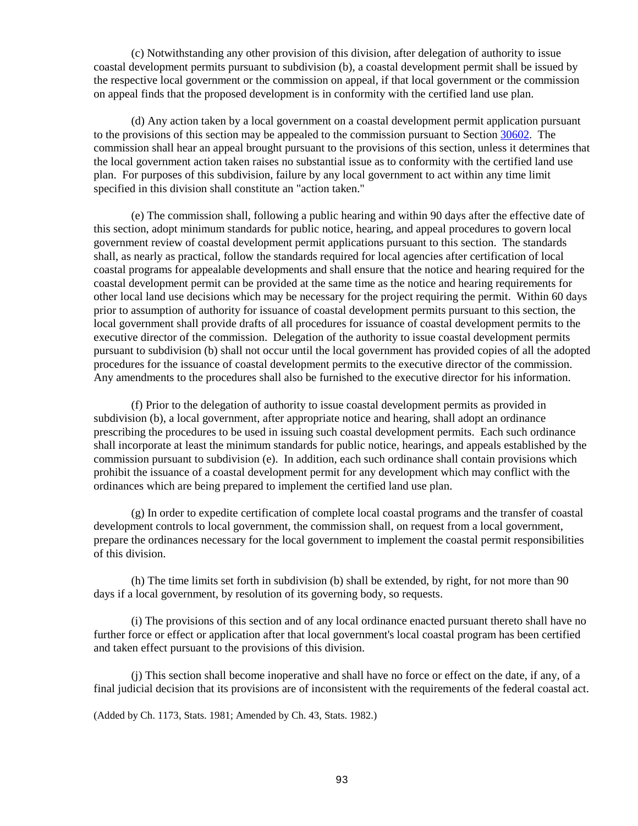(c) Notwithstanding any other provision of this division, after delegation of authority to issue coastal development permits pursuant to subdivision (b), a coastal development permit shall be issued by the respective local government or the commission on appeal, if that local government or the commission on appeal finds that the proposed development is in conformity with the certified land use plan.

(d) Any action taken by a local government on a coastal development permit application pursuant to the provisions of this section may be appealed to the commission pursuant to Section [30602.](#page-95-2) The commission shall hear an appeal brought pursuant to the provisions of this section, unless it determines that the local government action taken raises no substantial issue as to conformity with the certified land use plan. For purposes of this subdivision, failure by any local government to act within any time limit specified in this division shall constitute an "action taken."

(e) The commission shall, following a public hearing and within 90 days after the effective date of this section, adopt minimum standards for public notice, hearing, and appeal procedures to govern local government review of coastal development permit applications pursuant to this section. The standards shall, as nearly as practical, follow the standards required for local agencies after certification of local coastal programs for appealable developments and shall ensure that the notice and hearing required for the coastal development permit can be provided at the same time as the notice and hearing requirements for other local land use decisions which may be necessary for the project requiring the permit. Within 60 days prior to assumption of authority for issuance of coastal development permits pursuant to this section, the local government shall provide drafts of all procedures for issuance of coastal development permits to the executive director of the commission. Delegation of the authority to issue coastal development permits pursuant to subdivision (b) shall not occur until the local government has provided copies of all the adopted procedures for the issuance of coastal development permits to the executive director of the commission. Any amendments to the procedures shall also be furnished to the executive director for his information.

(f) Prior to the delegation of authority to issue coastal development permits as provided in subdivision (b), a local government, after appropriate notice and hearing, shall adopt an ordinance prescribing the procedures to be used in issuing such coastal development permits. Each such ordinance shall incorporate at least the minimum standards for public notice, hearings, and appeals established by the commission pursuant to subdivision (e). In addition, each such ordinance shall contain provisions which prohibit the issuance of a coastal development permit for any development which may conflict with the ordinances which are being prepared to implement the certified land use plan.

(g) In order to expedite certification of complete local coastal programs and the transfer of coastal development controls to local government, the commission shall, on request from a local government, prepare the ordinances necessary for the local government to implement the coastal permit responsibilities of this division.

(h) The time limits set forth in subdivision (b) shall be extended, by right, for not more than 90 days if a local government, by resolution of its governing body, so requests.

(i) The provisions of this section and of any local ordinance enacted pursuant thereto shall have no further force or effect or application after that local government's local coastal program has been certified and taken effect pursuant to the provisions of this division.

(j) This section shall become inoperative and shall have no force or effect on the date, if any, of a final judicial decision that its provisions are of inconsistent with the requirements of the federal coastal act.

<span id="page-93-0"></span>(Added by Ch. 1173, Stats. 1981; Amended by Ch. 43, Stats. 1982.)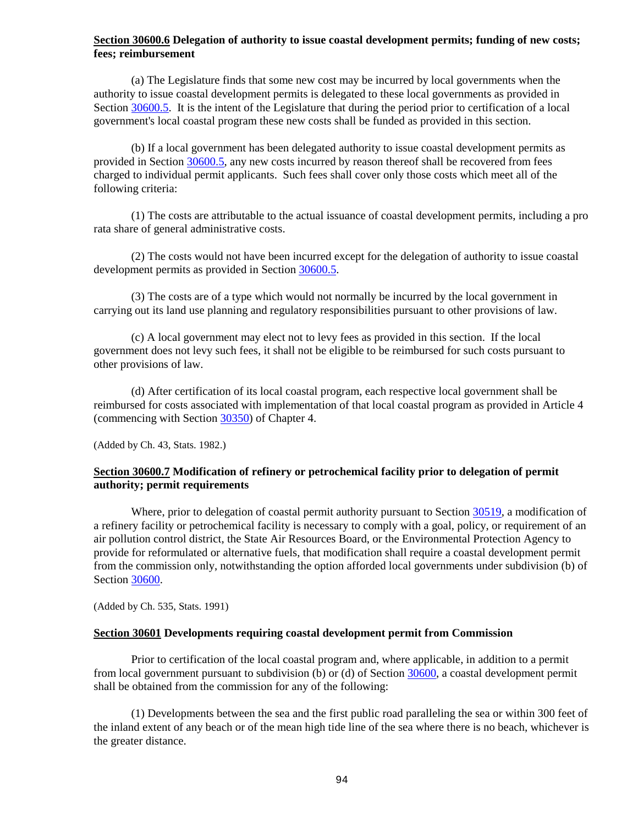## **Section 30600.6 Delegation of authority to issue coastal development permits; funding of new costs; fees; reimbursement**

(a) The Legislature finds that some new cost may be incurred by local governments when the authority to issue coastal development permits is delegated to these local governments as provided in Section  $30600.5$ . It is the intent of the Legislature that during the period prior to certification of a local government's local coastal program these new costs shall be funded as provided in this section.

(b) If a local government has been delegated authority to issue coastal development permits as provided in Section [30600.5,](#page-92-0) any new costs incurred by reason thereof shall be recovered from fees charged to individual permit applicants. Such fees shall cover only those costs which meet all of the following criteria:

(1) The costs are attributable to the actual issuance of coastal development permits, including a pro rata share of general administrative costs.

(2) The costs would not have been incurred except for the delegation of authority to issue coastal development permits as provided in Section [30600.5.](#page-92-0)

(3) The costs are of a type which would not normally be incurred by the local government in carrying out its land use planning and regulatory responsibilities pursuant to other provisions of law.

(c) A local government may elect not to levy fees as provided in this section. If the local government does not levy such fees, it shall not be eligible to be reimbursed for such costs pursuant to other provisions of law.

(d) After certification of its local coastal program, each respective local government shall be reimbursed for costs associated with implementation of that local coastal program as provided in Article 4 (commencing with Section [30350\)](#page-61-0) of Chapter 4.

(Added by Ch. 43, Stats. 1982.)

## <span id="page-94-0"></span>**Section 30600.7 Modification of refinery or petrochemical facility prior to delegation of permit authority; permit requirements**

Where, prior to delegation of coastal permit authority pursuant to Section [30519,](#page-82-1) a modification of a refinery facility or petrochemical facility is necessary to comply with a goal, policy, or requirement of an air pollution control district, the State Air Resources Board, or the Environmental Protection Agency to provide for reformulated or alternative fuels, that modification shall require a coastal development permit from the commission only, notwithstanding the option afforded local governments under subdivision (b) of Section [30600.](#page-91-0)

(Added by Ch. 535, Stats. 1991)

#### <span id="page-94-1"></span>**Section 30601 Developments requiring coastal development permit from Commission**

Prior to certification of the local coastal program and, where applicable, in addition to a permit from local government pursuant to subdivision (b) or (d) of Section [30600,](#page-91-0) a coastal development permit shall be obtained from the commission for any of the following:

(1) Developments between the sea and the first public road paralleling the sea or within 300 feet of the inland extent of any beach or of the mean high tide line of the sea where there is no beach, whichever is the greater distance.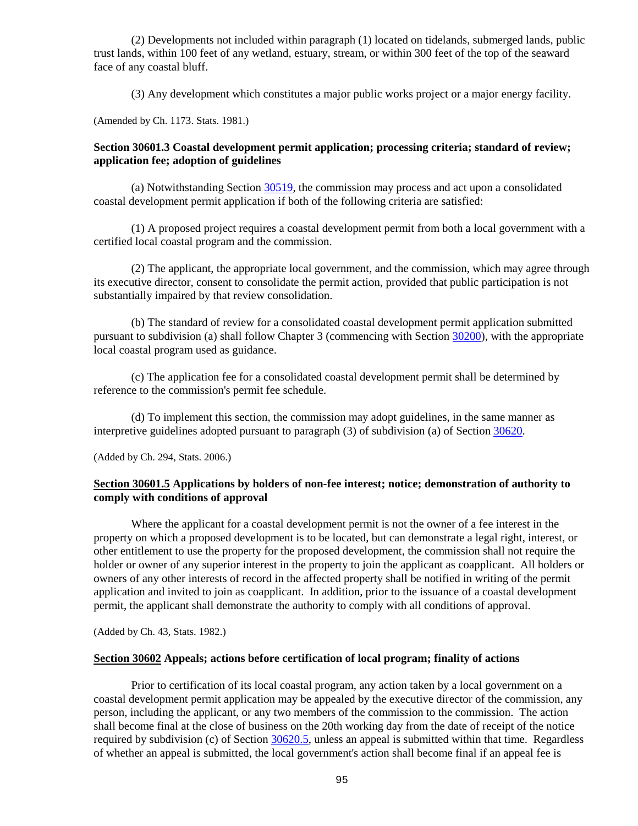(2) Developments not included within paragraph (1) located on tidelands, submerged lands, public trust lands, within 100 feet of any wetland, estuary, stream, or within 300 feet of the top of the seaward face of any coastal bluff.

(3) Any development which constitutes a major public works project or a major energy facility.

(Amended by Ch. 1173. Stats. 1981.)

## <span id="page-95-0"></span>**Section 30601.3 Coastal development permit application; processing criteria; standard of review; application fee; adoption of guidelines**

(a) Notwithstanding Section [30519,](#page-82-1) the commission may process and act upon a consolidated coastal development permit application if both of the following criteria are satisfied:

(1) A proposed project requires a coastal development permit from both a local government with a certified local coastal program and the commission.

(2) The applicant, the appropriate local government, and the commission, which may agree through its executive director, consent to consolidate the permit action, provided that public participation is not substantially impaired by that review consolidation.

(b) The standard of review for a consolidated coastal development permit application submitted pursuant to subdivision (a) shall follow Chapter 3 (commencing with Section [30200\)](#page-30-0), with the appropriate local coastal program used as guidance.

(c) The application fee for a consolidated coastal development permit shall be determined by reference to the commission's permit fee schedule.

(d) To implement this section, the commission may adopt guidelines, in the same manner as interpretive guidelines adopted pursuant to paragraph (3) of subdivision (a) of Sectio[n 30620.](#page-112-2)

(Added by Ch. 294, Stats. 2006.)

## <span id="page-95-1"></span>**Section 30601.5 Applications by holders of non-fee interest; notice; demonstration of authority to comply with conditions of approval**

Where the applicant for a coastal development permit is not the owner of a fee interest in the property on which a proposed development is to be located, but can demonstrate a legal right, interest, or other entitlement to use the property for the proposed development, the commission shall not require the holder or owner of any superior interest in the property to join the applicant as coapplicant. All holders or owners of any other interests of record in the affected property shall be notified in writing of the permit application and invited to join as coapplicant. In addition, prior to the issuance of a coastal development permit, the applicant shall demonstrate the authority to comply with all conditions of approval.

(Added by Ch. 43, Stats. 1982.)

#### <span id="page-95-2"></span>**Section 30602 Appeals; actions before certification of local program; finality of actions**

Prior to certification of its local coastal program, any action taken by a local government on a coastal development permit application may be appealed by the executive director of the commission, any person, including the applicant, or any two members of the commission to the commission. The action shall become final at the close of business on the 20th working day from the date of receipt of the notice required by subdivision (c) of Section [30620.5,](#page-114-0) unless an appeal is submitted within that time. Regardless of whether an appeal is submitted, the local government's action shall become final if an appeal fee is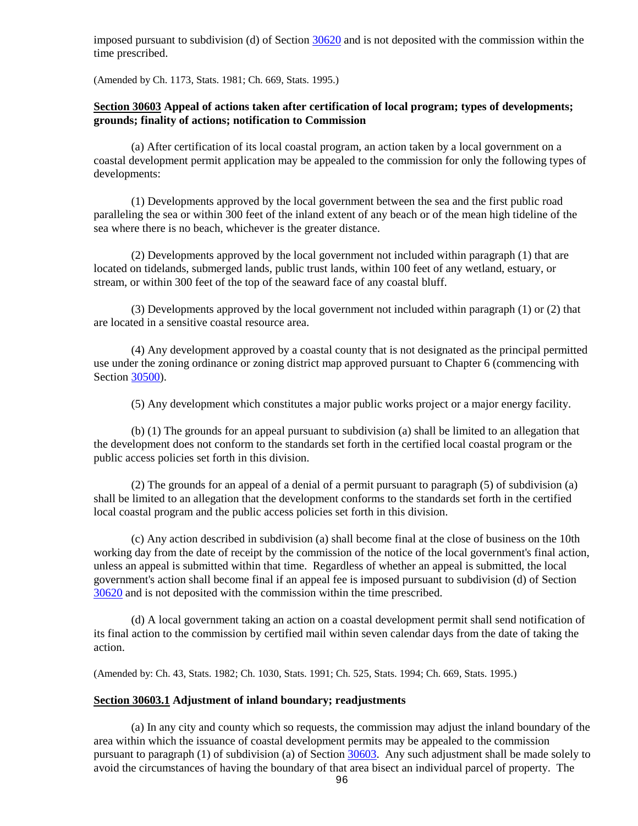imposed pursuant to subdivision (d) of Section [30620](#page-112-2) and is not deposited with the commission within the time prescribed.

(Amended by Ch. 1173, Stats. 1981; Ch. 669, Stats. 1995.)

## <span id="page-96-0"></span>**Section 30603 Appeal of actions taken after certification of local program; types of developments; grounds; finality of actions; notification to Commission**

(a) After certification of its local coastal program, an action taken by a local government on a coastal development permit application may be appealed to the commission for only the following types of developments:

(1) Developments approved by the local government between the sea and the first public road paralleling the sea or within 300 feet of the inland extent of any beach or of the mean high tideline of the sea where there is no beach, whichever is the greater distance.

(2) Developments approved by the local government not included within paragraph (1) that are located on tidelands, submerged lands, public trust lands, within 100 feet of any wetland, estuary, or stream, or within 300 feet of the top of the seaward face of any coastal bluff.

(3) Developments approved by the local government not included within paragraph (1) or (2) that are located in a sensitive coastal resource area.

(4) Any development approved by a coastal county that is not designated as the principal permitted use under the zoning ordinance or zoning district map approved pursuant to Chapter 6 (commencing with Section [30500\)](#page-75-0).

(5) Any development which constitutes a major public works project or a major energy facility.

(b) (1) The grounds for an appeal pursuant to subdivision (a) shall be limited to an allegation that the development does not conform to the standards set forth in the certified local coastal program or the public access policies set forth in this division.

(2) The grounds for an appeal of a denial of a permit pursuant to paragraph (5) of subdivision (a) shall be limited to an allegation that the development conforms to the standards set forth in the certified local coastal program and the public access policies set forth in this division.

(c) Any action described in subdivision (a) shall become final at the close of business on the 10th working day from the date of receipt by the commission of the notice of the local government's final action, unless an appeal is submitted within that time. Regardless of whether an appeal is submitted, the local government's action shall become final if an appeal fee is imposed pursuant to subdivision (d) of Section [30620](#page-112-2) and is not deposited with the commission within the time prescribed.

(d) A local government taking an action on a coastal development permit shall send notification of its final action to the commission by certified mail within seven calendar days from the date of taking the action.

(Amended by: Ch. 43, Stats. 1982; Ch. 1030, Stats. 1991; Ch. 525, Stats. 1994; Ch. 669, Stats. 1995.)

## <span id="page-96-1"></span>**Section 30603.1 Adjustment of inland boundary; readjustments**

(a) In any city and county which so requests, the commission may adjust the inland boundary of the area within which the issuance of coastal development permits may be appealed to the commission pursuant to paragraph (1) of subdivision (a) of Section [30603.](#page-96-0) Any such adjustment shall be made solely to avoid the circumstances of having the boundary of that area bisect an individual parcel of property. The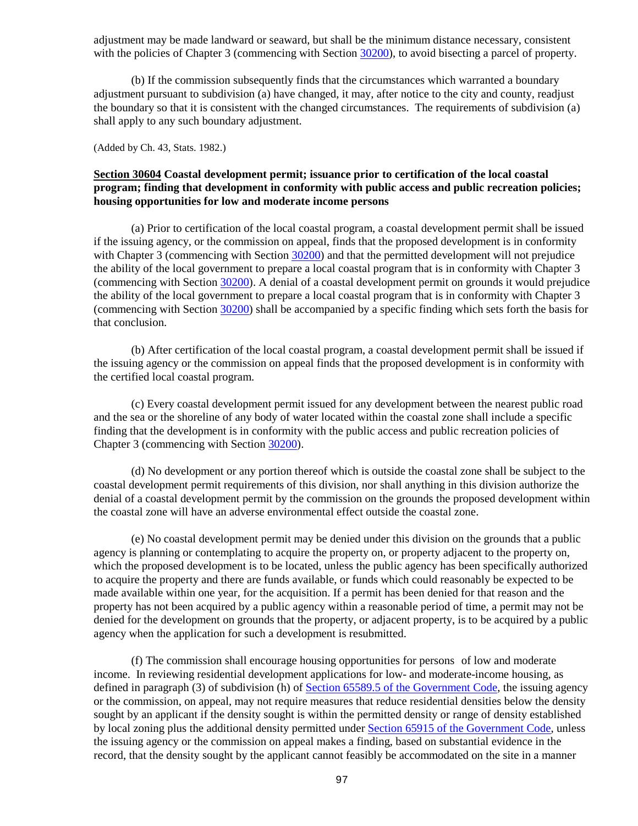adjustment may be made landward or seaward, but shall be the minimum distance necessary, consistent with the policies of Chapter 3 (commencing with Sectio[n 30200\)](#page-30-0), to avoid bisecting a parcel of property.

(b) If the commission subsequently finds that the circumstances which warranted a boundary adjustment pursuant to subdivision (a) have changed, it may, after notice to the city and county, readjust the boundary so that it is consistent with the changed circumstances. The requirements of subdivision (a) shall apply to any such boundary adjustment.

(Added by Ch. 43, Stats. 1982.)

## <span id="page-97-0"></span>**Section 30604 Coastal development permit; issuance prior to certification of the local coastal program; finding that development in conformity with public access and public recreation policies; housing opportunities for low and moderate income persons**

(a) Prior to certification of the local coastal program, a coastal development permit shall be issued if the issuing agency, or the commission on appeal, finds that the proposed development is in conformity with Chapter 3 (commencing with Section [30200\)](#page-30-0) and that the permitted development will not prejudice the ability of the local government to prepare a local coastal program that is in conformity with Chapter 3 (commencing with Section [30200\)](#page-30-0). A denial of a coastal development permit on grounds it would prejudice the ability of the local government to prepare a local coastal program that is in conformity with Chapter 3 (commencing with Section [30200\)](#page-30-0) shall be accompanied by a specific finding which sets forth the basis for that conclusion.

(b) After certification of the local coastal program, a coastal development permit shall be issued if the issuing agency or the commission on appeal finds that the proposed development is in conformity with the certified local coastal program.

(c) Every coastal development permit issued for any development between the nearest public road and the sea or the shoreline of any body of water located within the coastal zone shall include a specific finding that the development is in conformity with the public access and public recreation policies of Chapter 3 (commencing with Section [30200\)](#page-30-0).

(d) No development or any portion thereof which is outside the coastal zone shall be subject to the coastal development permit requirements of this division, nor shall anything in this division authorize the denial of a coastal development permit by the commission on the grounds the proposed development within the coastal zone will have an adverse environmental effect outside the coastal zone.

(e) No coastal development permit may be denied under this division on the grounds that a public agency is planning or contemplating to acquire the property on, or property adjacent to the property on, which the proposed development is to be located, unless the public agency has been specifically authorized to acquire the property and there are funds available, or funds which could reasonably be expected to be made available within one year, for the acquisition. If a permit has been denied for that reason and the property has not been acquired by a public agency within a reasonable period of time, a permit may not be denied for the development on grounds that the property, or adjacent property, is to be acquired by a public agency when the application for such a development is resubmitted.

(f) The commission shall encourage housing opportunities for persons of low and moderate income. In reviewing residential development applications for low- and moderate-income housing, as defined in paragraph (3) of subdivision (h) of [Section 65589.5 of the Government Code,](http://leginfo.legislature.ca.gov/faces/codes_displayexpandedbranch.xhtml?tocCode=GOV&division=&title=7.&part=&chapter=&article=) the issuing agency or the commission, on appeal, may not require measures that reduce residential densities below the density sought by an applicant if the density sought is within the permitted density or range of density established by local zoning plus the additional density permitted under [Section 65915 of the Government Code,](http://leginfo.legislature.ca.gov/faces/codes_displayexpandedbranch.xhtml?tocCode=GOV&division=&title=7.&part=&chapter=&article=) unless the issuing agency or the commission on appeal makes a finding, based on substantial evidence in the record, that the density sought by the applicant cannot feasibly be accommodated on the site in a manner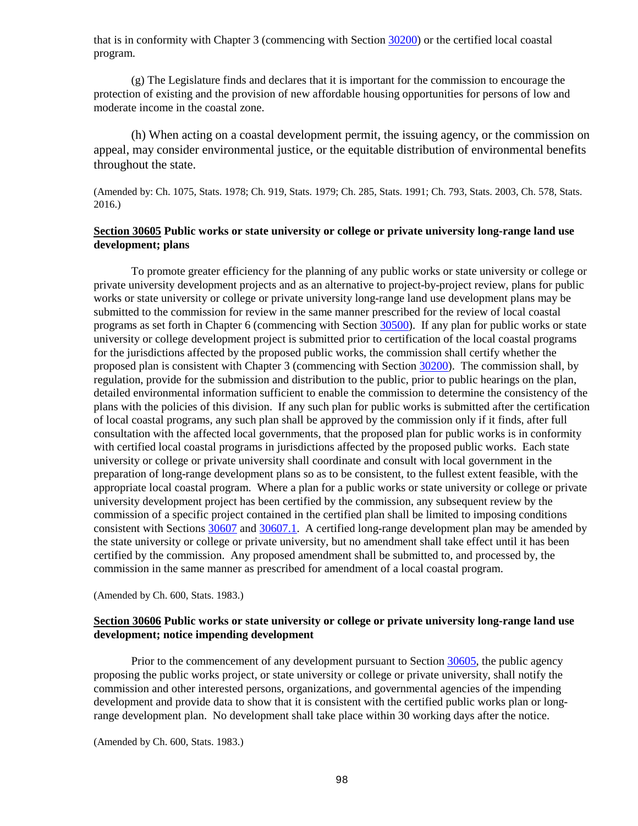that is in conformity with Chapter 3 (commencing with Section [30200\)](#page-30-0) or the certified local coastal program.

(g) The Legislature finds and declares that it is important for the commission to encourage the protection of existing and the provision of new affordable housing opportunities for persons of low and moderate income in the coastal zone.

(h) When acting on a coastal development permit, the issuing agency, or the commission on appeal, may consider environmental justice, or the equitable distribution of environmental benefits throughout the state.

(Amended by: Ch. 1075, Stats. 1978; Ch. 919, Stats. 1979; Ch. 285, Stats. 1991; Ch. 793, Stats. 2003, Ch. 578, Stats. 2016.)

## <span id="page-98-0"></span>**Section 30605 Public works or state university or college or private university long-range land use development; plans**

To promote greater efficiency for the planning of any public works or state university or college or private university development projects and as an alternative to project-by-project review, plans for public works or state university or college or private university long-range land use development plans may be submitted to the commission for review in the same manner prescribed for the review of local coastal programs as set forth in Chapter 6 (commencing with Section [30500\)](#page-75-0). If any plan for public works or state university or college development project is submitted prior to certification of the local coastal programs for the jurisdictions affected by the proposed public works, the commission shall certify whether the proposed plan is consistent with Chapter 3 (commencing with Section [30200\)](#page-30-0). The commission shall, by regulation, provide for the submission and distribution to the public, prior to public hearings on the plan, detailed environmental information sufficient to enable the commission to determine the consistency of the plans with the policies of this division. If any such plan for public works is submitted after the certification of local coastal programs, any such plan shall be approved by the commission only if it finds, after full consultation with the affected local governments, that the proposed plan for public works is in conformity with certified local coastal programs in jurisdictions affected by the proposed public works. Each state university or college or private university shall coordinate and consult with local government in the preparation of long-range development plans so as to be consistent, to the fullest extent feasible, with the appropriate local coastal program. Where a plan for a public works or state university or college or private university development project has been certified by the commission, any subsequent review by the commission of a specific project contained in the certified plan shall be limited to imposing conditions consistent with Sections [30607](#page-98-2) and [30607.1.](#page-99-0) A certified long-range development plan may be amended by the state university or college or private university, but no amendment shall take effect until it has been certified by the commission. Any proposed amendment shall be submitted to, and processed by, the commission in the same manner as prescribed for amendment of a local coastal program.

(Amended by Ch. 600, Stats. 1983.)

## <span id="page-98-1"></span>**Section 30606 Public works or state university or college or private university long-range land use development; notice impending development**

Prior to the commencement of any development pursuant to Section [30605,](#page-98-0) the public agency proposing the public works project, or state university or college or private university, shall notify the commission and other interested persons, organizations, and governmental agencies of the impending development and provide data to show that it is consistent with the certified public works plan or longrange development plan. No development shall take place within 30 working days after the notice.

<span id="page-98-2"></span>(Amended by Ch. 600, Stats. 1983.)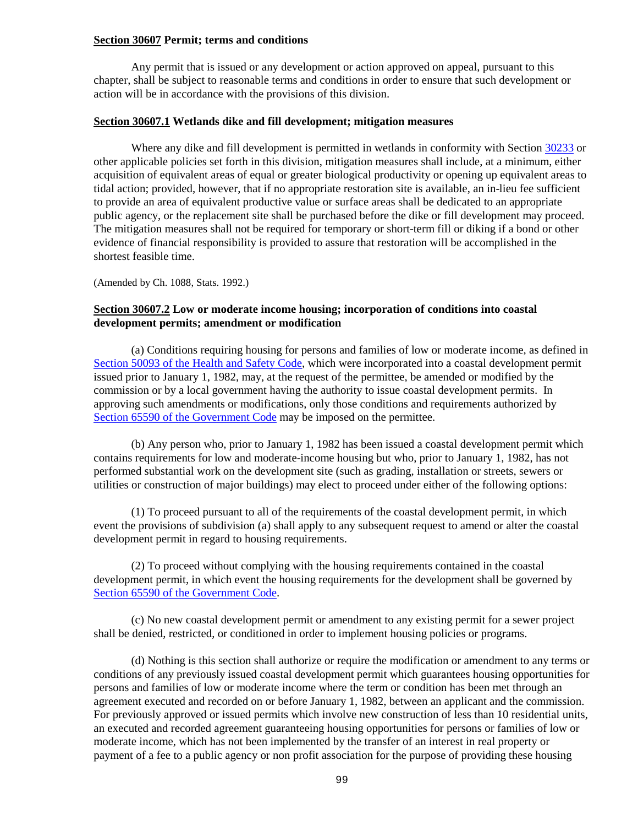#### **Section 30607 Permit; terms and conditions**

Any permit that is issued or any development or action approved on appeal, pursuant to this chapter, shall be subject to reasonable terms and conditions in order to ensure that such development or action will be in accordance with the provisions of this division.

#### <span id="page-99-0"></span>**Section 30607.1 Wetlands dike and fill development; mitigation measures**

Where any dike and fill development is permitted in wetlands in conformity with Section [30233](#page-33-0) or other applicable policies set forth in this division, mitigation measures shall include, at a minimum, either acquisition of equivalent areas of equal or greater biological productivity or opening up equivalent areas to tidal action; provided, however, that if no appropriate restoration site is available, an in-lieu fee sufficient to provide an area of equivalent productive value or surface areas shall be dedicated to an appropriate public agency, or the replacement site shall be purchased before the dike or fill development may proceed. The mitigation measures shall not be required for temporary or short-term fill or diking if a bond or other evidence of financial responsibility is provided to assure that restoration will be accomplished in the shortest feasible time.

(Amended by Ch. 1088, Stats. 1992.)

## <span id="page-99-1"></span>**Section 30607.2 Low or moderate income housing; incorporation of conditions into coastal development permits; amendment or modification**

(a) Conditions requiring housing for persons and families of low or moderate income, as defined in [Section 50093 of the Health and Safety Code,](http://leginfo.legislature.ca.gov/faces/codesTOCSelected.xhtml?tocCode=HSC&tocTitle=+Health+and+Safety+Code+-+HSC) which were incorporated into a coastal development permit issued prior to January 1, 1982, may, at the request of the permittee, be amended or modified by the commission or by a local government having the authority to issue coastal development permits. In approving such amendments or modifications, only those conditions and requirements authorized by [Section 65590 of the Government Code](http://leginfo.legislature.ca.gov/faces/codes_displayexpandedbranch.xhtml?tocCode=GOV&division=&title=7.&part=&chapter=&article=) may be imposed on the permittee.

(b) Any person who, prior to January 1, 1982 has been issued a coastal development permit which contains requirements for low and moderate-income housing but who, prior to January 1, 1982, has not performed substantial work on the development site (such as grading, installation or streets, sewers or utilities or construction of major buildings) may elect to proceed under either of the following options:

(1) To proceed pursuant to all of the requirements of the coastal development permit, in which event the provisions of subdivision (a) shall apply to any subsequent request to amend or alter the coastal development permit in regard to housing requirements.

(2) To proceed without complying with the housing requirements contained in the coastal development permit, in which event the housing requirements for the development shall be governed by [Section 65590 of the Government Code.](http://leginfo.legislature.ca.gov/faces/codes_displayexpandedbranch.xhtml?tocCode=GOV&division=&title=7.&part=&chapter=&article=)

(c) No new coastal development permit or amendment to any existing permit for a sewer project shall be denied, restricted, or conditioned in order to implement housing policies or programs.

(d) Nothing is this section shall authorize or require the modification or amendment to any terms or conditions of any previously issued coastal development permit which guarantees housing opportunities for persons and families of low or moderate income where the term or condition has been met through an agreement executed and recorded on or before January 1, 1982, between an applicant and the commission. For previously approved or issued permits which involve new construction of less than 10 residential units, an executed and recorded agreement guaranteeing housing opportunities for persons or families of low or moderate income, which has not been implemented by the transfer of an interest in real property or payment of a fee to a public agency or non profit association for the purpose of providing these housing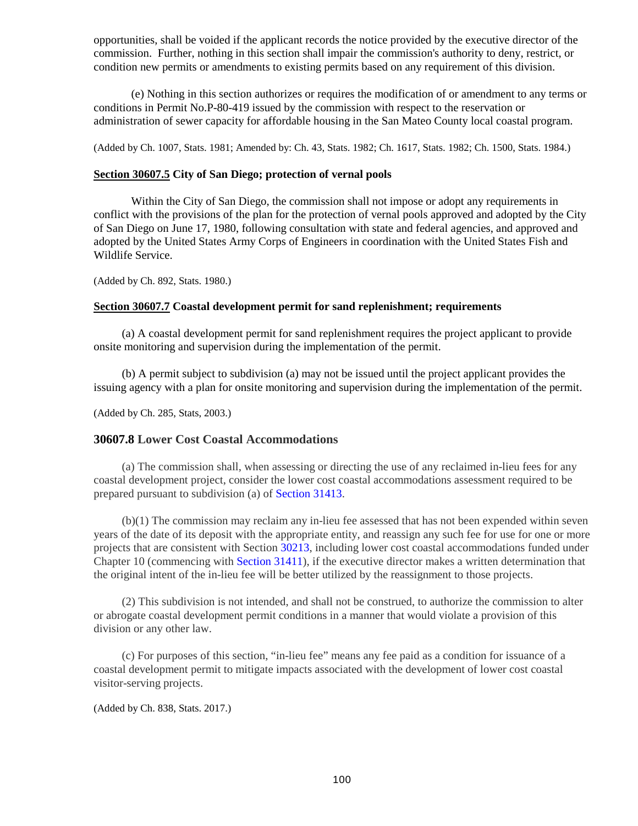opportunities, shall be voided if the applicant records the notice provided by the executive director of the commission. Further, nothing in this section shall impair the commission's authority to deny, restrict, or condition new permits or amendments to existing permits based on any requirement of this division.

(e) Nothing in this section authorizes or requires the modification of or amendment to any terms or conditions in Permit No.P-80-419 issued by the commission with respect to the reservation or administration of sewer capacity for affordable housing in the San Mateo County local coastal program.

(Added by Ch. 1007, Stats. 1981; Amended by: Ch. 43, Stats. 1982; Ch. 1617, Stats. 1982; Ch. 1500, Stats. 1984.)

#### <span id="page-100-0"></span>**Section 30607.5 City of San Diego; protection of vernal pools**

Within the City of San Diego, the commission shall not impose or adopt any requirements in conflict with the provisions of the plan for the protection of vernal pools approved and adopted by the City of San Diego on June 17, 1980, following consultation with state and federal agencies, and approved and adopted by the United States Army Corps of Engineers in coordination with the United States Fish and Wildlife Service.

(Added by Ch. 892, Stats. 1980.)

#### <span id="page-100-1"></span>**Section 30607.7 Coastal development permit for sand replenishment; requirements**

(a) A coastal development permit for sand replenishment requires the project applicant to provide onsite monitoring and supervision during the implementation of the permit.

(b) A permit subject to subdivision (a) may not be issued until the project applicant provides the issuing agency with a plan for onsite monitoring and supervision during the implementation of the permit.

(Added by Ch. 285, Stats, 2003.)

#### <span id="page-100-2"></span>**30607.8 Lower Cost Coastal Accommodations**

(a) The commission shall, when assessing or directing the use of any reclaimed in-lieu fees for any coastal development project, consider the lower cost coastal accommodations assessment required to be prepared pursuant to subdivision (a) of [Section 31413.](https://leginfo.legislature.ca.gov/faces/codes_displayexpandedbranch.xhtml?tocCode=PRC&division=21.&title=&part=&cha)

(b)(1) The commission may reclaim any in-lieu fee assessed that has not been expended within seven years of the date of its deposit with the appropriate entity, and reassign any such fee for use for one or more projects that are consistent with Section [30213,](#page-31-0) including lower cost coastal accommodations funded under Chapter 10 (commencing with [Section 31411\)](https://leginfo.legislature.ca.gov/faces/codes_displayexpandedbranch.xhtml?tocCode=PRC&division=21.&title=&part=&cha), if the executive director makes a written determination that the original intent of the in-lieu fee will be better utilized by the reassignment to those projects.

(2) This subdivision is not intended, and shall not be construed, to authorize the commission to alter or abrogate coastal development permit conditions in a manner that would violate a provision of this division or any other law.

(c) For purposes of this section, "in-lieu fee" means any fee paid as a condition for issuance of a coastal development permit to mitigate impacts associated with the development of lower cost coastal visitor-serving projects.

<span id="page-100-3"></span>(Added by Ch. 838, Stats. 2017.)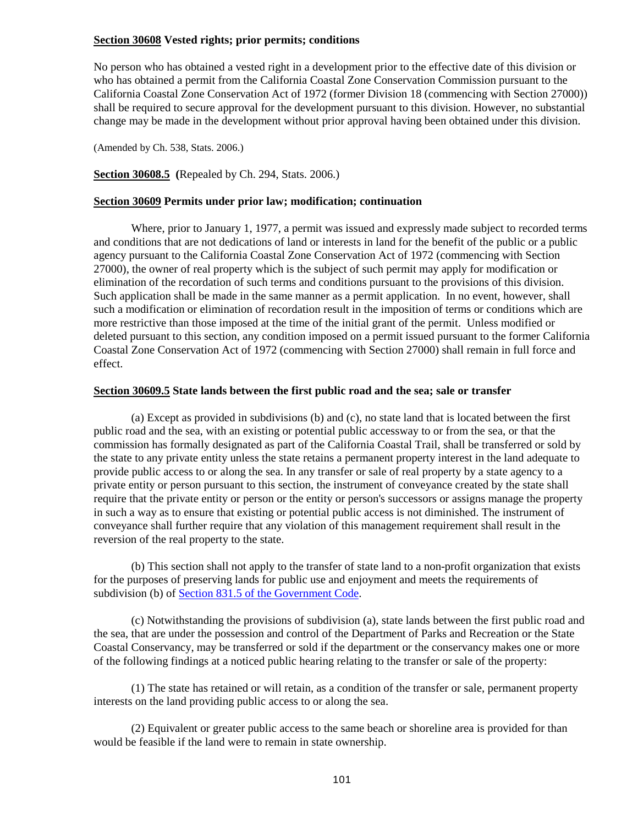## **Section 30608 Vested rights; prior permits; conditions**

No person who has obtained a vested right in a development prior to the effective date of this division or who has obtained a permit from the California Coastal Zone Conservation Commission pursuant to the California Coastal Zone Conservation Act of 1972 (former Division 18 (commencing with Section 27000)) shall be required to secure approval for the development pursuant to this division. However, no substantial change may be made in the development without prior approval having been obtained under this division.

(Amended by Ch. 538, Stats. 2006.)

<span id="page-101-0"></span>**Section 30608.5 (**Repealed by Ch. 294, Stats. 2006.)

#### <span id="page-101-1"></span>**Section 30609 Permits under prior law; modification; continuation**

Where, prior to January 1, 1977, a permit was issued and expressly made subject to recorded terms and conditions that are not dedications of land or interests in land for the benefit of the public or a public agency pursuant to the California Coastal Zone Conservation Act of 1972 (commencing with Section 27000), the owner of real property which is the subject of such permit may apply for modification or elimination of the recordation of such terms and conditions pursuant to the provisions of this division. Such application shall be made in the same manner as a permit application. In no event, however, shall such a modification or elimination of recordation result in the imposition of terms or conditions which are more restrictive than those imposed at the time of the initial grant of the permit. Unless modified or deleted pursuant to this section, any condition imposed on a permit issued pursuant to the former California Coastal Zone Conservation Act of 1972 (commencing with Section 27000) shall remain in full force and effect.

#### <span id="page-101-2"></span>**Section 30609.5 State lands between the first public road and the sea; sale or transfer**

(a) Except as provided in subdivisions (b) and (c), no state land that is located between the first public road and the sea, with an existing or potential public accessway to or from the sea, or that the commission has formally designated as part of the California Coastal Trail, shall be transferred or sold by the state to any private entity unless the state retains a permanent property interest in the land adequate to provide public access to or along the sea. In any transfer or sale of real property by a state agency to a private entity or person pursuant to this section, the instrument of conveyance created by the state shall require that the private entity or person or the entity or person's successors or assigns manage the property in such a way as to ensure that existing or potential public access is not diminished. The instrument of conveyance shall further require that any violation of this management requirement shall result in the reversion of the real property to the state.

(b) This section shall not apply to the transfer of state land to a non-profit organization that exists for the purposes of preserving lands for public use and enjoyment and meets the requirements of subdivision (b) of [Section 831.5 of the Government Code.](http://leginfo.legislature.ca.gov/faces/codes_displayexpandedbranch.xhtml?tocCode=GOV&division=&title=1.&part=&chapter=&article=)

(c) Notwithstanding the provisions of subdivision (a), state lands between the first public road and the sea, that are under the possession and control of the Department of Parks and Recreation or the State Coastal Conservancy, may be transferred or sold if the department or the conservancy makes one or more of the following findings at a noticed public hearing relating to the transfer or sale of the property:

(1) The state has retained or will retain, as a condition of the transfer or sale, permanent property interests on the land providing public access to or along the sea.

(2) Equivalent or greater public access to the same beach or shoreline area is provided for than would be feasible if the land were to remain in state ownership.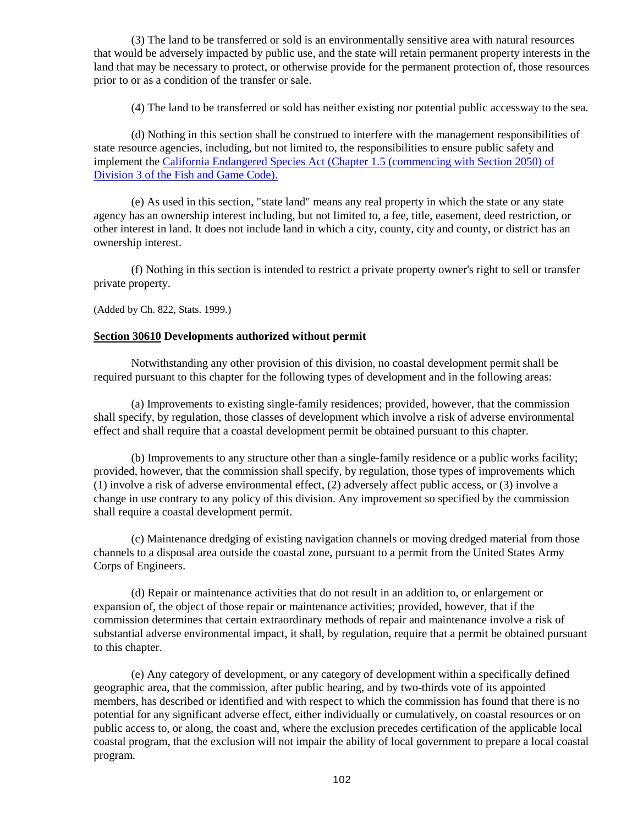(3) The land to be transferred or sold is an environmentally sensitive area with natural resources that would be adversely impacted by public use, and the state will retain permanent property interests in the land that may be necessary to protect, or otherwise provide for the permanent protection of, those resources prior to or as a condition of the transfer or sale.

(4) The land to be transferred or sold has neither existing nor potential public accessway to the sea.

(d) Nothing in this section shall be construed to interfere with the management responsibilities of state resource agencies, including, but not limited to, the responsibilities to ensure public safety and implement the [California Endangered Species Act \(Chapter 1.5 \(commencing with Section 2050\) of](http://leginfo.legislature.ca.gov/faces/codes_displayexpandedbranch.xhtml?tocCode=FGC&division=3.&title=&part=&chapter=&article=)  [Division 3 of the Fish and Game Code\).](http://leginfo.legislature.ca.gov/faces/codes_displayexpandedbranch.xhtml?tocCode=FGC&division=3.&title=&part=&chapter=&article=)

(e) As used in this section, "state land" means any real property in which the state or any state agency has an ownership interest including, but not limited to, a fee, title, easement, deed restriction, or other interest in land. It does not include land in which a city, county, city and county, or district has an ownership interest.

(f) Nothing in this section is intended to restrict a private property owner's right to sell or transfer private property.

(Added by Ch. 822, Stats. 1999.)

#### <span id="page-102-0"></span>**Section 30610 Developments authorized without permit**

Notwithstanding any other provision of this division, no coastal development permit shall be required pursuant to this chapter for the following types of development and in the following areas:

(a) Improvements to existing single-family residences; provided, however, that the commission shall specify, by regulation, those classes of development which involve a risk of adverse environmental effect and shall require that a coastal development permit be obtained pursuant to this chapter.

(b) Improvements to any structure other than a single-family residence or a public works facility; provided, however, that the commission shall specify, by regulation, those types of improvements which (1) involve a risk of adverse environmental effect, (2) adversely affect public access, or (3) involve a change in use contrary to any policy of this division. Any improvement so specified by the commission shall require a coastal development permit.

(c) Maintenance dredging of existing navigation channels or moving dredged material from those channels to a disposal area outside the coastal zone, pursuant to a permit from the United States Army Corps of Engineers.

(d) Repair or maintenance activities that do not result in an addition to, or enlargement or expansion of, the object of those repair or maintenance activities; provided, however, that if the commission determines that certain extraordinary methods of repair and maintenance involve a risk of substantial adverse environmental impact, it shall, by regulation, require that a permit be obtained pursuant to this chapter.

(e) Any category of development, or any category of development within a specifically defined geographic area, that the commission, after public hearing, and by two-thirds vote of its appointed members, has described or identified and with respect to which the commission has found that there is no potential for any significant adverse effect, either individually or cumulatively, on coastal resources or on public access to, or along, the coast and, where the exclusion precedes certification of the applicable local coastal program, that the exclusion will not impair the ability of local government to prepare a local coastal program.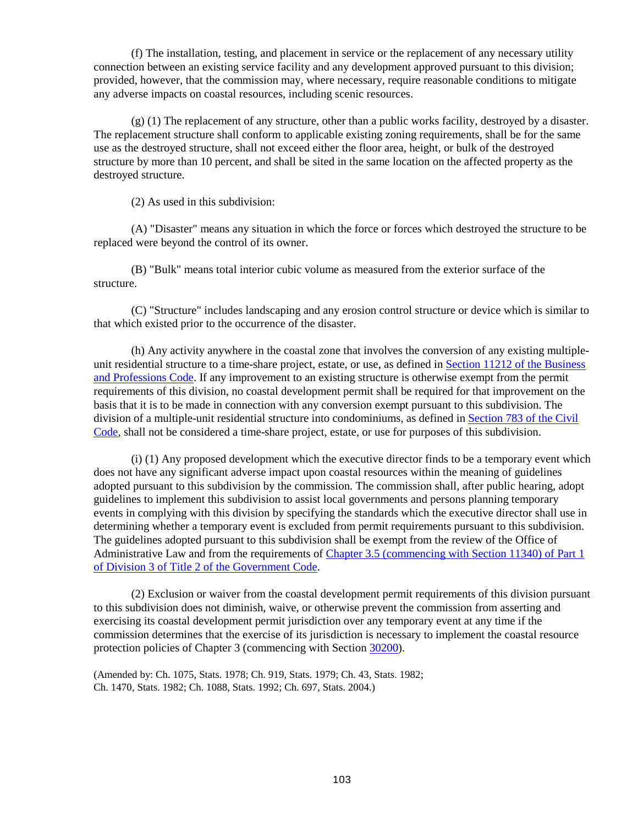(f) The installation, testing, and placement in service or the replacement of any necessary utility connection between an existing service facility and any development approved pursuant to this division; provided, however, that the commission may, where necessary, require reasonable conditions to mitigate any adverse impacts on coastal resources, including scenic resources.

(g) (1) The replacement of any structure, other than a public works facility, destroyed by a disaster. The replacement structure shall conform to applicable existing zoning requirements, shall be for the same use as the destroyed structure, shall not exceed either the floor area, height, or bulk of the destroyed structure by more than 10 percent, and shall be sited in the same location on the affected property as the destroyed structure.

(2) As used in this subdivision:

(A) "Disaster" means any situation in which the force or forces which destroyed the structure to be replaced were beyond the control of its owner.

(B) "Bulk" means total interior cubic volume as measured from the exterior surface of the structure.

(C) "Structure" includes landscaping and any erosion control structure or device which is similar to that which existed prior to the occurrence of the disaster.

(h) Any activity anywhere in the coastal zone that involves the conversion of any existing multipleunit residential structure to a time-share project, estate, or use, as defined in [Section 11212 of the Business](http://leginfo.legislature.ca.gov/faces/codes_displayexpandedbranch.xhtml?tocCode=BPC&division=4.&title=&part=&chapter=&article=)  [and Professions Code.](http://leginfo.legislature.ca.gov/faces/codes_displayexpandedbranch.xhtml?tocCode=BPC&division=4.&title=&part=&chapter=&article=) If any improvement to an existing structure is otherwise exempt from the permit requirements of this division, no coastal development permit shall be required for that improvement on the basis that it is to be made in connection with any conversion exempt pursuant to this subdivision. The division of a multiple-unit residential structure into condominiums, as defined in [Section 783 of the Civil](http://leginfo.legislature.ca.gov/faces/codes_displayexpandedbranch.xhtml?tocCode=CIV&division=2.&title=&part=&chapter=&article=)  [Code,](http://leginfo.legislature.ca.gov/faces/codes_displayexpandedbranch.xhtml?tocCode=CIV&division=2.&title=&part=&chapter=&article=) shall not be considered a time-share project, estate, or use for purposes of this subdivision.

(i) (1) Any proposed development which the executive director finds to be a temporary event which does not have any significant adverse impact upon coastal resources within the meaning of guidelines adopted pursuant to this subdivision by the commission. The commission shall, after public hearing, adopt guidelines to implement this subdivision to assist local governments and persons planning temporary events in complying with this division by specifying the standards which the executive director shall use in determining whether a temporary event is excluded from permit requirements pursuant to this subdivision. The guidelines adopted pursuant to this subdivision shall be exempt from the review of the Office of Administrative Law and from the requirements of [Chapter 3.5 \(commencing with Section 11340\) of Part 1](http://leginfo.legislature.ca.gov/faces/codes_displayexpandedbranch.xhtml?tocCode=GOV&division=&title=2.&part=&chapter=&article=)  [of Division 3 of Title 2 of the Government Code.](http://leginfo.legislature.ca.gov/faces/codes_displayexpandedbranch.xhtml?tocCode=GOV&division=&title=2.&part=&chapter=&article=)

(2) Exclusion or waiver from the coastal development permit requirements of this division pursuant to this subdivision does not diminish, waive, or otherwise prevent the commission from asserting and exercising its coastal development permit jurisdiction over any temporary event at any time if the commission determines that the exercise of its jurisdiction is necessary to implement the coastal resource protection policies of Chapter 3 (commencing with Sectio[n 30200\)](#page-30-0).

<span id="page-103-0"></span>(Amended by: Ch. 1075, Stats. 1978; Ch. 919, Stats. 1979; Ch. 43, Stats. 1982; Ch. 1470, Stats. 1982; Ch. 1088, Stats. 1992; Ch. 697, Stats. 2004.)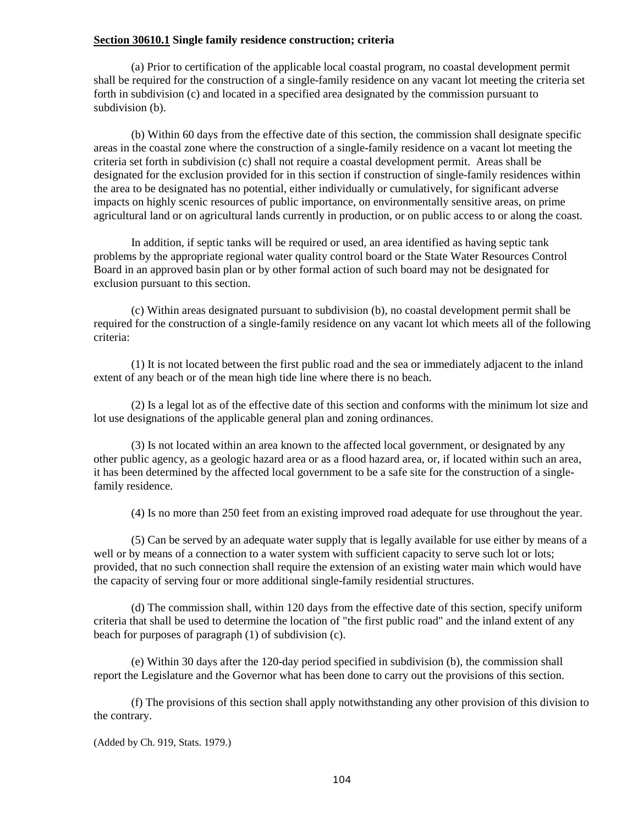#### **Section 30610.1 Single family residence construction; criteria**

(a) Prior to certification of the applicable local coastal program, no coastal development permit shall be required for the construction of a single-family residence on any vacant lot meeting the criteria set forth in subdivision (c) and located in a specified area designated by the commission pursuant to subdivision (b).

(b) Within 60 days from the effective date of this section, the commission shall designate specific areas in the coastal zone where the construction of a single-family residence on a vacant lot meeting the criteria set forth in subdivision (c) shall not require a coastal development permit. Areas shall be designated for the exclusion provided for in this section if construction of single-family residences within the area to be designated has no potential, either individually or cumulatively, for significant adverse impacts on highly scenic resources of public importance, on environmentally sensitive areas, on prime agricultural land or on agricultural lands currently in production, or on public access to or along the coast.

In addition, if septic tanks will be required or used, an area identified as having septic tank problems by the appropriate regional water quality control board or the State Water Resources Control Board in an approved basin plan or by other formal action of such board may not be designated for exclusion pursuant to this section.

(c) Within areas designated pursuant to subdivision (b), no coastal development permit shall be required for the construction of a single-family residence on any vacant lot which meets all of the following criteria:

(1) It is not located between the first public road and the sea or immediately adjacent to the inland extent of any beach or of the mean high tide line where there is no beach.

(2) Is a legal lot as of the effective date of this section and conforms with the minimum lot size and lot use designations of the applicable general plan and zoning ordinances.

(3) Is not located within an area known to the affected local government, or designated by any other public agency, as a geologic hazard area or as a flood hazard area, or, if located within such an area, it has been determined by the affected local government to be a safe site for the construction of a singlefamily residence.

(4) Is no more than 250 feet from an existing improved road adequate for use throughout the year.

(5) Can be served by an adequate water supply that is legally available for use either by means of a well or by means of a connection to a water system with sufficient capacity to serve such lot or lots; provided, that no such connection shall require the extension of an existing water main which would have the capacity of serving four or more additional single-family residential structures.

(d) The commission shall, within 120 days from the effective date of this section, specify uniform criteria that shall be used to determine the location of "the first public road" and the inland extent of any beach for purposes of paragraph (1) of subdivision (c).

(e) Within 30 days after the 120-day period specified in subdivision (b), the commission shall report the Legislature and the Governor what has been done to carry out the provisions of this section.

(f) The provisions of this section shall apply notwithstanding any other provision of this division to the contrary.

(Added by Ch. 919, Stats. 1979.)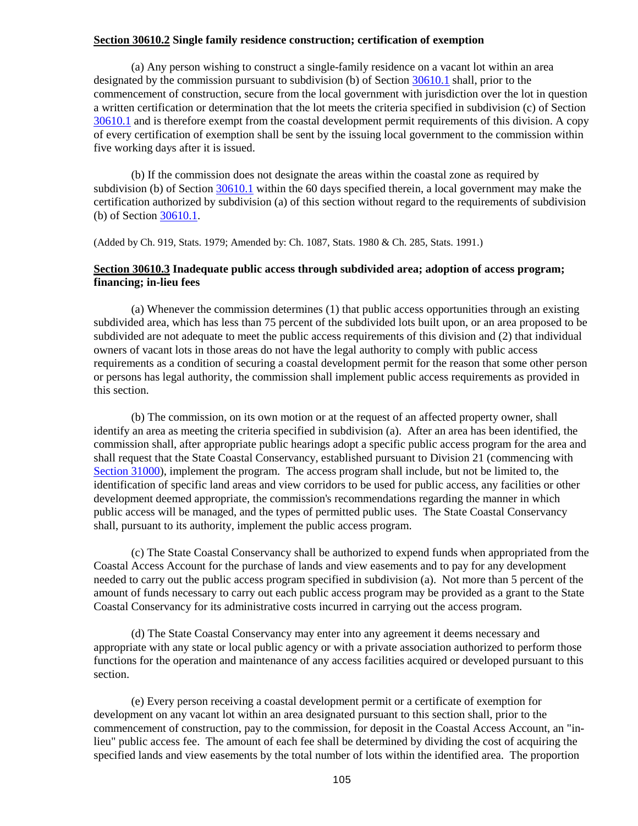#### <span id="page-105-0"></span>**Section 30610.2 Single family residence construction; certification of exemption**

(a) Any person wishing to construct a single-family residence on a vacant lot within an area designated by the commission pursuant to subdivision (b) of Sectio[n 30610.1](#page-103-0) shall, prior to the commencement of construction, secure from the local government with jurisdiction over the lot in question a written certification or determination that the lot meets the criteria specified in subdivision (c) of Section [30610.1](#page-103-0) and is therefore exempt from the coastal development permit requirements of this division. A copy of every certification of exemption shall be sent by the issuing local government to the commission within five working days after it is issued.

(b) If the commission does not designate the areas within the coastal zone as required by subdivision (b) of Section [30610.1](#page-103-0) within the 60 days specified therein, a local government may make the certification authorized by subdivision (a) of this section without regard to the requirements of subdivision (b) of Section [30610.1.](#page-103-0)

(Added by Ch. 919, Stats. 1979; Amended by: Ch. 1087, Stats. 1980 & Ch. 285, Stats. 1991.)

## <span id="page-105-1"></span>**Section 30610.3 Inadequate public access through subdivided area; adoption of access program; financing; in-lieu fees**

(a) Whenever the commission determines (1) that public access opportunities through an existing subdivided area, which has less than 75 percent of the subdivided lots built upon, or an area proposed to be subdivided are not adequate to meet the public access requirements of this division and (2) that individual owners of vacant lots in those areas do not have the legal authority to comply with public access requirements as a condition of securing a coastal development permit for the reason that some other person or persons has legal authority, the commission shall implement public access requirements as provided in this section.

(b) The commission, on its own motion or at the request of an affected property owner, shall identify an area as meeting the criteria specified in subdivision (a). After an area has been identified, the commission shall, after appropriate public hearings adopt a specific public access program for the area and shall request that the State Coastal Conservancy, established pursuant to Division 21 (commencing with [Section 31000\)](http://www.leginfo.ca.gov/calaw.html), implement the program. The access program shall include, but not be limited to, the identification of specific land areas and view corridors to be used for public access, any facilities or other development deemed appropriate, the commission's recommendations regarding the manner in which public access will be managed, and the types of permitted public uses. The State Coastal Conservancy shall, pursuant to its authority, implement the public access program.

(c) The State Coastal Conservancy shall be authorized to expend funds when appropriated from the Coastal Access Account for the purchase of lands and view easements and to pay for any development needed to carry out the public access program specified in subdivision (a). Not more than 5 percent of the amount of funds necessary to carry out each public access program may be provided as a grant to the State Coastal Conservancy for its administrative costs incurred in carrying out the access program.

(d) The State Coastal Conservancy may enter into any agreement it deems necessary and appropriate with any state or local public agency or with a private association authorized to perform those functions for the operation and maintenance of any access facilities acquired or developed pursuant to this section.

(e) Every person receiving a coastal development permit or a certificate of exemption for development on any vacant lot within an area designated pursuant to this section shall, prior to the commencement of construction, pay to the commission, for deposit in the Coastal Access Account, an "inlieu" public access fee. The amount of each fee shall be determined by dividing the cost of acquiring the specified lands and view easements by the total number of lots within the identified area. The proportion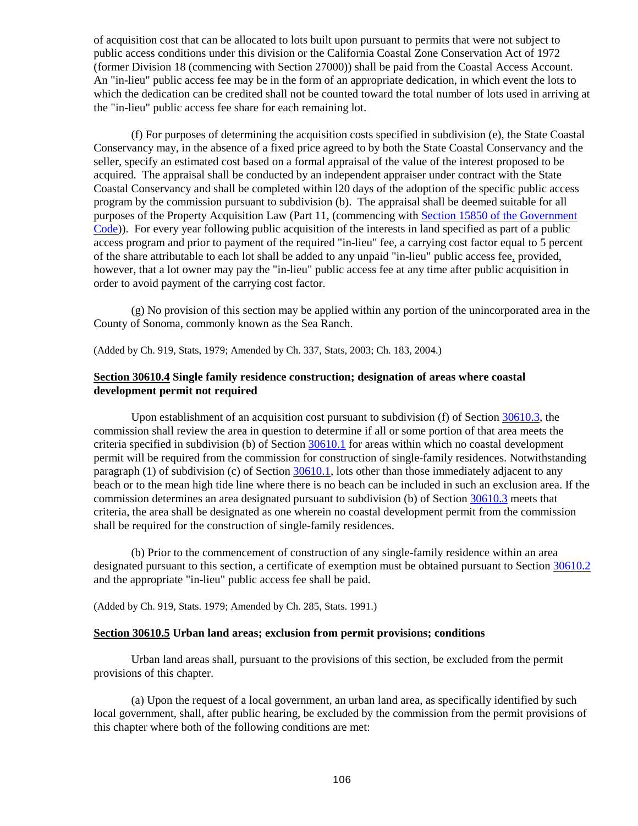of acquisition cost that can be allocated to lots built upon pursuant to permits that were not subject to public access conditions under this division or the California Coastal Zone Conservation Act of 1972 (former Division 18 (commencing with Section 27000)) shall be paid from the Coastal Access Account. An "in-lieu" public access fee may be in the form of an appropriate dedication, in which event the lots to which the dedication can be credited shall not be counted toward the total number of lots used in arriving at the "in-lieu" public access fee share for each remaining lot.

(f) For purposes of determining the acquisition costs specified in subdivision (e), the State Coastal Conservancy may, in the absence of a fixed price agreed to by both the State Coastal Conservancy and the seller, specify an estimated cost based on a formal appraisal of the value of the interest proposed to be acquired. The appraisal shall be conducted by an independent appraiser under contract with the State Coastal Conservancy and shall be completed within l20 days of the adoption of the specific public access program by the commission pursuant to subdivision (b). The appraisal shall be deemed suitable for all purposes of the Property Acquisition Law (Part 11, (commencing with [Section 15850 of the Government](http://leginfo.legislature.ca.gov/faces/codes_displayexpandedbranch.xhtml?tocCode=GOV&division=&title=2.&part=&chapter=&article=)  [Code\)](http://leginfo.legislature.ca.gov/faces/codes_displayexpandedbranch.xhtml?tocCode=GOV&division=&title=2.&part=&chapter=&article=)). For every year following public acquisition of the interests in land specified as part of a public access program and prior to payment of the required "in-lieu" fee, a carrying cost factor equal to 5 percent of the share attributable to each lot shall be added to any unpaid "in-lieu" public access fee, provided, however, that a lot owner may pay the "in-lieu" public access fee at any time after public acquisition in order to avoid payment of the carrying cost factor.

(g) No provision of this section may be applied within any portion of the unincorporated area in the County of Sonoma, commonly known as the Sea Ranch.

(Added by Ch. 919, Stats, 1979; Amended by Ch. 337, Stats, 2003; Ch. 183, 2004.)

## <span id="page-106-0"></span>**Section 30610.4 Single family residence construction; designation of areas where coastal development permit not required**

Upon establishment of an acquisition cost pursuant to subdivision (f) of Section [30610.3,](#page-105-1) the commission shall review the area in question to determine if all or some portion of that area meets the criteria specified in subdivision (b) of Section [30610.1](#page-103-0) for areas within which no coastal development permit will be required from the commission for construction of single-family residences. Notwithstanding paragraph  $(1)$  of subdivision  $(c)$  of Section [30610.1,](#page-103-0) lots other than those immediately adjacent to any beach or to the mean high tide line where there is no beach can be included in such an exclusion area. If the commission determines an area designated pursuant to subdivision (b) of Section [30610.3](#page-105-1) meets that criteria, the area shall be designated as one wherein no coastal development permit from the commission shall be required for the construction of single-family residences.

(b) Prior to the commencement of construction of any single-family residence within an area designated pursuant to this section, a certificate of exemption must be obtained pursuant to Section [30610.2](#page-105-0) and the appropriate "in-lieu" public access fee shall be paid.

<span id="page-106-1"></span>(Added by Ch. 919, Stats. 1979; Amended by Ch. 285, Stats. 1991.)

#### **Section 30610.5 Urban land areas; exclusion from permit provisions; conditions**

Urban land areas shall, pursuant to the provisions of this section, be excluded from the permit provisions of this chapter.

(a) Upon the request of a local government, an urban land area, as specifically identified by such local government, shall, after public hearing, be excluded by the commission from the permit provisions of this chapter where both of the following conditions are met: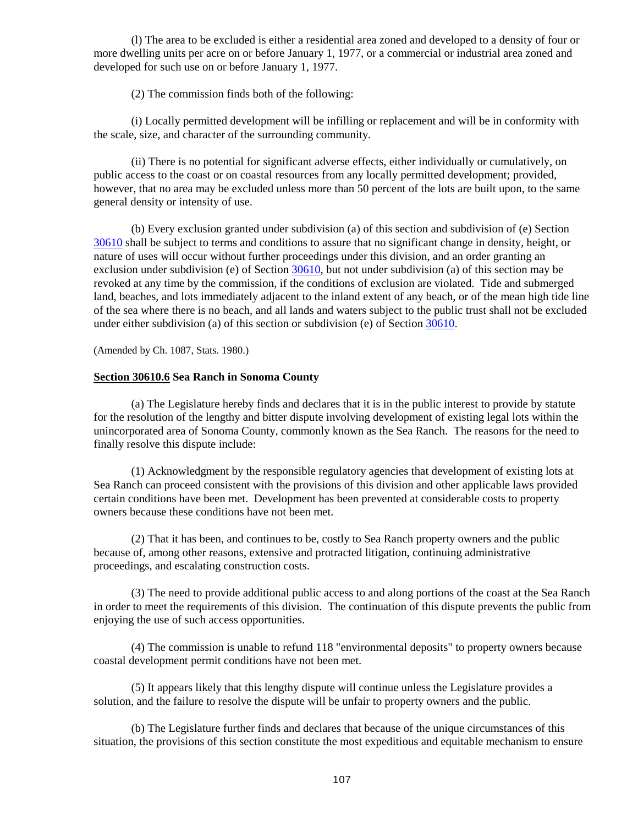(l) The area to be excluded is either a residential area zoned and developed to a density of four or more dwelling units per acre on or before January 1, 1977, or a commercial or industrial area zoned and developed for such use on or before January 1, 1977.

(2) The commission finds both of the following:

(i) Locally permitted development will be infilling or replacement and will be in conformity with the scale, size, and character of the surrounding community.

(ii) There is no potential for significant adverse effects, either individually or cumulatively, on public access to the coast or on coastal resources from any locally permitted development; provided, however, that no area may be excluded unless more than 50 percent of the lots are built upon, to the same general density or intensity of use.

(b) Every exclusion granted under subdivision (a) of this section and subdivision of (e) Section [30610](#page-102-0) shall be subject to terms and conditions to assure that no significant change in density, height, or nature of uses will occur without further proceedings under this division, and an order granting an exclusion under subdivision (e) of Section [30610,](#page-102-0) but not under subdivision (a) of this section may be revoked at any time by the commission, if the conditions of exclusion are violated. Tide and submerged land, beaches, and lots immediately adjacent to the inland extent of any beach, or of the mean high tide line of the sea where there is no beach, and all lands and waters subject to the public trust shall not be excluded under either subdivision (a) of this section or subdivision (e) of Section [30610.](#page-102-0)

(Amended by Ch. 1087, Stats. 1980.)

## <span id="page-107-0"></span>**Section 30610.6 Sea Ranch in Sonoma County**

(a) The Legislature hereby finds and declares that it is in the public interest to provide by statute for the resolution of the lengthy and bitter dispute involving development of existing legal lots within the unincorporated area of Sonoma County, commonly known as the Sea Ranch. The reasons for the need to finally resolve this dispute include:

(1) Acknowledgment by the responsible regulatory agencies that development of existing lots at Sea Ranch can proceed consistent with the provisions of this division and other applicable laws provided certain conditions have been met. Development has been prevented at considerable costs to property owners because these conditions have not been met.

(2) That it has been, and continues to be, costly to Sea Ranch property owners and the public because of, among other reasons, extensive and protracted litigation, continuing administrative proceedings, and escalating construction costs.

(3) The need to provide additional public access to and along portions of the coast at the Sea Ranch in order to meet the requirements of this division. The continuation of this dispute prevents the public from enjoying the use of such access opportunities.

(4) The commission is unable to refund 118 "environmental deposits" to property owners because coastal development permit conditions have not been met.

(5) It appears likely that this lengthy dispute will continue unless the Legislature provides a solution, and the failure to resolve the dispute will be unfair to property owners and the public.

(b) The Legislature further finds and declares that because of the unique circumstances of this situation, the provisions of this section constitute the most expeditious and equitable mechanism to ensure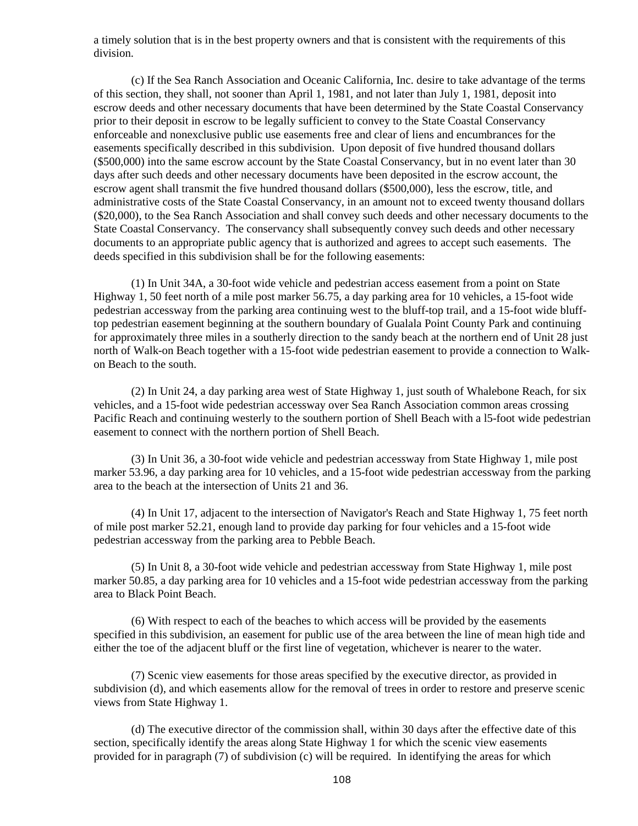a timely solution that is in the best property owners and that is consistent with the requirements of this division.

(c) If the Sea Ranch Association and Oceanic California, Inc. desire to take advantage of the terms of this section, they shall, not sooner than April 1, 1981, and not later than July 1, 1981, deposit into escrow deeds and other necessary documents that have been determined by the State Coastal Conservancy prior to their deposit in escrow to be legally sufficient to convey to the State Coastal Conservancy enforceable and nonexclusive public use easements free and clear of liens and encumbrances for the easements specifically described in this subdivision. Upon deposit of five hundred thousand dollars (\$500,000) into the same escrow account by the State Coastal Conservancy, but in no event later than 30 days after such deeds and other necessary documents have been deposited in the escrow account, the escrow agent shall transmit the five hundred thousand dollars (\$500,000), less the escrow, title, and administrative costs of the State Coastal Conservancy, in an amount not to exceed twenty thousand dollars (\$20,000), to the Sea Ranch Association and shall convey such deeds and other necessary documents to the State Coastal Conservancy. The conservancy shall subsequently convey such deeds and other necessary documents to an appropriate public agency that is authorized and agrees to accept such easements. The deeds specified in this subdivision shall be for the following easements:

(1) In Unit 34A, a 30-foot wide vehicle and pedestrian access easement from a point on State Highway 1, 50 feet north of a mile post marker 56.75, a day parking area for 10 vehicles, a 15-foot wide pedestrian accessway from the parking area continuing west to the bluff-top trail, and a 15-foot wide blufftop pedestrian easement beginning at the southern boundary of Gualala Point County Park and continuing for approximately three miles in a southerly direction to the sandy beach at the northern end of Unit 28 just north of Walk-on Beach together with a 15-foot wide pedestrian easement to provide a connection to Walkon Beach to the south.

(2) In Unit 24, a day parking area west of State Highway 1, just south of Whalebone Reach, for six vehicles, and a 15-foot wide pedestrian accessway over Sea Ranch Association common areas crossing Pacific Reach and continuing westerly to the southern portion of Shell Beach with a l5-foot wide pedestrian easement to connect with the northern portion of Shell Beach.

(3) In Unit 36, a 30-foot wide vehicle and pedestrian accessway from State Highway 1, mile post marker 53.96, a day parking area for 10 vehicles, and a 15-foot wide pedestrian accessway from the parking area to the beach at the intersection of Units 21 and 36.

(4) In Unit 17, adjacent to the intersection of Navigator's Reach and State Highway 1, 75 feet north of mile post marker 52.21, enough land to provide day parking for four vehicles and a 15-foot wide pedestrian accessway from the parking area to Pebble Beach.

(5) In Unit 8, a 30-foot wide vehicle and pedestrian accessway from State Highway 1, mile post marker 50.85, a day parking area for 10 vehicles and a 15-foot wide pedestrian accessway from the parking area to Black Point Beach.

(6) With respect to each of the beaches to which access will be provided by the easements specified in this subdivision, an easement for public use of the area between the line of mean high tide and either the toe of the adjacent bluff or the first line of vegetation, whichever is nearer to the water.

(7) Scenic view easements for those areas specified by the executive director, as provided in subdivision (d), and which easements allow for the removal of trees in order to restore and preserve scenic views from State Highway 1.

(d) The executive director of the commission shall, within 30 days after the effective date of this section, specifically identify the areas along State Highway 1 for which the scenic view easements provided for in paragraph (7) of subdivision (c) will be required. In identifying the areas for which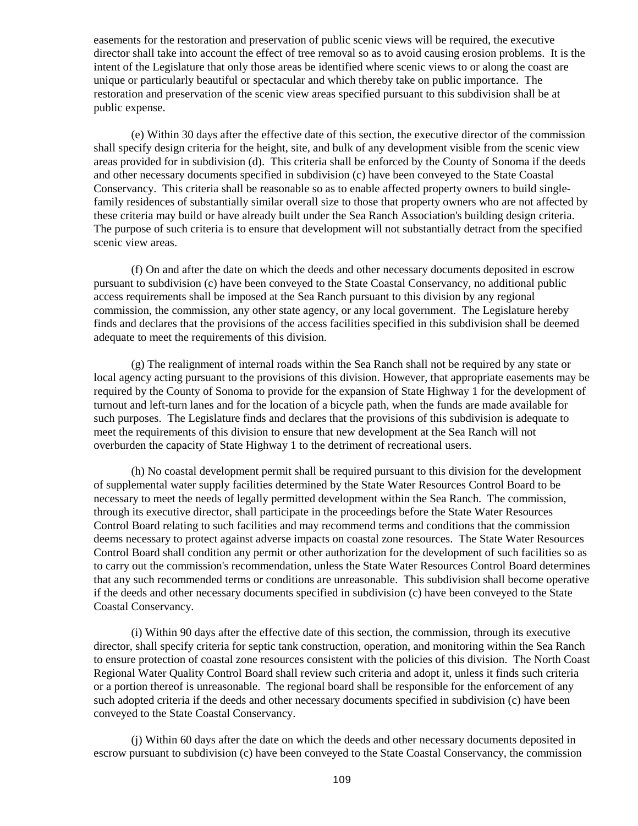easements for the restoration and preservation of public scenic views will be required, the executive director shall take into account the effect of tree removal so as to avoid causing erosion problems. It is the intent of the Legislature that only those areas be identified where scenic views to or along the coast are unique or particularly beautiful or spectacular and which thereby take on public importance. The restoration and preservation of the scenic view areas specified pursuant to this subdivision shall be at public expense.

(e) Within 30 days after the effective date of this section, the executive director of the commission shall specify design criteria for the height, site, and bulk of any development visible from the scenic view areas provided for in subdivision (d). This criteria shall be enforced by the County of Sonoma if the deeds and other necessary documents specified in subdivision (c) have been conveyed to the State Coastal Conservancy. This criteria shall be reasonable so as to enable affected property owners to build singlefamily residences of substantially similar overall size to those that property owners who are not affected by these criteria may build or have already built under the Sea Ranch Association's building design criteria. The purpose of such criteria is to ensure that development will not substantially detract from the specified scenic view areas.

(f) On and after the date on which the deeds and other necessary documents deposited in escrow pursuant to subdivision (c) have been conveyed to the State Coastal Conservancy, no additional public access requirements shall be imposed at the Sea Ranch pursuant to this division by any regional commission, the commission, any other state agency, or any local government. The Legislature hereby finds and declares that the provisions of the access facilities specified in this subdivision shall be deemed adequate to meet the requirements of this division.

(g) The realignment of internal roads within the Sea Ranch shall not be required by any state or local agency acting pursuant to the provisions of this division. However, that appropriate easements may be required by the County of Sonoma to provide for the expansion of State Highway 1 for the development of turnout and left-turn lanes and for the location of a bicycle path, when the funds are made available for such purposes. The Legislature finds and declares that the provisions of this subdivision is adequate to meet the requirements of this division to ensure that new development at the Sea Ranch will not overburden the capacity of State Highway 1 to the detriment of recreational users.

(h) No coastal development permit shall be required pursuant to this division for the development of supplemental water supply facilities determined by the State Water Resources Control Board to be necessary to meet the needs of legally permitted development within the Sea Ranch. The commission, through its executive director, shall participate in the proceedings before the State Water Resources Control Board relating to such facilities and may recommend terms and conditions that the commission deems necessary to protect against adverse impacts on coastal zone resources. The State Water Resources Control Board shall condition any permit or other authorization for the development of such facilities so as to carry out the commission's recommendation, unless the State Water Resources Control Board determines that any such recommended terms or conditions are unreasonable. This subdivision shall become operative if the deeds and other necessary documents specified in subdivision (c) have been conveyed to the State Coastal Conservancy.

(i) Within 90 days after the effective date of this section, the commission, through its executive director, shall specify criteria for septic tank construction, operation, and monitoring within the Sea Ranch to ensure protection of coastal zone resources consistent with the policies of this division. The North Coast Regional Water Quality Control Board shall review such criteria and adopt it, unless it finds such criteria or a portion thereof is unreasonable. The regional board shall be responsible for the enforcement of any such adopted criteria if the deeds and other necessary documents specified in subdivision (c) have been conveyed to the State Coastal Conservancy.

(j) Within 60 days after the date on which the deeds and other necessary documents deposited in escrow pursuant to subdivision (c) have been conveyed to the State Coastal Conservancy, the commission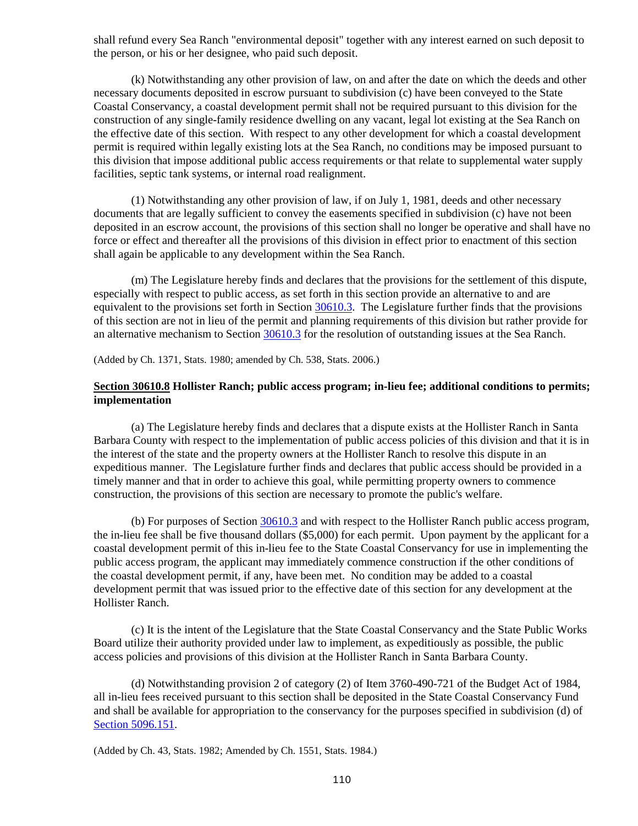shall refund every Sea Ranch "environmental deposit" together with any interest earned on such deposit to the person, or his or her designee, who paid such deposit.

(k) Notwithstanding any other provision of law, on and after the date on which the deeds and other necessary documents deposited in escrow pursuant to subdivision (c) have been conveyed to the State Coastal Conservancy, a coastal development permit shall not be required pursuant to this division for the construction of any single-family residence dwelling on any vacant, legal lot existing at the Sea Ranch on the effective date of this section. With respect to any other development for which a coastal development permit is required within legally existing lots at the Sea Ranch, no conditions may be imposed pursuant to this division that impose additional public access requirements or that relate to supplemental water supply facilities, septic tank systems, or internal road realignment.

(1) Notwithstanding any other provision of law, if on July 1, 1981, deeds and other necessary documents that are legally sufficient to convey the easements specified in subdivision (c) have not been deposited in an escrow account, the provisions of this section shall no longer be operative and shall have no force or effect and thereafter all the provisions of this division in effect prior to enactment of this section shall again be applicable to any development within the Sea Ranch.

(m) The Legislature hereby finds and declares that the provisions for the settlement of this dispute, especially with respect to public access, as set forth in this section provide an alternative to and are equivalent to the provisions set forth in Section [30610.3.](#page-105-0) The Legislature further finds that the provisions of this section are not in lieu of the permit and planning requirements of this division but rather provide for an alternative mechanism to Section [30610.3](#page-105-0) for the resolution of outstanding issues at the Sea Ranch.

(Added by Ch. 1371, Stats. 1980; amended by Ch. 538, Stats. 2006.)

## **Section 30610.8 Hollister Ranch; public access program; in-lieu fee; additional conditions to permits; implementation**

(a) The Legislature hereby finds and declares that a dispute exists at the Hollister Ranch in Santa Barbara County with respect to the implementation of public access policies of this division and that it is in the interest of the state and the property owners at the Hollister Ranch to resolve this dispute in an expeditious manner. The Legislature further finds and declares that public access should be provided in a timely manner and that in order to achieve this goal, while permitting property owners to commence construction, the provisions of this section are necessary to promote the public's welfare.

(b) For purposes of Section [30610.3](#page-105-0) and with respect to the Hollister Ranch public access program, the in-lieu fee shall be five thousand dollars (\$5,000) for each permit. Upon payment by the applicant for a coastal development permit of this in-lieu fee to the State Coastal Conservancy for use in implementing the public access program, the applicant may immediately commence construction if the other conditions of the coastal development permit, if any, have been met. No condition may be added to a coastal development permit that was issued prior to the effective date of this section for any development at the Hollister Ranch.

(c) It is the intent of the Legislature that the State Coastal Conservancy and the State Public Works Board utilize their authority provided under law to implement, as expeditiously as possible, the public access policies and provisions of this division at the Hollister Ranch in Santa Barbara County.

(d) Notwithstanding provision 2 of category (2) of Item 3760-490-721 of the Budget Act of 1984, all in-lieu fees received pursuant to this section shall be deposited in the State Coastal Conservancy Fund and shall be available for appropriation to the conservancy for the purposes specified in subdivision (d) of [Section 5096.151.](http://leginfo.legislature.ca.gov/faces/codes_displayexpandedbranch.xhtml?tocCode=PRC&division=5.&title=&part=&chapter=&article=)

(Added by Ch. 43, Stats. 1982; Amended by Ch. 1551, Stats. 1984.)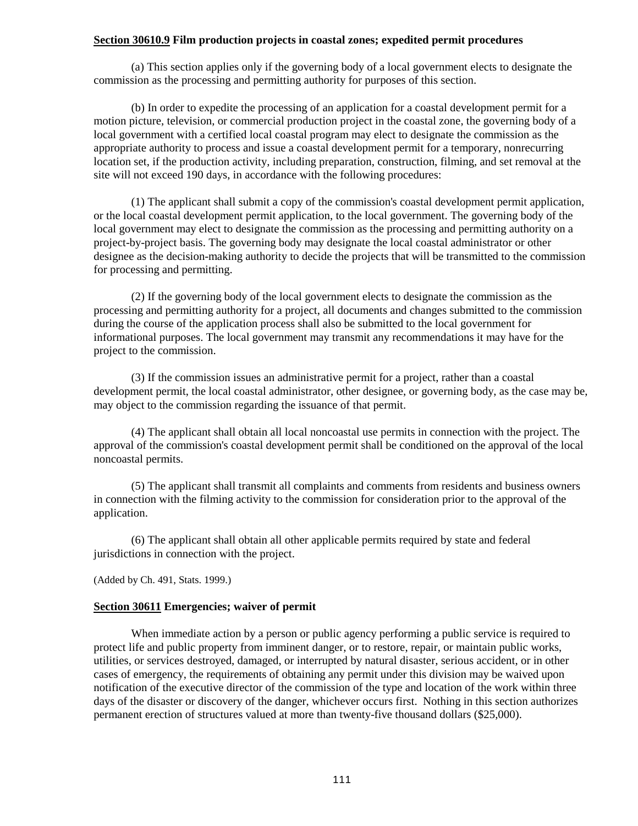## **Section 30610.9 Film production projects in coastal zones; expedited permit procedures**

(a) This section applies only if the governing body of a local government elects to designate the commission as the processing and permitting authority for purposes of this section.

(b) In order to expedite the processing of an application for a coastal development permit for a motion picture, television, or commercial production project in the coastal zone, the governing body of a local government with a certified local coastal program may elect to designate the commission as the appropriate authority to process and issue a coastal development permit for a temporary, nonrecurring location set, if the production activity, including preparation, construction, filming, and set removal at the site will not exceed 190 days, in accordance with the following procedures:

(1) The applicant shall submit a copy of the commission's coastal development permit application, or the local coastal development permit application, to the local government. The governing body of the local government may elect to designate the commission as the processing and permitting authority on a project-by-project basis. The governing body may designate the local coastal administrator or other designee as the decision-making authority to decide the projects that will be transmitted to the commission for processing and permitting.

(2) If the governing body of the local government elects to designate the commission as the processing and permitting authority for a project, all documents and changes submitted to the commission during the course of the application process shall also be submitted to the local government for informational purposes. The local government may transmit any recommendations it may have for the project to the commission.

(3) If the commission issues an administrative permit for a project, rather than a coastal development permit, the local coastal administrator, other designee, or governing body, as the case may be, may object to the commission regarding the issuance of that permit.

(4) The applicant shall obtain all local noncoastal use permits in connection with the project. The approval of the commission's coastal development permit shall be conditioned on the approval of the local noncoastal permits.

(5) The applicant shall transmit all complaints and comments from residents and business owners in connection with the filming activity to the commission for consideration prior to the approval of the application.

(6) The applicant shall obtain all other applicable permits required by state and federal jurisdictions in connection with the project.

(Added by Ch. 491, Stats. 1999.)

## <span id="page-111-0"></span>**Section 30611 Emergencies; waiver of permit**

When immediate action by a person or public agency performing a public service is required to protect life and public property from imminent danger, or to restore, repair, or maintain public works, utilities, or services destroyed, damaged, or interrupted by natural disaster, serious accident, or in other cases of emergency, the requirements of obtaining any permit under this division may be waived upon notification of the executive director of the commission of the type and location of the work within three days of the disaster or discovery of the danger, whichever occurs first. Nothing in this section authorizes permanent erection of structures valued at more than twenty-five thousand dollars (\$25,000).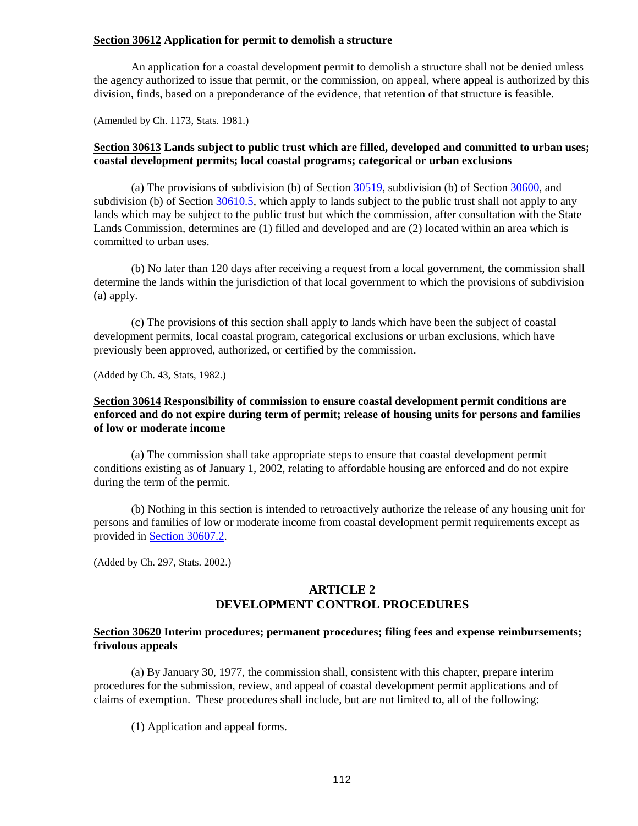## **Section 30612 Application for permit to demolish a structure**

An application for a coastal development permit to demolish a structure shall not be denied unless the agency authorized to issue that permit, or the commission, on appeal, where appeal is authorized by this division, finds, based on a preponderance of the evidence, that retention of that structure is feasible.

(Amended by Ch. 1173, Stats. 1981.)

# **Section 30613 Lands subject to public trust which are filled, developed and committed to urban uses; coastal development permits; local coastal programs; categorical or urban exclusions**

(a) The provisions of subdivision (b) of Section [30519,](#page-82-0) subdivision (b) of Section [30600,](#page-91-0) and subdivision (b) of Section [30610.5,](#page-106-0) which apply to lands subject to the public trust shall not apply to any lands which may be subject to the public trust but which the commission, after consultation with the State Lands Commission, determines are (1) filled and developed and are (2) located within an area which is committed to urban uses.

(b) No later than 120 days after receiving a request from a local government, the commission shall determine the lands within the jurisdiction of that local government to which the provisions of subdivision (a) apply.

(c) The provisions of this section shall apply to lands which have been the subject of coastal development permits, local coastal program, categorical exclusions or urban exclusions, which have previously been approved, authorized, or certified by the commission.

(Added by Ch. 43, Stats, 1982.)

# **Section 30614 Responsibility of commission to ensure coastal development permit conditions are enforced and do not expire during term of permit; release of housing units for persons and families of low or moderate income**

(a) The commission shall take appropriate steps to ensure that coastal development permit conditions existing as of January 1, 2002, relating to affordable housing are enforced and do not expire during the term of the permit.

(b) Nothing in this section is intended to retroactively authorize the release of any housing unit for persons and families of low or moderate income from coastal development permit requirements except as provided in [Section 30607.2.](#page-99-0)

(Added by Ch. 297, Stats. 2002.)

# **ARTICLE 2 DEVELOPMENT CONTROL PROCEDURES**

## <span id="page-112-0"></span>**Section 30620 Interim procedures; permanent procedures; filing fees and expense reimbursements; frivolous appeals**

(a) By January 30, 1977, the commission shall, consistent with this chapter, prepare interim procedures for the submission, review, and appeal of coastal development permit applications and of claims of exemption. These procedures shall include, but are not limited to, all of the following:

(1) Application and appeal forms.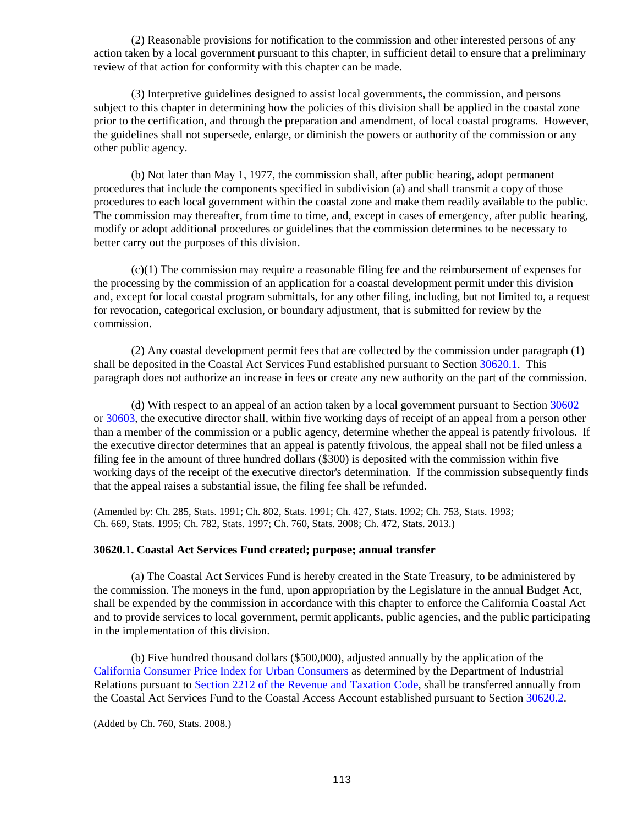(2) Reasonable provisions for notification to the commission and other interested persons of any action taken by a local government pursuant to this chapter, in sufficient detail to ensure that a preliminary review of that action for conformity with this chapter can be made.

(3) Interpretive guidelines designed to assist local governments, the commission, and persons subject to this chapter in determining how the policies of this division shall be applied in the coastal zone prior to the certification, and through the preparation and amendment, of local coastal programs. However, the guidelines shall not supersede, enlarge, or diminish the powers or authority of the commission or any other public agency.

(b) Not later than May 1, 1977, the commission shall, after public hearing, adopt permanent procedures that include the components specified in subdivision (a) and shall transmit a copy of those procedures to each local government within the coastal zone and make them readily available to the public. The commission may thereafter, from time to time, and, except in cases of emergency, after public hearing, modify or adopt additional procedures or guidelines that the commission determines to be necessary to better carry out the purposes of this division.

(c)(1) The commission may require a reasonable filing fee and the reimbursement of expenses for the processing by the commission of an application for a coastal development permit under this division and, except for local coastal program submittals, for any other filing, including, but not limited to, a request for revocation, categorical exclusion, or boundary adjustment, that is submitted for review by the commission.

(2) Any coastal development permit fees that are collected by the commission under paragraph (1) shall be deposited in the Coastal Act Services Fund established pursuant to Sectio[n 30620.1.](#page-113-0) This paragraph does not authorize an increase in fees or create any new authority on the part of the commission.

(d) With respect to an appeal of an action taken by a local government pursuant to Section [30602](#page-95-0) or [30603,](#page-96-0) the executive director shall, within five working days of receipt of an appeal from a person other than a member of the commission or a public agency, determine whether the appeal is patently frivolous. If the executive director determines that an appeal is patently frivolous, the appeal shall not be filed unless a filing fee in the amount of three hundred dollars (\$300) is deposited with the commission within five working days of the receipt of the executive director's determination. If the commission subsequently finds that the appeal raises a substantial issue, the filing fee shall be refunded.

(Amended by: Ch. 285, Stats. 1991; Ch. 802, Stats. 1991; Ch. 427, Stats. 1992; Ch. 753, Stats. 1993; Ch. 669, Stats. 1995; Ch. 782, Stats. 1997; Ch. 760, Stats. 2008; Ch. 472, Stats. 2013.)

### <span id="page-113-0"></span>**30620.1. Coastal Act Services Fund created; purpose; annual transfer**

(a) The Coastal Act Services Fund is hereby created in the State Treasury, to be administered by the commission. The moneys in the fund, upon appropriation by the Legislature in the annual Budget Act, shall be expended by the commission in accordance with this chapter to enforce the California Coastal Act and to provide services to local government, permit applicants, public agencies, and the public participating in the implementation of this division.

(b) Five hundred thousand dollars (\$500,000), adjusted annually by the application of the [California Consumer Price Index for Urban Consumers](http://www.dir.ca.gov/DLSR/statistics_Research.html) as determined by the Department of Industrial Relations pursuant to [Section 2212 of the Revenue and Taxation Code,](http://leginfo.legislature.ca.gov/faces/codesTOCSelected.xhtml?tocCode=RTC&tocTitle=+Revenue+and+Taxation+Code+-+RTC) shall be transferred annually from the Coastal Act Services Fund to the Coastal Access Account established pursuant to Section [30620.2.](#page-113-1)

<span id="page-113-1"></span>(Added by Ch. 760, Stats. 2008.)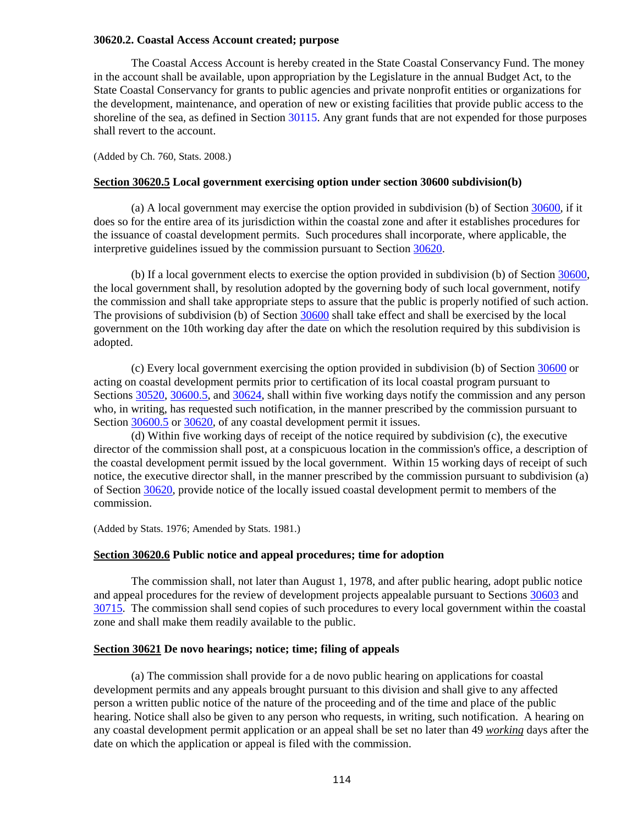## **30620.2. Coastal Access Account created; purpose**

The Coastal Access Account is hereby created in the State Coastal Conservancy Fund. The money in the account shall be available, upon appropriation by the Legislature in the annual Budget Act, to the State Coastal Conservancy for grants to public agencies and private nonprofit entities or organizations for the development, maintenance, and operation of new or existing facilities that provide public access to the shoreline of the sea, as defined in Section [30115.](#page-12-0) Any grant funds that are not expended for those purposes shall revert to the account.

(Added by Ch. 760, Stats. 2008.)

#### **Section 30620.5 Local government exercising option under section 30600 subdivision(b)**

(a) A local government may exercise the option provided in subdivision (b) of Section [30600,](#page-91-0) if it does so for the entire area of its jurisdiction within the coastal zone and after it establishes procedures for the issuance of coastal development permits. Such procedures shall incorporate, where applicable, the interpretive guidelines issued by the commission pursuant to Section [30620.](#page-112-0)

(b) If a local government elects to exercise the option provided in subdivision (b) of Section [30600,](#page-91-0) the local government shall, by resolution adopted by the governing body of such local government, notify the commission and shall take appropriate steps to assure that the public is properly notified of such action. The provisions of subdivision (b) of Section [30600](#page-91-0) shall take effect and shall be exercised by the local government on the 10th working day after the date on which the resolution required by this subdivision is adopted.

(c) Every local government exercising the option provided in subdivision (b) of Section [30600](#page-91-0) or acting on coastal development permits prior to certification of its local coastal program pursuant to Sections [30520,](#page-84-0) [30600.5,](#page-92-0) and [30624,](#page-115-0) shall within five working days notify the commission and any person who, in writing, has requested such notification, in the manner prescribed by the commission pursuant to Section [30600.5](#page-92-0) or [30620,](#page-112-0) of any coastal development permit it issues.

(d) Within five working days of receipt of the notice required by subdivision (c), the executive director of the commission shall post, at a conspicuous location in the commission's office, a description of the coastal development permit issued by the local government. Within 15 working days of receipt of such notice, the executive director shall, in the manner prescribed by the commission pursuant to subdivision (a) of Section [30620,](#page-112-0) provide notice of the locally issued coastal development permit to members of the commission.

(Added by Stats. 1976; Amended by Stats. 1981.)

#### **Section 30620.6 Public notice and appeal procedures; time for adoption**

The commission shall, not later than August 1, 1978, and after public hearing, adopt public notice and appeal procedures for the review of development projects appealable pursuant to Sections [30603](#page-96-0) and [30715.](#page-123-0) The commission shall send copies of such procedures to every local government within the coastal zone and shall make them readily available to the public.

#### <span id="page-114-0"></span>**Section 30621 De novo hearings; notice; time; filing of appeals**

(a) The commission shall provide for a de novo public hearing on applications for coastal development permits and any appeals brought pursuant to this division and shall give to any affected person a written public notice of the nature of the proceeding and of the time and place of the public hearing. Notice shall also be given to any person who requests, in writing, such notification. A hearing on any coastal development permit application or an appeal shall be set no later than 49 *working* days after the date on which the application or appeal is filed with the commission.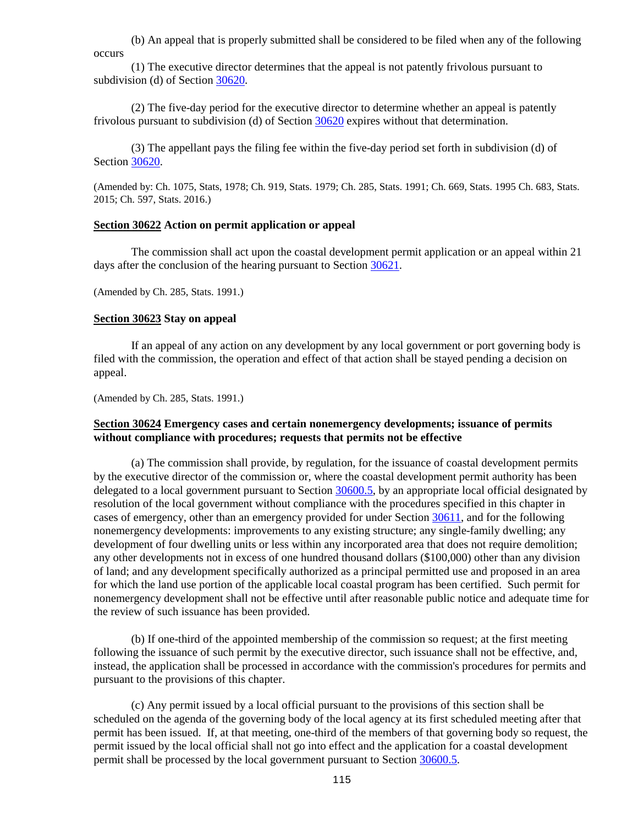(b) An appeal that is properly submitted shall be considered to be filed when any of the following occurs

(1) The executive director determines that the appeal is not patently frivolous pursuant to subdivision (d) of Section [30620.](#page-112-0)

(2) The five-day period for the executive director to determine whether an appeal is patently frivolous pursuant to subdivision (d) of Section [30620](#page-112-0) expires without that determination.

(3) The appellant pays the filing fee within the five-day period set forth in subdivision (d) of Section [30620.](#page-112-0)

(Amended by: Ch. 1075, Stats, 1978; Ch. 919, Stats. 1979; Ch. 285, Stats. 1991; Ch. 669, Stats. 1995 Ch. 683, Stats. 2015; Ch. 597, Stats. 2016.)

#### <span id="page-115-1"></span>**Section 30622 Action on permit application or appeal**

The commission shall act upon the coastal development permit application or an appeal within 21 days after the conclusion of the hearing pursuant to Section [30621.](#page-114-0)

(Amended by Ch. 285, Stats. 1991.)

### **Section 30623 Stay on appeal**

If an appeal of any action on any development by any local government or port governing body is filed with the commission, the operation and effect of that action shall be stayed pending a decision on appeal.

(Amended by Ch. 285, Stats. 1991.)

## <span id="page-115-0"></span>**Section 30624 Emergency cases and certain nonemergency developments; issuance of permits without compliance with procedures; requests that permits not be effective**

(a) The commission shall provide, by regulation, for the issuance of coastal development permits by the executive director of the commission or, where the coastal development permit authority has been delegated to a local government pursuant to Section [30600.5,](#page-92-0) by an appropriate local official designated by resolution of the local government without compliance with the procedures specified in this chapter in cases of emergency, other than an emergency provided for under Section [30611,](#page-111-0) and for the following nonemergency developments: improvements to any existing structure; any single-family dwelling; any development of four dwelling units or less within any incorporated area that does not require demolition; any other developments not in excess of one hundred thousand dollars (\$100,000) other than any division of land; and any development specifically authorized as a principal permitted use and proposed in an area for which the land use portion of the applicable local coastal program has been certified. Such permit for nonemergency development shall not be effective until after reasonable public notice and adequate time for the review of such issuance has been provided.

(b) If one-third of the appointed membership of the commission so request; at the first meeting following the issuance of such permit by the executive director, such issuance shall not be effective, and, instead, the application shall be processed in accordance with the commission's procedures for permits and pursuant to the provisions of this chapter.

(c) Any permit issued by a local official pursuant to the provisions of this section shall be scheduled on the agenda of the governing body of the local agency at its first scheduled meeting after that permit has been issued. If, at that meeting, one-third of the members of that governing body so request, the permit issued by the local official shall not go into effect and the application for a coastal development permit shall be processed by the local government pursuant to Section [30600.5.](#page-92-0)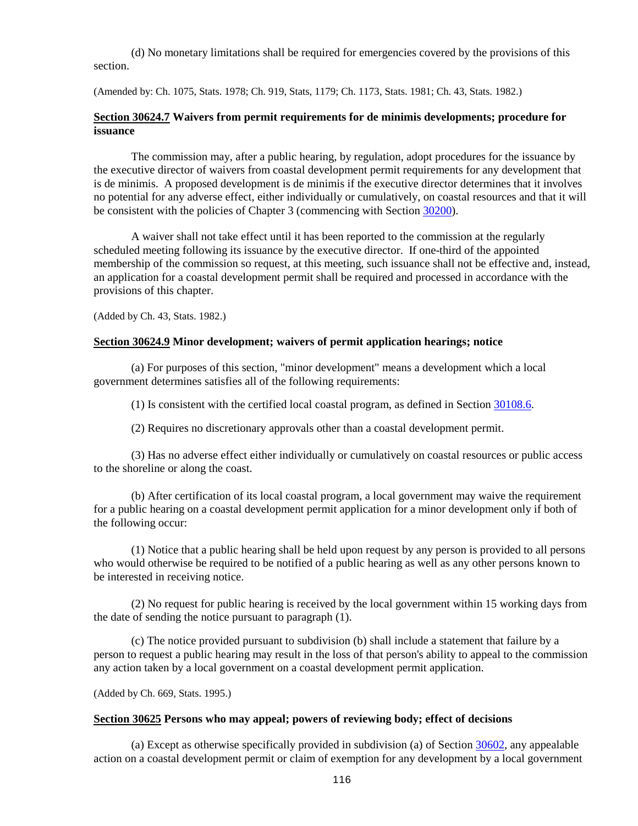(d) No monetary limitations shall be required for emergencies covered by the provisions of this section.

(Amended by: Ch. 1075, Stats. 1978; Ch. 919, Stats, 1179; Ch. 1173, Stats. 1981; Ch. 43, Stats. 1982.)

## **Section 30624.7 Waivers from permit requirements for de minimis developments; procedure for issuance**

The commission may, after a public hearing, by regulation, adopt procedures for the issuance by the executive director of waivers from coastal development permit requirements for any development that is de minimis. A proposed development is de minimis if the executive director determines that it involves no potential for any adverse effect, either individually or cumulatively, on coastal resources and that it will be consistent with the policies of Chapter 3 (commencing with Section [30200\)](#page-30-0).

A waiver shall not take effect until it has been reported to the commission at the regularly scheduled meeting following its issuance by the executive director. If one-third of the appointed membership of the commission so request, at this meeting, such issuance shall not be effective and, instead, an application for a coastal development permit shall be required and processed in accordance with the provisions of this chapter.

(Added by Ch. 43, Stats. 1982.)

#### **Section 30624.9 Minor development; waivers of permit application hearings; notice**

(a) For purposes of this section, "minor development" means a development which a local government determines satisfies all of the following requirements:

(1) Is consistent with the certified local coastal program, as defined in Section [30108.6.](#page-11-0)

(2) Requires no discretionary approvals other than a coastal development permit.

(3) Has no adverse effect either individually or cumulatively on coastal resources or public access to the shoreline or along the coast.

(b) After certification of its local coastal program, a local government may waive the requirement for a public hearing on a coastal development permit application for a minor development only if both of the following occur:

(1) Notice that a public hearing shall be held upon request by any person is provided to all persons who would otherwise be required to be notified of a public hearing as well as any other persons known to be interested in receiving notice.

(2) No request for public hearing is received by the local government within 15 working days from the date of sending the notice pursuant to paragraph (1).

(c) The notice provided pursuant to subdivision (b) shall include a statement that failure by a person to request a public hearing may result in the loss of that person's ability to appeal to the commission any action taken by a local government on a coastal development permit application.

(Added by Ch. 669, Stats. 1995.)

#### <span id="page-116-0"></span>**Section 30625 Persons who may appeal; powers of reviewing body; effect of decisions**

(a) Except as otherwise specifically provided in subdivision (a) of Section [30602,](#page-95-0) any appealable action on a coastal development permit or claim of exemption for any development by a local government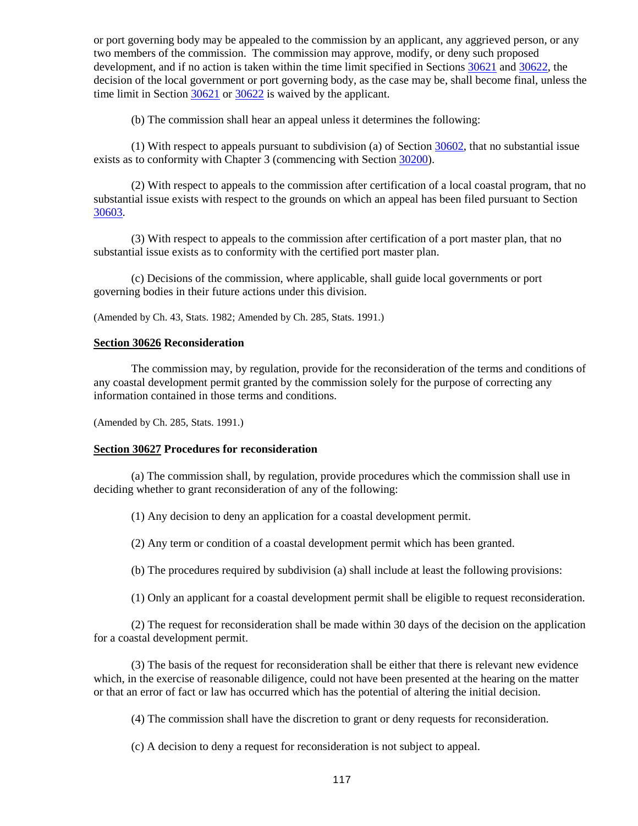or port governing body may be appealed to the commission by an applicant, any aggrieved person, or any two members of the commission. The commission may approve, modify, or deny such proposed development, and if no action is taken within the time limit specified in Sections [30621](#page-114-0) and [30622,](#page-115-1) the decision of the local government or port governing body, as the case may be, shall become final, unless the time limit in Section [30621](#page-114-0) or [30622](#page-115-1) is waived by the applicant.

(b) The commission shall hear an appeal unless it determines the following:

(1) With respect to appeals pursuant to subdivision (a) of Section [30602,](#page-95-0) that no substantial issue exists as to conformity with Chapter 3 (commencing with Section [30200\)](#page-30-0).

(2) With respect to appeals to the commission after certification of a local coastal program, that no substantial issue exists with respect to the grounds on which an appeal has been filed pursuant to Section [30603.](#page-96-0)

(3) With respect to appeals to the commission after certification of a port master plan, that no substantial issue exists as to conformity with the certified port master plan.

(c) Decisions of the commission, where applicable, shall guide local governments or port governing bodies in their future actions under this division.

(Amended by Ch. 43, Stats. 1982; Amended by Ch. 285, Stats. 1991.)

#### **Section 30626 Reconsideration**

The commission may, by regulation, provide for the reconsideration of the terms and conditions of any coastal development permit granted by the commission solely for the purpose of correcting any information contained in those terms and conditions.

(Amended by Ch. 285, Stats. 1991.)

#### **Section 30627 Procedures for reconsideration**

(a) The commission shall, by regulation, provide procedures which the commission shall use in deciding whether to grant reconsideration of any of the following:

(1) Any decision to deny an application for a coastal development permit.

(2) Any term or condition of a coastal development permit which has been granted.

(b) The procedures required by subdivision (a) shall include at least the following provisions:

(1) Only an applicant for a coastal development permit shall be eligible to request reconsideration.

(2) The request for reconsideration shall be made within 30 days of the decision on the application for a coastal development permit.

(3) The basis of the request for reconsideration shall be either that there is relevant new evidence which, in the exercise of reasonable diligence, could not have been presented at the hearing on the matter or that an error of fact or law has occurred which has the potential of altering the initial decision.

(4) The commission shall have the discretion to grant or deny requests for reconsideration.

(c) A decision to deny a request for reconsideration is not subject to appeal.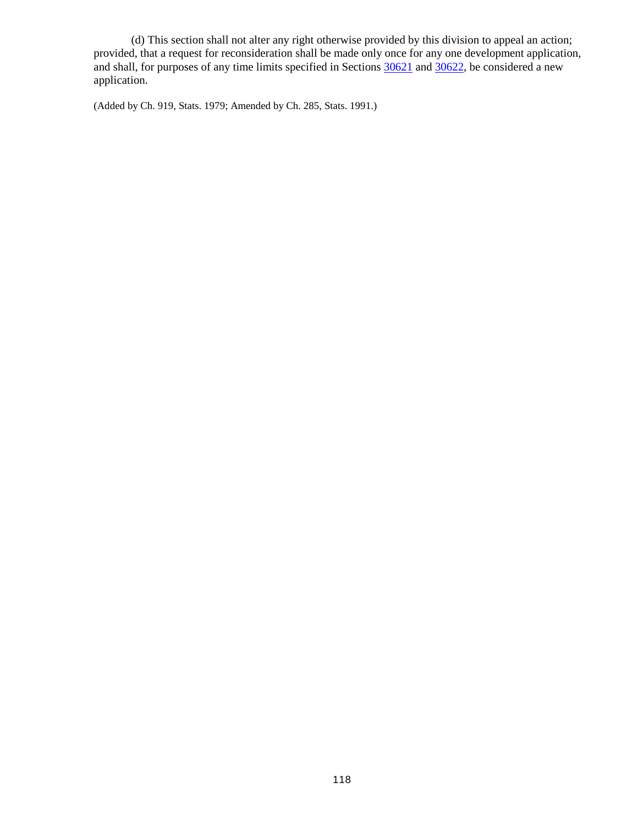(d) This section shall not alter any right otherwise provided by this division to appeal an action; provided, that a request for reconsideration shall be made only once for any one development application, and shall, for purposes of any time limits specified in Sections  $\frac{30621}{100}$  and  $\frac{30622}{200}$ , be considered a new application.

(Added by Ch. 919, Stats. 1979; Amended by Ch. 285, Stats. 1991.)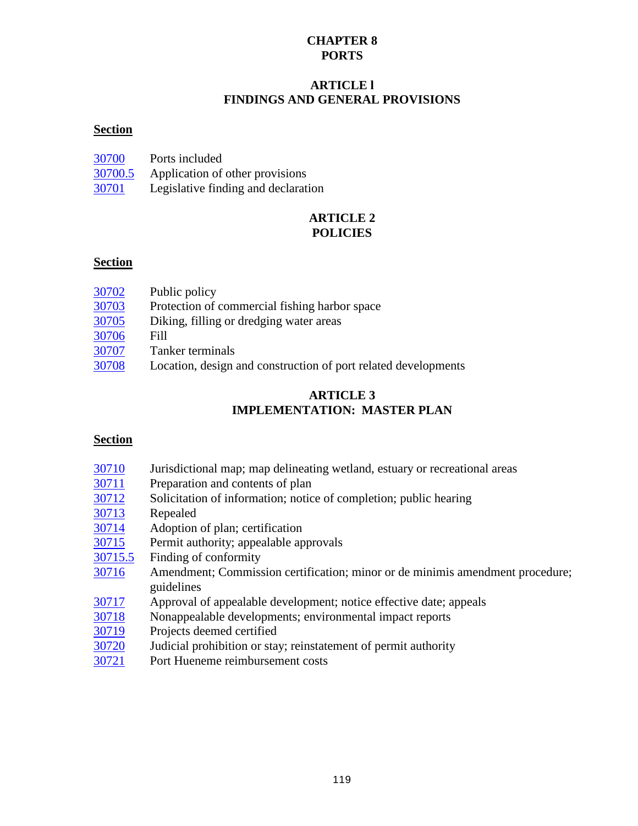# **CHAPTER 8 PORTS**

# **ARTICLE l FINDINGS AND GENERAL PROVISIONS**

# **Section**

| 30700   | Ports included                      |
|---------|-------------------------------------|
| 30700.5 | Application of other provisions     |
| 30701   | Legislative finding and declaration |

# **ARTICLE 2 POLICIES**

# **Section**

| 30703<br>Protection of commercial fishing harbor space<br>30705<br>Diking, filling or dredging water areas<br>30706<br>Fill<br>30707<br>Tanker terminals<br>30708 |       |                                                                |
|-------------------------------------------------------------------------------------------------------------------------------------------------------------------|-------|----------------------------------------------------------------|
|                                                                                                                                                                   | 30702 | Public policy                                                  |
|                                                                                                                                                                   |       |                                                                |
|                                                                                                                                                                   |       |                                                                |
|                                                                                                                                                                   |       |                                                                |
|                                                                                                                                                                   |       |                                                                |
|                                                                                                                                                                   |       | Location, design and construction of port related developments |

# **ARTICLE 3 IMPLEMENTATION: MASTER PLAN**

# **Section**

| 30710 |  |  |  |  |  | Jurisdictional map; map delineating wetland, estuary or recreational areas |  |
|-------|--|--|--|--|--|----------------------------------------------------------------------------|--|
|-------|--|--|--|--|--|----------------------------------------------------------------------------|--|

- [30711](#page-122-3) Preparation and contents of plan
- [30712](#page-123-1) Solicitation of information; notice of completion; public hearing
- [30713](#page-123-2) Repealed
- [30714](#page-123-3) Adoption of plan; certification
- [30715](#page-123-0) Permit authority; appealable approvals
- [30715.5](#page-124-0) Finding of conformity
- [30716](#page-124-1) Amendment; Commission certification; minor or de minimis amendment procedure; guidelines
- [30717](#page-125-0) Approval of appealable development; notice effective date; appeals<br>30718 Nonappealable developments; environmental impact reports
- Nonappealable developments; environmental impact reports
- [30719](#page-126-1) Projects deemed certified
- [30720](#page-126-2) Judicial prohibition or stay; reinstatement of permit authority
- [30721](#page-126-3) Port Hueneme reimbursement costs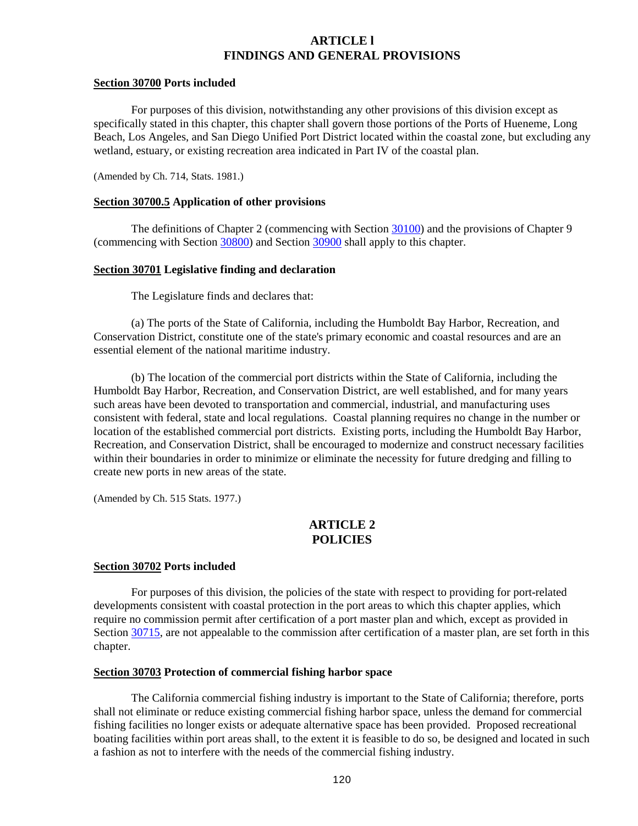# **ARTICLE l FINDINGS AND GENERAL PROVISIONS**

#### <span id="page-120-0"></span>**Section 30700 Ports included**

For purposes of this division, notwithstanding any other provisions of this division except as specifically stated in this chapter, this chapter shall govern those portions of the Ports of Hueneme, Long Beach, Los Angeles, and San Diego Unified Port District located within the coastal zone, but excluding any wetland, estuary, or existing recreation area indicated in Part IV of the coastal plan.

(Amended by Ch. 714, Stats. 1981.)

### <span id="page-120-1"></span>**Section 30700.5 Application of other provisions**

The definitions of Chapter 2 (commencing with Section [30100\)](#page-8-0) and the provisions of Chapter 9 (commencing with Section [30800\)](#page-129-0) and Section [30900](#page-137-0) shall apply to this chapter.

### <span id="page-120-2"></span>**Section 30701 Legislative finding and declaration**

The Legislature finds and declares that:

(a) The ports of the State of California, including the Humboldt Bay Harbor, Recreation, and Conservation District, constitute one of the state's primary economic and coastal resources and are an essential element of the national maritime industry.

(b) The location of the commercial port districts within the State of California, including the Humboldt Bay Harbor, Recreation, and Conservation District, are well established, and for many years such areas have been devoted to transportation and commercial, industrial, and manufacturing uses consistent with federal, state and local regulations. Coastal planning requires no change in the number or location of the established commercial port districts. Existing ports, including the Humboldt Bay Harbor, Recreation, and Conservation District, shall be encouraged to modernize and construct necessary facilities within their boundaries in order to minimize or eliminate the necessity for future dredging and filling to create new ports in new areas of the state.

(Amended by Ch. 515 Stats. 1977.)

# **ARTICLE 2 POLICIES**

#### <span id="page-120-3"></span>**Section 30702 Ports included**

For purposes of this division, the policies of the state with respect to providing for port-related developments consistent with coastal protection in the port areas to which this chapter applies, which require no commission permit after certification of a port master plan and which, except as provided in Section [30715,](#page-123-0) are not appealable to the commission after certification of a master plan, are set forth in this chapter.

#### <span id="page-120-4"></span>**Section 30703 Protection of commercial fishing harbor space**

The California commercial fishing industry is important to the State of California; therefore, ports shall not eliminate or reduce existing commercial fishing harbor space, unless the demand for commercial fishing facilities no longer exists or adequate alternative space has been provided. Proposed recreational boating facilities within port areas shall, to the extent it is feasible to do so, be designed and located in such a fashion as not to interfere with the needs of the commercial fishing industry.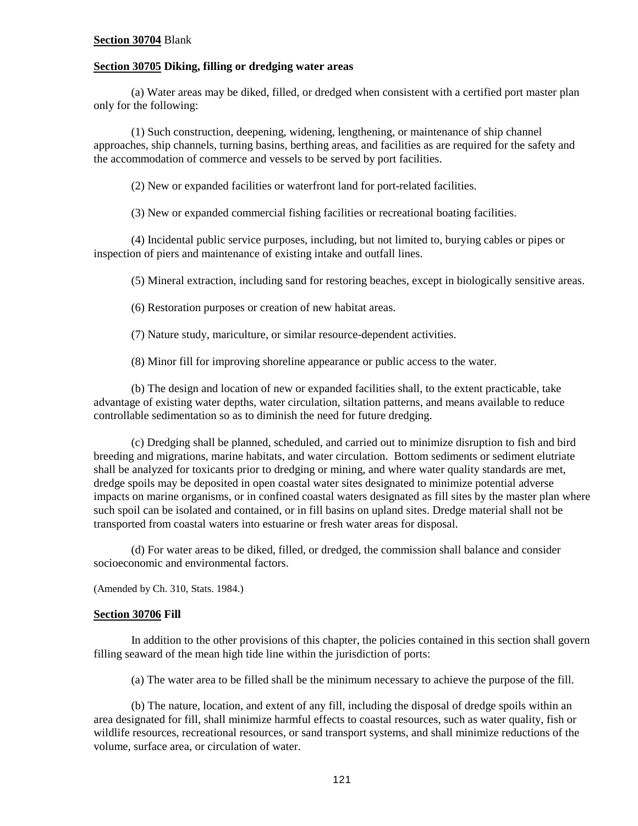### **Section 30704** Blank

#### <span id="page-121-0"></span>**Section 30705 Diking, filling or dredging water areas**

(a) Water areas may be diked, filled, or dredged when consistent with a certified port master plan only for the following:

(1) Such construction, deepening, widening, lengthening, or maintenance of ship channel approaches, ship channels, turning basins, berthing areas, and facilities as are required for the safety and the accommodation of commerce and vessels to be served by port facilities.

(2) New or expanded facilities or waterfront land for port-related facilities.

(3) New or expanded commercial fishing facilities or recreational boating facilities.

(4) Incidental public service purposes, including, but not limited to, burying cables or pipes or inspection of piers and maintenance of existing intake and outfall lines.

(5) Mineral extraction, including sand for restoring beaches, except in biologically sensitive areas.

(6) Restoration purposes or creation of new habitat areas.

(7) Nature study, mariculture, or similar resource-dependent activities.

(8) Minor fill for improving shoreline appearance or public access to the water.

(b) The design and location of new or expanded facilities shall, to the extent practicable, take advantage of existing water depths, water circulation, siltation patterns, and means available to reduce controllable sedimentation so as to diminish the need for future dredging.

(c) Dredging shall be planned, scheduled, and carried out to minimize disruption to fish and bird breeding and migrations, marine habitats, and water circulation. Bottom sediments or sediment elutriate shall be analyzed for toxicants prior to dredging or mining, and where water quality standards are met, dredge spoils may be deposited in open coastal water sites designated to minimize potential adverse impacts on marine organisms, or in confined coastal waters designated as fill sites by the master plan where such spoil can be isolated and contained, or in fill basins on upland sites. Dredge material shall not be transported from coastal waters into estuarine or fresh water areas for disposal.

(d) For water areas to be diked, filled, or dredged, the commission shall balance and consider socioeconomic and environmental factors.

(Amended by Ch. 310, Stats. 1984.)

### <span id="page-121-1"></span>**Section 30706 Fill**

In addition to the other provisions of this chapter, the policies contained in this section shall govern filling seaward of the mean high tide line within the jurisdiction of ports:

(a) The water area to be filled shall be the minimum necessary to achieve the purpose of the fill.

(b) The nature, location, and extent of any fill, including the disposal of dredge spoils within an area designated for fill, shall minimize harmful effects to coastal resources, such as water quality, fish or wildlife resources, recreational resources, or sand transport systems, and shall minimize reductions of the volume, surface area, or circulation of water.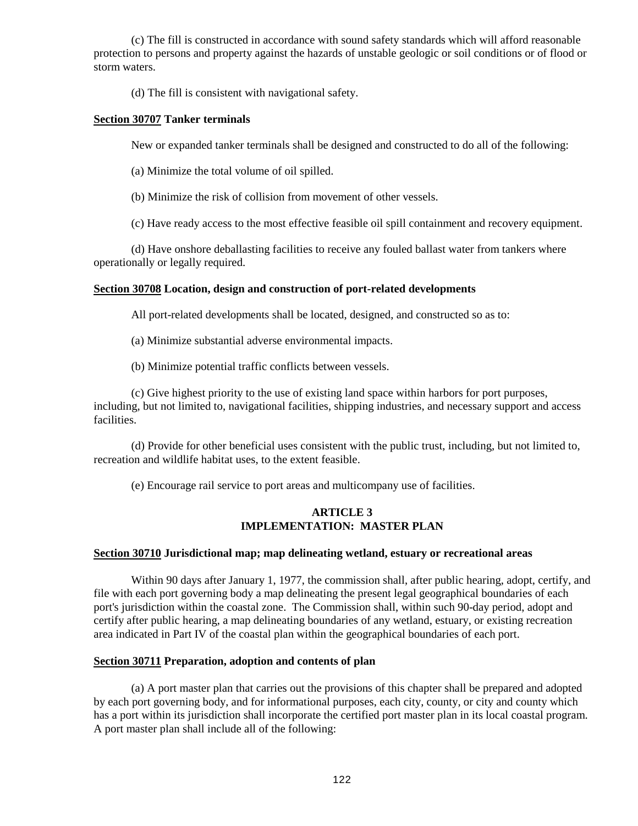(c) The fill is constructed in accordance with sound safety standards which will afford reasonable protection to persons and property against the hazards of unstable geologic or soil conditions or of flood or storm waters.

(d) The fill is consistent with navigational safety.

### <span id="page-122-0"></span>**Section 30707 Tanker terminals**

New or expanded tanker terminals shall be designed and constructed to do all of the following:

(a) Minimize the total volume of oil spilled.

(b) Minimize the risk of collision from movement of other vessels.

(c) Have ready access to the most effective feasible oil spill containment and recovery equipment.

(d) Have onshore deballasting facilities to receive any fouled ballast water from tankers where operationally or legally required.

## <span id="page-122-1"></span>**Section 30708 Location, design and construction of port-related developments**

All port-related developments shall be located, designed, and constructed so as to:

(a) Minimize substantial adverse environmental impacts.

(b) Minimize potential traffic conflicts between vessels.

(c) Give highest priority to the use of existing land space within harbors for port purposes, including, but not limited to, navigational facilities, shipping industries, and necessary support and access facilities.

(d) Provide for other beneficial uses consistent with the public trust, including, but not limited to, recreation and wildlife habitat uses, to the extent feasible.

(e) Encourage rail service to port areas and multicompany use of facilities.

## **ARTICLE 3 IMPLEMENTATION: MASTER PLAN**

#### <span id="page-122-2"></span>**Section 30710 Jurisdictional map; map delineating wetland, estuary or recreational areas**

Within 90 days after January 1, 1977, the commission shall, after public hearing, adopt, certify, and file with each port governing body a map delineating the present legal geographical boundaries of each port's jurisdiction within the coastal zone. The Commission shall, within such 90-day period, adopt and certify after public hearing, a map delineating boundaries of any wetland, estuary, or existing recreation area indicated in Part IV of the coastal plan within the geographical boundaries of each port.

### <span id="page-122-3"></span>**Section 30711 Preparation, adoption and contents of plan**

(a) A port master plan that carries out the provisions of this chapter shall be prepared and adopted by each port governing body, and for informational purposes, each city, county, or city and county which has a port within its jurisdiction shall incorporate the certified port master plan in its local coastal program. A port master plan shall include all of the following: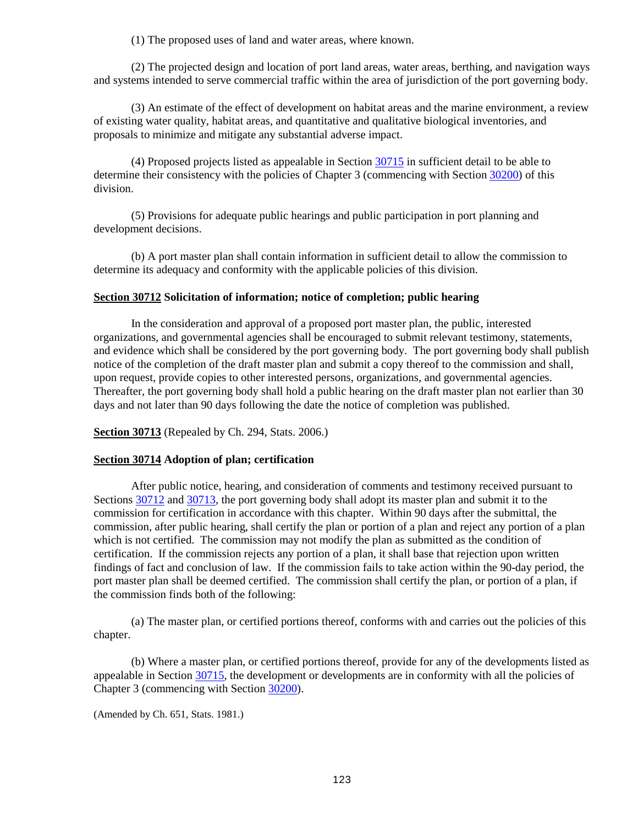(1) The proposed uses of land and water areas, where known.

(2) The projected design and location of port land areas, water areas, berthing, and navigation ways and systems intended to serve commercial traffic within the area of jurisdiction of the port governing body.

(3) An estimate of the effect of development on habitat areas and the marine environment, a review of existing water quality, habitat areas, and quantitative and qualitative biological inventories, and proposals to minimize and mitigate any substantial adverse impact.

(4) Proposed projects listed as appealable in Section [30715](#page-123-0) in sufficient detail to be able to determine their consistency with the policies of Chapter 3 (commencing with Section [30200\)](#page-30-0) of this division.

(5) Provisions for adequate public hearings and public participation in port planning and development decisions.

(b) A port master plan shall contain information in sufficient detail to allow the commission to determine its adequacy and conformity with the applicable policies of this division.

### <span id="page-123-1"></span>**Section 30712 Solicitation of information; notice of completion; public hearing**

In the consideration and approval of a proposed port master plan, the public, interested organizations, and governmental agencies shall be encouraged to submit relevant testimony, statements, and evidence which shall be considered by the port governing body. The port governing body shall publish notice of the completion of the draft master plan and submit a copy thereof to the commission and shall, upon request, provide copies to other interested persons, organizations, and governmental agencies. Thereafter, the port governing body shall hold a public hearing on the draft master plan not earlier than 30 days and not later than 90 days following the date the notice of completion was published.

<span id="page-123-2"></span>**Section 30713** (Repealed by Ch. 294, Stats. 2006.)

## <span id="page-123-3"></span>**Section 30714 Adoption of plan; certification**

After public notice, hearing, and consideration of comments and testimony received pursuant to Sections [30712](#page-123-1) and [30713,](#page-123-2) the port governing body shall adopt its master plan and submit it to the commission for certification in accordance with this chapter. Within 90 days after the submittal, the commission, after public hearing, shall certify the plan or portion of a plan and reject any portion of a plan which is not certified. The commission may not modify the plan as submitted as the condition of certification. If the commission rejects any portion of a plan, it shall base that rejection upon written findings of fact and conclusion of law. If the commission fails to take action within the 90-day period, the port master plan shall be deemed certified. The commission shall certify the plan, or portion of a plan, if the commission finds both of the following:

(a) The master plan, or certified portions thereof, conforms with and carries out the policies of this chapter.

(b) Where a master plan, or certified portions thereof, provide for any of the developments listed as appealable in Section [30715,](#page-123-0) the development or developments are in conformity with all the policies of Chapter 3 (commencing with Section [30200\)](#page-30-0).

<span id="page-123-0"></span>(Amended by Ch. 651, Stats. 1981.)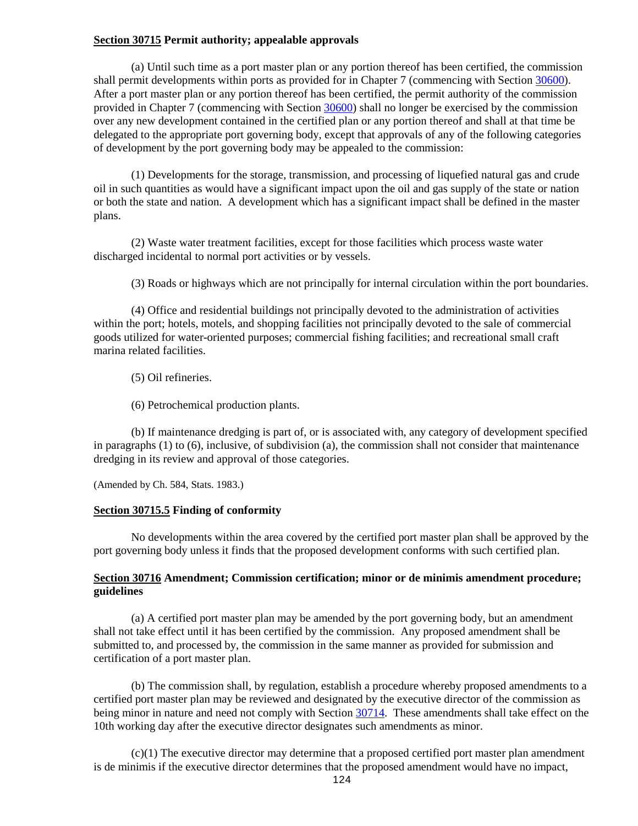## **Section 30715 Permit authority; appealable approvals**

(a) Until such time as a port master plan or any portion thereof has been certified, the commission shall permit developments within ports as provided for in Chapter 7 (commencing with Section [30600\)](#page-91-0). After a port master plan or any portion thereof has been certified, the permit authority of the commission provided in Chapter 7 (commencing with Section [30600\)](#page-91-0) shall no longer be exercised by the commission over any new development contained in the certified plan or any portion thereof and shall at that time be delegated to the appropriate port governing body, except that approvals of any of the following categories of development by the port governing body may be appealed to the commission:

(1) Developments for the storage, transmission, and processing of liquefied natural gas and crude oil in such quantities as would have a significant impact upon the oil and gas supply of the state or nation or both the state and nation. A development which has a significant impact shall be defined in the master plans.

(2) Waste water treatment facilities, except for those facilities which process waste water discharged incidental to normal port activities or by vessels.

(3) Roads or highways which are not principally for internal circulation within the port boundaries.

(4) Office and residential buildings not principally devoted to the administration of activities within the port; hotels, motels, and shopping facilities not principally devoted to the sale of commercial goods utilized for water-oriented purposes; commercial fishing facilities; and recreational small craft marina related facilities.

(5) Oil refineries.

(6) Petrochemical production plants.

(b) If maintenance dredging is part of, or is associated with, any category of development specified in paragraphs (1) to (6), inclusive, of subdivision (a), the commission shall not consider that maintenance dredging in its review and approval of those categories.

(Amended by Ch. 584, Stats. 1983.)

#### <span id="page-124-0"></span>**Section 30715.5 Finding of conformity**

No developments within the area covered by the certified port master plan shall be approved by the port governing body unless it finds that the proposed development conforms with such certified plan.

## <span id="page-124-1"></span>**Section 30716 Amendment; Commission certification; minor or de minimis amendment procedure; guidelines**

(a) A certified port master plan may be amended by the port governing body, but an amendment shall not take effect until it has been certified by the commission. Any proposed amendment shall be submitted to, and processed by, the commission in the same manner as provided for submission and certification of a port master plan.

(b) The commission shall, by regulation, establish a procedure whereby proposed amendments to a certified port master plan may be reviewed and designated by the executive director of the commission as being minor in nature and need not comply with Section [30714.](#page-123-3) These amendments shall take effect on the 10th working day after the executive director designates such amendments as minor.

(c)(1) The executive director may determine that a proposed certified port master plan amendment is de minimis if the executive director determines that the proposed amendment would have no impact,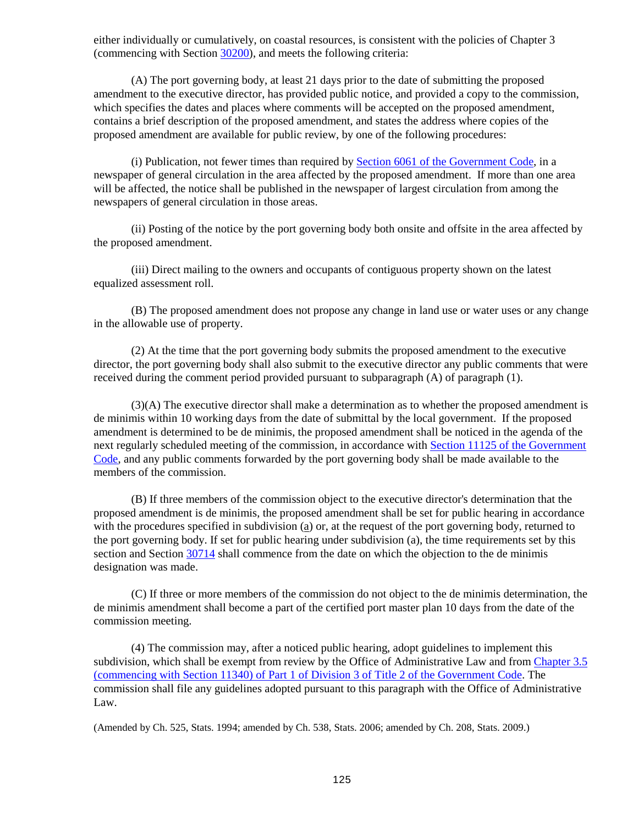either individually or cumulatively, on coastal resources, is consistent with the policies of Chapter 3 (commencing with Section [30200\)](#page-30-0), and meets the following criteria:

(A) The port governing body, at least 21 days prior to the date of submitting the proposed amendment to the executive director, has provided public notice, and provided a copy to the commission, which specifies the dates and places where comments will be accepted on the proposed amendment, contains a brief description of the proposed amendment, and states the address where copies of the proposed amendment are available for public review, by one of the following procedures:

(i) Publication, not fewer times than required by [Section 6061 of the Government Code,](http://leginfo.legislature.ca.gov/faces/codes_displayexpandedbranch.xhtml?tocCode=GOV&division=&title=1.&part=&chapter=&article=) in a newspaper of general circulation in the area affected by the proposed amendment. If more than one area will be affected, the notice shall be published in the newspaper of largest circulation from among the newspapers of general circulation in those areas.

(ii) Posting of the notice by the port governing body both onsite and offsite in the area affected by the proposed amendment.

(iii) Direct mailing to the owners and occupants of contiguous property shown on the latest equalized assessment roll.

(B) The proposed amendment does not propose any change in land use or water uses or any change in the allowable use of property.

(2) At the time that the port governing body submits the proposed amendment to the executive director, the port governing body shall also submit to the executive director any public comments that were received during the comment period provided pursuant to subparagraph (A) of paragraph (1).

(3)(A) The executive director shall make a determination as to whether the proposed amendment is de minimis within 10 working days from the date of submittal by the local government. If the proposed amendment is determined to be de minimis, the proposed amendment shall be noticed in the agenda of the next regularly scheduled meeting of the commission, in accordance with [Section 11125 of the Government](http://leginfo.legislature.ca.gov/faces/codes_displayexpandedbranch.xhtml?tocCode=GOV&division=&title=2.&part=&chapter=&article=)  [Code,](http://leginfo.legislature.ca.gov/faces/codes_displayexpandedbranch.xhtml?tocCode=GOV&division=&title=2.&part=&chapter=&article=) and any public comments forwarded by the port governing body shall be made available to the members of the commission.

(B) If three members of the commission object to the executive director's determination that the proposed amendment is de minimis, the proposed amendment shall be set for public hearing in accordance with the procedures specified in subdivision (a) or, at the request of the port governing body, returned to the port governing body. If set for public hearing under subdivision (a), the time requirements set by this section and Section [30714](#page-123-3) shall commence from the date on which the objection to the de minimis designation was made.

(C) If three or more members of the commission do not object to the de minimis determination, the de minimis amendment shall become a part of the certified port master plan 10 days from the date of the commission meeting.

(4) The commission may, after a noticed public hearing, adopt guidelines to implement this subdivision, which shall be exempt from review by the Office of Administrative Law and from [Chapter 3.5](http://leginfo.legislature.ca.gov/faces/codes_displayexpandedbranch.xhtml?tocCode=GOV&division=&title=2.&part=&chapter=&article=)  [\(commencing with Section 11340\) of Part 1 of Division 3 of Title 2 of the Government Code.](http://leginfo.legislature.ca.gov/faces/codes_displayexpandedbranch.xhtml?tocCode=GOV&division=&title=2.&part=&chapter=&article=) The commission shall file any guidelines adopted pursuant to this paragraph with the Office of Administrative Law.

<span id="page-125-0"></span>(Amended by Ch. 525, Stats. 1994; amended by Ch. 538, Stats. 2006; amended by Ch. 208, Stats. 2009.)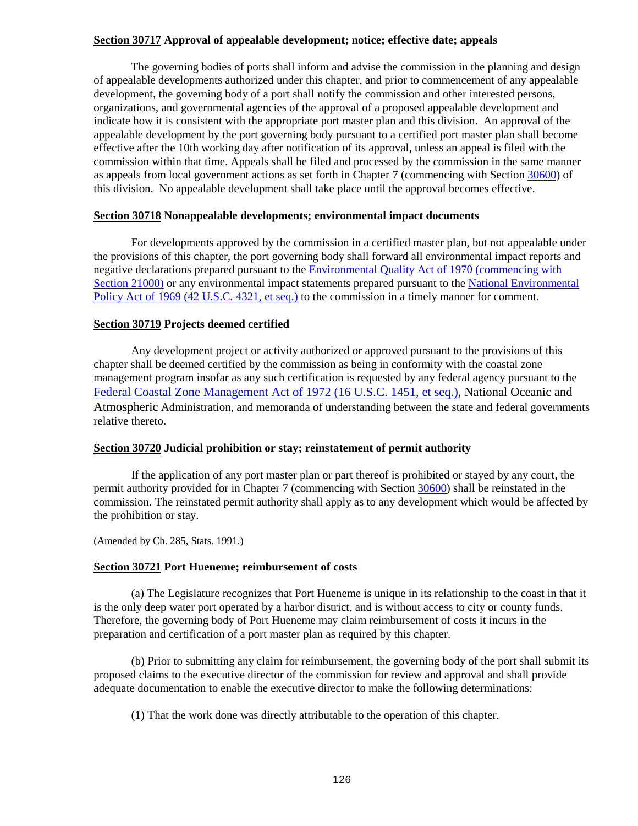## **Section 30717 Approval of appealable development; notice; effective date; appeals**

The governing bodies of ports shall inform and advise the commission in the planning and design of appealable developments authorized under this chapter, and prior to commencement of any appealable development, the governing body of a port shall notify the commission and other interested persons, organizations, and governmental agencies of the approval of a proposed appealable development and indicate how it is consistent with the appropriate port master plan and this division. An approval of the appealable development by the port governing body pursuant to a certified port master plan shall become effective after the 10th working day after notification of its approval, unless an appeal is filed with the commission within that time. Appeals shall be filed and processed by the commission in the same manner as appeals from local government actions as set forth in Chapter 7 (commencing with Section [30600\)](#page-91-0) of this division. No appealable development shall take place until the approval becomes effective.

## <span id="page-126-0"></span>**Section 30718 Nonappealable developments; environmental impact documents**

For developments approved by the commission in a certified master plan, but not appealable under the provisions of this chapter, the port governing body shall forward all environmental impact reports and negative declarations prepared pursuant to the [Environmental Quality Act of 1970 \(commencing with](http://leginfo.legislature.ca.gov/faces/codes_displayexpandedbranch.xhtml?tocCode=PRC&division=13.&title=&part=&chapter=&article=)  [Section 21000\)](http://leginfo.legislature.ca.gov/faces/codes_displayexpandedbranch.xhtml?tocCode=PRC&division=13.&title=&part=&chapter=&article=) or any environmental impact statements prepared pursuant to the National Environmental Policy [Act of 1969 \(42 U.S.C. 4321, et seq.\)](http://www.law.cornell.edu/uscode/) to the commission in a timely manner for comment.

# <span id="page-126-1"></span>**Section 30719 Projects deemed certified**

Any development project or activity authorized or approved pursuant to the provisions of this chapter shall be deemed certified by the commission as being in conformity with the coastal zone management program insofar as any such certification is requested by any federal agency pursuant to the [Federal Coastal Zone Management Act of 1972 \(16 U.S.C. 1451, et seq.\),](http://www.law.cornell.edu/uscode/) National Oceanic and Atmospheric Administration, and memoranda of understanding between the state and federal governments relative thereto.

## <span id="page-126-2"></span>**Section 30720 Judicial prohibition or stay; reinstatement of permit authority**

If the application of any port master plan or part thereof is prohibited or stayed by any court, the permit authority provided for in Chapter 7 (commencing with Section [30600\)](#page-91-0) shall be reinstated in the commission. The reinstated permit authority shall apply as to any development which would be affected by the prohibition or stay.

(Amended by Ch. 285, Stats. 1991.)

## <span id="page-126-3"></span>**Section 30721 Port Hueneme; reimbursement of costs**

(a) The Legislature recognizes that Port Hueneme is unique in its relationship to the coast in that it is the only deep water port operated by a harbor district, and is without access to city or county funds. Therefore, the governing body of Port Hueneme may claim reimbursement of costs it incurs in the preparation and certification of a port master plan as required by this chapter.

(b) Prior to submitting any claim for reimbursement, the governing body of the port shall submit its proposed claims to the executive director of the commission for review and approval and shall provide adequate documentation to enable the executive director to make the following determinations:

(1) That the work done was directly attributable to the operation of this chapter.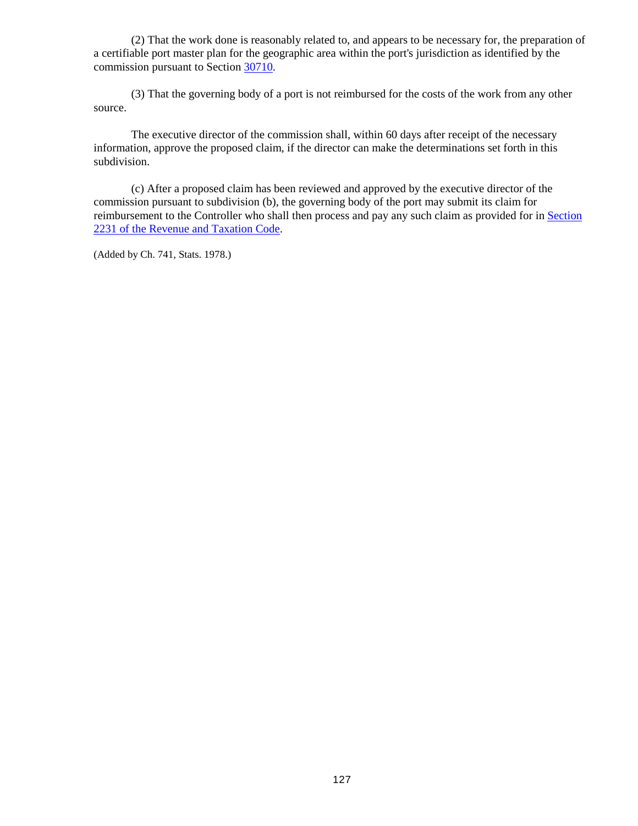(2) That the work done is reasonably related to, and appears to be necessary for, the preparation of a certifiable port master plan for the geographic area within the port's jurisdiction as identified by the commission pursuant to Section [30710.](#page-122-2)

(3) That the governing body of a port is not reimbursed for the costs of the work from any other source.

The executive director of the commission shall, within 60 days after receipt of the necessary information, approve the proposed claim, if the director can make the determinations set forth in this subdivision.

(c) After a proposed claim has been reviewed and approved by the executive director of the commission pursuant to subdivision (b), the governing body of the port may submit its claim for reimbursement to the Controller who shall then process and pay any such claim as provided for in Section [2231 of the Revenue and Taxation Code.](http://leginfo.legislature.ca.gov/faces/codes_displayexpandedbranch.xhtml?tocCode=RTC&division=1.&title=&part=&chapter=&article=)

(Added by Ch. 741, Stats. 1978.)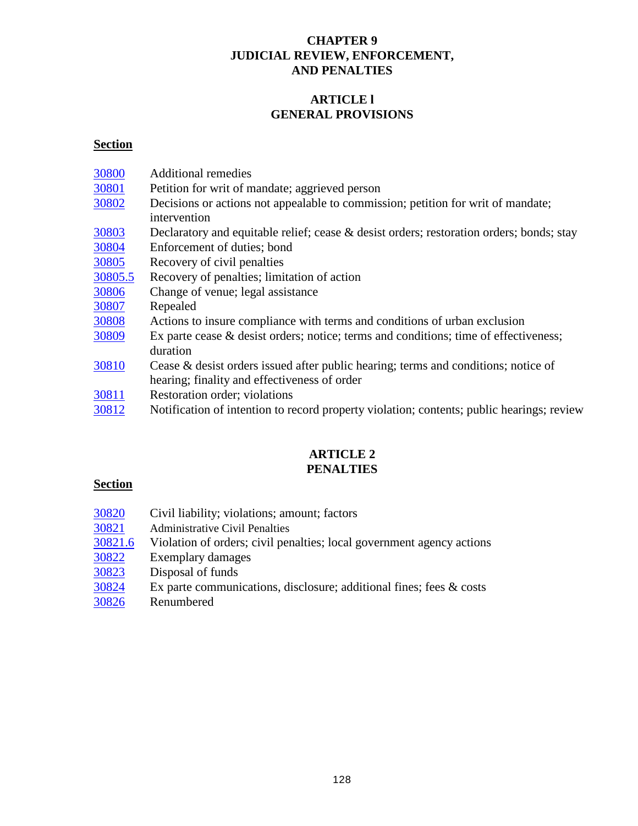# **CHAPTER 9 JUDICIAL REVIEW, ENFORCEMENT, AND PENALTIES**

# **ARTICLE l GENERAL PROVISIONS**

# **Section**

| 30800   | <b>Additional remedies</b>                                                                          |
|---------|-----------------------------------------------------------------------------------------------------|
| 30801   | Petition for writ of mandate; aggrieved person                                                      |
| 30802   | Decisions or actions not appealable to commission; petition for writ of mandate;<br>intervention    |
| 30803   | Declaratory and equitable relief; cease & desist orders; restoration orders; bonds; stay            |
| 30804   | Enforcement of duties; bond                                                                         |
| 30805   | Recovery of civil penalties                                                                         |
| 30805.5 | Recovery of penalties; limitation of action                                                         |
| 30806   | Change of venue; legal assistance                                                                   |
| 30807   | Repealed                                                                                            |
| 30808   | Actions to insure compliance with terms and conditions of urban exclusion                           |
| 30809   | Ex parte cease $\&$ desist orders; notice; terms and conditions; time of effectiveness;<br>duration |
| 30810   | Cease $\&$ desist orders issued after public hearing; terms and conditions; notice of               |
|         | hearing; finality and effectiveness of order                                                        |
| 30811   | Restoration order; violations                                                                       |
| 30812   | Notification of intention to record property violation; contents; public hearings; review           |
|         |                                                                                                     |

# **ARTICLE 2 PENALTIES**

# **Section**

- [30820](#page-134-0) Civil liability; violations; amount; factors
- 
- [30821](#page-134-1) Administrative Civil Penalties<br>30821.6 Violation of orders; civil pen Violation of orders; civil penalties; local government agency actions
- $\frac{30822}{30823}$  $\frac{30822}{30823}$  $\frac{30822}{30823}$  Exemplary damages<br> $\frac{30823}{30823}$  Disposal of funds
- Disposal of funds
- [30824](#page-136-2) Ex parte communications, disclosure; additional fines; fees & costs
- [30826](#page-136-3) Renumbered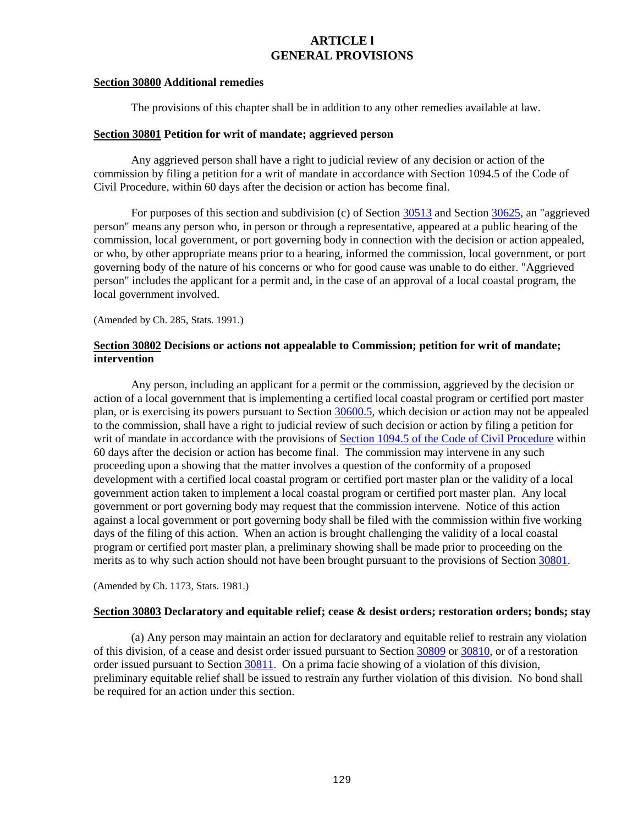# **ARTICLE l GENERAL PROVISIONS**

#### <span id="page-129-0"></span>**Section 30800 Additional remedies**

The provisions of this chapter shall be in addition to any other remedies available at law.

### <span id="page-129-1"></span>**Section 30801 Petition for writ of mandate; aggrieved person**

Any aggrieved person shall have a right to judicial review of any decision or action of the commission by filing a petition for a writ of mandate in accordance with Section 1094.5 of the Code of Civil Procedure, within 60 days after the decision or action has become final.

For purposes of this section and subdivision (c) of Section [30513](#page-78-0) and Section [30625,](#page-116-0) an "aggrieved person" means any person who, in person or through a representative, appeared at a public hearing of the commission, local government, or port governing body in connection with the decision or action appealed, or who, by other appropriate means prior to a hearing, informed the commission, local government, or port governing body of the nature of his concerns or who for good cause was unable to do either. "Aggrieved person" includes the applicant for a permit and, in the case of an approval of a local coastal program, the local government involved.

(Amended by Ch. 285, Stats. 1991.)

## <span id="page-129-2"></span>**Section 30802 Decisions or actions not appealable to Commission; petition for writ of mandate; intervention**

Any person, including an applicant for a permit or the commission, aggrieved by the decision or action of a local government that is implementing a certified local coastal program or certified port master plan, or is exercising its powers pursuant to Section [30600.5,](#page-92-0) which decision or action may not be appealed to the commission, shall have a right to judicial review of such decision or action by filing a petition for writ of mandate in accordance with the provisions of [Section 1094.5 of the Code of Civil Procedure](http://leginfo.legislature.ca.gov/faces/codes_displayexpandedbranch.xhtml?tocCode=CCP&division=&title=&part=3.&chapter=&article=) within 60 days after the decision or action has become final. The commission may intervene in any such proceeding upon a showing that the matter involves a question of the conformity of a proposed development with a certified local coastal program or certified port master plan or the validity of a local government action taken to implement a local coastal program or certified port master plan. Any local government or port governing body may request that the commission intervene. Notice of this action against a local government or port governing body shall be filed with the commission within five working days of the filing of this action. When an action is brought challenging the validity of a local coastal program or certified port master plan, a preliminary showing shall be made prior to proceeding on the merits as to why such action should not have been brought pursuant to the provisions of Section [30801.](#page-129-1)

(Amended by Ch. 1173, Stats. 1981.)

#### <span id="page-129-3"></span>**Section 30803 Declaratory and equitable relief; cease & desist orders; restoration orders; bonds; stay**

(a) Any person may maintain an action for declaratory and equitable relief to restrain any violation of this division, of a cease and desist order issued pursuant to Section [30809](#page-130-6) or [30810,](#page-131-0) or of a restoration order issued pursuant to Section [30811.](#page-132-0) On a prima facie showing of a violation of this division, preliminary equitable relief shall be issued to restrain any further violation of this division. No bond shall be required for an action under this section.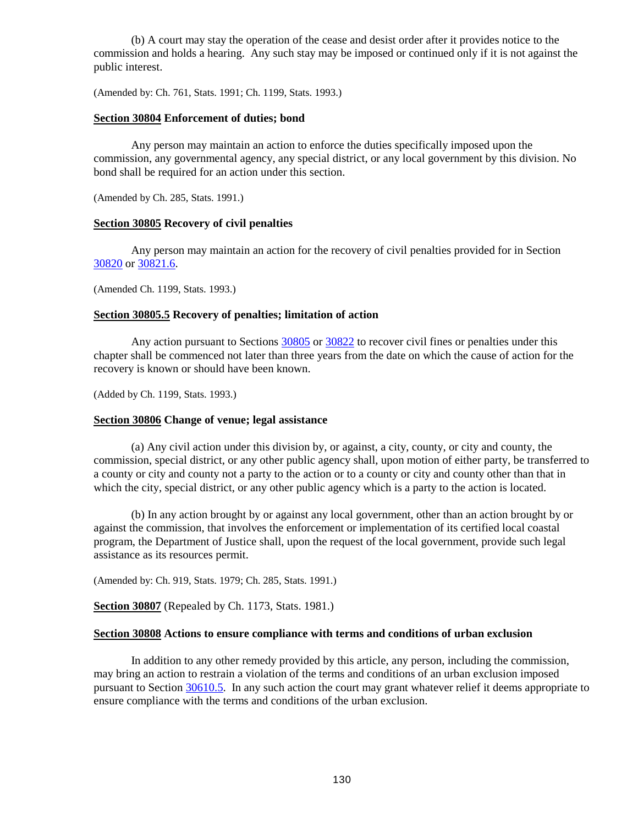(b) A court may stay the operation of the cease and desist order after it provides notice to the commission and holds a hearing. Any such stay may be imposed or continued only if it is not against the public interest.

(Amended by: Ch. 761, Stats. 1991; Ch. 1199, Stats. 1993.)

### <span id="page-130-0"></span>**Section 30804 Enforcement of duties; bond**

Any person may maintain an action to enforce the duties specifically imposed upon the commission, any governmental agency, any special district, or any local government by this division. No bond shall be required for an action under this section.

(Amended by Ch. 285, Stats. 1991.)

### <span id="page-130-1"></span>**Section 30805 Recovery of civil penalties**

Any person may maintain an action for the recovery of civil penalties provided for in Section [30820](#page-134-0) or [30821.6.](#page-135-0)

(Amended Ch. 1199, Stats. 1993.)

## <span id="page-130-2"></span>**Section 30805.5 Recovery of penalties; limitation of action**

Any action pursuant to Sections [30805](#page-130-1) or [30822](#page-136-0) to recover civil fines or penalties under this chapter shall be commenced not later than three years from the date on which the cause of action for the recovery is known or should have been known.

(Added by Ch. 1199, Stats. 1993.)

#### <span id="page-130-3"></span>**Section 30806 Change of venue; legal assistance**

(a) Any civil action under this division by, or against, a city, county, or city and county, the commission, special district, or any other public agency shall, upon motion of either party, be transferred to a county or city and county not a party to the action or to a county or city and county other than that in which the city, special district, or any other public agency which is a party to the action is located.

(b) In any action brought by or against any local government, other than an action brought by or against the commission, that involves the enforcement or implementation of its certified local coastal program, the Department of Justice shall, upon the request of the local government, provide such legal assistance as its resources permit.

(Amended by: Ch. 919, Stats. 1979; Ch. 285, Stats. 1991.)

<span id="page-130-4"></span>**Section 30807** (Repealed by Ch. 1173, Stats. 1981.)

#### <span id="page-130-5"></span>**Section 30808 Actions to ensure compliance with terms and conditions of urban exclusion**

<span id="page-130-6"></span>In addition to any other remedy provided by this article, any person, including the commission, may bring an action to restrain a violation of the terms and conditions of an urban exclusion imposed pursuant to Section [30610.5.](#page-106-0) In any such action the court may grant whatever relief it deems appropriate to ensure compliance with the terms and conditions of the urban exclusion.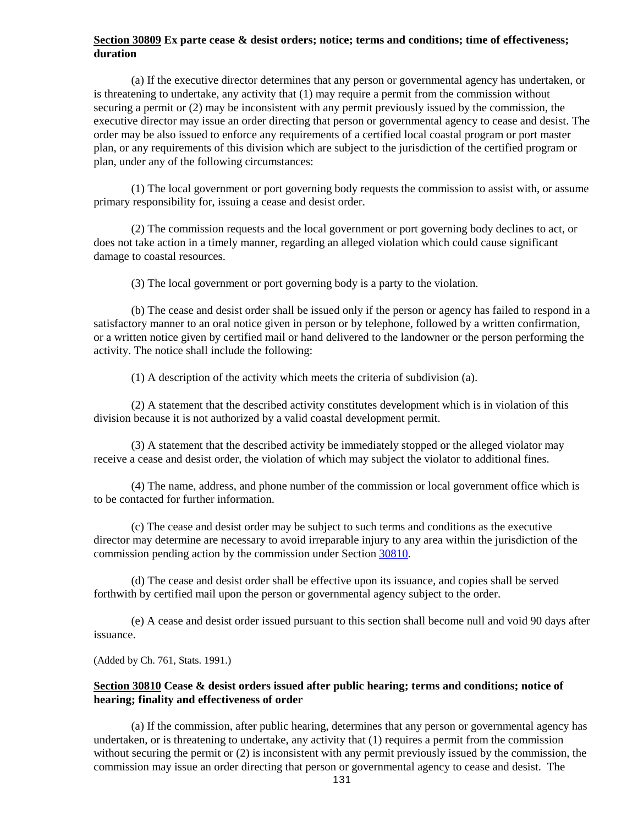## **Section 30809 Ex parte cease & desist orders; notice; terms and conditions; time of effectiveness; duration**

(a) If the executive director determines that any person or governmental agency has undertaken, or is threatening to undertake, any activity that (1) may require a permit from the commission without securing a permit or (2) may be inconsistent with any permit previously issued by the commission, the executive director may issue an order directing that person or governmental agency to cease and desist. The order may be also issued to enforce any requirements of a certified local coastal program or port master plan, or any requirements of this division which are subject to the jurisdiction of the certified program or plan, under any of the following circumstances:

(1) The local government or port governing body requests the commission to assist with, or assume primary responsibility for, issuing a cease and desist order.

(2) The commission requests and the local government or port governing body declines to act, or does not take action in a timely manner, regarding an alleged violation which could cause significant damage to coastal resources.

(3) The local government or port governing body is a party to the violation.

(b) The cease and desist order shall be issued only if the person or agency has failed to respond in a satisfactory manner to an oral notice given in person or by telephone, followed by a written confirmation, or a written notice given by certified mail or hand delivered to the landowner or the person performing the activity. The notice shall include the following:

(1) A description of the activity which meets the criteria of subdivision (a).

(2) A statement that the described activity constitutes development which is in violation of this division because it is not authorized by a valid coastal development permit.

(3) A statement that the described activity be immediately stopped or the alleged violator may receive a cease and desist order, the violation of which may subject the violator to additional fines.

(4) The name, address, and phone number of the commission or local government office which is to be contacted for further information.

(c) The cease and desist order may be subject to such terms and conditions as the executive director may determine are necessary to avoid irreparable injury to any area within the jurisdiction of the commission pending action by the commission under Section [30810.](#page-131-0)

(d) The cease and desist order shall be effective upon its issuance, and copies shall be served forthwith by certified mail upon the person or governmental agency subject to the order.

(e) A cease and desist order issued pursuant to this section shall become null and void 90 days after issuance.

(Added by Ch. 761, Stats. 1991.)

## <span id="page-131-0"></span>**Section 30810 Cease & desist orders issued after public hearing; terms and conditions; notice of hearing; finality and effectiveness of order**

(a) If the commission, after public hearing, determines that any person or governmental agency has undertaken, or is threatening to undertake, any activity that (1) requires a permit from the commission without securing the permit or (2) is inconsistent with any permit previously issued by the commission, the commission may issue an order directing that person or governmental agency to cease and desist. The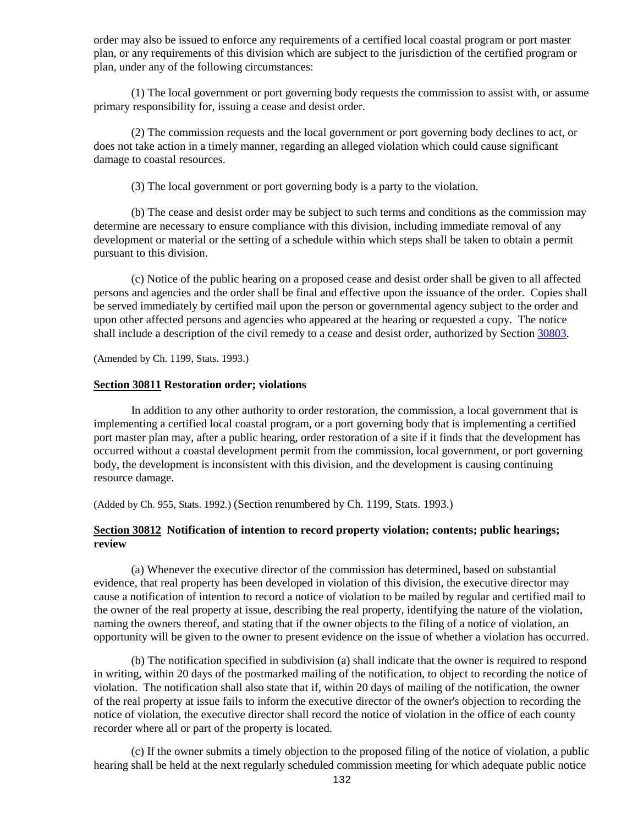order may also be issued to enforce any requirements of a certified local coastal program or port master plan, or any requirements of this division which are subject to the jurisdiction of the certified program or plan, under any of the following circumstances:

(1) The local government or port governing body requests the commission to assist with, or assume primary responsibility for, issuing a cease and desist order.

(2) The commission requests and the local government or port governing body declines to act, or does not take action in a timely manner, regarding an alleged violation which could cause significant damage to coastal resources.

(3) The local government or port governing body is a party to the violation.

(b) The cease and desist order may be subject to such terms and conditions as the commission may determine are necessary to ensure compliance with this division, including immediate removal of any development or material or the setting of a schedule within which steps shall be taken to obtain a permit pursuant to this division.

(c) Notice of the public hearing on a proposed cease and desist order shall be given to all affected persons and agencies and the order shall be final and effective upon the issuance of the order. Copies shall be served immediately by certified mail upon the person or governmental agency subject to the order and upon other affected persons and agencies who appeared at the hearing or requested a copy. The notice shall include a description of the civil remedy to a cease and desist order, authorized by Section [30803.](#page-129-3)

(Amended by Ch. 1199, Stats. 1993.)

## <span id="page-132-0"></span>**Section 30811 Restoration order; violations**

In addition to any other authority to order restoration, the commission, a local government that is implementing a certified local coastal program, or a port governing body that is implementing a certified port master plan may, after a public hearing, order restoration of a site if it finds that the development has occurred without a coastal development permit from the commission, local government, or port governing body, the development is inconsistent with this division, and the development is causing continuing resource damage.

(Added by Ch. 955, Stats. 1992.) (Section renumbered by Ch. 1199, Stats. 1993.)

## <span id="page-132-1"></span>**Section 30812 Notification of intention to record property violation; contents; public hearings; review**

(a) Whenever the executive director of the commission has determined, based on substantial evidence, that real property has been developed in violation of this division, the executive director may cause a notification of intention to record a notice of violation to be mailed by regular and certified mail to the owner of the real property at issue, describing the real property, identifying the nature of the violation, naming the owners thereof, and stating that if the owner objects to the filing of a notice of violation, an opportunity will be given to the owner to present evidence on the issue of whether a violation has occurred.

(b) The notification specified in subdivision (a) shall indicate that the owner is required to respond in writing, within 20 days of the postmarked mailing of the notification, to object to recording the notice of violation. The notification shall also state that if, within 20 days of mailing of the notification, the owner of the real property at issue fails to inform the executive director of the owner's objection to recording the notice of violation, the executive director shall record the notice of violation in the office of each county recorder where all or part of the property is located.

(c) If the owner submits a timely objection to the proposed filing of the notice of violation, a public hearing shall be held at the next regularly scheduled commission meeting for which adequate public notice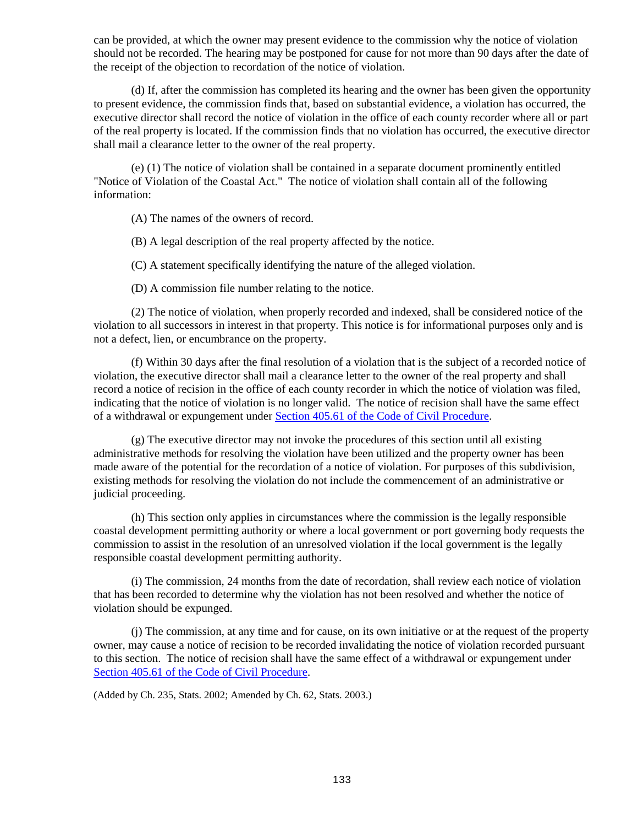can be provided, at which the owner may present evidence to the commission why the notice of violation should not be recorded. The hearing may be postponed for cause for not more than 90 days after the date of the receipt of the objection to recordation of the notice of violation.

(d) If, after the commission has completed its hearing and the owner has been given the opportunity to present evidence, the commission finds that, based on substantial evidence, a violation has occurred, the executive director shall record the notice of violation in the office of each county recorder where all or part of the real property is located. If the commission finds that no violation has occurred, the executive director shall mail a clearance letter to the owner of the real property.

(e) (1) The notice of violation shall be contained in a separate document prominently entitled "Notice of Violation of the Coastal Act." The notice of violation shall contain all of the following information:

(A) The names of the owners of record.

(B) A legal description of the real property affected by the notice.

(C) A statement specifically identifying the nature of the alleged violation.

(D) A commission file number relating to the notice.

(2) The notice of violation, when properly recorded and indexed, shall be considered notice of the violation to all successors in interest in that property. This notice is for informational purposes only and is not a defect, lien, or encumbrance on the property.

(f) Within 30 days after the final resolution of a violation that is the subject of a recorded notice of violation, the executive director shall mail a clearance letter to the owner of the real property and shall record a notice of recision in the office of each county recorder in which the notice of violation was filed, indicating that the notice of violation is no longer valid. The notice of recision shall have the same effect of a withdrawal or expungement under [Section 405.61 of the Code of Civil Procedure.](http://leginfo.legislature.ca.gov/faces/codes_displayexpandedbranch.xhtml?tocCode=CCP&division=&title=&part=2.&chapter=&article=)

(g) The executive director may not invoke the procedures of this section until all existing administrative methods for resolving the violation have been utilized and the property owner has been made aware of the potential for the recordation of a notice of violation. For purposes of this subdivision, existing methods for resolving the violation do not include the commencement of an administrative or judicial proceeding.

(h) This section only applies in circumstances where the commission is the legally responsible coastal development permitting authority or where a local government or port governing body requests the commission to assist in the resolution of an unresolved violation if the local government is the legally responsible coastal development permitting authority.

(i) The commission, 24 months from the date of recordation, shall review each notice of violation that has been recorded to determine why the violation has not been resolved and whether the notice of violation should be expunged.

(j) The commission, at any time and for cause, on its own initiative or at the request of the property owner, may cause a notice of recision to be recorded invalidating the notice of violation recorded pursuant to this section. The notice of recision shall have the same effect of a withdrawal or expungement under [Section 405.61 of the Code of Civil Procedure.](http://leginfo.legislature.ca.gov/faces/codes_displayexpandedbranch.xhtml?tocCode=CCP&division=&title=&part=2.&chapter=&article=)

(Added by Ch. 235, Stats. 2002; Amended by Ch. 62, Stats. 2003.)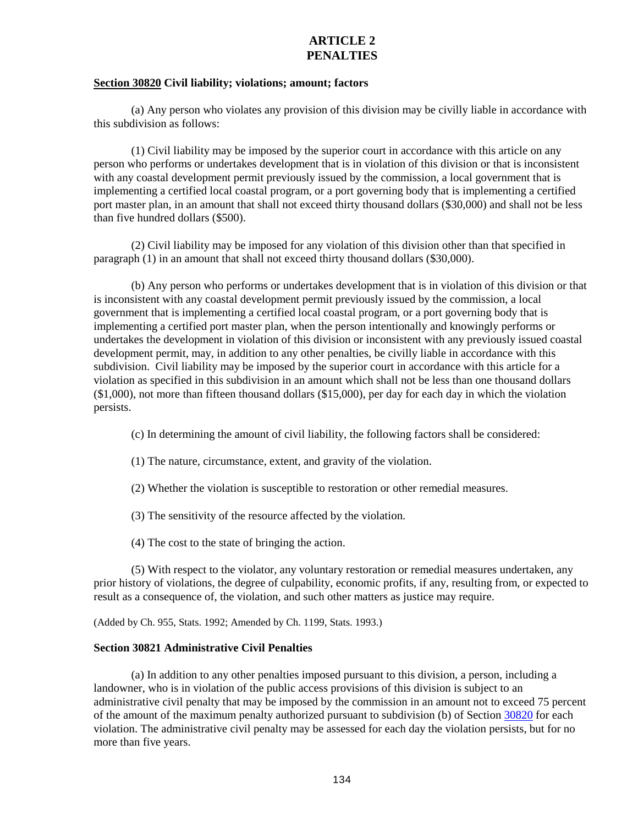# **ARTICLE 2 PENALTIES**

## <span id="page-134-0"></span>**Section 30820 Civil liability; violations; amount; factors**

(a) Any person who violates any provision of this division may be civilly liable in accordance with this subdivision as follows:

(1) Civil liability may be imposed by the superior court in accordance with this article on any person who performs or undertakes development that is in violation of this division or that is inconsistent with any coastal development permit previously issued by the commission, a local government that is implementing a certified local coastal program, or a port governing body that is implementing a certified port master plan, in an amount that shall not exceed thirty thousand dollars (\$30,000) and shall not be less than five hundred dollars (\$500).

(2) Civil liability may be imposed for any violation of this division other than that specified in paragraph (1) in an amount that shall not exceed thirty thousand dollars (\$30,000).

(b) Any person who performs or undertakes development that is in violation of this division or that is inconsistent with any coastal development permit previously issued by the commission, a local government that is implementing a certified local coastal program, or a port governing body that is implementing a certified port master plan, when the person intentionally and knowingly performs or undertakes the development in violation of this division or inconsistent with any previously issued coastal development permit, may, in addition to any other penalties, be civilly liable in accordance with this subdivision. Civil liability may be imposed by the superior court in accordance with this article for a violation as specified in this subdivision in an amount which shall not be less than one thousand dollars (\$1,000), not more than fifteen thousand dollars (\$15,000), per day for each day in which the violation persists.

(c) In determining the amount of civil liability, the following factors shall be considered:

- (1) The nature, circumstance, extent, and gravity of the violation.
- (2) Whether the violation is susceptible to restoration or other remedial measures.
- (3) The sensitivity of the resource affected by the violation.
- (4) The cost to the state of bringing the action.

(5) With respect to the violator, any voluntary restoration or remedial measures undertaken, any prior history of violations, the degree of culpability, economic profits, if any, resulting from, or expected to result as a consequence of, the violation, and such other matters as justice may require.

(Added by Ch. 955, Stats. 1992; Amended by Ch. 1199, Stats. 1993.)

#### <span id="page-134-1"></span>**Section 30821 Administrative Civil Penalties**

(a) In addition to any other penalties imposed pursuant to this division, a person, including a landowner, who is in violation of the public access provisions of this division is subject to an administrative civil penalty that may be imposed by the commission in an amount not to exceed 75 percent of the amount of the maximum penalty authorized pursuant to subdivision (b) of Section [30820](#page-134-0) for each violation. The administrative civil penalty may be assessed for each day the violation persists, but for no more than five years.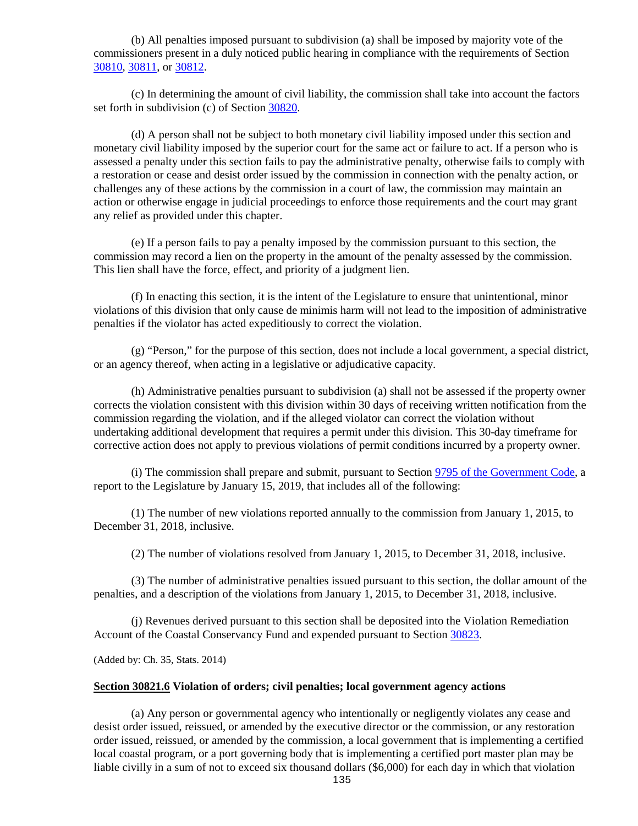(b) All penalties imposed pursuant to subdivision (a) shall be imposed by majority vote of the commissioners present in a duly noticed public hearing in compliance with the requirements of Section [30810,](#page-131-0) [30811,](#page-132-0) or [30812.](#page-132-1)

(c) In determining the amount of civil liability, the commission shall take into account the factors set forth in subdivision (c) of Sectio[n 30820.](#page-134-0)

(d) A person shall not be subject to both monetary civil liability imposed under this section and monetary civil liability imposed by the superior court for the same act or failure to act. If a person who is assessed a penalty under this section fails to pay the administrative penalty, otherwise fails to comply with a restoration or cease and desist order issued by the commission in connection with the penalty action, or challenges any of these actions by the commission in a court of law, the commission may maintain an action or otherwise engage in judicial proceedings to enforce those requirements and the court may grant any relief as provided under this chapter.

(e) If a person fails to pay a penalty imposed by the commission pursuant to this section, the commission may record a lien on the property in the amount of the penalty assessed by the commission. This lien shall have the force, effect, and priority of a judgment lien.

(f) In enacting this section, it is the intent of the Legislature to ensure that unintentional, minor violations of this division that only cause de minimis harm will not lead to the imposition of administrative penalties if the violator has acted expeditiously to correct the violation.

(g) "Person," for the purpose of this section, does not include a local government, a special district, or an agency thereof, when acting in a legislative or adjudicative capacity.

(h) Administrative penalties pursuant to subdivision (a) shall not be assessed if the property owner corrects the violation consistent with this division within 30 days of receiving written notification from the commission regarding the violation, and if the alleged violator can correct the violation without undertaking additional development that requires a permit under this division. This 30-day timeframe for corrective action does not apply to previous violations of permit conditions incurred by a property owner.

(i) The commission shall prepare and submit, pursuant to Section [9795 of the Government Code,](http://leginfo.legislature.ca.gov/faces/codes_displayexpandedbranch.xhtml?tocCode=GOV&division=&title=2.&part=&chapter=&article=) a report to the Legislature by January 15, 2019, that includes all of the following:

(1) The number of new violations reported annually to the commission from January 1, 2015, to December 31, 2018, inclusive.

(2) The number of violations resolved from January 1, 2015, to December 31, 2018, inclusive.

(3) The number of administrative penalties issued pursuant to this section, the dollar amount of the penalties, and a description of the violations from January 1, 2015, to December 31, 2018, inclusive.

(j) Revenues derived pursuant to this section shall be deposited into the Violation Remediation Account of the Coastal Conservancy Fund and expended pursuant to Section [30823.](#page-136-1)

(Added by: Ch. 35, Stats. 2014)

#### <span id="page-135-0"></span>**Section 30821.6 Violation of orders; civil penalties; local government agency actions**

(a) Any person or governmental agency who intentionally or negligently violates any cease and desist order issued, reissued, or amended by the executive director or the commission, or any restoration order issued, reissued, or amended by the commission, a local government that is implementing a certified local coastal program, or a port governing body that is implementing a certified port master plan may be liable civilly in a sum of not to exceed six thousand dollars (\$6,000) for each day in which that violation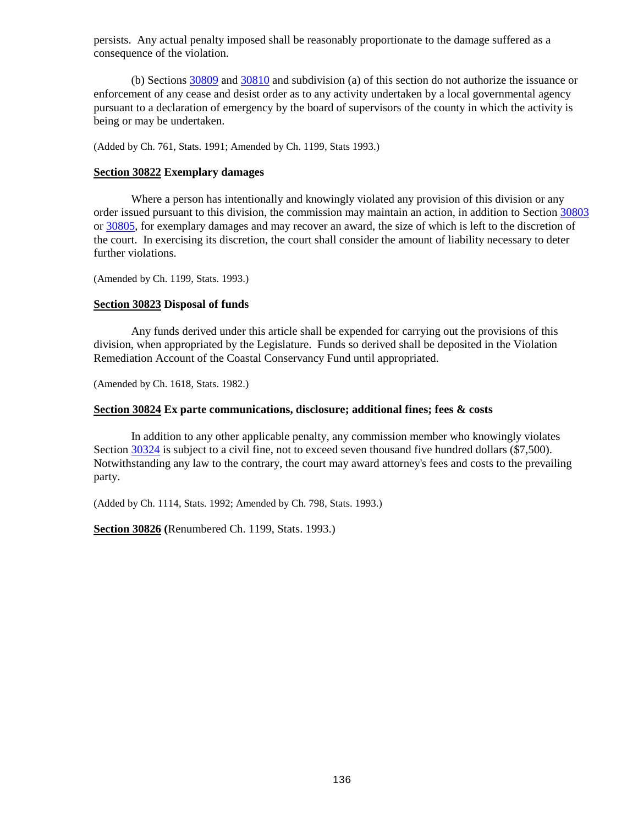persists. Any actual penalty imposed shall be reasonably proportionate to the damage suffered as a consequence of the violation.

(b) Sections [30809](#page-130-6) and [30810](#page-131-0) and subdivision (a) of this section do not authorize the issuance or enforcement of any cease and desist order as to any activity undertaken by a local governmental agency pursuant to a declaration of emergency by the board of supervisors of the county in which the activity is being or may be undertaken.

(Added by Ch. 761, Stats. 1991; Amended by Ch. 1199, Stats 1993.)

### <span id="page-136-0"></span>**Section 30822 Exemplary damages**

Where a person has intentionally and knowingly violated any provision of this division or any order issued pursuant to this division, the commission may maintain an action, in addition to Section [30803](#page-129-3) or [30805,](#page-130-1) for exemplary damages and may recover an award, the size of which is left to the discretion of the court. In exercising its discretion, the court shall consider the amount of liability necessary to deter further violations.

(Amended by Ch. 1199, Stats. 1993.)

### <span id="page-136-1"></span>**Section 30823 Disposal of funds**

Any funds derived under this article shall be expended for carrying out the provisions of this division, when appropriated by the Legislature. Funds so derived shall be deposited in the Violation Remediation Account of the Coastal Conservancy Fund until appropriated.

(Amended by Ch. 1618, Stats. 1982.)

#### <span id="page-136-2"></span>**Section 30824 Ex parte communications, disclosure; additional fines; fees & costs**

In addition to any other applicable penalty, any commission member who knowingly violates Section [30324](#page-52-0) is subject to a civil fine, not to exceed seven thousand five hundred dollars (\$7,500). Notwithstanding any law to the contrary, the court may award attorney's fees and costs to the prevailing party.

(Added by Ch. 1114, Stats. 1992; Amended by Ch. 798, Stats. 1993.)

<span id="page-136-3"></span>**Section 30826 (**Renumbered Ch. 1199, Stats. 1993.)